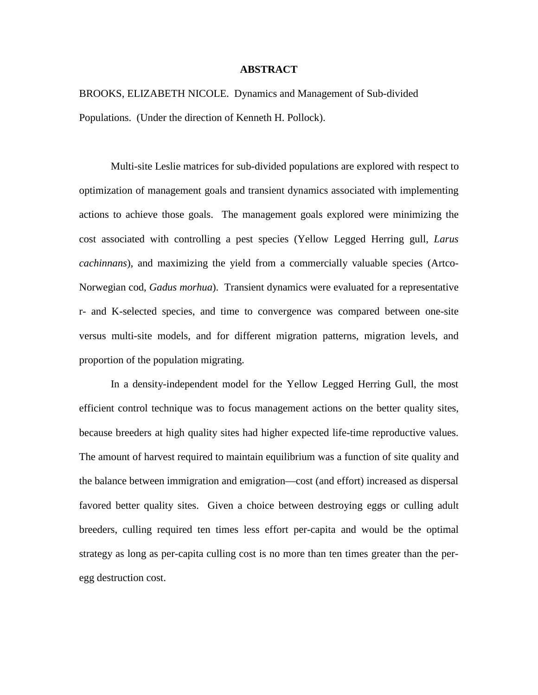### **ABSTRACT**

BROOKS, ELIZABETH NICOLE. Dynamics and Management of Sub-divided Populations. (Under the direction of Kenneth H. Pollock).

Multi-site Leslie matrices for sub-divided populations are explored with respect to optimization of management goals and transient dynamics associated with implementing actions to achieve those goals. The management goals explored were minimizing the cost associated with controlling a pest species (Yellow Legged Herring gull, *Larus cachinnans*), and maximizing the yield from a commercially valuable species (Artco-Norwegian cod, *Gadus morhua*). Transient dynamics were evaluated for a representative r- and K-selected species, and time to convergence was compared between one-site versus multi-site models, and for different migration patterns, migration levels, and proportion of the population migrating.

In a density-independent model for the Yellow Legged Herring Gull, the most efficient control technique was to focus management actions on the better quality sites, because breeders at high quality sites had higher expected life-time reproductive values. The amount of harvest required to maintain equilibrium was a function of site quality and the balance between immigration and emigration—cost (and effort) increased as dispersal favored better quality sites. Given a choice between destroying eggs or culling adult breeders, culling required ten times less effort per-capita and would be the optimal strategy as long as per-capita culling cost is no more than ten times greater than the peregg destruction cost.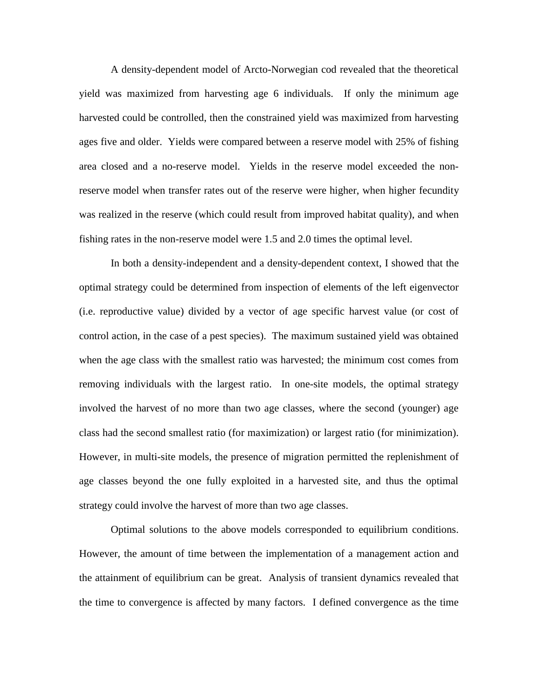A density-dependent model of Arcto-Norwegian cod revealed that the theoretical yield was maximized from harvesting age 6 individuals. If only the minimum age harvested could be controlled, then the constrained yield was maximized from harvesting ages five and older. Yields were compared between a reserve model with 25% of fishing area closed and a no-reserve model. Yields in the reserve model exceeded the nonreserve model when transfer rates out of the reserve were higher, when higher fecundity was realized in the reserve (which could result from improved habitat quality), and when fishing rates in the non-reserve model were 1.5 and 2.0 times the optimal level.

In both a density-independent and a density-dependent context, I showed that the optimal strategy could be determined from inspection of elements of the left eigenvector (i.e. reproductive value) divided by a vector of age specific harvest value (or cost of control action, in the case of a pest species). The maximum sustained yield was obtained when the age class with the smallest ratio was harvested; the minimum cost comes from removing individuals with the largest ratio. In one-site models, the optimal strategy involved the harvest of no more than two age classes, where the second (younger) age class had the second smallest ratio (for maximization) or largest ratio (for minimization). However, in multi-site models, the presence of migration permitted the replenishment of age classes beyond the one fully exploited in a harvested site, and thus the optimal strategy could involve the harvest of more than two age classes.

Optimal solutions to the above models corresponded to equilibrium conditions. However, the amount of time between the implementation of a management action and the attainment of equilibrium can be great. Analysis of transient dynamics revealed that the time to convergence is affected by many factors. I defined convergence as the time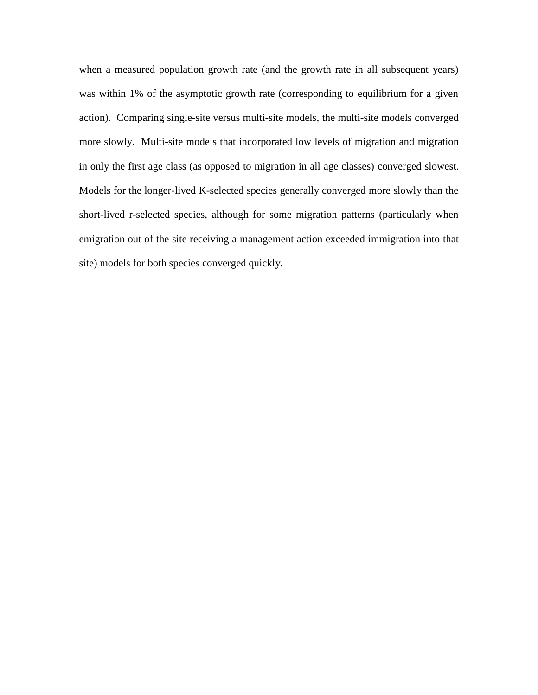when a measured population growth rate (and the growth rate in all subsequent years) was within 1% of the asymptotic growth rate (corresponding to equilibrium for a given action). Comparing single-site versus multi-site models, the multi-site models converged more slowly. Multi-site models that incorporated low levels of migration and migration in only the first age class (as opposed to migration in all age classes) converged slowest. Models for the longer-lived K-selected species generally converged more slowly than the short-lived r-selected species, although for some migration patterns (particularly when emigration out of the site receiving a management action exceeded immigration into that site) models for both species converged quickly.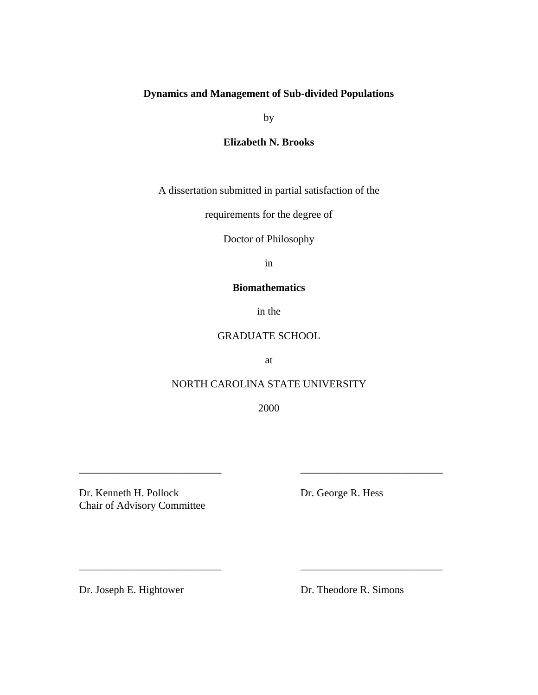# **Dynamics and Management of Sub-divided Populations**

by

# **Elizabeth N. Brooks**

A dissertation submitted in partial satisfaction of the

requirements for the degree of

Doctor of Philosophy

in

# **Biomathematics**

in the

# GRADUATE SCHOOL

at

# NORTH CAROLINA STATE UNIVERSITY

2000

\_\_\_\_\_\_\_\_\_\_\_\_\_\_\_\_\_\_\_\_\_\_\_\_\_\_\_ \_\_\_\_\_\_\_\_\_\_\_\_\_\_\_\_\_\_\_\_\_\_\_\_\_\_\_

\_\_\_\_\_\_\_\_\_\_\_\_\_\_\_\_\_\_\_\_\_\_\_\_\_\_\_ \_\_\_\_\_\_\_\_\_\_\_\_\_\_\_\_\_\_\_\_\_\_\_\_\_\_\_

Dr. Kenneth H. Pollock Dr. George R. Hess Chair of Advisory Committee

Dr. Joseph E. Hightower Dr. Theodore R. Simons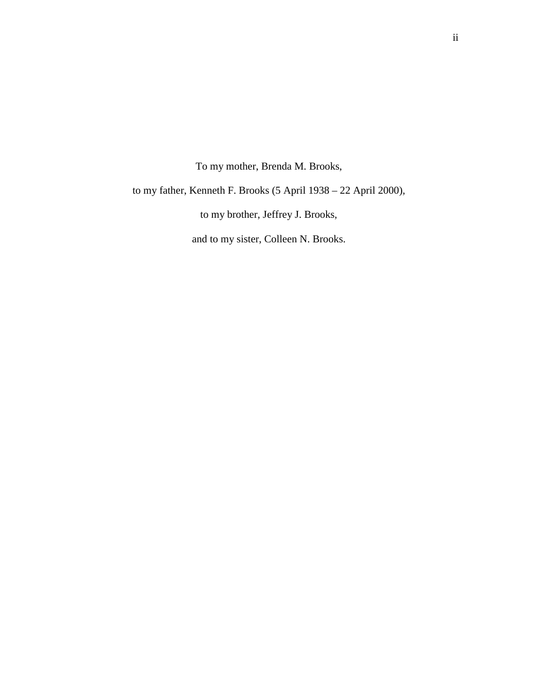To my mother, Brenda M. Brooks,

to my father, Kenneth F. Brooks (5 April 1938 – 22 April 2000),

to my brother, Jeffrey J. Brooks,

and to my sister, Colleen N. Brooks.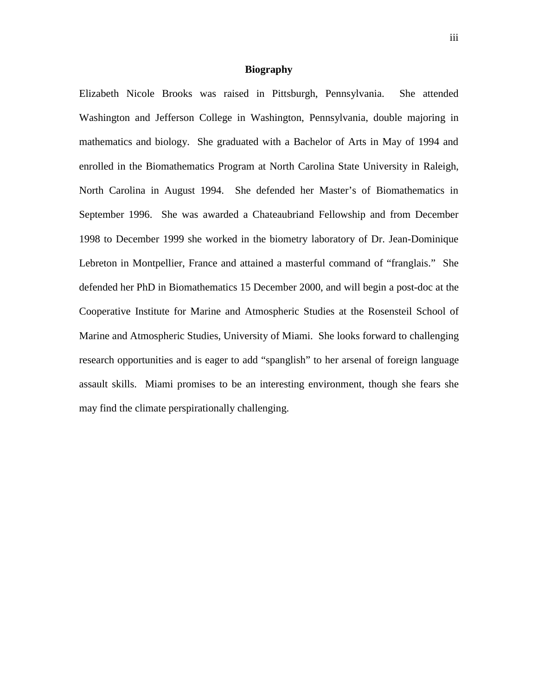### **Biography**

Elizabeth Nicole Brooks was raised in Pittsburgh, Pennsylvania. She attended Washington and Jefferson College in Washington, Pennsylvania, double majoring in mathematics and biology. She graduated with a Bachelor of Arts in May of 1994 and enrolled in the Biomathematics Program at North Carolina State University in Raleigh, North Carolina in August 1994. She defended her Master's of Biomathematics in September 1996. She was awarded a Chateaubriand Fellowship and from December 1998 to December 1999 she worked in the biometry laboratory of Dr. Jean-Dominique Lebreton in Montpellier, France and attained a masterful command of "franglais." She defended her PhD in Biomathematics 15 December 2000, and will begin a post-doc at the Cooperative Institute for Marine and Atmospheric Studies at the Rosensteil School of Marine and Atmospheric Studies, University of Miami. She looks forward to challenging research opportunities and is eager to add "spanglish" to her arsenal of foreign language assault skills. Miami promises to be an interesting environment, though she fears she may find the climate perspirationally challenging.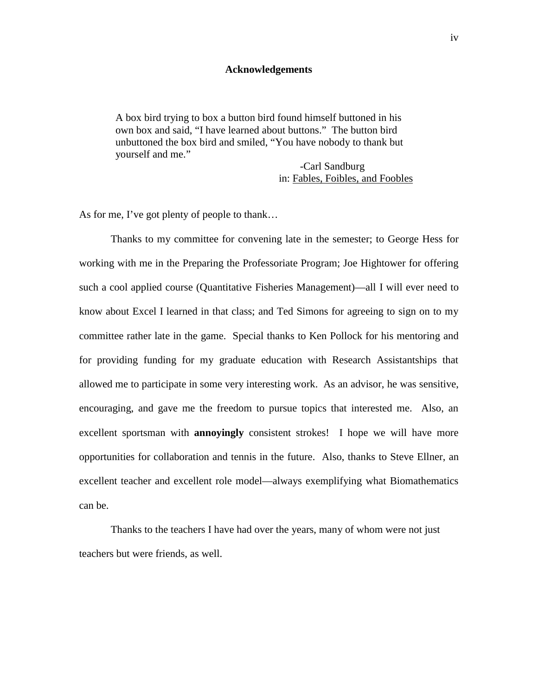#### **Acknowledgements**

A box bird trying to box a button bird found himself buttoned in his own box and said, "I have learned about buttons." The button bird unbuttoned the box bird and smiled, "You have nobody to thank but yourself and me."

> -Carl Sandburg in: Fables, Foibles, and Foobles

As for me, I've got plenty of people to thank…

Thanks to my committee for convening late in the semester; to George Hess for working with me in the Preparing the Professoriate Program; Joe Hightower for offering such a cool applied course (Quantitative Fisheries Management)—all I will ever need to know about Excel I learned in that class; and Ted Simons for agreeing to sign on to my committee rather late in the game. Special thanks to Ken Pollock for his mentoring and for providing funding for my graduate education with Research Assistantships that allowed me to participate in some very interesting work. As an advisor, he was sensitive, encouraging, and gave me the freedom to pursue topics that interested me. Also, an excellent sportsman with **annoyingly** consistent strokes! I hope we will have more opportunities for collaboration and tennis in the future. Also, thanks to Steve Ellner, an excellent teacher and excellent role model—always exemplifying what Biomathematics can be.

Thanks to the teachers I have had over the years, many of whom were not just teachers but were friends, as well.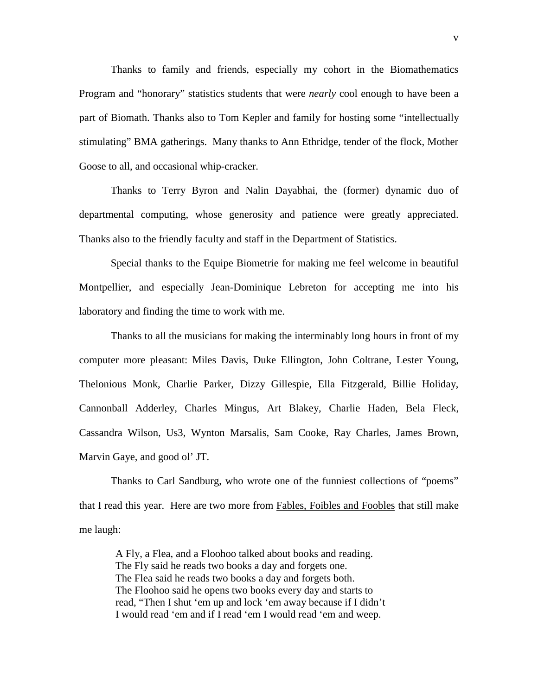Thanks to family and friends, especially my cohort in the Biomathematics Program and "honorary" statistics students that were *nearly* cool enough to have been a part of Biomath. Thanks also to Tom Kepler and family for hosting some "intellectually stimulating" BMA gatherings. Many thanks to Ann Ethridge, tender of the flock, Mother Goose to all, and occasional whip-cracker.

Thanks to Terry Byron and Nalin Dayabhai, the (former) dynamic duo of departmental computing, whose generosity and patience were greatly appreciated. Thanks also to the friendly faculty and staff in the Department of Statistics.

Special thanks to the Equipe Biometrie for making me feel welcome in beautiful Montpellier, and especially Jean-Dominique Lebreton for accepting me into his laboratory and finding the time to work with me.

Thanks to all the musicians for making the interminably long hours in front of my computer more pleasant: Miles Davis, Duke Ellington, John Coltrane, Lester Young, Thelonious Monk, Charlie Parker, Dizzy Gillespie, Ella Fitzgerald, Billie Holiday, Cannonball Adderley, Charles Mingus, Art Blakey, Charlie Haden, Bela Fleck, Cassandra Wilson, Us3, Wynton Marsalis, Sam Cooke, Ray Charles, James Brown, Marvin Gaye, and good ol' JT.

Thanks to Carl Sandburg, who wrote one of the funniest collections of "poems" that I read this year. Here are two more from Fables, Foibles and Foobles that still make me laugh:

A Fly, a Flea, and a Floohoo talked about books and reading. The Fly said he reads two books a day and forgets one. The Flea said he reads two books a day and forgets both. The Floohoo said he opens two books every day and starts to read, "Then I shut 'em up and lock 'em away because if I didn't I would read 'em and if I read 'em I would read 'em and weep.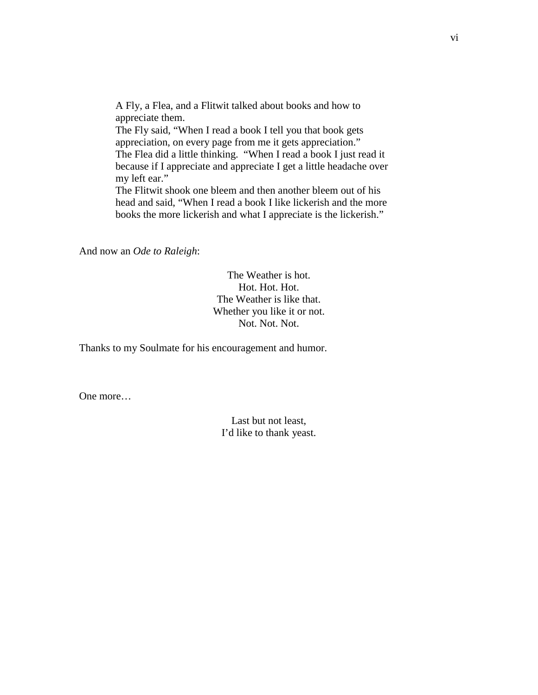A Fly, a Flea, and a Flitwit talked about books and how to appreciate them. The Fly said, "When I read a book I tell you that book gets appreciation, on every page from me it gets appreciation." The Flea did a little thinking. "When I read a book I just read it because if I appreciate and appreciate I get a little headache over my left ear." The Flitwit shook one bleem and then another bleem out of his head and said, "When I read a book I like lickerish and the more books the more lickerish and what I appreciate is the lickerish."

And now an *Ode to Raleigh*:

The Weather is hot. Hot. Hot. Hot. The Weather is like that. Whether you like it or not. Not. Not. Not.

Thanks to my Soulmate for his encouragement and humor.

One more…

Last but not least, I'd like to thank yeast.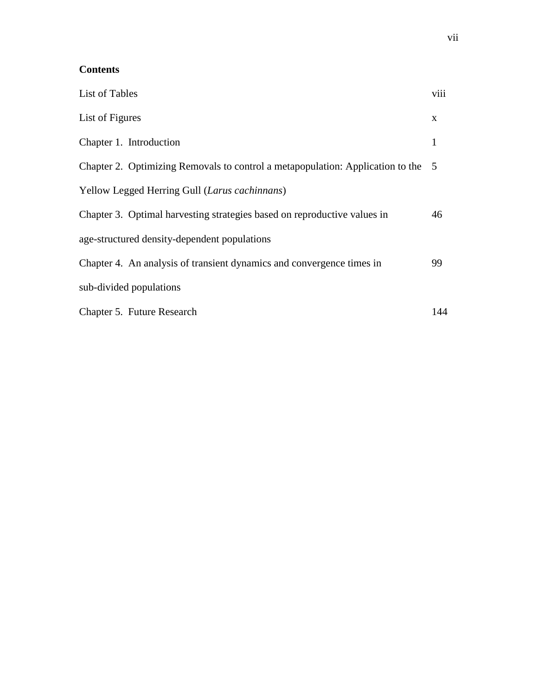# **Contents**

| <b>List of Tables</b>                                                            | viii |
|----------------------------------------------------------------------------------|------|
| List of Figures                                                                  | X    |
| Chapter 1. Introduction                                                          | 1    |
| Chapter 2. Optimizing Removals to control a metapopulation: Application to the 5 |      |
| Yellow Legged Herring Gull (Larus cachinnans)                                    |      |
| Chapter 3. Optimal harvesting strategies based on reproductive values in         | 46   |
| age-structured density-dependent populations                                     |      |
| Chapter 4. An analysis of transient dynamics and convergence times in            | 99   |
| sub-divided populations                                                          |      |
| Chapter 5. Future Research                                                       | 144  |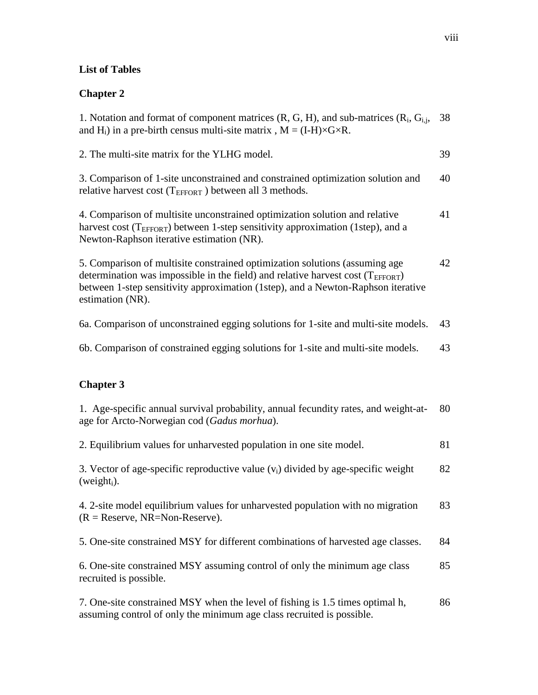# **List of Tables**

# **Chapter 2**

| 1. Notation and format of component matrices $(R, G, H)$ , and sub-matrices $(R_i, G_i)$ ,<br>and $H_i$ ) in a pre-birth census multi-site matrix, $M = (I-H) \times G \times R$ .                                                                                           | 38 |
|------------------------------------------------------------------------------------------------------------------------------------------------------------------------------------------------------------------------------------------------------------------------------|----|
| 2. The multi-site matrix for the YLHG model.                                                                                                                                                                                                                                 | 39 |
| 3. Comparison of 1-site unconstrained and constrained optimization solution and<br>relative harvest cost ( $T_{EFFORT}$ ) between all 3 methods.                                                                                                                             | 40 |
| 4. Comparison of multisite unconstrained optimization solution and relative<br>harvest cost ( $T_{\text{EFFORT}}$ ) between 1-step sensitivity approximation (1step), and a<br>Newton-Raphson iterative estimation (NR).                                                     | 41 |
| 5. Comparison of multisite constrained optimization solutions (assuming age<br>determination was impossible in the field) and relative harvest cost ( $T_{EFFORT}$ )<br>between 1-step sensitivity approximation (1step), and a Newton-Raphson iterative<br>estimation (NR). | 42 |
| 6a. Comparison of unconstrained egging solutions for 1-site and multi-site models.                                                                                                                                                                                           | 43 |
| 6b. Comparison of constrained egging solutions for 1-site and multi-site models.                                                                                                                                                                                             | 43 |
| <b>Chapter 3</b>                                                                                                                                                                                                                                                             |    |
| 1. Age-specific annual survival probability, annual fecundity rates, and weight-at-<br>age for Arcto-Norwegian cod (Gadus morhua).                                                                                                                                           | 80 |
| 2. Equilibrium values for unharvested population in one site model.                                                                                                                                                                                                          | 81 |
| 3. Vector of age-specific reproductive value $(v_i)$ divided by age-specific weight<br>(weight <sub>i</sub> ).                                                                                                                                                               | 82 |
| 4. 2-site model equilibrium values for unharvested population with no migration<br>$(R = Reserve, NR = Non-Reserve).$                                                                                                                                                        | 83 |
| 5. One-site constrained MSY for different combinations of harvested age classes.                                                                                                                                                                                             | 84 |
| 6. One-site constrained MSY assuming control of only the minimum age class<br>recruited is possible.                                                                                                                                                                         | 85 |
|                                                                                                                                                                                                                                                                              |    |

assuming control of only the minimum age class recruited is possible.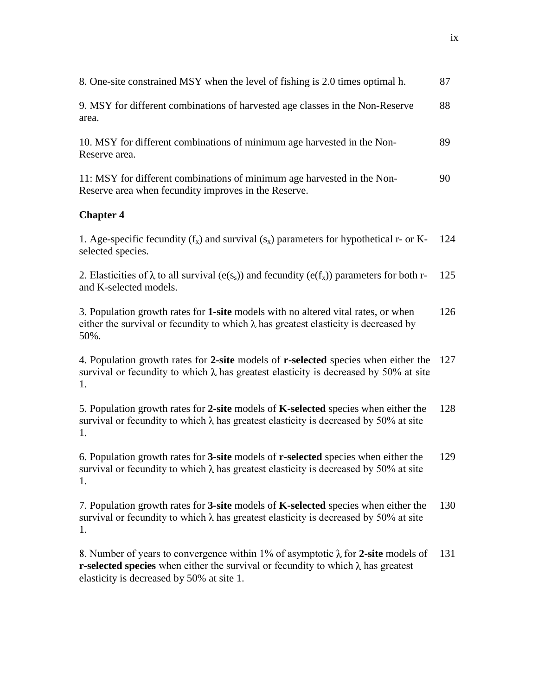| 8. One-site constrained MSY when the level of fishing is 2.0 times optimal h.                                                                                                            | 87  |
|------------------------------------------------------------------------------------------------------------------------------------------------------------------------------------------|-----|
| 9. MSY for different combinations of harvested age classes in the Non-Reserve<br>area.                                                                                                   | 88  |
| 10. MSY for different combinations of minimum age harvested in the Non-<br>Reserve area.                                                                                                 | 89  |
| 11: MSY for different combinations of minimum age harvested in the Non-<br>Reserve area when fecundity improves in the Reserve.                                                          | 90  |
| <b>Chapter 4</b>                                                                                                                                                                         |     |
| 1. Age-specific fecundity $(f_x)$ and survival $(s_x)$ parameters for hypothetical r- or K-<br>selected species.                                                                         | 124 |
| 2. Elasticities of $\lambda$ to all survival (e(s <sub>s</sub> )) and fecundity (e(f <sub>x</sub> )) parameters for both r-<br>and K-selected models.                                    | 125 |
| 3. Population growth rates for 1-site models with no altered vital rates, or when<br>either the survival or fecundity to which $\lambda$ has greatest elasticity is decreased by<br>50%. | 126 |
| 4. Population growth rates for 2-site models of r-selected species when either the<br>survival or fecundity to which $\lambda$ has greatest elasticity is decreased by 50% at site<br>1. | 127 |
| 5. Population growth rates for 2-site models of K-selected species when either the<br>survival or fecundity to which $\lambda$ has greatest elasticity is decreased by 50% at site<br>1. | 128 |
| 6. Population growth rates for 3-site models of r-selected species when either the<br>survival or fecundity to which $\lambda$ has greatest elasticity is decreased by 50% at site<br>1. | 129 |
| 7. Population growth rates for 3-site models of K-selected species when either the<br>survival or fecundity to which $\lambda$ has greatest elasticity is decreased by 50% at site<br>1. | 130 |
| 8. Number of years to convergence within 1% of asymptotic $\lambda$ for 2-site models of<br>r-selected species when either the survival or fecundity to which $\lambda$ has greatest     | 131 |

elasticity is decreased by 50% at site 1.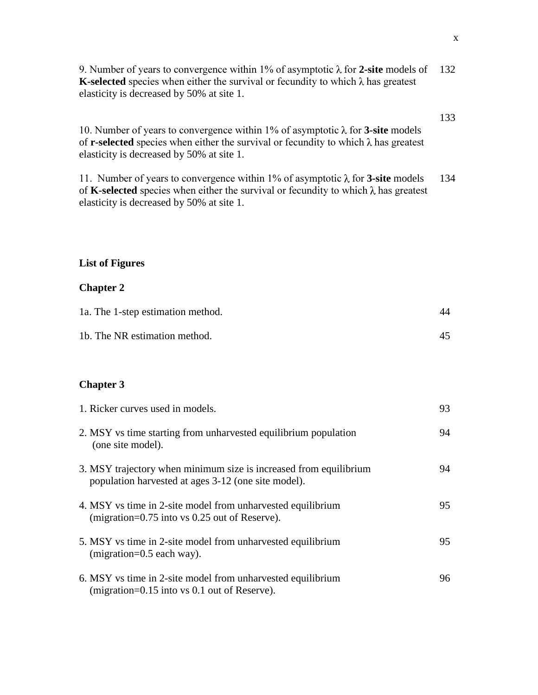9. Number of years to convergence within 1% of asymptotic  $\lambda$  for 2-site models of 132 **K-selected** species when either the survival or fecundity to which  $\lambda$  has greatest elasticity is decreased by 50% at site 1.

10. Number of years to convergence within 1% of asymptotic  $\lambda$  for **3-site** models of **r-selected** species when either the survival or fecundity to which  $\lambda$  has greatest elasticity is decreased by 50% at site 1.

11. Number of years to convergence within 1% of asymptotic  $\lambda$  for **3-site** models of **K-selected** species when either the survival or fecundity to which  $\lambda$  has greatest elasticity is decreased by 50% at site 1. 134

# **List of Figures**

## **Chapter 2**

| 1a. The 1-step estimation method. | 44 |
|-----------------------------------|----|
| 1b. The NR estimation method.     |    |

## **Chapter 3**

| 1. Ricker curves used in models.                                                                                         | 93 |
|--------------------------------------------------------------------------------------------------------------------------|----|
| 2. MSY vs time starting from unharvested equilibrium population<br>(one site model).                                     | 94 |
| 3. MSY trajectory when minimum size is increased from equilibrium<br>population harvested at ages 3-12 (one site model). | 94 |
| 4. MSY vs time in 2-site model from unharvested equilibrium<br>$(migration=0.75$ into vs 0.25 out of Reserve).           | 95 |
| 5. MSY vs time in 2-site model from unharvested equilibrium<br>$(migration=0.5$ each way).                               | 95 |
| 6. MSY vs time in 2-site model from unharvested equilibrium<br>(migration= $0.15$ into vs 0.1 out of Reserve).           | 96 |

133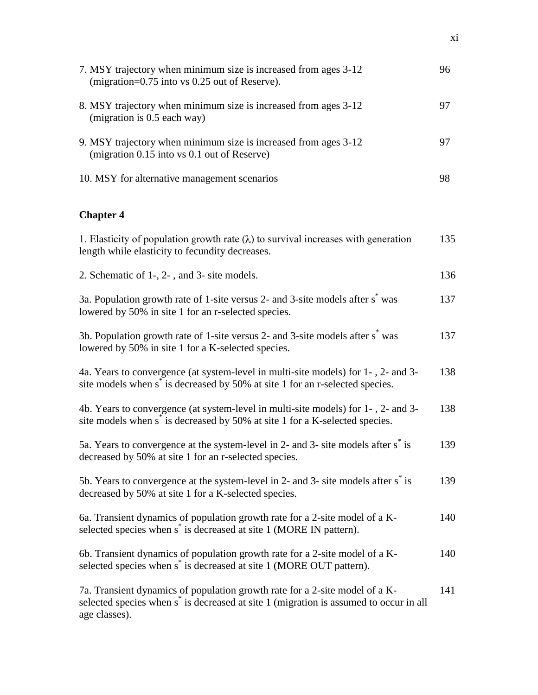| 7. MSY trajectory when minimum size is increased from ages 3-12<br>(migration=0.75 into vs 0.25 out of Reserve).                                                                                  | 96  |
|---------------------------------------------------------------------------------------------------------------------------------------------------------------------------------------------------|-----|
| 8. MSY trajectory when minimum size is increased from ages 3-12<br>(migration is 0.5 each way)                                                                                                    | 97  |
| 9. MSY trajectory when minimum size is increased from ages 3-12<br>(migration 0.15 into vs 0.1 out of Reserve)                                                                                    | 97  |
| 10. MSY for alternative management scenarios                                                                                                                                                      | 98  |
| <b>Chapter 4</b>                                                                                                                                                                                  |     |
| 1. Elasticity of population growth rate $(\lambda)$ to survival increases with generation<br>length while elasticity to fecundity decreases.                                                      | 135 |
| 2. Schematic of 1-, 2-, and 3- site models.                                                                                                                                                       | 136 |
| 3a. Population growth rate of 1-site versus 2- and 3-site models after s <sup><math>\hat{ }</math></sup> was<br>lowered by 50% in site 1 for an r-selected species.                               | 137 |
| 3b. Population growth rate of 1-site versus 2- and 3-site models after s <sup>*</sup> was<br>lowered by 50% in site 1 for a K-selected species.                                                   | 137 |
| 4a. Years to convergence (at system-level in multi-site models) for 1-, 2- and 3-<br>site models when s <sup>*</sup> is decreased by 50% at site 1 for an r-selected species.                     | 138 |
| 4b. Years to convergence (at system-level in multi-site models) for 1-, 2- and 3-<br>site models when s <sup>*</sup> is decreased by 50% at site 1 for a K-selected species.                      | 138 |
| 5a. Years to convergence at the system-level in 2- and 3- site models after s <sup>*</sup> is<br>decreased by 50% at site 1 for an r-selected species.                                            | 139 |
| 5b. Years to convergence at the system-level in 2- and 3- site models after s <sup>*</sup> is<br>decreased by 50% at site 1 for a K-selected species.                                             | 139 |
| 6a. Transient dynamics of population growth rate for a 2-site model of a K-<br>selected species when s <sup>*</sup> is decreased at site 1 (MORE IN pattern).                                     | 140 |
| 6b. Transient dynamics of population growth rate for a 2-site model of a K-<br>selected species when s <sup>*</sup> is decreased at site 1 (MORE OUT pattern).                                    | 140 |
| 7a. Transient dynamics of population growth rate for a 2-site model of a K-<br>selected species when s <sup>*</sup> is decreased at site 1 (migration is assumed to occur in all<br>age classes). | 141 |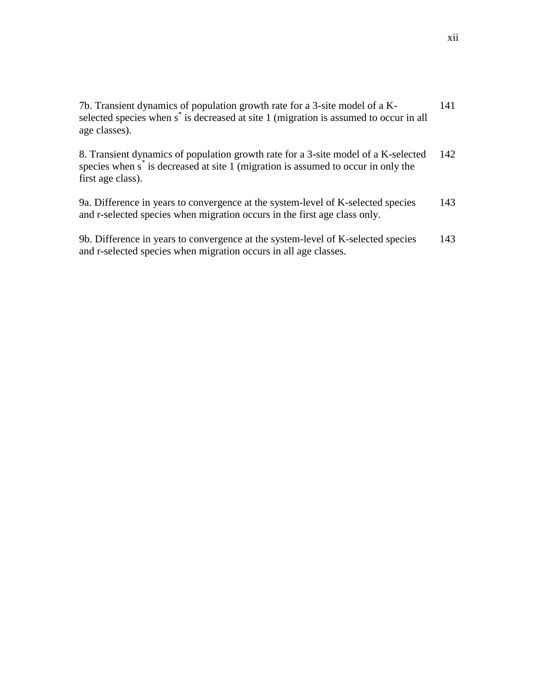| 7b. Transient dynamics of population growth rate for a 3-site model of a K-<br>selected species when s <sup>*</sup> is decreased at site 1 (migration is assumed to occur in all<br>age classes).        | 141 |
|----------------------------------------------------------------------------------------------------------------------------------------------------------------------------------------------------------|-----|
| 8. Transient dynamics of population growth rate for a 3-site model of a K-selected<br>species when s <sup>*</sup> is decreased at site 1 (migration is assumed to occur in only the<br>first age class). | 142 |
| 9a. Difference in years to convergence at the system-level of K-selected species<br>and r-selected species when migration occurs in the first age class only.                                            | 143 |
| 9b. Difference in years to convergence at the system-level of K-selected species<br>and r-selected species when migration occurs in all age classes.                                                     | 143 |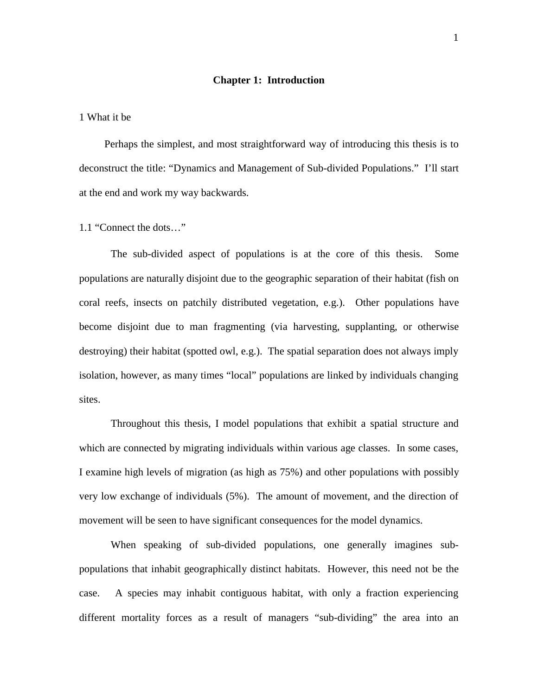#### **Chapter 1: Introduction**

1 What it be

Perhaps the simplest, and most straightforward way of introducing this thesis is to deconstruct the title: "Dynamics and Management of Sub-divided Populations." I'll start at the end and work my way backwards.

1.1 "Connect the dots…"

The sub-divided aspect of populations is at the core of this thesis. Some populations are naturally disjoint due to the geographic separation of their habitat (fish on coral reefs, insects on patchily distributed vegetation, e.g.). Other populations have become disjoint due to man fragmenting (via harvesting, supplanting, or otherwise destroying) their habitat (spotted owl, e.g.). The spatial separation does not always imply isolation, however, as many times "local" populations are linked by individuals changing sites.

Throughout this thesis, I model populations that exhibit a spatial structure and which are connected by migrating individuals within various age classes. In some cases, I examine high levels of migration (as high as 75%) and other populations with possibly very low exchange of individuals (5%). The amount of movement, and the direction of movement will be seen to have significant consequences for the model dynamics.

When speaking of sub-divided populations, one generally imagines subpopulations that inhabit geographically distinct habitats. However, this need not be the case. A species may inhabit contiguous habitat, with only a fraction experiencing different mortality forces as a result of managers "sub-dividing" the area into an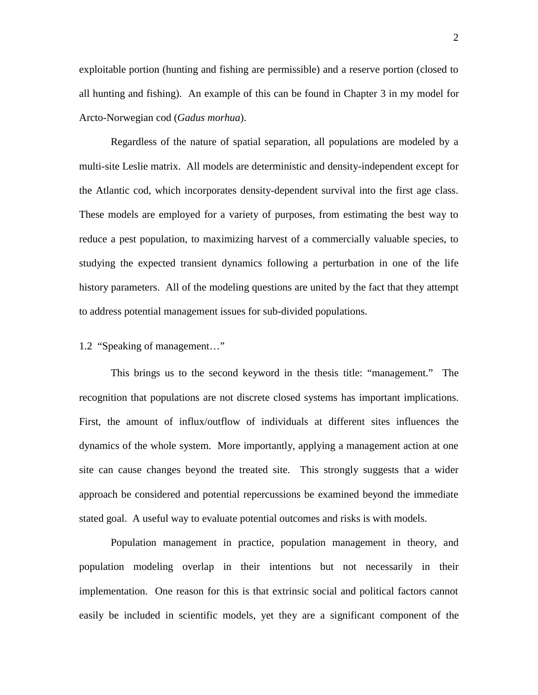exploitable portion (hunting and fishing are permissible) and a reserve portion (closed to all hunting and fishing). An example of this can be found in Chapter 3 in my model for Arcto-Norwegian cod (*Gadus morhua*).

Regardless of the nature of spatial separation, all populations are modeled by a multi-site Leslie matrix. All models are deterministic and density-independent except for the Atlantic cod, which incorporates density-dependent survival into the first age class. These models are employed for a variety of purposes, from estimating the best way to reduce a pest population, to maximizing harvest of a commercially valuable species, to studying the expected transient dynamics following a perturbation in one of the life history parameters. All of the modeling questions are united by the fact that they attempt to address potential management issues for sub-divided populations.

# 1.2 "Speaking of management…"

This brings us to the second keyword in the thesis title: "management." The recognition that populations are not discrete closed systems has important implications. First, the amount of influx/outflow of individuals at different sites influences the dynamics of the whole system. More importantly, applying a management action at one site can cause changes beyond the treated site. This strongly suggests that a wider approach be considered and potential repercussions be examined beyond the immediate stated goal. A useful way to evaluate potential outcomes and risks is with models.

Population management in practice, population management in theory, and population modeling overlap in their intentions but not necessarily in their implementation. One reason for this is that extrinsic social and political factors cannot easily be included in scientific models, yet they are a significant component of the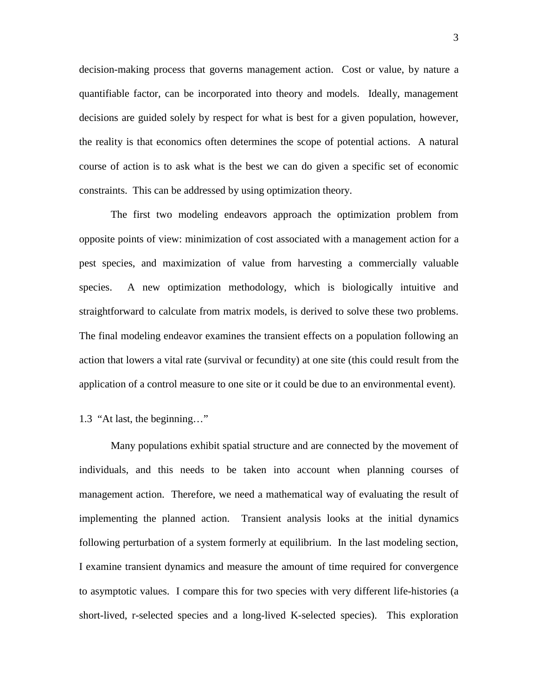decision-making process that governs management action. Cost or value, by nature a quantifiable factor, can be incorporated into theory and models. Ideally, management decisions are guided solely by respect for what is best for a given population, however, the reality is that economics often determines the scope of potential actions. A natural course of action is to ask what is the best we can do given a specific set of economic constraints. This can be addressed by using optimization theory.

The first two modeling endeavors approach the optimization problem from opposite points of view: minimization of cost associated with a management action for a pest species, and maximization of value from harvesting a commercially valuable species. A new optimization methodology, which is biologically intuitive and straightforward to calculate from matrix models, is derived to solve these two problems. The final modeling endeavor examines the transient effects on a population following an action that lowers a vital rate (survival or fecundity) at one site (this could result from the application of a control measure to one site or it could be due to an environmental event).

## 1.3 "At last, the beginning…"

Many populations exhibit spatial structure and are connected by the movement of individuals, and this needs to be taken into account when planning courses of management action. Therefore, we need a mathematical way of evaluating the result of implementing the planned action. Transient analysis looks at the initial dynamics following perturbation of a system formerly at equilibrium. In the last modeling section, I examine transient dynamics and measure the amount of time required for convergence to asymptotic values. I compare this for two species with very different life-histories (a short-lived, r-selected species and a long-lived K-selected species). This exploration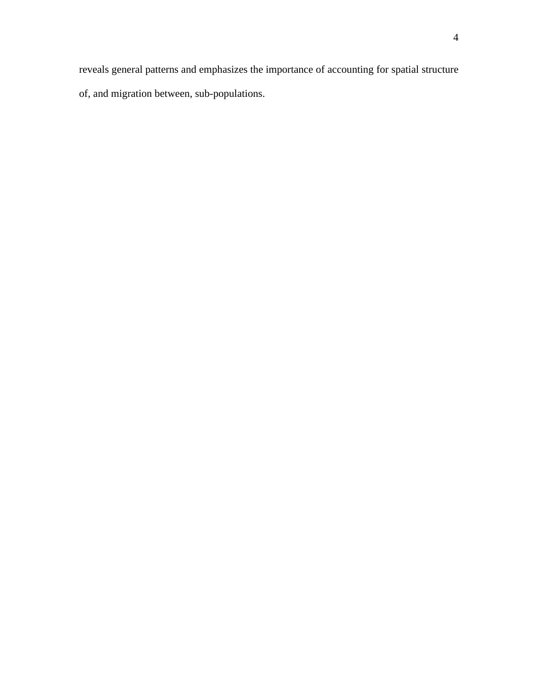reveals general patterns and emphasizes the importance of accounting for spatial structure of, and migration between, sub-populations.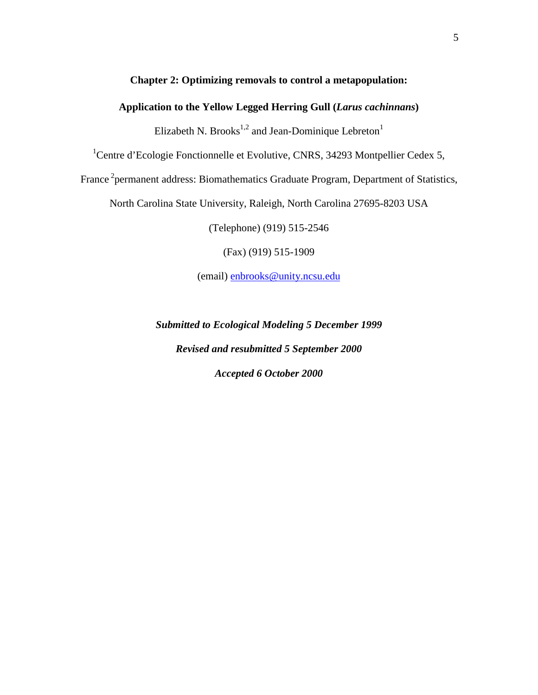## **Chapter 2: Optimizing removals to control a metapopulation:**

# **Application to the Yellow Legged Herring Gull (***Larus cachinnans***)**

Elizabeth N. Brooks<sup>1,2</sup> and Jean-Dominique Lebreton<sup>1</sup>

<sup>1</sup>Centre d'Ecologie Fonctionnelle et Evolutive, CNRS, 34293 Montpellier Cedex 5,

France<sup>2</sup> permanent address: Biomathematics Graduate Program, Department of Statistics,

North Carolina State University, Raleigh, North Carolina 27695-8203 USA

(Telephone) (919) 515-2546

(Fax) (919) 515-1909

(email) enbrooks@unity.ncsu.edu

*Submitted to Ecological Modeling 5 December 1999 Revised and resubmitted 5 September 2000 Accepted 6 October 2000*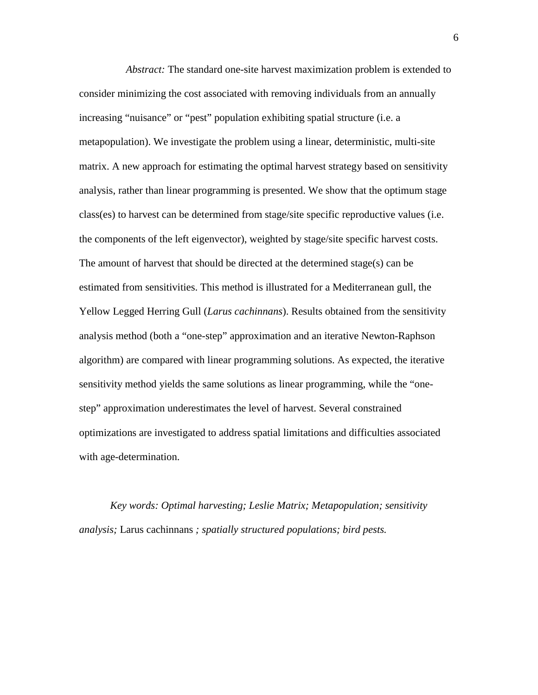*Abstract:* The standard one-site harvest maximization problem is extended to consider minimizing the cost associated with removing individuals from an annually increasing "nuisance" or "pest" population exhibiting spatial structure (i.e. a metapopulation). We investigate the problem using a linear, deterministic, multi-site matrix. A new approach for estimating the optimal harvest strategy based on sensitivity analysis, rather than linear programming is presented. We show that the optimum stage class(es) to harvest can be determined from stage/site specific reproductive values (i.e. the components of the left eigenvector), weighted by stage/site specific harvest costs. The amount of harvest that should be directed at the determined stage(s) can be estimated from sensitivities. This method is illustrated for a Mediterranean gull, the Yellow Legged Herring Gull (*Larus cachinnans*). Results obtained from the sensitivity analysis method (both a "one-step" approximation and an iterative Newton-Raphson algorithm) are compared with linear programming solutions. As expected, the iterative sensitivity method yields the same solutions as linear programming, while the "onestep" approximation underestimates the level of harvest. Several constrained optimizations are investigated to address spatial limitations and difficulties associated with age-determination.

*Key words: Optimal harvesting; Leslie Matrix; Metapopulation; sensitivity analysis;* Larus cachinnans *; spatially structured populations; bird pests.*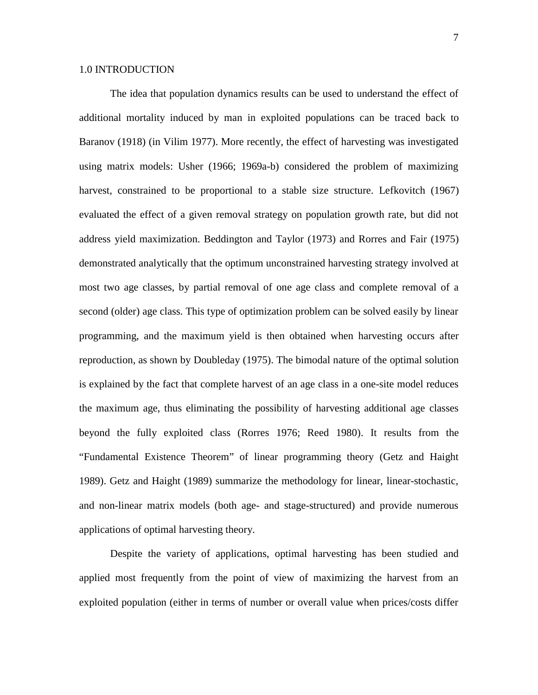The idea that population dynamics results can be used to understand the effect of additional mortality induced by man in exploited populations can be traced back to Baranov (1918) (in Vilim 1977). More recently, the effect of harvesting was investigated using matrix models: Usher (1966; 1969a-b) considered the problem of maximizing harvest, constrained to be proportional to a stable size structure. Lefkovitch (1967) evaluated the effect of a given removal strategy on population growth rate, but did not address yield maximization. Beddington and Taylor (1973) and Rorres and Fair (1975) demonstrated analytically that the optimum unconstrained harvesting strategy involved at most two age classes, by partial removal of one age class and complete removal of a second (older) age class. This type of optimization problem can be solved easily by linear programming, and the maximum yield is then obtained when harvesting occurs after reproduction, as shown by Doubleday (1975). The bimodal nature of the optimal solution is explained by the fact that complete harvest of an age class in a one-site model reduces the maximum age, thus eliminating the possibility of harvesting additional age classes beyond the fully exploited class (Rorres 1976; Reed 1980). It results from the "Fundamental Existence Theorem" of linear programming theory (Getz and Haight 1989). Getz and Haight (1989) summarize the methodology for linear, linear-stochastic, and non-linear matrix models (both age- and stage-structured) and provide numerous applications of optimal harvesting theory.

Despite the variety of applications, optimal harvesting has been studied and applied most frequently from the point of view of maximizing the harvest from an exploited population (either in terms of number or overall value when prices/costs differ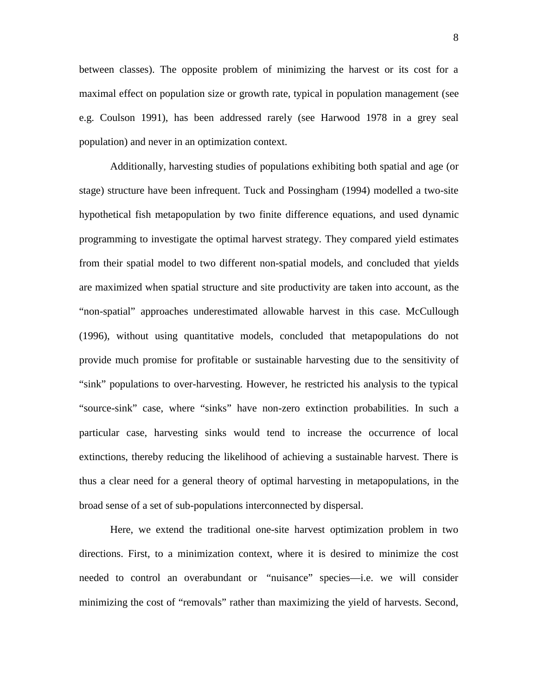between classes). The opposite problem of minimizing the harvest or its cost for a maximal effect on population size or growth rate, typical in population management (see e.g. Coulson 1991), has been addressed rarely (see Harwood 1978 in a grey seal population) and never in an optimization context.

Additionally, harvesting studies of populations exhibiting both spatial and age (or stage) structure have been infrequent. Tuck and Possingham (1994) modelled a two-site hypothetical fish metapopulation by two finite difference equations, and used dynamic programming to investigate the optimal harvest strategy. They compared yield estimates from their spatial model to two different non-spatial models, and concluded that yields are maximized when spatial structure and site productivity are taken into account, as the "non-spatial" approaches underestimated allowable harvest in this case. McCullough (1996), without using quantitative models, concluded that metapopulations do not provide much promise for profitable or sustainable harvesting due to the sensitivity of "sink" populations to over-harvesting. However, he restricted his analysis to the typical "source-sink" case, where "sinks" have non-zero extinction probabilities. In such a particular case, harvesting sinks would tend to increase the occurrence of local extinctions, thereby reducing the likelihood of achieving a sustainable harvest. There is thus a clear need for a general theory of optimal harvesting in metapopulations, in the broad sense of a set of sub-populations interconnected by dispersal.

Here, we extend the traditional one-site harvest optimization problem in two directions. First, to a minimization context, where it is desired to minimize the cost needed to control an overabundant or "nuisance" species—i.e. we will consider minimizing the cost of "removals" rather than maximizing the yield of harvests. Second,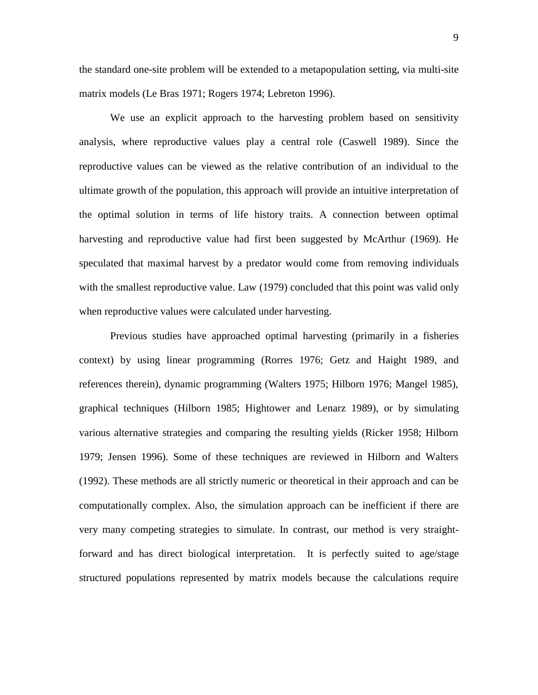the standard one-site problem will be extended to a metapopulation setting, via multi-site matrix models (Le Bras 1971; Rogers 1974; Lebreton 1996).

We use an explicit approach to the harvesting problem based on sensitivity analysis, where reproductive values play a central role (Caswell 1989). Since the reproductive values can be viewed as the relative contribution of an individual to the ultimate growth of the population, this approach will provide an intuitive interpretation of the optimal solution in terms of life history traits. A connection between optimal harvesting and reproductive value had first been suggested by McArthur (1969). He speculated that maximal harvest by a predator would come from removing individuals with the smallest reproductive value. Law (1979) concluded that this point was valid only when reproductive values were calculated under harvesting.

Previous studies have approached optimal harvesting (primarily in a fisheries context) by using linear programming (Rorres 1976; Getz and Haight 1989, and references therein), dynamic programming (Walters 1975; Hilborn 1976; Mangel 1985), graphical techniques (Hilborn 1985; Hightower and Lenarz 1989), or by simulating various alternative strategies and comparing the resulting yields (Ricker 1958; Hilborn 1979; Jensen 1996). Some of these techniques are reviewed in Hilborn and Walters (1992). These methods are all strictly numeric or theoretical in their approach and can be computationally complex. Also, the simulation approach can be inefficient if there are very many competing strategies to simulate. In contrast, our method is very straightforward and has direct biological interpretation. It is perfectly suited to age/stage structured populations represented by matrix models because the calculations require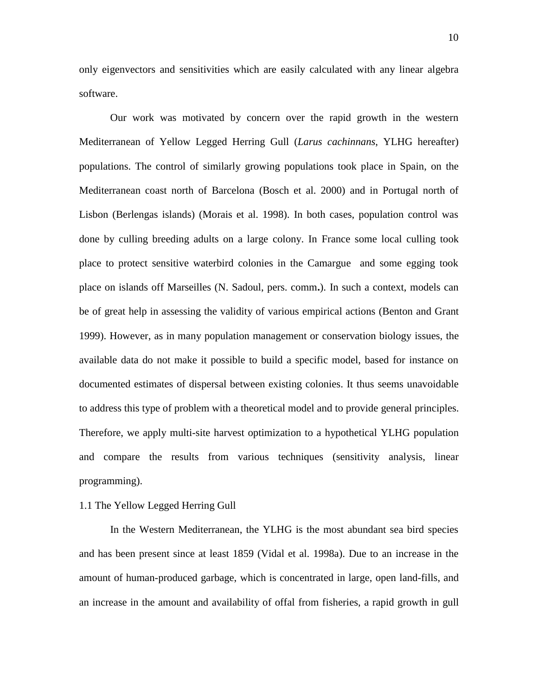only eigenvectors and sensitivities which are easily calculated with any linear algebra software.

Our work was motivated by concern over the rapid growth in the western Mediterranean of Yellow Legged Herring Gull (*Larus cachinnans*, YLHG hereafter) populations. The control of similarly growing populations took place in Spain, on the Mediterranean coast north of Barcelona (Bosch et al. 2000) and in Portugal north of Lisbon (Berlengas islands) (Morais et al. 1998). In both cases, population control was done by culling breeding adults on a large colony. In France some local culling took place to protect sensitive waterbird colonies in the Camargue and some egging took place on islands off Marseilles (N. Sadoul, pers. comm**.**). In such a context, models can be of great help in assessing the validity of various empirical actions (Benton and Grant 1999). However, as in many population management or conservation biology issues, the available data do not make it possible to build a specific model, based for instance on documented estimates of dispersal between existing colonies. It thus seems unavoidable to address this type of problem with a theoretical model and to provide general principles. Therefore, we apply multi-site harvest optimization to a hypothetical YLHG population and compare the results from various techniques (sensitivity analysis, linear programming).

#### 1.1 The Yellow Legged Herring Gull

In the Western Mediterranean, the YLHG is the most abundant sea bird species and has been present since at least 1859 (Vidal et al. 1998a). Due to an increase in the amount of human-produced garbage, which is concentrated in large, open land-fills, and an increase in the amount and availability of offal from fisheries, a rapid growth in gull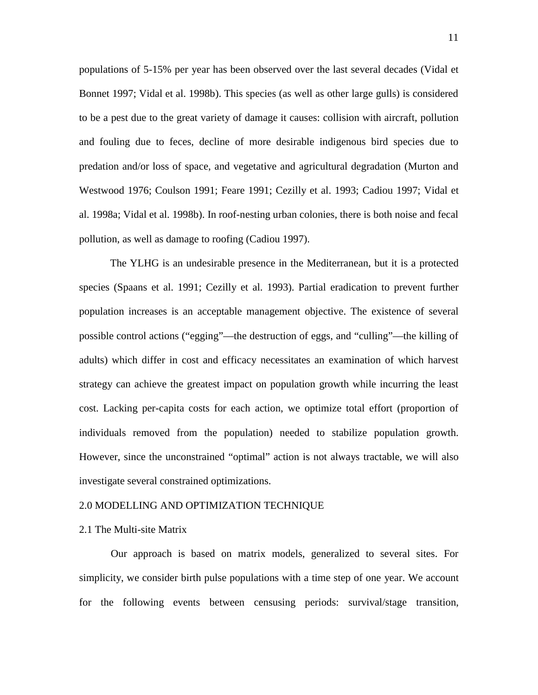populations of 5-15% per year has been observed over the last several decades (Vidal et Bonnet 1997; Vidal et al. 1998b). This species (as well as other large gulls) is considered to be a pest due to the great variety of damage it causes: collision with aircraft, pollution and fouling due to feces, decline of more desirable indigenous bird species due to predation and/or loss of space, and vegetative and agricultural degradation (Murton and Westwood 1976; Coulson 1991; Feare 1991; Cezilly et al. 1993; Cadiou 1997; Vidal et al. 1998a; Vidal et al. 1998b). In roof-nesting urban colonies, there is both noise and fecal pollution, as well as damage to roofing (Cadiou 1997).

The YLHG is an undesirable presence in the Mediterranean, but it is a protected species (Spaans et al. 1991; Cezilly et al. 1993). Partial eradication to prevent further population increases is an acceptable management objective. The existence of several possible control actions ("egging"—the destruction of eggs, and "culling"—the killing of adults) which differ in cost and efficacy necessitates an examination of which harvest strategy can achieve the greatest impact on population growth while incurring the least cost. Lacking per-capita costs for each action, we optimize total effort (proportion of individuals removed from the population) needed to stabilize population growth. However, since the unconstrained "optimal" action is not always tractable, we will also investigate several constrained optimizations.

#### 2.0 MODELLING AND OPTIMIZATION TECHNIQUE

#### 2.1 The Multi-site Matrix

Our approach is based on matrix models, generalized to several sites. For simplicity, we consider birth pulse populations with a time step of one year. We account for the following events between censusing periods: survival/stage transition,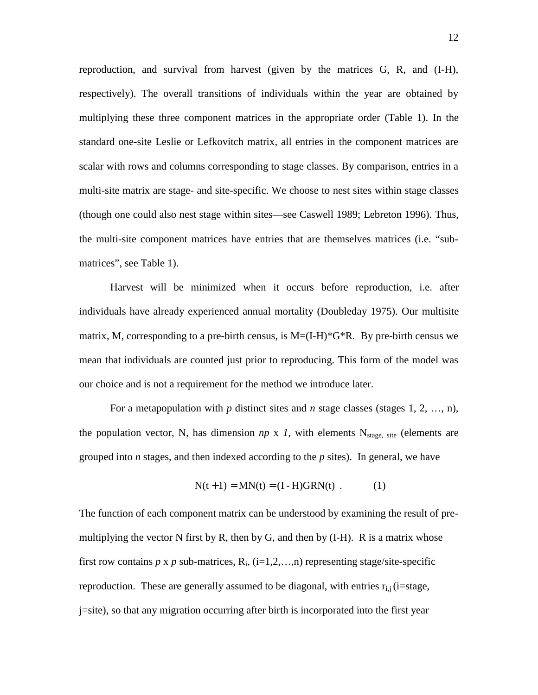reproduction, and survival from harvest (given by the matrices G, R, and (I-H), respectively). The overall transitions of individuals within the year are obtained by multiplying these three component matrices in the appropriate order (Table 1). In the standard one-site Leslie or Lefkovitch matrix, all entries in the component matrices are scalar with rows and columns corresponding to stage classes. By comparison, entries in a multi-site matrix are stage- and site-specific. We choose to nest sites within stage classes (though one could also nest stage within sites—see Caswell 1989; Lebreton 1996). Thus, the multi-site component matrices have entries that are themselves matrices (i.e. "submatrices", see Table 1).

Harvest will be minimized when it occurs before reproduction, i.e. after individuals have already experienced annual mortality (Doubleday 1975). Our multisite matrix, M, corresponding to a pre-birth census, is  $M=(I-H)^*G^*R$ . By pre-birth census we mean that individuals are counted just prior to reproducing. This form of the model was our choice and is not a requirement for the method we introduce later.

For a metapopulation with *p* distinct sites and *n* stage classes (stages 1, 2, …, n), the population vector, N, has dimension  $np \times 1$ , with elements N<sub>stage, site</sub> (elements are grouped into *n* stages, and then indexed according to the *p* sites). In general, we have

$$
N(t+1) = MN(t) = (I - H)GRN(t)
$$
 (1)

The function of each component matrix can be understood by examining the result of premultiplying the vector N first by R, then by G, and then by  $(I-H)$ . R is a matrix whose first row contains  $p \times p$  sub-matrices,  $R_i$ ,  $(i=1,2,...,n)$  representing stage/site-specific reproduction. These are generally assumed to be diagonal, with entries  $r_{i,j}$  (i=stage, j=site), so that any migration occurring after birth is incorporated into the first year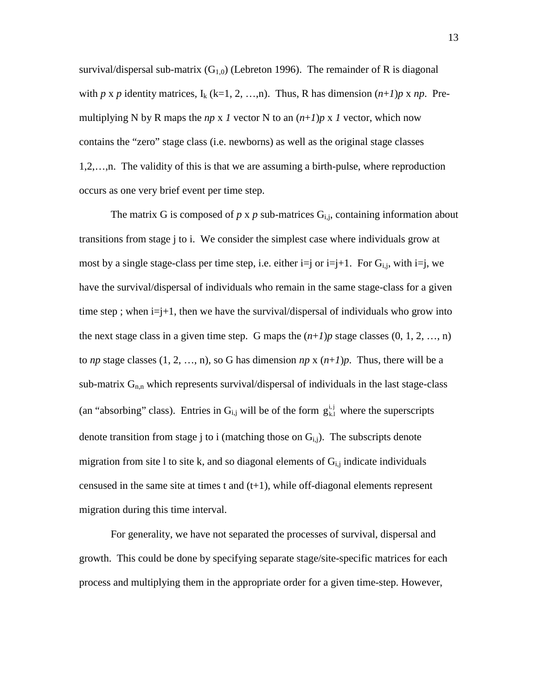survival/dispersal sub-matrix  $(G<sub>1,0</sub>)$  (Lebreton 1996). The remainder of R is diagonal with *p* x *p* identity matrices,  $I_k$  (k=1, 2, …,n). Thus, R has dimension  $(n+1)p \times np$ . Premultiplying N by R maps the  $np \times 1$  vector N to an  $(n+1)p \times 1$  vector, which now contains the "zero" stage class (i.e. newborns) as well as the original stage classes 1,2,…,n. The validity of this is that we are assuming a birth-pulse, where reproduction occurs as one very brief event per time step.

The matrix G is composed of  $p \times p$  sub-matrices  $G_{i,j}$ , containing information about transitions from stage j to i. We consider the simplest case where individuals grow at most by a single stage-class per time step, i.e. either  $i=j$  or  $i=j+1$ . For  $G_{i,j}$ , with  $i=j$ , we have the survival/dispersal of individuals who remain in the same stage-class for a given time step ; when  $i=j+1$ , then we have the survival/dispersal of individuals who grow into the next stage class in a given time step. G maps the  $(n+1)p$  stage classes  $(0, 1, 2, ..., n)$ to *np* stage classes  $(1, 2, ..., n)$ , so G has dimension *np* x  $(n+1)p$ . Thus, there will be a sub-matrix  $G_{n,n}$  which represents survival/dispersal of individuals in the last stage-class (an "absorbing" class). Entries in  $G_{i,j}$  will be of the form  $g_{k,l}^{i,j}$  where the superscripts denote transition from stage j to i (matching those on  $G_{i,j}$ ). The subscripts denote migration from site 1 to site k, and so diagonal elements of  $G_{i,j}$  indicate individuals censused in the same site at times t and  $(t+1)$ , while off-diagonal elements represent migration during this time interval.

For generality, we have not separated the processes of survival, dispersal and growth. This could be done by specifying separate stage/site-specific matrices for each process and multiplying them in the appropriate order for a given time-step. However,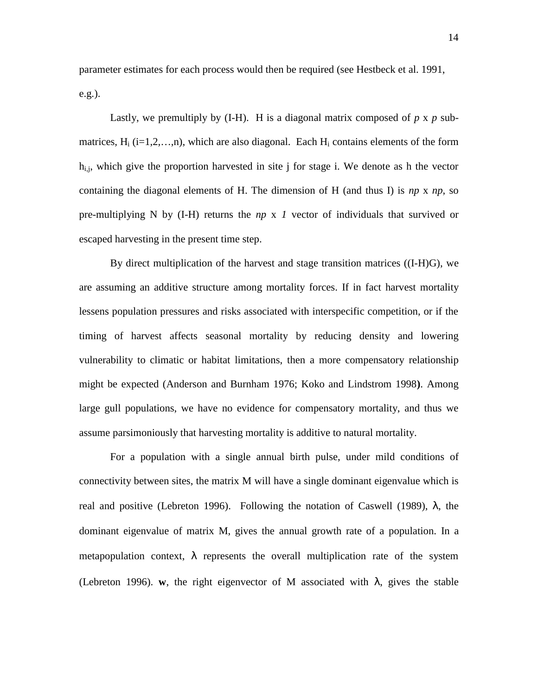parameter estimates for each process would then be required (see Hestbeck et al. 1991, e.g.).

Lastly, we premultiply by  $(I-H)$ . H is a diagonal matrix composed of  $p \times p$  submatrices,  $H_i$  (i=1,2,...,n), which are also diagonal. Each  $H_i$  contains elements of the form  $h_{ij}$ , which give the proportion harvested in site j for stage i. We denote as h the vector containing the diagonal elements of H. The dimension of H (and thus I) is *np* x *np*, so pre-multiplying N by (I-H) returns the *np* x *1* vector of individuals that survived or escaped harvesting in the present time step.

By direct multiplication of the harvest and stage transition matrices ((I-H)G), we are assuming an additive structure among mortality forces. If in fact harvest mortality lessens population pressures and risks associated with interspecific competition, or if the timing of harvest affects seasonal mortality by reducing density and lowering vulnerability to climatic or habitat limitations, then a more compensatory relationship might be expected (Anderson and Burnham 1976; Koko and Lindstrom 1998**)**. Among large gull populations, we have no evidence for compensatory mortality, and thus we assume parsimoniously that harvesting mortality is additive to natural mortality.

For a population with a single annual birth pulse, under mild conditions of connectivity between sites, the matrix M will have a single dominant eigenvalue which is real and positive (Lebreton 1996). Following the notation of Caswell (1989), λ, the dominant eigenvalue of matrix M, gives the annual growth rate of a population. In a metapopulation context,  $\lambda$  represents the overall multiplication rate of the system (Lebreton 1996). **w**, the right eigenvector of M associated with  $\lambda$ , gives the stable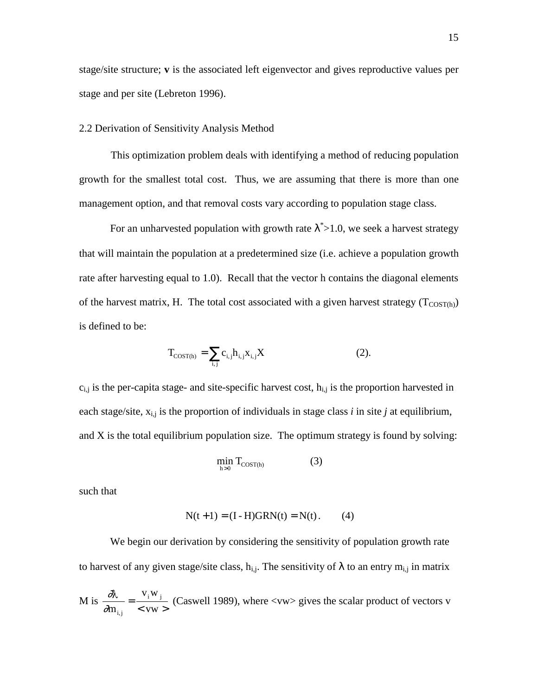stage/site structure; **v** is the associated left eigenvector and gives reproductive values per stage and per site (Lebreton 1996).

### 2.2 Derivation of Sensitivity Analysis Method

This optimization problem deals with identifying a method of reducing population growth for the smallest total cost. Thus, we are assuming that there is more than one management option, and that removal costs vary according to population stage class.

For an unharvested population with growth rate  $\lambda^*$  > 1.0, we seek a harvest strategy that will maintain the population at a predetermined size (i.e. achieve a population growth rate after harvesting equal to 1.0). Recall that the vector h contains the diagonal elements of the harvest matrix, H. The total cost associated with a given harvest strategy  $(T_{\text{COST(h)}})$ is defined to be:

$$
T_{\text{COST(h)}} = \sum_{i,j} c_{i,j} h_{i,j} x_{i,j} X \tag{2}.
$$

 $c_{i,j}$  is the per-capita stage- and site-specific harvest cost,  $h_{i,j}$  is the proportion harvested in each stage/site,  $x_{i,j}$  is the proportion of individuals in stage class *i* in site *j* at equilibrium, and X is the total equilibrium population size. The optimum strategy is found by solving:

$$
\min_{h>0} T_{\text{COST}(h)} \tag{3}
$$

such that

$$
N(t+1) = (I - H)GRN(t) = N(t).
$$
 (4)

We begin our derivation by considering the sensitivity of population growth rate to harvest of any given stage/site class,  $h_{i,j}$ . The sensitivity of  $\lambda$  to an entry  $m_{i,j}$  in matrix

M is 
$$
\frac{\partial v}{\partial n_{i,j}} = \frac{v_i w_j}{\langle vw \rangle}
$$
 (Caswell 1989), where  $\langle vw \rangle$  gives the scalar product of vectors v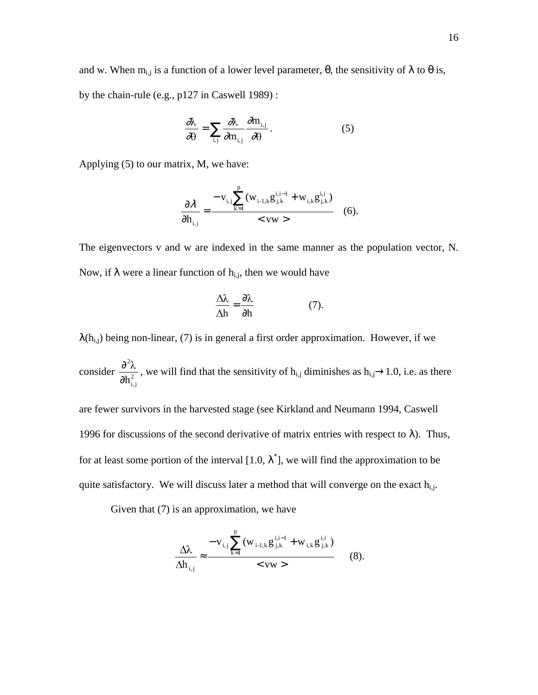and w. When  $m_{i,j}$  is a function of a lower level parameter,  $\theta$ , the sensitivity of  $\lambda$  to  $\theta$  is, by the chain-rule (e.g., p127 in Caswell 1989) :

$$
\frac{\partial \lambda}{\partial \theta} = \sum_{i,j} \frac{\partial \lambda}{\partial m_{i,j}} \frac{\partial m_{i,j}}{\partial \theta}.
$$
 (5)

Applying (5) to our matrix, M, we have:

$$
\frac{\partial \lambda}{\partial h_{i,j}} = \frac{-v_{i,j} \sum_{k=1}^{p} (w_{i-1,k} g_{j,k}^{i,i-1} + w_{i,k} g_{j,k}^{i,i})}{< vw >}
$$
 (6).

The eigenvectors v and w are indexed in the same manner as the population vector, N. Now, if  $\lambda$  were a linear function of  $h_{i,j}$ , then we would have

$$
\frac{\Delta\lambda}{\Delta h} = \frac{\partial\lambda}{\partial h} \tag{7}
$$

 $\lambda(h_{i,j})$  being non-linear, (7) is in general a first order approximation. However, if we

consider  $\frac{8}{\lambda h^2}$ i, j 2 ∂h  $\frac{\partial^2 \lambda}{\partial x^2}$ , we will find that the sensitivity of h<sub>i,j</sub> diminishes as h<sub>i,j</sub>→1.0, i.e. as there

are fewer survivors in the harvested stage (see Kirkland and Neumann 1994, Caswell 1996 for discussions of the second derivative of matrix entries with respect to λ). Thus, for at least some portion of the interval  $[1.0, \lambda^*]$ , we will find the approximation to be quite satisfactory. We will discuss later a method that will converge on the exact  $h_{i,j}$ .

Given that (7) is an approximation, we have

$$
\frac{\Delta\lambda}{\Delta h_{i,j}} \approx \frac{-v_{i,j}\sum_{k=1}^{p} (w_{i-1,k}g_{j,k}^{i,i-1} + w_{i,k}g_{j,k}^{i,i})}{\langle vw \rangle} \tag{8}.
$$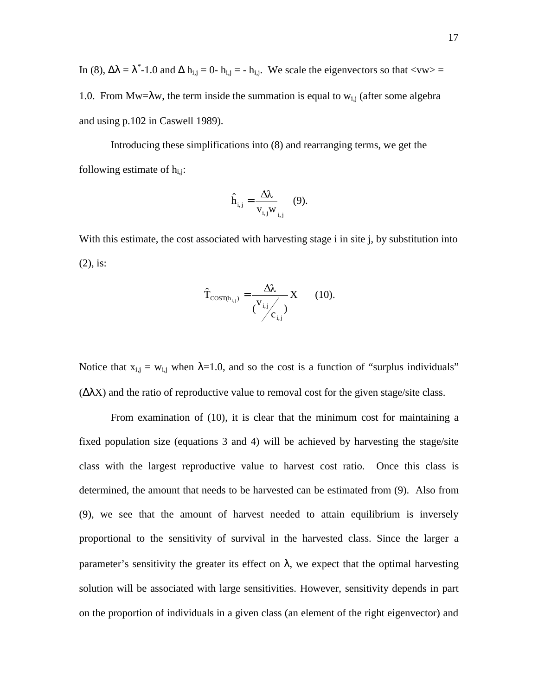In (8),  $\Delta\lambda = \lambda^*$ -1.0 and  $\Delta h_{i,j} = 0$ -  $h_{i,j} = -h_{i,j}$ . We scale the eigenvectors so that <vw> = 1.0. From Mw= $\lambda$ w, the term inside the summation is equal to w<sub>i,j</sub> (after some algebra and using p.102 in Caswell 1989).

Introducing these simplifications into (8) and rearranging terms, we get the following estimate of  $h_{i,j}$ :

$$
\hat{\mathbf{h}}_{i,j} = \frac{\Delta \lambda}{\mathbf{v}_{i,j} \mathbf{w}_{i,j}} \quad (9).
$$

With this estimate, the cost associated with harvesting stage i in site j, by substitution into (2), is:

$$
\hat{\mathbf{T}}_{\text{COST(h_{i,j})}} = \frac{\Delta\lambda}{\binom{\mathbf{V}_{i,j}}{c_{i,j}}} \mathbf{X} \qquad (10).
$$

Notice that  $x_{i,j} = w_{i,j}$  when  $\lambda = 1.0$ , and so the cost is a function of "surplus individuals"  $(ΔλX)$  and the ratio of reproductive value to removal cost for the given stage/site class.

From examination of (10), it is clear that the minimum cost for maintaining a fixed population size (equations 3 and 4) will be achieved by harvesting the stage/site class with the largest reproductive value to harvest cost ratio. Once this class is determined, the amount that needs to be harvested can be estimated from (9). Also from (9), we see that the amount of harvest needed to attain equilibrium is inversely proportional to the sensitivity of survival in the harvested class. Since the larger a parameter's sensitivity the greater its effect on  $\lambda$ , we expect that the optimal harvesting solution will be associated with large sensitivities. However, sensitivity depends in part on the proportion of individuals in a given class (an element of the right eigenvector) and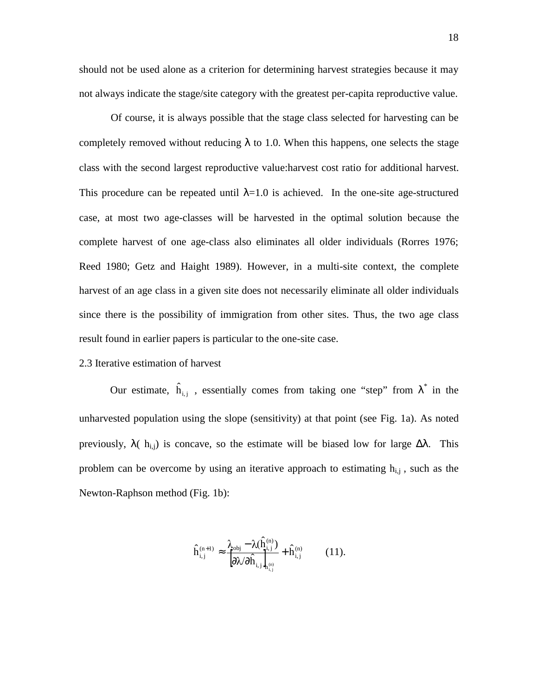should not be used alone as a criterion for determining harvest strategies because it may not always indicate the stage/site category with the greatest per-capita reproductive value.

Of course, it is always possible that the stage class selected for harvesting can be completely removed without reducing  $\lambda$  to 1.0. When this happens, one selects the stage class with the second largest reproductive value:harvest cost ratio for additional harvest. This procedure can be repeated until  $\lambda = 1.0$  is achieved. In the one-site age-structured case, at most two age-classes will be harvested in the optimal solution because the complete harvest of one age-class also eliminates all older individuals (Rorres 1976; Reed 1980; Getz and Haight 1989). However, in a multi-site context, the complete harvest of an age class in a given site does not necessarily eliminate all older individuals since there is the possibility of immigration from other sites. Thus, the two age class result found in earlier papers is particular to the one-site case.

## 2.3 Iterative estimation of harvest

Our estimate,  $\hat{h}_{i,j}$ , essentially comes from taking one "step" from  $\lambda^*$  in the unharvested population using the slope (sensitivity) at that point (see Fig. 1a). As noted previously,  $\lambda$ ( h<sub>ij</sub>) is concave, so the estimate will be biased low for large  $\Delta\lambda$ . This problem can be overcome by using an iterative approach to estimating  $h_{ij}$ , such as the Newton-Raphson method (Fig. 1b):

$$
\hat{h}_{i,j}^{(n+1)} \approx \frac{\lambda_{\text{obj}} - \lambda(\hat{h}_{i,j}^{(n)})}{\left[\partial \lambda / \partial \hat{h}_{i,j}\right]_{h_{i,j}^{(n)}}} + \hat{h}_{i,j}^{(n)} \qquad (11).
$$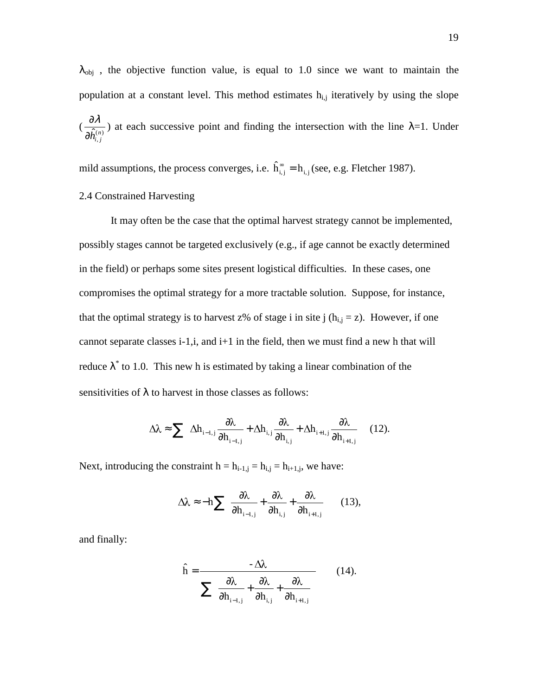$\lambda_{obj}$ , the objective function value, is equal to 1.0 since we want to maintain the population at a constant level. This method estimates  $h_{i,j}$  iteratively by using the slope  $\left(\frac{0}{\lambda \widehat{h}^{(n)}}\right)$  $\hat{\partial h}^{(n)}_{i,j}$  $\frac{\partial \lambda}{\partial \zeta_{\alpha\beta}}$ ) at each successive point and finding the intersection with the line  $\lambda=1$ . Under

mild assumptions, the process converges, i.e.  $\hat{h}_{i,j}^{\infty} = h_{i,j}$  (see, e.g. Fletcher 1987).

### 2.4 Constrained Harvesting

It may often be the case that the optimal harvest strategy cannot be implemented, possibly stages cannot be targeted exclusively (e.g., if age cannot be exactly determined in the field) or perhaps some sites present logistical difficulties. In these cases, one compromises the optimal strategy for a more tractable solution. Suppose, for instance, that the optimal strategy is to harvest z% of stage i in site j  $(h_{i,j} = z)$ . However, if one cannot separate classes  $i-1$ ,  $i$ , and  $i+1$  in the field, then we must find a new h that will reduce  $\lambda^*$  to 1.0. This new h is estimated by taking a linear combination of the sensitivities of  $\lambda$  to harvest in those classes as follows:

$$
\Delta\lambda \approx \sum \left( \Delta h_{i-1,j} \frac{\partial \lambda}{\partial h_{i-1,j}} + \Delta h_{i,j} \frac{\partial \lambda}{\partial h_{i,j}} + \Delta h_{i+1,j} \frac{\partial \lambda}{\partial h_{i+1,j}} \right) (12).
$$

Next, introducing the constraint  $h = h_{i-1,j} = h_{i,j} = h_{i+1,j}$ , we have:

$$
\Delta\lambda \approx -h \sum \left( \frac{\partial \lambda}{\partial h_{i-1,j}} + \frac{\partial \lambda}{\partial h_{i,j}} + \frac{\partial \lambda}{\partial h_{i+1,j}} \right) \quad (13),
$$

and finally:

$$
\hat{\mathbf{h}} = \frac{-\Delta\lambda}{\sum \left( \frac{\partial\lambda}{\partial \mathbf{h}_{i-1,j}} + \frac{\partial\lambda}{\partial \mathbf{h}_{i,j}} + \frac{\partial\lambda}{\partial \mathbf{h}_{i+1,j}} \right)}
$$
(14).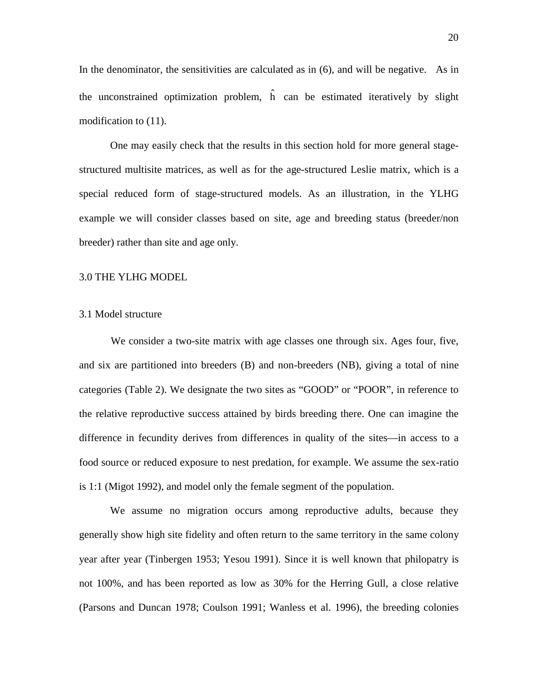In the denominator, the sensitivities are calculated as in  $(6)$ , and will be negative. As in the unconstrained optimization problem,  $\hat{h}$  can be estimated iteratively by slight modification to (11).

One may easily check that the results in this section hold for more general stagestructured multisite matrices, as well as for the age-structured Leslie matrix, which is a special reduced form of stage-structured models. As an illustration, in the YLHG example we will consider classes based on site, age and breeding status (breeder/non breeder) rather than site and age only.

### 3.0 THE YLHG MODEL

### 3.1 Model structure

We consider a two-site matrix with age classes one through six. Ages four, five, and six are partitioned into breeders (B) and non-breeders (NB), giving a total of nine categories (Table 2). We designate the two sites as "GOOD" or "POOR", in reference to the relative reproductive success attained by birds breeding there. One can imagine the difference in fecundity derives from differences in quality of the sites—in access to a food source or reduced exposure to nest predation, for example. We assume the sex-ratio is 1:1 (Migot 1992), and model only the female segment of the population.

We assume no migration occurs among reproductive adults, because they generally show high site fidelity and often return to the same territory in the same colony year after year (Tinbergen 1953; Yesou 1991). Since it is well known that philopatry is not 100%, and has been reported as low as 30% for the Herring Gull, a close relative (Parsons and Duncan 1978; Coulson 1991; Wanless et al. 1996), the breeding colonies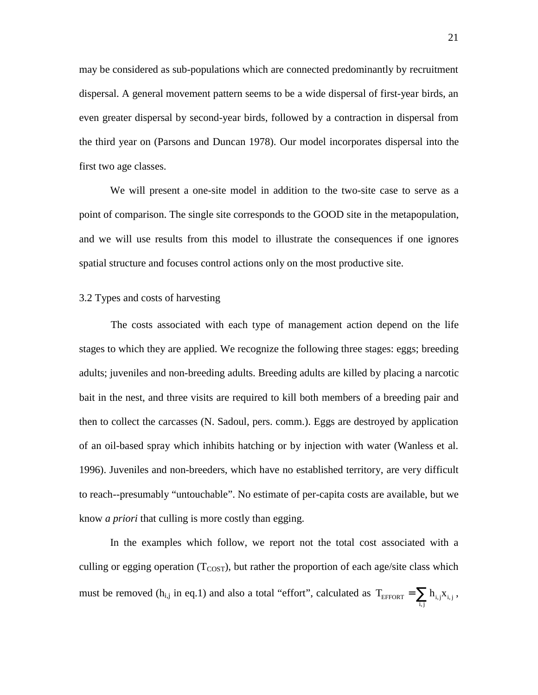may be considered as sub-populations which are connected predominantly by recruitment dispersal. A general movement pattern seems to be a wide dispersal of first-year birds, an even greater dispersal by second-year birds, followed by a contraction in dispersal from the third year on (Parsons and Duncan 1978). Our model incorporates dispersal into the first two age classes.

We will present a one-site model in addition to the two-site case to serve as a point of comparison. The single site corresponds to the GOOD site in the metapopulation, and we will use results from this model to illustrate the consequences if one ignores spatial structure and focuses control actions only on the most productive site.

#### 3.2 Types and costs of harvesting

The costs associated with each type of management action depend on the life stages to which they are applied. We recognize the following three stages: eggs; breeding adults; juveniles and non-breeding adults. Breeding adults are killed by placing a narcotic bait in the nest, and three visits are required to kill both members of a breeding pair and then to collect the carcasses (N. Sadoul, pers. comm.). Eggs are destroyed by application of an oil-based spray which inhibits hatching or by injection with water (Wanless et al. 1996). Juveniles and non-breeders, which have no established territory, are very difficult to reach--presumably "untouchable". No estimate of per-capita costs are available, but we know *a priori* that culling is more costly than egging.

In the examples which follow, we report not the total cost associated with a culling or egging operation  $(T_{COST})$ , but rather the proportion of each age/site class which must be removed (h<sub>i,j</sub> in eq.1) and also a total "effort", calculated as  $T_{\text{EFFORT}} = \sum_{i,j}$  $T_{\text{EFFORT}} = \sum h_{i,j} x_{i,j}$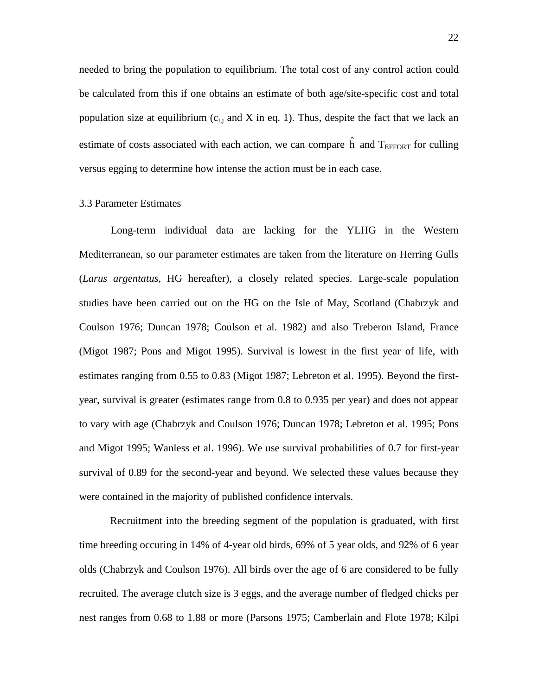needed to bring the population to equilibrium. The total cost of any control action could be calculated from this if one obtains an estimate of both age/site-specific cost and total population size at equilibrium  $(c_{i,j}$  and X in eq. 1). Thus, despite the fact that we lack an estimate of costs associated with each action, we can compare  $\hat{h}$  and  $T_{EFFORT}$  for culling versus egging to determine how intense the action must be in each case.

## 3.3 Parameter Estimates

Long-term individual data are lacking for the YLHG in the Western Mediterranean, so our parameter estimates are taken from the literature on Herring Gulls (*Larus argentatus*, HG hereafter), a closely related species. Large-scale population studies have been carried out on the HG on the Isle of May, Scotland (Chabrzyk and Coulson 1976; Duncan 1978; Coulson et al. 1982) and also Treberon Island, France (Migot 1987; Pons and Migot 1995). Survival is lowest in the first year of life, with estimates ranging from 0.55 to 0.83 (Migot 1987; Lebreton et al. 1995). Beyond the firstyear, survival is greater (estimates range from 0.8 to 0.935 per year) and does not appear to vary with age (Chabrzyk and Coulson 1976; Duncan 1978; Lebreton et al. 1995; Pons and Migot 1995; Wanless et al. 1996). We use survival probabilities of 0.7 for first-year survival of 0.89 for the second-year and beyond. We selected these values because they were contained in the majority of published confidence intervals.

Recruitment into the breeding segment of the population is graduated, with first time breeding occuring in 14% of 4-year old birds, 69% of 5 year olds, and 92% of 6 year olds (Chabrzyk and Coulson 1976). All birds over the age of 6 are considered to be fully recruited. The average clutch size is 3 eggs, and the average number of fledged chicks per nest ranges from 0.68 to 1.88 or more (Parsons 1975; Camberlain and Flote 1978; Kilpi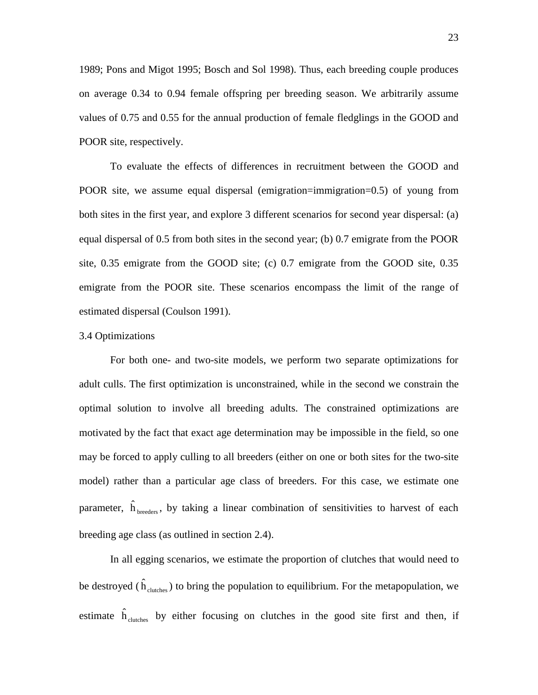1989; Pons and Migot 1995; Bosch and Sol 1998). Thus, each breeding couple produces on average 0.34 to 0.94 female offspring per breeding season. We arbitrarily assume values of 0.75 and 0.55 for the annual production of female fledglings in the GOOD and POOR site, respectively.

To evaluate the effects of differences in recruitment between the GOOD and POOR site, we assume equal dispersal (emigration=immigration=0.5) of young from both sites in the first year, and explore 3 different scenarios for second year dispersal: (a) equal dispersal of 0.5 from both sites in the second year; (b) 0.7 emigrate from the POOR site, 0.35 emigrate from the GOOD site; (c) 0.7 emigrate from the GOOD site, 0.35 emigrate from the POOR site. These scenarios encompass the limit of the range of estimated dispersal (Coulson 1991).

#### 3.4 Optimizations

For both one- and two-site models, we perform two separate optimizations for adult culls. The first optimization is unconstrained, while in the second we constrain the optimal solution to involve all breeding adults. The constrained optimizations are motivated by the fact that exact age determination may be impossible in the field, so one may be forced to apply culling to all breeders (either on one or both sites for the two-site model) rather than a particular age class of breeders. For this case, we estimate one parameter,  $\hat{h}_{\text{breeders}}$ , by taking a linear combination of sensitivities to harvest of each breeding age class (as outlined in section 2.4).

In all egging scenarios, we estimate the proportion of clutches that would need to be destroyed ( $\hat{h}_{\text{clutions}}$ ) to bring the population to equilibrium. For the metapopulation, we estimate  $\hat{h}_{\text{clucthes}}$  by either focusing on clutches in the good site first and then, if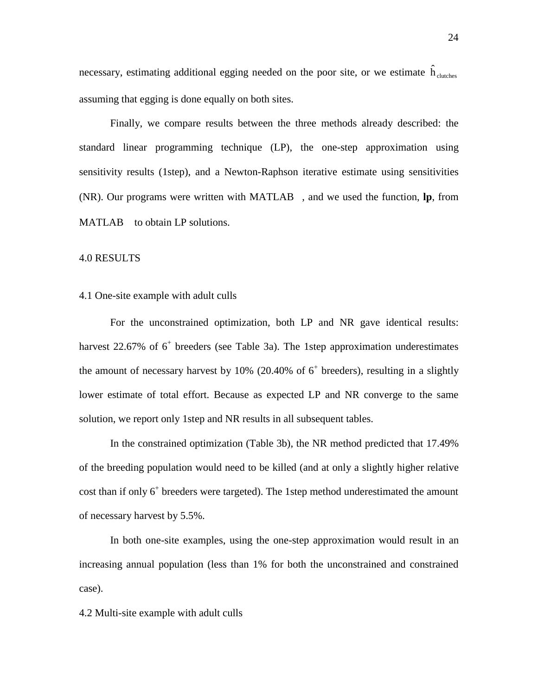necessary, estimating additional egging needed on the poor site, or we estimate  $\hat{h}_{\text{clucthes}}$ assuming that egging is done equally on both sites.

Finally, we compare results between the three methods already described: the standard linear programming technique (LP), the one-step approximation using sensitivity results (1step), and a Newton-Raphson iterative estimate using sensitivities  $(NR)$ . Our programs were written with MATLAB<sup>®</sup>, and we used the function, **lp**, from MATLAB<sup>®</sup> to obtain LP solutions.

### 4.0 RESULTS

## 4.1 One-site example with adult culls

For the unconstrained optimization, both LP and NR gave identical results: harvest 22.67% of 6<sup>+</sup> breeders (see Table 3a). The 1step approximation underestimates the amount of necessary harvest by  $10\%$  (20.40% of 6<sup>+</sup> breeders), resulting in a slightly lower estimate of total effort. Because as expected LP and NR converge to the same solution, we report only 1step and NR results in all subsequent tables.

In the constrained optimization (Table 3b), the NR method predicted that 17.49% of the breeding population would need to be killed (and at only a slightly higher relative cost than if only 6<sup>+</sup> breeders were targeted). The 1step method underestimated the amount of necessary harvest by 5.5%.

In both one-site examples, using the one-step approximation would result in an increasing annual population (less than 1% for both the unconstrained and constrained case).

4.2 Multi-site example with adult culls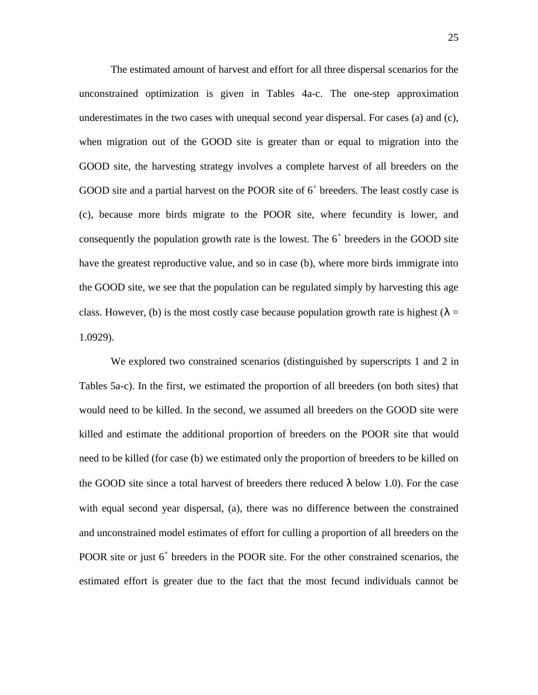The estimated amount of harvest and effort for all three dispersal scenarios for the unconstrained optimization is given in Tables 4a-c. The one-step approximation underestimates in the two cases with unequal second year dispersal. For cases (a) and (c), when migration out of the GOOD site is greater than or equal to migration into the GOOD site, the harvesting strategy involves a complete harvest of all breeders on the GOOD site and a partial harvest on the POOR site of  $6<sup>+</sup>$  breeders. The least costly case is (c), because more birds migrate to the POOR site, where fecundity is lower, and consequently the population growth rate is the lowest. The  $6<sup>+</sup>$  breeders in the GOOD site have the greatest reproductive value, and so in case (b), where more birds immigrate into the GOOD site, we see that the population can be regulated simply by harvesting this age class. However, (b) is the most costly case because population growth rate is highest ( $\lambda =$ 1.0929).

We explored two constrained scenarios (distinguished by superscripts 1 and 2 in Tables 5a-c). In the first, we estimated the proportion of all breeders (on both sites) that would need to be killed. In the second, we assumed all breeders on the GOOD site were killed and estimate the additional proportion of breeders on the POOR site that would need to be killed (for case (b) we estimated only the proportion of breeders to be killed on the GOOD site since a total harvest of breeders there reduced  $\lambda$  below 1.0). For the case with equal second year dispersal, (a), there was no difference between the constrained and unconstrained model estimates of effort for culling a proportion of all breeders on the POOR site or just 6<sup>+</sup> breeders in the POOR site. For the other constrained scenarios, the estimated effort is greater due to the fact that the most fecund individuals cannot be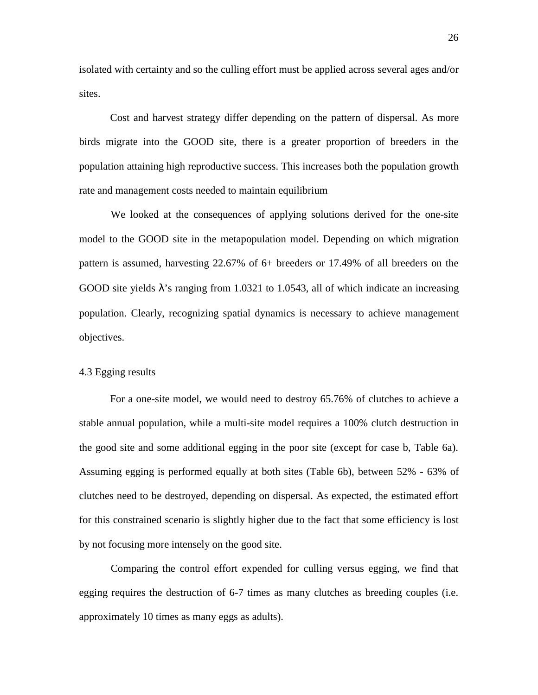isolated with certainty and so the culling effort must be applied across several ages and/or sites.

Cost and harvest strategy differ depending on the pattern of dispersal. As more birds migrate into the GOOD site, there is a greater proportion of breeders in the population attaining high reproductive success. This increases both the population growth rate and management costs needed to maintain equilibrium

We looked at the consequences of applying solutions derived for the one-site model to the GOOD site in the metapopulation model. Depending on which migration pattern is assumed, harvesting 22.67% of 6+ breeders or 17.49% of all breeders on the GOOD site yields  $\lambda$ 's ranging from 1.0321 to 1.0543, all of which indicate an increasing population. Clearly, recognizing spatial dynamics is necessary to achieve management objectives.

## 4.3 Egging results

For a one-site model, we would need to destroy 65.76% of clutches to achieve a stable annual population, while a multi-site model requires a 100% clutch destruction in the good site and some additional egging in the poor site (except for case b, Table 6a). Assuming egging is performed equally at both sites (Table 6b), between 52% - 63% of clutches need to be destroyed, depending on dispersal. As expected, the estimated effort for this constrained scenario is slightly higher due to the fact that some efficiency is lost by not focusing more intensely on the good site.

Comparing the control effort expended for culling versus egging, we find that egging requires the destruction of 6-7 times as many clutches as breeding couples (i.e. approximately 10 times as many eggs as adults).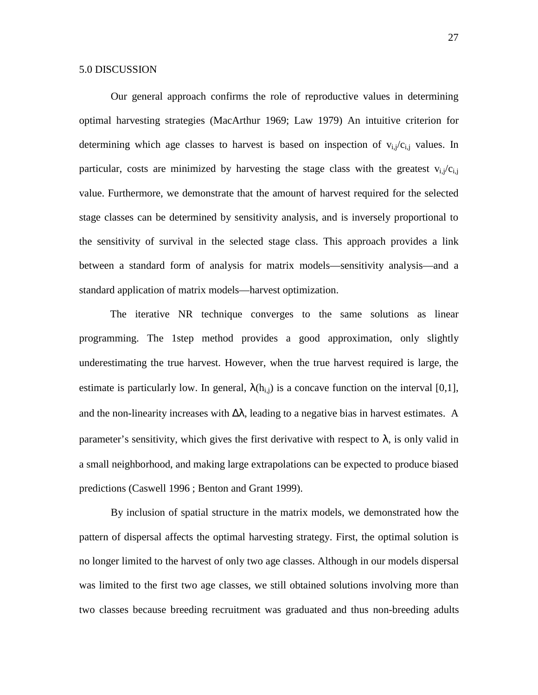Our general approach confirms the role of reproductive values in determining optimal harvesting strategies (MacArthur 1969; Law 1979) An intuitive criterion for determining which age classes to harvest is based on inspection of  $v_{i,j}/c_{i,j}$  values. In particular, costs are minimized by harvesting the stage class with the greatest  $v_{i,j}/c_{i,j}$ value. Furthermore, we demonstrate that the amount of harvest required for the selected stage classes can be determined by sensitivity analysis, and is inversely proportional to the sensitivity of survival in the selected stage class. This approach provides a link between a standard form of analysis for matrix models—sensitivity analysis—and a standard application of matrix models—harvest optimization.

The iterative NR technique converges to the same solutions as linear programming. The 1step method provides a good approximation, only slightly underestimating the true harvest. However, when the true harvest required is large, the estimate is particularly low. In general,  $\lambda(h_{i,j})$  is a concave function on the interval [0,1], and the non-linearity increases with  $\Delta\lambda$ , leading to a negative bias in harvest estimates. A parameter's sensitivity, which gives the first derivative with respect to  $\lambda$ , is only valid in a small neighborhood, and making large extrapolations can be expected to produce biased predictions (Caswell 1996 ; Benton and Grant 1999).

By inclusion of spatial structure in the matrix models, we demonstrated how the pattern of dispersal affects the optimal harvesting strategy. First, the optimal solution is no longer limited to the harvest of only two age classes. Although in our models dispersal was limited to the first two age classes, we still obtained solutions involving more than two classes because breeding recruitment was graduated and thus non-breeding adults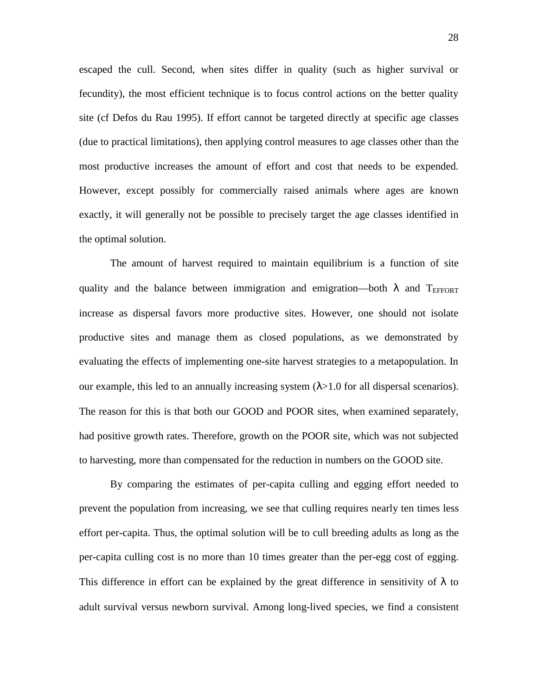escaped the cull. Second, when sites differ in quality (such as higher survival or fecundity), the most efficient technique is to focus control actions on the better quality site (cf Defos du Rau 1995). If effort cannot be targeted directly at specific age classes (due to practical limitations), then applying control measures to age classes other than the most productive increases the amount of effort and cost that needs to be expended. However, except possibly for commercially raised animals where ages are known exactly, it will generally not be possible to precisely target the age classes identified in the optimal solution.

The amount of harvest required to maintain equilibrium is a function of site quality and the balance between immigration and emigration—both  $\lambda$  and T<sub>EFFORT</sub> increase as dispersal favors more productive sites. However, one should not isolate productive sites and manage them as closed populations, as we demonstrated by evaluating the effects of implementing one-site harvest strategies to a metapopulation. In our example, this led to an annually increasing system  $(\lambda > 1.0$  for all dispersal scenarios). The reason for this is that both our GOOD and POOR sites, when examined separately, had positive growth rates. Therefore, growth on the POOR site, which was not subjected to harvesting, more than compensated for the reduction in numbers on the GOOD site.

By comparing the estimates of per-capita culling and egging effort needed to prevent the population from increasing, we see that culling requires nearly ten times less effort per-capita. Thus, the optimal solution will be to cull breeding adults as long as the per-capita culling cost is no more than 10 times greater than the per-egg cost of egging. This difference in effort can be explained by the great difference in sensitivity of  $\lambda$  to adult survival versus newborn survival. Among long-lived species, we find a consistent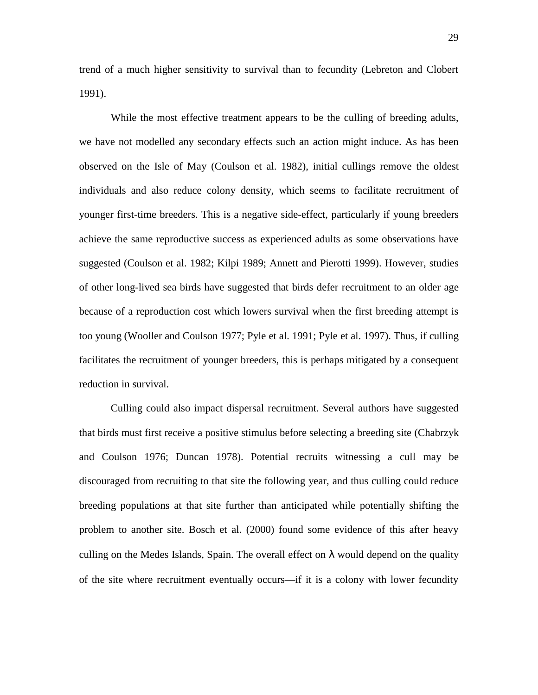trend of a much higher sensitivity to survival than to fecundity (Lebreton and Clobert 1991).

While the most effective treatment appears to be the culling of breeding adults, we have not modelled any secondary effects such an action might induce. As has been observed on the Isle of May (Coulson et al. 1982), initial cullings remove the oldest individuals and also reduce colony density, which seems to facilitate recruitment of younger first-time breeders. This is a negative side-effect, particularly if young breeders achieve the same reproductive success as experienced adults as some observations have suggested (Coulson et al. 1982; Kilpi 1989; Annett and Pierotti 1999). However, studies of other long-lived sea birds have suggested that birds defer recruitment to an older age because of a reproduction cost which lowers survival when the first breeding attempt is too young (Wooller and Coulson 1977; Pyle et al. 1991; Pyle et al. 1997). Thus, if culling facilitates the recruitment of younger breeders, this is perhaps mitigated by a consequent reduction in survival.

Culling could also impact dispersal recruitment. Several authors have suggested that birds must first receive a positive stimulus before selecting a breeding site (Chabrzyk and Coulson 1976; Duncan 1978). Potential recruits witnessing a cull may be discouraged from recruiting to that site the following year, and thus culling could reduce breeding populations at that site further than anticipated while potentially shifting the problem to another site. Bosch et al. (2000) found some evidence of this after heavy culling on the Medes Islands, Spain. The overall effect on  $\lambda$  would depend on the quality of the site where recruitment eventually occurs—if it is a colony with lower fecundity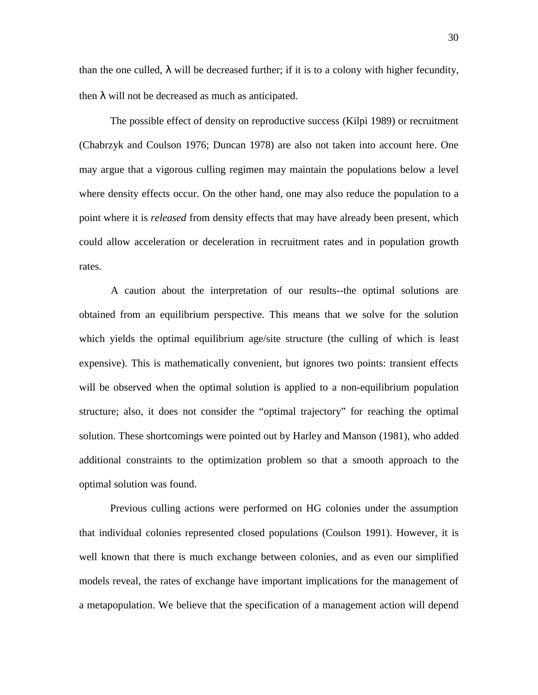than the one culled,  $\lambda$  will be decreased further; if it is to a colony with higher fecundity, then  $\lambda$  will not be decreased as much as anticipated.

The possible effect of density on reproductive success (Kilpi 1989) or recruitment (Chabrzyk and Coulson 1976; Duncan 1978) are also not taken into account here. One may argue that a vigorous culling regimen may maintain the populations below a level where density effects occur. On the other hand, one may also reduce the population to a point where it is *released* from density effects that may have already been present, which could allow acceleration or deceleration in recruitment rates and in population growth rates.

A caution about the interpretation of our results--the optimal solutions are obtained from an equilibrium perspective. This means that we solve for the solution which yields the optimal equilibrium age/site structure (the culling of which is least expensive). This is mathematically convenient, but ignores two points: transient effects will be observed when the optimal solution is applied to a non-equilibrium population structure; also, it does not consider the "optimal trajectory" for reaching the optimal solution. These shortcomings were pointed out by Harley and Manson (1981), who added additional constraints to the optimization problem so that a smooth approach to the optimal solution was found.

Previous culling actions were performed on HG colonies under the assumption that individual colonies represented closed populations (Coulson 1991). However, it is well known that there is much exchange between colonies, and as even our simplified models reveal, the rates of exchange have important implications for the management of a metapopulation. We believe that the specification of a management action will depend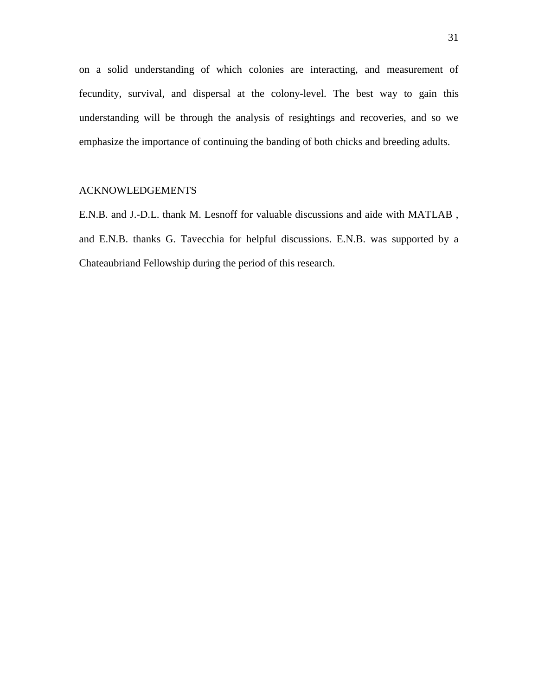on a solid understanding of which colonies are interacting, and measurement of fecundity, survival, and dispersal at the colony-level. The best way to gain this understanding will be through the analysis of resightings and recoveries, and so we emphasize the importance of continuing the banding of both chicks and breeding adults.

# ACKNOWLEDGEMENTS

E.N.B. and J.-D.L. thank M. Lesnoff for valuable discussions and aide with MATLAB , and E.N.B. thanks G. Tavecchia for helpful discussions. E.N.B. was supported by a Chateaubriand Fellowship during the period of this research.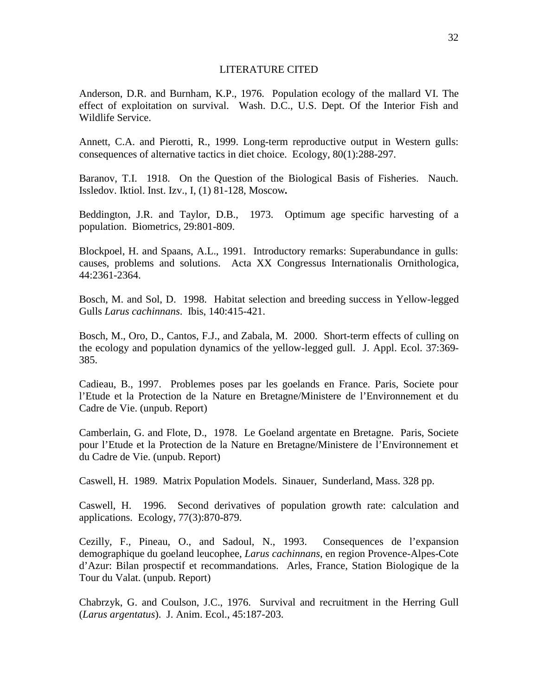#### LITERATURE CITED

Anderson, D.R. and Burnham, K.P., 1976. Population ecology of the mallard VI. The effect of exploitation on survival. Wash. D.C., U.S. Dept. Of the Interior Fish and Wildlife Service.

Annett, C.A. and Pierotti, R., 1999. Long-term reproductive output in Western gulls: consequences of alternative tactics in diet choice. Ecology, 80(1):288-297.

Baranov, T.I. 1918. On the Question of the Biological Basis of Fisheries. Nauch. Issledov. Iktiol. Inst. Izv., I, (1) 81-128, Moscow*.*

Beddington, J.R. and Taylor, D.B., 1973. Optimum age specific harvesting of a population. Biometrics, 29:801-809.

Blockpoel, H. and Spaans, A.L., 1991. Introductory remarks: Superabundance in gulls: causes, problems and solutions. Acta XX Congressus Internationalis Ornithologica, 44:2361-2364.

Bosch, M. and Sol, D. 1998. Habitat selection and breeding success in Yellow-legged Gulls *Larus cachinnans*. Ibis, 140:415-421.

Bosch, M., Oro, D., Cantos, F.J., and Zabala, M. 2000. Short-term effects of culling on the ecology and population dynamics of the yellow-legged gull. J. Appl. Ecol. 37:369- 385.

Cadieau, B., 1997. Problemes poses par les goelands en France. Paris, Societe pour l'Etude et la Protection de la Nature en Bretagne/Ministere de l'Environnement et du Cadre de Vie. (unpub. Report)

Camberlain, G. and Flote, D., 1978. Le Goeland argentate en Bretagne. Paris, Societe pour l'Etude et la Protection de la Nature en Bretagne/Ministere de l'Environnement et du Cadre de Vie. (unpub. Report)

Caswell, H. 1989. Matrix Population Models. Sinauer, Sunderland, Mass. 328 pp.

Caswell, H. 1996. Second derivatives of population growth rate: calculation and applications. Ecology, 77(3):870-879.

Cezilly, F., Pineau, O., and Sadoul, N., 1993. Consequences de l'expansion demographique du goeland leucophee, *Larus cachinnans*, en region Provence-Alpes-Cote d'Azur: Bilan prospectif et recommandations. Arles, France, Station Biologique de la Tour du Valat. (unpub. Report)

Chabrzyk, G. and Coulson, J.C., 1976. Survival and recruitment in the Herring Gull (*Larus argentatus*). J. Anim. Ecol., 45:187-203.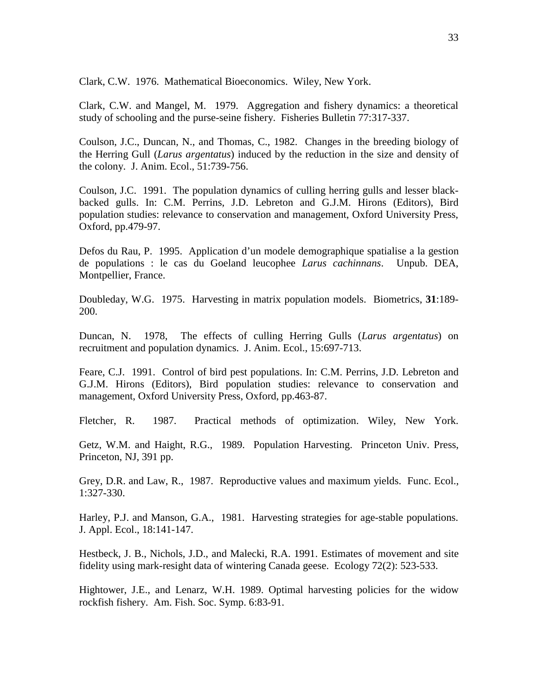Clark, C.W. 1976. Mathematical Bioeconomics. Wiley, New York.

Clark, C.W. and Mangel, M. 1979. Aggregation and fishery dynamics: a theoretical study of schooling and the purse-seine fishery. Fisheries Bulletin 77:317-337.

Coulson, J.C., Duncan, N., and Thomas, C., 1982. Changes in the breeding biology of the Herring Gull (*Larus argentatus*) induced by the reduction in the size and density of the colony. J. Anim. Ecol., 51:739-756.

Coulson, J.C. 1991. The population dynamics of culling herring gulls and lesser blackbacked gulls. In: C.M. Perrins, J.D. Lebreton and G.J.M. Hirons (Editors), Bird population studies: relevance to conservation and management, Oxford University Press, Oxford, pp.479-97.

Defos du Rau, P. 1995. Application d'un modele demographique spatialise a la gestion de populations : le cas du Goeland leucophee *Larus cachinnans*. Unpub. DEA, Montpellier, France.

Doubleday, W.G. 1975. Harvesting in matrix population models. Biometrics, **31**:189- 200.

Duncan, N. 1978, The effects of culling Herring Gulls (*Larus argentatus*) on recruitment and population dynamics. J. Anim. Ecol., 15:697-713.

Feare, C.J. 1991. Control of bird pest populations. In: C.M. Perrins, J.D. Lebreton and G.J.M. Hirons (Editors), Bird population studies: relevance to conservation and management, Oxford University Press, Oxford, pp.463-87.

Fletcher, R. 1987. Practical methods of optimization. Wiley, New York.

Getz, W.M. and Haight, R.G., 1989. Population Harvesting. Princeton Univ. Press, Princeton, NJ, 391 pp.

Grey, D.R. and Law, R., 1987. Reproductive values and maximum yields. Func. Ecol., 1:327-330.

Harley, P.J. and Manson, G.A., 1981. Harvesting strategies for age-stable populations. J. Appl. Ecol., 18:141-147.

Hestbeck, J. B., Nichols, J.D., and Malecki, R.A. 1991. Estimates of movement and site fidelity using mark-resight data of wintering Canada geese. Ecology 72(2): 523-533.

Hightower, J.E., and Lenarz, W.H. 1989. Optimal harvesting policies for the widow rockfish fishery. Am. Fish. Soc. Symp. 6:83-91.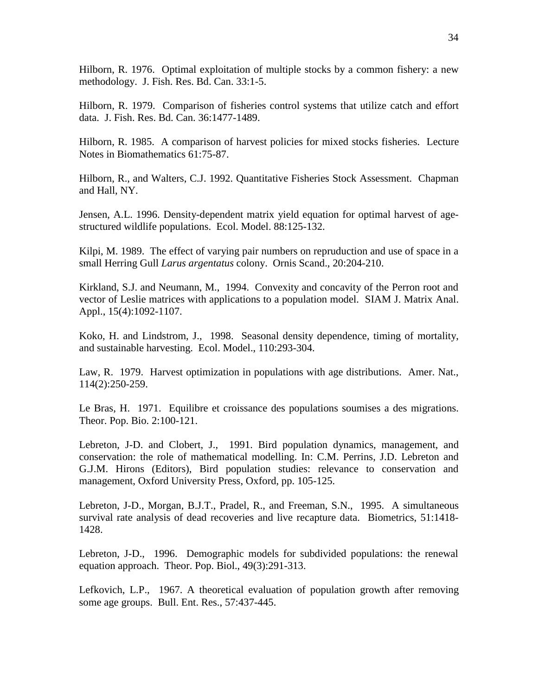Hilborn, R. 1976. Optimal exploitation of multiple stocks by a common fishery: a new methodology. J. Fish. Res. Bd. Can. 33:1-5.

Hilborn, R. 1979. Comparison of fisheries control systems that utilize catch and effort data. J. Fish. Res. Bd. Can. 36:1477-1489.

Hilborn, R. 1985. A comparison of harvest policies for mixed stocks fisheries. Lecture Notes in Biomathematics 61:75-87.

Hilborn, R., and Walters, C.J. 1992. Quantitative Fisheries Stock Assessment. Chapman and Hall, NY.

Jensen, A.L. 1996. Density-dependent matrix yield equation for optimal harvest of agestructured wildlife populations. Ecol. Model. 88:125-132.

Kilpi, M. 1989. The effect of varying pair numbers on repruduction and use of space in a small Herring Gull *Larus argentatus* colony. Ornis Scand., 20:204-210.

Kirkland, S.J. and Neumann, M., 1994. Convexity and concavity of the Perron root and vector of Leslie matrices with applications to a population model. SIAM J. Matrix Anal. Appl., 15(4):1092-1107.

Koko, H. and Lindstrom, J., 1998. Seasonal density dependence, timing of mortality, and sustainable harvesting. Ecol. Model., 110:293-304.

Law, R. 1979. Harvest optimization in populations with age distributions. Amer. Nat., 114(2):250-259.

Le Bras, H. 1971. Equilibre et croissance des populations soumises a des migrations. Theor. Pop. Bio. 2:100-121.

Lebreton, J-D. and Clobert, J., 1991. Bird population dynamics, management, and conservation: the role of mathematical modelling. In: C.M. Perrins, J.D. Lebreton and G.J.M. Hirons (Editors), Bird population studies: relevance to conservation and management, Oxford University Press, Oxford, pp. 105-125.

Lebreton, J-D., Morgan, B.J.T., Pradel, R., and Freeman, S.N., 1995. A simultaneous survival rate analysis of dead recoveries and live recapture data. Biometrics, 51:1418- 1428.

Lebreton, J-D., 1996. Demographic models for subdivided populations: the renewal equation approach. Theor. Pop. Biol., 49(3):291-313.

Lefkovich, L.P., 1967. A theoretical evaluation of population growth after removing some age groups. Bull. Ent. Res., 57:437-445.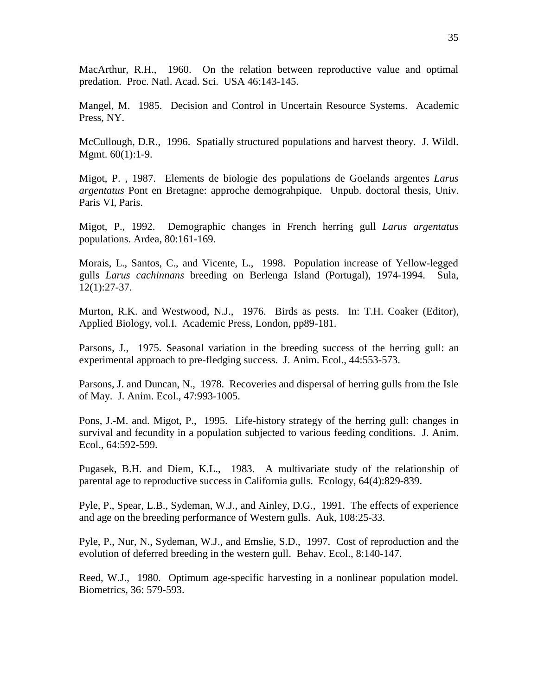MacArthur, R.H., 1960. On the relation between reproductive value and optimal predation. Proc. Natl. Acad. Sci. USA 46:143-145.

Mangel, M. 1985. Decision and Control in Uncertain Resource Systems. Academic Press, NY.

McCullough, D.R., 1996. Spatially structured populations and harvest theory. J. Wildl. Mgmt. 60(1):1-9.

Migot, P. , 1987. Elements de biologie des populations de Goelands argentes *Larus argentatus* Pont en Bretagne: approche demograhpique. Unpub. doctoral thesis, Univ. Paris VI, Paris.

Migot, P., 1992. Demographic changes in French herring gull *Larus argentatus* populations. Ardea, 80:161-169.

Morais, L., Santos, C., and Vicente, L., 1998. Population increase of Yellow-legged gulls *Larus cachinnans* breeding on Berlenga Island (Portugal), 1974-1994. Sula, 12(1):27-37.

Murton, R.K. and Westwood, N.J., 1976. Birds as pests. In: T.H. Coaker (Editor), Applied Biology, vol.I. Academic Press, London, pp89-181.

Parsons, J., 1975. Seasonal variation in the breeding success of the herring gull: an experimental approach to pre-fledging success. J. Anim. Ecol., 44:553-573.

Parsons, J. and Duncan, N., 1978. Recoveries and dispersal of herring gulls from the Isle of May. J. Anim. Ecol., 47:993-1005.

Pons, J.-M. and. Migot, P., 1995. Life-history strategy of the herring gull: changes in survival and fecundity in a population subjected to various feeding conditions. J. Anim. Ecol., 64:592-599.

Pugasek, B.H. and Diem, K.L., 1983. A multivariate study of the relationship of parental age to reproductive success in California gulls. Ecology, 64(4):829-839.

Pyle, P., Spear, L.B., Sydeman, W.J., and Ainley, D.G., 1991. The effects of experience and age on the breeding performance of Western gulls. Auk, 108:25-33.

Pyle, P., Nur, N., Sydeman, W.J., and Emslie, S.D., 1997. Cost of reproduction and the evolution of deferred breeding in the western gull. Behav. Ecol., 8:140-147.

Reed, W.J., 1980. Optimum age-specific harvesting in a nonlinear population model. Biometrics, 36: 579-593.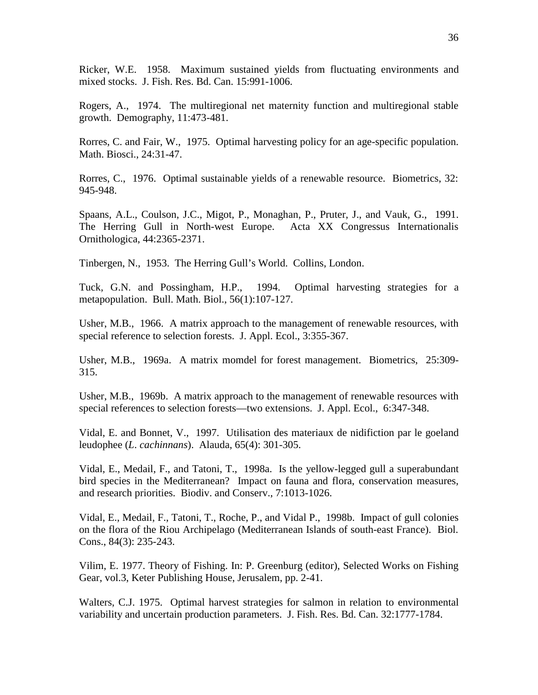Ricker, W.E. 1958. Maximum sustained yields from fluctuating environments and mixed stocks. J. Fish. Res. Bd. Can. 15:991-1006.

Rogers, A., 1974. The multiregional net maternity function and multiregional stable growth. Demography, 11:473-481.

Rorres, C. and Fair, W., 1975. Optimal harvesting policy for an age-specific population. Math. Biosci., 24:31-47.

Rorres, C., 1976. Optimal sustainable yields of a renewable resource. Biometrics, 32: 945-948.

Spaans, A.L., Coulson, J.C., Migot, P., Monaghan, P., Pruter, J., and Vauk, G., 1991. The Herring Gull in North-west Europe. Acta XX Congressus Internationalis Ornithologica, 44:2365-2371.

Tinbergen, N., 1953. The Herring Gull's World. Collins, London.

Tuck, G.N. and Possingham, H.P., 1994. Optimal harvesting strategies for a metapopulation. Bull. Math. Biol., 56(1):107-127.

Usher, M.B., 1966. A matrix approach to the management of renewable resources, with special reference to selection forests. J. Appl. Ecol., 3:355-367.

Usher, M.B., 1969a. A matrix momdel for forest management. Biometrics, 25:309- 315.

Usher, M.B., 1969b. A matrix approach to the management of renewable resources with special references to selection forests—two extensions. J. Appl. Ecol., 6:347-348.

Vidal, E. and Bonnet, V., 1997. Utilisation des materiaux de nidifiction par le goeland leudophee (*L*. *cachinnans*). Alauda, 65(4): 301-305.

Vidal, E., Medail, F., and Tatoni, T., 1998a. Is the yellow-legged gull a superabundant bird species in the Mediterranean? Impact on fauna and flora, conservation measures, and research priorities. Biodiv. and Conserv., 7:1013-1026.

Vidal, E., Medail, F., Tatoni, T., Roche, P., and Vidal P., 1998b. Impact of gull colonies on the flora of the Riou Archipelago (Mediterranean Islands of south-east France). Biol. Cons., 84(3): 235-243.

Vilim, E. 1977. Theory of Fishing. In: P. Greenburg (editor), Selected Works on Fishing Gear, vol.3, Keter Publishing House, Jerusalem, pp. 2-41.

Walters, C.J. 1975. Optimal harvest strategies for salmon in relation to environmental variability and uncertain production parameters. J. Fish. Res. Bd. Can. 32:1777-1784.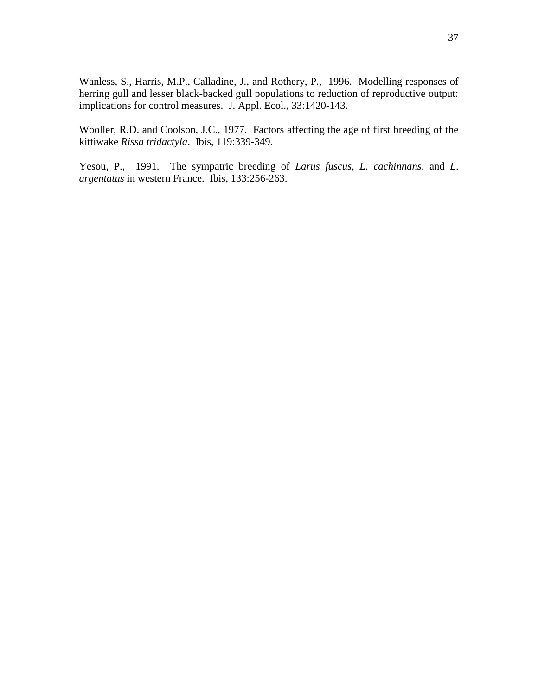Wanless, S., Harris, M.P., Calladine, J., and Rothery, P., 1996. Modelling responses of herring gull and lesser black-backed gull populations to reduction of reproductive output: implications for control measures. J. Appl. Ecol., 33:1420-143.

Wooller, R.D. and Coolson, J.C., 1977. Factors affecting the age of first breeding of the kittiwake *Rissa tridactyla*. Ibis, 119:339-349.

Yesou, P., 1991. The sympatric breeding of *Larus fuscus*, *L*. *cachinnans*, and *L*. *argentatus* in western France. Ibis, 133:256-263.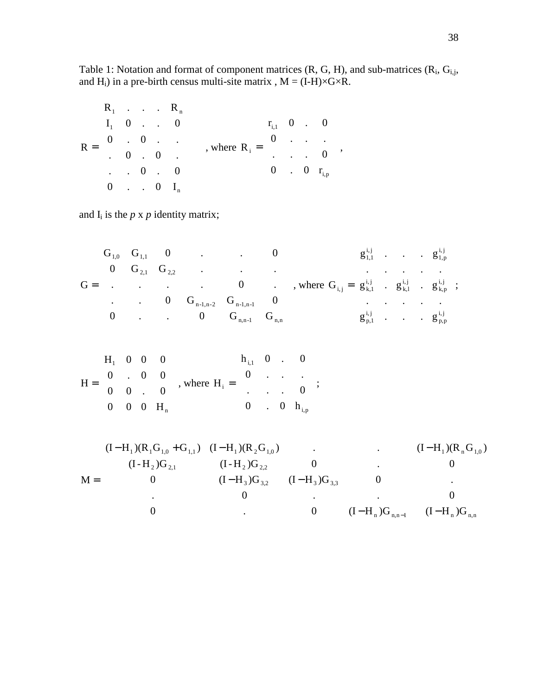$$
R = \begin{bmatrix} R_1 & \cdot & \cdot & \cdot & R_n \\ I_1 & 0 & \cdot & \cdot & 0 \\ 0 & \cdot & 0 & \cdot & \cdot \\ \cdot & 0 & \cdot & 0 & \cdot \\ \cdot & \cdot & 0 & \cdot & 0 \\ 0 & \cdot & \cdot & 0 & I_n \end{bmatrix} , \text{ where } R_i = \begin{bmatrix} r_{i,1} & 0 & \cdot & 0 \\ 0 & \cdot & \cdot & \cdot \\ \cdot & \cdot & \cdot & 0 \\ 0 & \cdot & 0 & r_{i,p} \end{bmatrix},
$$

and  $I_i$  is the  $p \times p$  identity matrix;

$$
G = \begin{bmatrix} G_{1,0} & G_{1,1} & 0 & & & & 0 \\ 0 & G_{2,1} & G_{2,2} & & & & \\ . & . & . & . & 0 & . \\ . & . & . & . & . & 0 & . \\ . & . & 0 & G_{n-1,n-2} & G_{n-1,n-1} & 0 \\ 0 & . & . & 0 & G_{n,n-1} & G_{n,n} \end{bmatrix}, \text{ where } G_{i,j} = \begin{bmatrix} g_{1,1}^{i,j} & . & . & . & g_{1,p}^{i,j} \\ . & . & . & . & . & . \\ g_{k,1}^{i,j} & . & g_{k,1}^{i,j} & . & g_{k,p}^{i,j} \\ . & . & . & . & . & . \\ g_{p,1}^{i,j} & . & . & . & g_{p,p}^{i,j} \end{bmatrix};
$$

$$
H = \begin{bmatrix} H_1 & 0 & 0 & 0 \\ 0 & . & 0 & 0 \\ 0 & 0 & . & 0 \\ 0 & 0 & 0 & H_n \end{bmatrix}, \text{ where } H_i = \begin{bmatrix} h_{i,1} & 0 & . & 0 \\ 0 & . & . & . \\ . & . & . & 0 \\ 0 & . & 0 & h_{i,p} \end{bmatrix};
$$

$$
M = \begin{bmatrix} (I - H_1)(R_1 G_{1,0} + G_{1,1}) & (I - H_1)(R_2 G_{1,0}) & . & (I - H_1)(R_n G_{1,0}) \\ (I - H_2)G_{2,1} & (I - H_2)G_{2,2} & 0 & . & 0 \\ 0 & (I - H_3)G_{3,2} & (I - H_3)G_{3,3} & 0 & . \\ . & 0 & . & . & 0 \\ 0 & . & 0 & (I - H_n)G_{n,n-1} & (I - H_n)G_{n,n} \end{bmatrix}
$$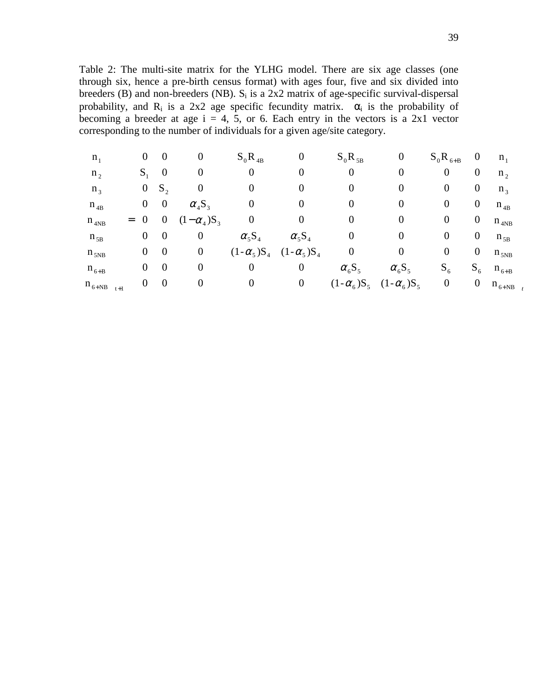Table 2: The multi-site matrix for the YLHG model. There are six age classes (one through six, hence a pre-birth census format) with ages four, five and six divided into breeders (B) and non-breeders (NB).  $S_i$  is a 2x2 matrix of age-specific survival-dispersal probability, and  $R_i$  is a 2x2 age specific fecundity matrix.  $\alpha_i$  is the probability of becoming a breeder at age  $i = 4, 5$ , or 6. Each entry in the vectors is a 2x1 vector corresponding to the number of individuals for a given age/site category.

| $n_1$                |     | $\boldsymbol{0}$ | 0                | 0                           | $S_0R_{4B}$       | 0                 | $S_0R_{5B}$       | 0                      | $S_0R_{6+B}$     | U                | $n_{1}$                                               |
|----------------------|-----|------------------|------------------|-----------------------------|-------------------|-------------------|-------------------|------------------------|------------------|------------------|-------------------------------------------------------|
| $n_2$                |     | $S_{\cdot}$      | $\boldsymbol{0}$ | O                           |                   | 0                 |                   |                        |                  | 0                | $n_{\gamma}$                                          |
| $n_3$                |     | U                | $S_{\gamma}$     |                             |                   |                   |                   |                        |                  | 0                | $n_3$                                                 |
| $n_{4B}$             |     | $\mathbf 0$      | $\overline{0}$   | $\alpha_4S_3$               |                   |                   |                   | U                      | U                | 0                | $n_{4B}$                                              |
| $n_{4NB}$            | $=$ |                  | 0                | $-\alpha_4$ )S <sub>3</sub> |                   |                   |                   | U                      |                  | 0                | $n_{4NB}$                                             |
| $n_{5B}$             |     | $\overline{0}$   | $\theta$         | 0                           | $\alpha_5S_4$     | $\alpha_5S_4$     |                   | U                      |                  | 0                | $n_{5B}$                                              |
| $n_{5NB}$            |     | $\overline{0}$   | $\theta$         | $\boldsymbol{0}$            | $(1-\alpha_5)S_4$ | $(1-\alpha_5)S_4$ |                   |                        |                  | 0                | $n_{5NB}$                                             |
| $n_{6+B}$            |     | $\overline{0}$   | $\boldsymbol{0}$ | 0                           |                   | 0                 | $\alpha_6S_5$     | $\alpha_{6}\text{S}_5$ | $S_6$            | $S_6$            | $n_{6+B}$                                             |
| $n_{6+NB}$ $J_{t+1}$ |     | $\theta$         | $\overline{0}$   |                             |                   | $\boldsymbol{0}$  | $(1-\alpha_6)S_5$ | $(1-\alpha_6)S_5$      | $\boldsymbol{0}$ | $\boldsymbol{0}$ | $\mathbf{u} \ \mathbf{n}_{\mathbf{6+NB}\ \mathbf{j}}$ |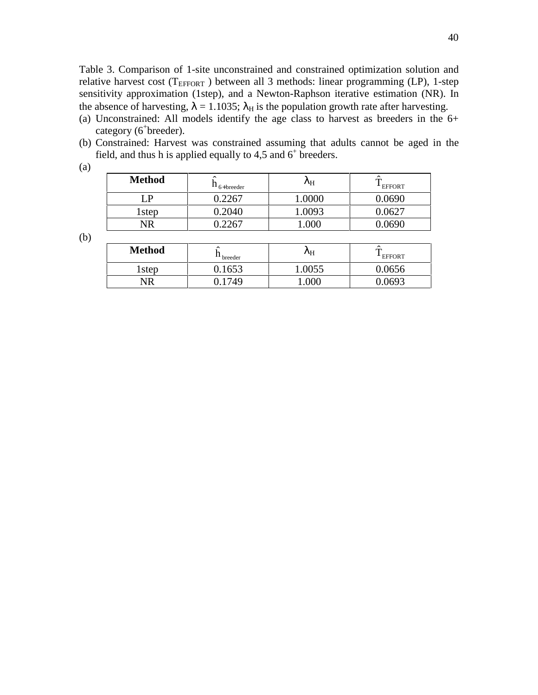Table 3. Comparison of 1-site unconstrained and constrained optimization solution and relative harvest cost ( $T_{EFFORT}$ ) between all 3 methods: linear programming (LP), 1-step sensitivity approximation (1step), and a Newton-Raphson iterative estimation (NR). In the absence of harvesting,  $\lambda = 1.1035$ ;  $\lambda_H$  is the population growth rate after harvesting.

- (a) Unconstrained: All models identify the age class to harvest as breeders in the 6+ category (6<sup>+</sup>breeder).
- (b) Constrained: Harvest was constrained assuming that adults cannot be aged in the field, and thus h is applied equally to 4,5 and  $6^+$  breeders.

(a)

| <b>Method</b>     | $\hat{\phantom{a}}$<br>$-6$ +breeder | $\kappa_{\rm H}$ | $\sim$<br><b>EFFORT</b> |
|-------------------|--------------------------------------|------------------|-------------------------|
|                   | 0.2267                               | 1.0000           | 0.0690                  |
| 1 <sub>step</sub> | 0.2040                               | 1.0093           | $0.062$ <sup>-</sup>    |
| NR                | ስ ንን67                               |                  | በ69በ                    |

(b)

| <b>Method</b> | ́<br><sup>11</sup> breeder | ΛH  | ㅅ<br><sup>L</sup> EFFORT |
|---------------|----------------------------|-----|--------------------------|
| 1step         | .653                       |     | .0656                    |
|               | 74Q                        | ገበበ | በ603                     |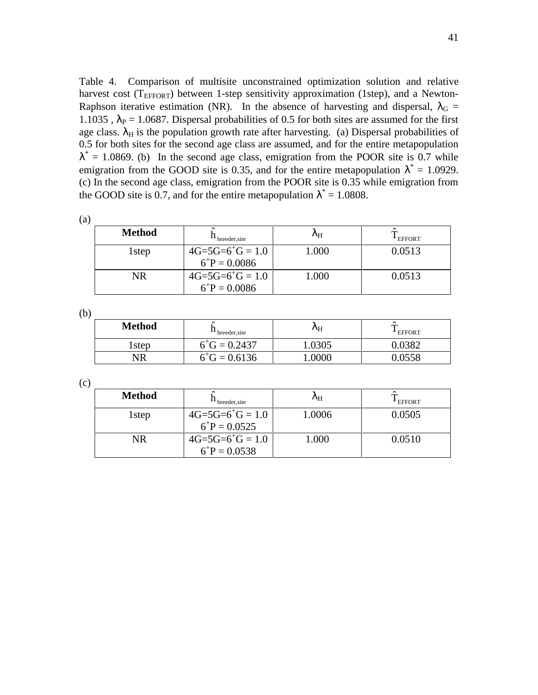Table 4. Comparison of multisite unconstrained optimization solution and relative harvest cost ( $T_{\text{EFFORT}}$ ) between 1-step sensitivity approximation (1step), and a Newton-Raphson iterative estimation (NR). In the absence of harvesting and dispersal,  $\lambda_G$  = 1.1035,  $\lambda_P = 1.0687$ . Dispersal probabilities of 0.5 for both sites are assumed for the first age class.  $\lambda_H$  is the population growth rate after harvesting. (a) Dispersal probabilities of 0.5 for both sites for the second age class are assumed, and for the entire metapopulation  $\lambda^* = 1.0869$ . (b) In the second age class, emigration from the POOR site is 0.7 while emigration from the GOOD site is 0.35, and for the entire metapopulation  $\lambda^* = 1.0929$ . (c) In the second age class, emigration from the POOR site is 0.35 while emigration from the GOOD site is 0.7, and for the entire metapopulation  $\lambda^* = 1.0808$ .

| ۰,<br>٠ | ٦<br>I<br>I<br>I |
|---------|------------------|
|         |                  |

| <b>Method</b>     | breeder site                                | $\mathcal{N}_{\rm H}$ | <b>EFFORT</b> |
|-------------------|---------------------------------------------|-----------------------|---------------|
| 1 <sub>step</sub> | $4G=5G=6^{+}G=1.0$<br>$6^{\circ}P = 0.0086$ | .000                  | 0.0513        |
| NR                | $4G=5G=6^{+}G=1.0$<br>$6^{\circ}P = 0.0086$ | .000                  | 0.0513        |

(b)

| <b>Method</b> | ́<br><sup>11</sup> breeder site | ΛH    | ↗<br><b>EFFORT</b> |
|---------------|---------------------------------|-------|--------------------|
| rstep         | $6^{+}$ G = 0.2437              | .0305 | .0382              |
| NR            | $6^{+}$ G = 0.6136              | .0000 | 0.0558             |

(c)

| <b>Method</b>     | breeder site                            | $\mathcal{N}_{\rm{H}}$ | <b>EFFORT</b> |
|-------------------|-----------------------------------------|------------------------|---------------|
| 1 <sub>step</sub> | $4G=5G=6^{+}G=1.0$<br>$6^{+}P = 0.0525$ | 1.0006                 | 0.0505        |
| NR                | $4G=5G=6^{+}G=1.0$<br>$6^{+}P = 0.0538$ | 1.000                  | 0.0510        |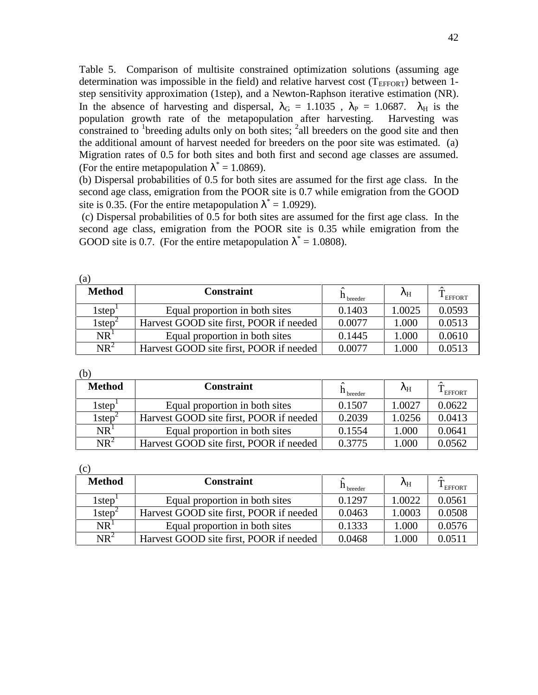Table 5. Comparison of multisite constrained optimization solutions (assuming age determination was impossible in the field) and relative harvest cost ( $T_{EFFORT}$ ) between 1step sensitivity approximation (1step), and a Newton-Raphson iterative estimation (NR). In the absence of harvesting and dispersal,  $\lambda_G = 1.1035$ ,  $\lambda_P = 1.0687$ .  $\lambda_H$  is the population growth rate of the metapopulation after harvesting. Harvesting was constrained to <sup>1</sup> breeding adults only on both sites;  $^2$  all breeders on the good site and then the additional amount of harvest needed for breeders on the poor site was estimated. (a) Migration rates of 0.5 for both sites and both first and second age classes are assumed. (For the entire metapopulation  $\lambda^* = 1.0869$ ).

(b) Dispersal probabilities of 0.5 for both sites are assumed for the first age class. In the second age class, emigration from the POOR site is 0.7 while emigration from the GOOD site is 0.35. (For the entire metapopulation  $\lambda^* = 1.0929$ ).

 (c) Dispersal probabilities of 0.5 for both sites are assumed for the first age class. In the second age class, emigration from the POOR site is 0.35 while emigration from the GOOD site is 0.7. (For the entire metapopulation  $\lambda^* = 1.0808$ ).

| (a)                                     |                                         |                      |                   |               |
|-----------------------------------------|-----------------------------------------|----------------------|-------------------|---------------|
| <b>Method</b>                           | <b>Constraint</b>                       | $\mathbf{H}$ breeder | $\lambda_{\rm H}$ | <b>EFFORT</b> |
| $1$ step $\overline{ }$                 | Equal proportion in both sites          | 0.1403               | 1.0025            | 0.0593        |
| $1$ step <sup><math>\angle</math></sup> | Harvest GOOD site first, POOR if needed | 0.0077               | 1.000             | 0.0513        |
| NR <sup>1</sup>                         | Equal proportion in both sites          | 0.1445               | 1.000             | 0.0610        |
| $NR^2$                                  | Harvest GOOD site first, POOR if needed | 0.0077               | 1.000             | 0.0513        |

| (b)                |                                         |                       |        |                     |
|--------------------|-----------------------------------------|-----------------------|--------|---------------------|
| Method             | <b>Constraint</b>                       | <sup>11</sup> breeder | ΛH     | <sup>1</sup> EFFORT |
| l step             | Equal proportion in both sites          | 0.1507                | 1.0027 | 0.0622              |
| 1step <sup>-</sup> | Harvest GOOD site first, POOR if needed | 0.2039                | 1.0256 | 0.0413              |
| NR                 | Equal proportion in both sites          | 0.1554                | 1.000  | 0.0641              |

(c)

| <b>Method</b>                           | <b>Constraint</b>                       | $h_{\text{breeder}}$ | ΛH     | <sup>1</sup> EFFORT |
|-----------------------------------------|-----------------------------------------|----------------------|--------|---------------------|
| $1$ step                                | Equal proportion in both sites          | 0.1297               | 1.0022 | 0.0561              |
| $1$ step <sup><math>\angle</math></sup> | Harvest GOOD site first, POOR if needed | 0.0463               | 1.0003 | 0.0508              |
| NR <sup>1</sup>                         | Equal proportion in both sites          | 0.1333               | 1.000  | 0.0576              |
| $NR^2$                                  | Harvest GOOD site first, POOR if needed | 0.0468               | .000   | 0.0511              |

 $NR<sup>2</sup>$  Harvest GOOD site first, POOR if needed  $\begin{bmatrix} 0.3775 \\ 0.000 \end{bmatrix}$  1.000  $\begin{bmatrix} 0.0562 \\ 0.0562 \end{bmatrix}$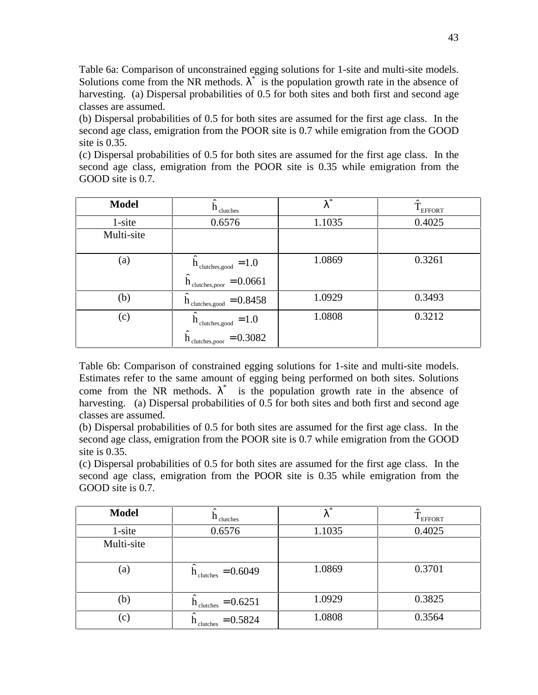Table 6a: Comparison of unconstrained egging solutions for 1-site and multi-site models. Solutions come from the NR methods.  $\lambda^*$  is the population growth rate in the absence of harvesting. (a) Dispersal probabilities of 0.5 for both sites and both first and second age classes are assumed.

(b) Dispersal probabilities of 0.5 for both sites are assumed for the first age class. In the second age class, emigration from the POOR site is 0.7 while emigration from the GOOD site is 0.35.

(c) Dispersal probabilities of 0.5 for both sites are assumed for the first age class. In the second age class, emigration from the POOR site is 0.35 while emigration from the GOOD site is 0.7.

| <b>Model</b>      | $h_{\text{clutches}}$                                                                  | $\ast$<br>λ | ≙<br><b>EFFORT</b> |
|-------------------|----------------------------------------------------------------------------------------|-------------|--------------------|
| $1$ -site         | 0.6576                                                                                 | 1.1035      | 0.4025             |
| Multi-site        |                                                                                        |             |                    |
| $\left( a\right)$ | $\dot{h}_{\text{clutches, good}} = 1.0$<br>$= 0.0661$<br>$h$ <sub>clutches, poor</sub> | 1.0869      | 0.3261             |
| (b)               | $n_{\text{clutches, good}} = 0.8458$<br>h                                              | 1.0929      | 0.3493             |
| (c)               | $h_{\text{clutches,good}}$<br>$=1.0$                                                   | 1.0808      | 0.3212             |
|                   | $= 0.3082$<br>clutches, poor                                                           |             |                    |

Table 6b: Comparison of constrained egging solutions for 1-site and multi-site models. Estimates refer to the same amount of egging being performed on both sites. Solutions come from the NR methods.  $\lambda^*$  is the population growth rate in the absence of harvesting. (a) Dispersal probabilities of 0.5 for both sites and both first and second age classes are assumed.

(b) Dispersal probabilities of 0.5 for both sites are assumed for the first age class. In the second age class, emigration from the POOR site is 0.7 while emigration from the GOOD site is 0.35.

(c) Dispersal probabilities of 0.5 for both sites are assumed for the first age class. In the second age class, emigration from the POOR site is 0.35 while emigration from the GOOD site is 0.7.

| <b>Model</b> | $n_{\text{clutches}}$               | *<br>λ | <sup>1</sup> EFFORT |
|--------------|-------------------------------------|--------|---------------------|
| 1-site       | 0.6576                              | 1.1035 | 0.4025              |
| Multi-site   |                                     |        |                     |
| (a)          | $= 0.6049$<br>$h_{\text{clutches}}$ | 1.0869 | 0.3701              |
| (b)          | $= 0.6251$<br>clutches              | 1.0929 | 0.3825              |
| (c)          | $= 0.5824$<br>$h_{\text{clutches}}$ | 1.0808 | 0.3564              |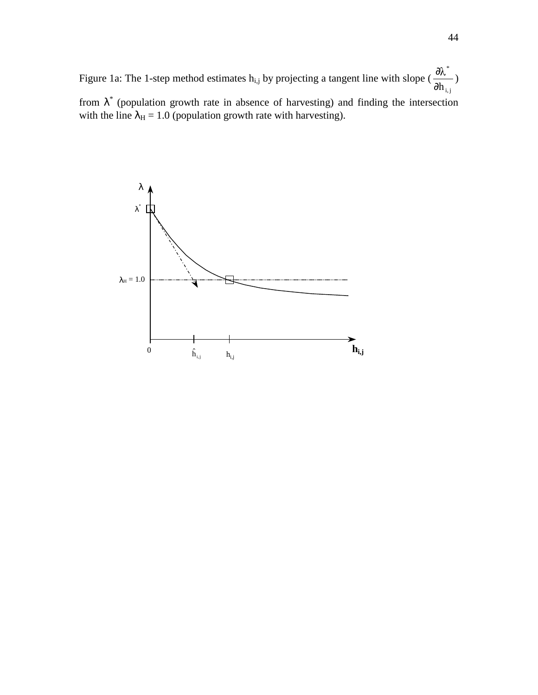Figure 1a: The 1-step method estimates  $h_{i,j}$  by projecting a tangent line with slope ( i, j \* ∂h  $\frac{\partial \lambda^*}{\partial \lambda^*}$ from  $\lambda^*$  (population growth rate in absence of harvesting) and finding the intersection with the line  $\lambda_H = 1.0$  (population growth rate with harvesting).

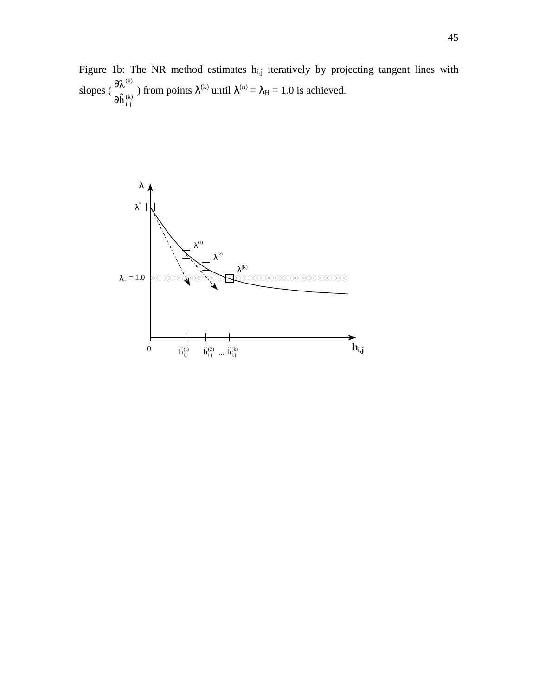Figure 1b: The NR method estimates  $h_{i,j}$  iteratively by projecting tangent lines with slopes  $(\frac{6}{\lambda} \hat{h}^{(k)})$ i, j (k)  $\partial \hat{\textbf{h}}$  $\frac{\partial \lambda^{(k)}}{\partial \hat{\lambda}^{(k)}}$ ) from points  $\lambda^{(k)}$  until  $\lambda^{(n)} = \lambda_H = 1.0$  is achieved.

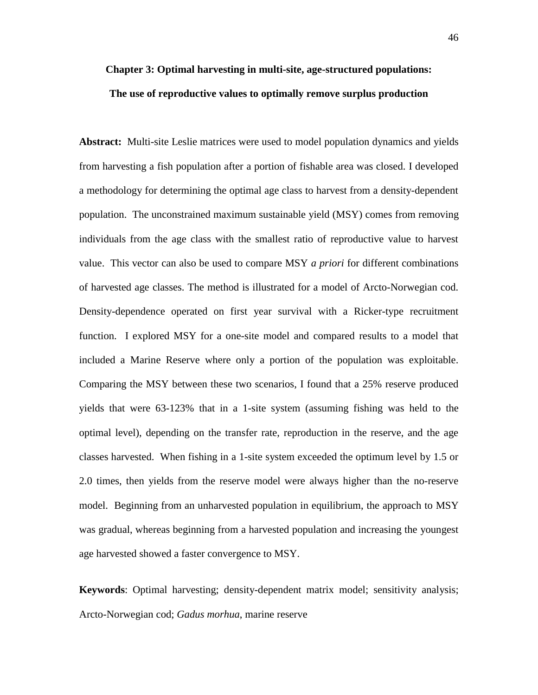# **Chapter 3: Optimal harvesting in multi-site, age-structured populations: The use of reproductive values to optimally remove surplus production**

**Abstract:** Multi-site Leslie matrices were used to model population dynamics and yields from harvesting a fish population after a portion of fishable area was closed. I developed a methodology for determining the optimal age class to harvest from a density-dependent population. The unconstrained maximum sustainable yield (MSY) comes from removing individuals from the age class with the smallest ratio of reproductive value to harvest value. This vector can also be used to compare MSY *a priori* for different combinations of harvested age classes. The method is illustrated for a model of Arcto-Norwegian cod. Density-dependence operated on first year survival with a Ricker-type recruitment function. I explored MSY for a one-site model and compared results to a model that included a Marine Reserve where only a portion of the population was exploitable. Comparing the MSY between these two scenarios, I found that a 25% reserve produced yields that were 63-123% that in a 1-site system (assuming fishing was held to the optimal level), depending on the transfer rate, reproduction in the reserve, and the age classes harvested. When fishing in a 1-site system exceeded the optimum level by 1.5 or 2.0 times, then yields from the reserve model were always higher than the no-reserve model. Beginning from an unharvested population in equilibrium, the approach to MSY was gradual, whereas beginning from a harvested population and increasing the youngest age harvested showed a faster convergence to MSY.

**Keywords**: Optimal harvesting; density-dependent matrix model; sensitivity analysis; Arcto-Norwegian cod; *Gadus morhua*, marine reserve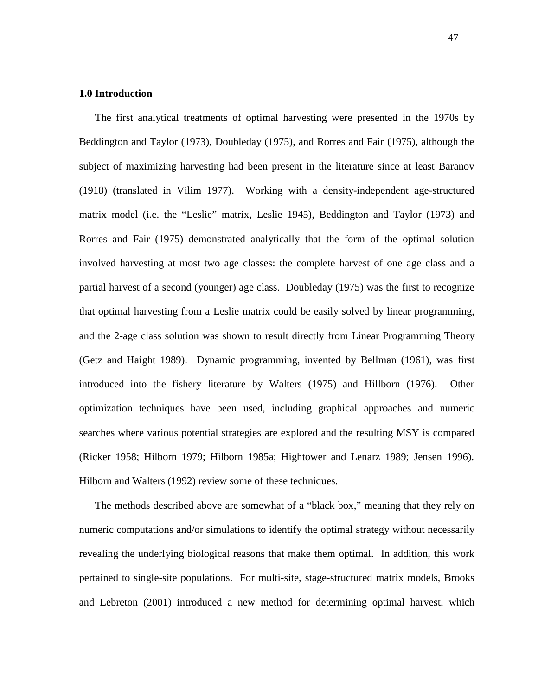# **1.0 Introduction**

The first analytical treatments of optimal harvesting were presented in the 1970s by Beddington and Taylor (1973), Doubleday (1975), and Rorres and Fair (1975), although the subject of maximizing harvesting had been present in the literature since at least Baranov (1918) (translated in Vilim 1977). Working with a density-independent age-structured matrix model (i.e. the "Leslie" matrix, Leslie 1945), Beddington and Taylor (1973) and Rorres and Fair (1975) demonstrated analytically that the form of the optimal solution involved harvesting at most two age classes: the complete harvest of one age class and a partial harvest of a second (younger) age class. Doubleday (1975) was the first to recognize that optimal harvesting from a Leslie matrix could be easily solved by linear programming, and the 2-age class solution was shown to result directly from Linear Programming Theory (Getz and Haight 1989). Dynamic programming, invented by Bellman (1961), was first introduced into the fishery literature by Walters (1975) and Hillborn (1976). Other optimization techniques have been used, including graphical approaches and numeric searches where various potential strategies are explored and the resulting MSY is compared (Ricker 1958; Hilborn 1979; Hilborn 1985a; Hightower and Lenarz 1989; Jensen 1996). Hilborn and Walters (1992) review some of these techniques.

The methods described above are somewhat of a "black box," meaning that they rely on numeric computations and/or simulations to identify the optimal strategy without necessarily revealing the underlying biological reasons that make them optimal. In addition, this work pertained to single-site populations. For multi-site, stage-structured matrix models, Brooks and Lebreton (2001) introduced a new method for determining optimal harvest, which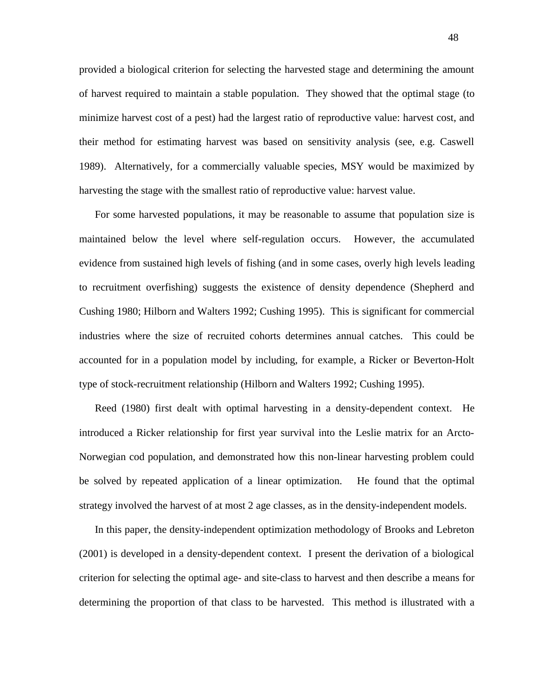provided a biological criterion for selecting the harvested stage and determining the amount of harvest required to maintain a stable population. They showed that the optimal stage (to minimize harvest cost of a pest) had the largest ratio of reproductive value: harvest cost, and their method for estimating harvest was based on sensitivity analysis (see, e.g. Caswell 1989). Alternatively, for a commercially valuable species, MSY would be maximized by harvesting the stage with the smallest ratio of reproductive value: harvest value.

For some harvested populations, it may be reasonable to assume that population size is maintained below the level where self-regulation occurs. However, the accumulated evidence from sustained high levels of fishing (and in some cases, overly high levels leading to recruitment overfishing) suggests the existence of density dependence (Shepherd and Cushing 1980; Hilborn and Walters 1992; Cushing 1995). This is significant for commercial industries where the size of recruited cohorts determines annual catches. This could be accounted for in a population model by including, for example, a Ricker or Beverton-Holt type of stock-recruitment relationship (Hilborn and Walters 1992; Cushing 1995).

Reed (1980) first dealt with optimal harvesting in a density-dependent context. He introduced a Ricker relationship for first year survival into the Leslie matrix for an Arcto-Norwegian cod population, and demonstrated how this non-linear harvesting problem could be solved by repeated application of a linear optimization. He found that the optimal strategy involved the harvest of at most 2 age classes, as in the density-independent models.

In this paper, the density-independent optimization methodology of Brooks and Lebreton (2001) is developed in a density-dependent context. I present the derivation of a biological criterion for selecting the optimal age- and site-class to harvest and then describe a means for determining the proportion of that class to be harvested. This method is illustrated with a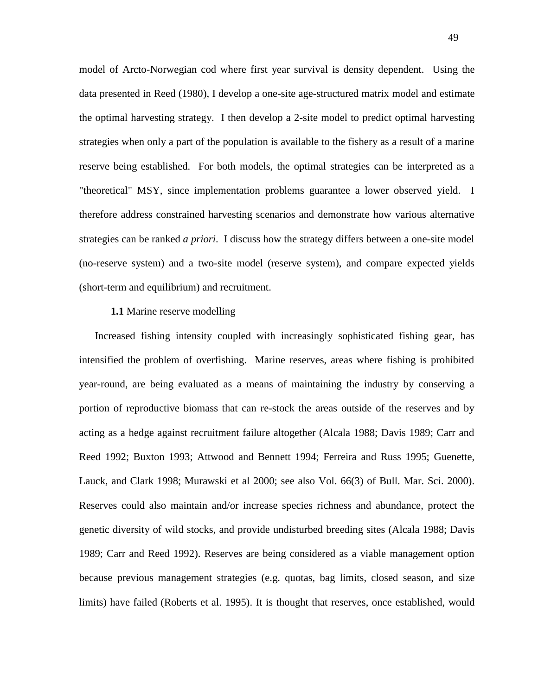model of Arcto-Norwegian cod where first year survival is density dependent. Using the data presented in Reed (1980), I develop a one-site age-structured matrix model and estimate the optimal harvesting strategy. I then develop a 2-site model to predict optimal harvesting strategies when only a part of the population is available to the fishery as a result of a marine reserve being established. For both models, the optimal strategies can be interpreted as a "theoretical" MSY, since implementation problems guarantee a lower observed yield. I therefore address constrained harvesting scenarios and demonstrate how various alternative strategies can be ranked *a priori*. I discuss how the strategy differs between a one-site model (no-reserve system) and a two-site model (reserve system), and compare expected yields (short-term and equilibrium) and recruitment.

### **1.1** Marine reserve modelling

Increased fishing intensity coupled with increasingly sophisticated fishing gear, has intensified the problem of overfishing. Marine reserves, areas where fishing is prohibited year-round, are being evaluated as a means of maintaining the industry by conserving a portion of reproductive biomass that can re-stock the areas outside of the reserves and by acting as a hedge against recruitment failure altogether (Alcala 1988; Davis 1989; Carr and Reed 1992; Buxton 1993; Attwood and Bennett 1994; Ferreira and Russ 1995; Guenette, Lauck, and Clark 1998; Murawski et al 2000; see also Vol. 66(3) of Bull. Mar. Sci. 2000). Reserves could also maintain and/or increase species richness and abundance, protect the genetic diversity of wild stocks, and provide undisturbed breeding sites (Alcala 1988; Davis 1989; Carr and Reed 1992). Reserves are being considered as a viable management option because previous management strategies (e.g. quotas, bag limits, closed season, and size limits) have failed (Roberts et al. 1995). It is thought that reserves, once established, would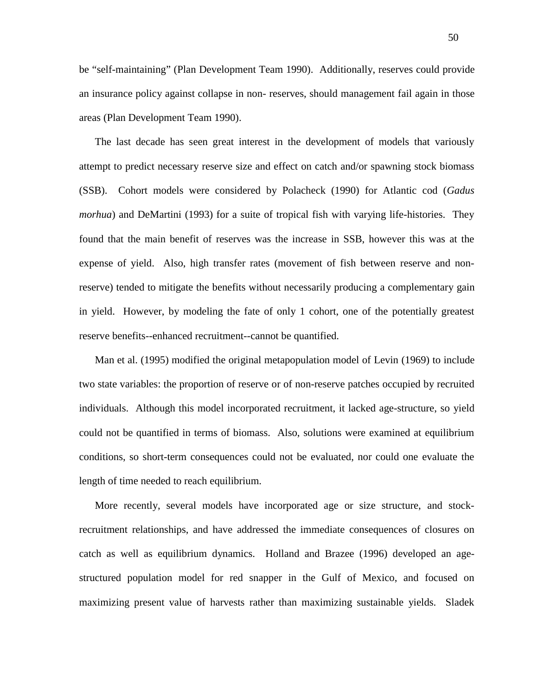be "self-maintaining" (Plan Development Team 1990). Additionally, reserves could provide an insurance policy against collapse in non- reserves, should management fail again in those areas (Plan Development Team 1990).

The last decade has seen great interest in the development of models that variously attempt to predict necessary reserve size and effect on catch and/or spawning stock biomass (SSB). Cohort models were considered by Polacheck (1990) for Atlantic cod (*Gadus morhua*) and DeMartini (1993) for a suite of tropical fish with varying life-histories. They found that the main benefit of reserves was the increase in SSB, however this was at the expense of yield. Also, high transfer rates (movement of fish between reserve and nonreserve) tended to mitigate the benefits without necessarily producing a complementary gain in yield. However, by modeling the fate of only 1 cohort, one of the potentially greatest reserve benefits--enhanced recruitment--cannot be quantified.

Man et al. (1995) modified the original metapopulation model of Levin (1969) to include two state variables: the proportion of reserve or of non-reserve patches occupied by recruited individuals. Although this model incorporated recruitment, it lacked age-structure, so yield could not be quantified in terms of biomass. Also, solutions were examined at equilibrium conditions, so short-term consequences could not be evaluated, nor could one evaluate the length of time needed to reach equilibrium.

More recently, several models have incorporated age or size structure, and stockrecruitment relationships, and have addressed the immediate consequences of closures on catch as well as equilibrium dynamics. Holland and Brazee (1996) developed an agestructured population model for red snapper in the Gulf of Mexico, and focused on maximizing present value of harvests rather than maximizing sustainable yields. Sladek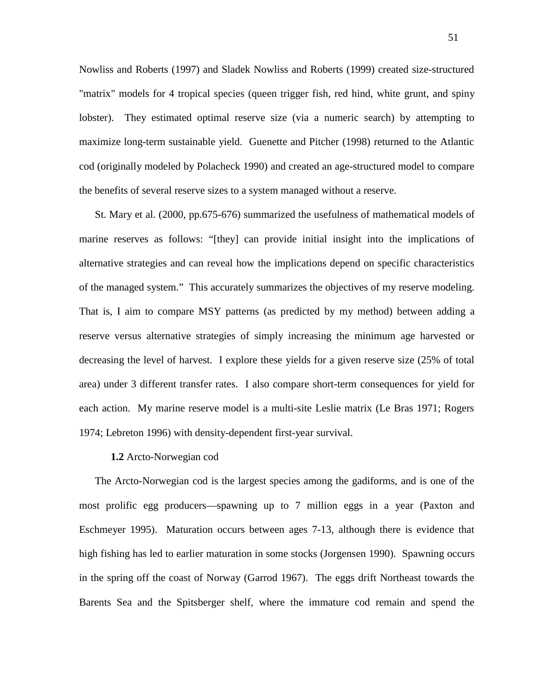Nowliss and Roberts (1997) and Sladek Nowliss and Roberts (1999) created size-structured "matrix" models for 4 tropical species (queen trigger fish, red hind, white grunt, and spiny lobster). They estimated optimal reserve size (via a numeric search) by attempting to maximize long-term sustainable yield. Guenette and Pitcher (1998) returned to the Atlantic cod (originally modeled by Polacheck 1990) and created an age-structured model to compare the benefits of several reserve sizes to a system managed without a reserve.

St. Mary et al. (2000, pp.675-676) summarized the usefulness of mathematical models of marine reserves as follows: "[they] can provide initial insight into the implications of alternative strategies and can reveal how the implications depend on specific characteristics of the managed system." This accurately summarizes the objectives of my reserve modeling. That is, I aim to compare MSY patterns (as predicted by my method) between adding a reserve versus alternative strategies of simply increasing the minimum age harvested or decreasing the level of harvest. I explore these yields for a given reserve size (25% of total area) under 3 different transfer rates. I also compare short-term consequences for yield for each action. My marine reserve model is a multi-site Leslie matrix (Le Bras 1971; Rogers 1974; Lebreton 1996) with density-dependent first-year survival.

#### **1.2** Arcto-Norwegian cod

The Arcto-Norwegian cod is the largest species among the gadiforms, and is one of the most prolific egg producers—spawning up to 7 million eggs in a year (Paxton and Eschmeyer 1995). Maturation occurs between ages 7-13, although there is evidence that high fishing has led to earlier maturation in some stocks (Jorgensen 1990). Spawning occurs in the spring off the coast of Norway (Garrod 1967). The eggs drift Northeast towards the Barents Sea and the Spitsberger shelf, where the immature cod remain and spend the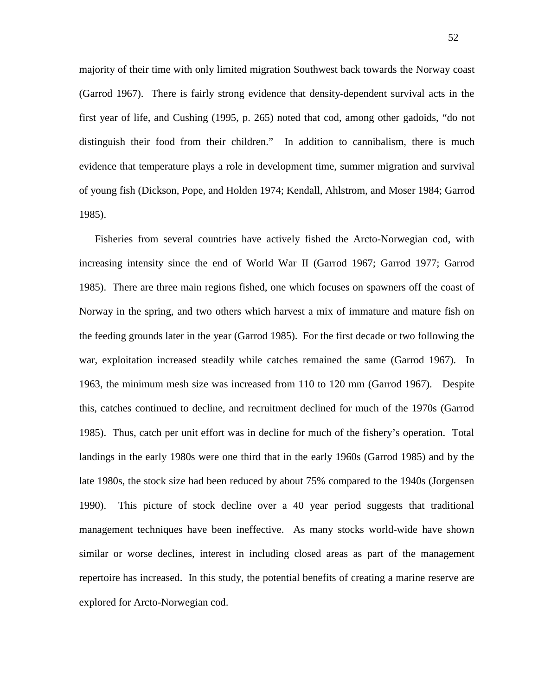majority of their time with only limited migration Southwest back towards the Norway coast (Garrod 1967). There is fairly strong evidence that density-dependent survival acts in the first year of life, and Cushing (1995, p. 265) noted that cod, among other gadoids, "do not distinguish their food from their children." In addition to cannibalism, there is much evidence that temperature plays a role in development time, summer migration and survival of young fish (Dickson, Pope, and Holden 1974; Kendall, Ahlstrom, and Moser 1984; Garrod 1985).

Fisheries from several countries have actively fished the Arcto-Norwegian cod, with increasing intensity since the end of World War II (Garrod 1967; Garrod 1977; Garrod 1985). There are three main regions fished, one which focuses on spawners off the coast of Norway in the spring, and two others which harvest a mix of immature and mature fish on the feeding grounds later in the year (Garrod 1985). For the first decade or two following the war, exploitation increased steadily while catches remained the same (Garrod 1967). In 1963, the minimum mesh size was increased from 110 to 120 mm (Garrod 1967). Despite this, catches continued to decline, and recruitment declined for much of the 1970s (Garrod 1985). Thus, catch per unit effort was in decline for much of the fishery's operation. Total landings in the early 1980s were one third that in the early 1960s (Garrod 1985) and by the late 1980s, the stock size had been reduced by about 75% compared to the 1940s (Jorgensen 1990). This picture of stock decline over a 40 year period suggests that traditional management techniques have been ineffective. As many stocks world-wide have shown similar or worse declines, interest in including closed areas as part of the management repertoire has increased. In this study, the potential benefits of creating a marine reserve are explored for Arcto-Norwegian cod.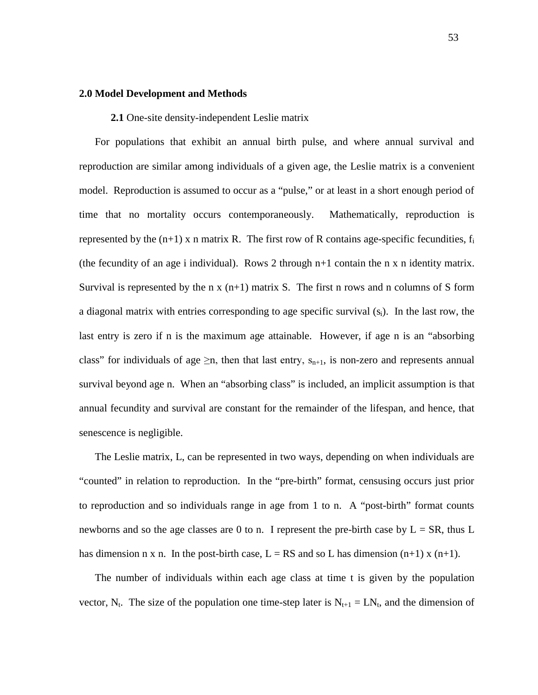# **2.0 Model Development and Methods**

**2.1** One-site density-independent Leslie matrix

For populations that exhibit an annual birth pulse, and where annual survival and reproduction are similar among individuals of a given age, the Leslie matrix is a convenient model. Reproduction is assumed to occur as a "pulse," or at least in a short enough period of time that no mortality occurs contemporaneously. Mathematically, reproduction is represented by the  $(n+1)$  x n matrix R. The first row of R contains age-specific fecundities,  $f_i$ (the fecundity of an age i individual). Rows 2 through  $n+1$  contain the n x n identity matrix. Survival is represented by the n  $x(n+1)$  matrix S. The first n rows and n columns of S form a diagonal matrix with entries corresponding to age specific survival  $(s_i)$ . In the last row, the last entry is zero if n is the maximum age attainable. However, if age n is an "absorbing class" for individuals of age  $\geq n$ , then that last entry,  $s_{n+1}$ , is non-zero and represents annual survival beyond age n. When an "absorbing class" is included, an implicit assumption is that annual fecundity and survival are constant for the remainder of the lifespan, and hence, that senescence is negligible.

The Leslie matrix, L, can be represented in two ways, depending on when individuals are "counted" in relation to reproduction. In the "pre-birth" format, censusing occurs just prior to reproduction and so individuals range in age from 1 to n. A "post-birth" format counts newborns and so the age classes are 0 to n. I represent the pre-birth case by  $L = SR$ , thus L has dimension n x n. In the post-birth case,  $L = RS$  and so L has dimension  $(n+1)$  x  $(n+1)$ .

The number of individuals within each age class at time t is given by the population vector, N<sub>t</sub>. The size of the population one time-step later is  $N_{t+1} = LN_t$ , and the dimension of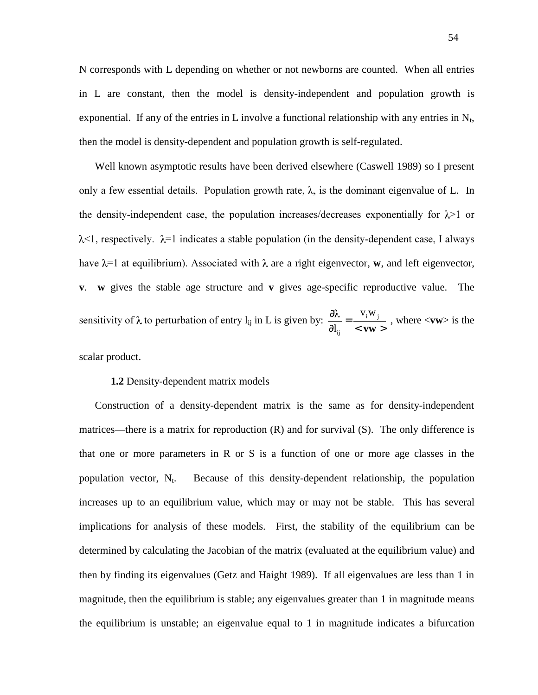N corresponds with L depending on whether or not newborns are counted. When all entries in L are constant, then the model is density-independent and population growth is exponential. If any of the entries in L involve a functional relationship with any entries in  $N_t$ , then the model is density-dependent and population growth is self-regulated.

Well known asymptotic results have been derived elsewhere (Caswell 1989) so I present only a few essential details. Population growth rate,  $\lambda$ , is the dominant eigenvalue of L. In the density-independent case, the population increases/decreases exponentially for  $\lambda$  or  $\lambda$ <1, respectively.  $\lambda$ =1 indicates a stable population (in the density-dependent case, I always have  $\lambda$ =1 at equilibrium). Associated with  $\lambda$  are a right eigenvector, **w**, and left eigenvector, **v**. **w** gives the stable age structure and **v** gives age-specific reproductive value. The sensitivity of  $\lambda$  to perturbation of entry  $l_{ij}$  in L is given by:  $\frac{\partial \lambda}{\partial l_{ii}} = \frac{v_i w_j}{\langle \mathbf{w} \rangle}$ **vw** i <sup>vv</sup> j ij  $V_i W$  $\frac{N}{l_{ii}} = \frac{1}{1 + l_{ii}}$  , where <**vw**> is the

scalar product.

# **1.2** Density-dependent matrix models

Construction of a density-dependent matrix is the same as for density-independent matrices—there is a matrix for reproduction (R) and for survival (S). The only difference is that one or more parameters in R or S is a function of one or more age classes in the population vector,  $N_t$ . Because of this density-dependent relationship, the population increases up to an equilibrium value, which may or may not be stable. This has several implications for analysis of these models. First, the stability of the equilibrium can be determined by calculating the Jacobian of the matrix (evaluated at the equilibrium value) and then by finding its eigenvalues (Getz and Haight 1989). If all eigenvalues are less than 1 in magnitude, then the equilibrium is stable; any eigenvalues greater than 1 in magnitude means the equilibrium is unstable; an eigenvalue equal to 1 in magnitude indicates a bifurcation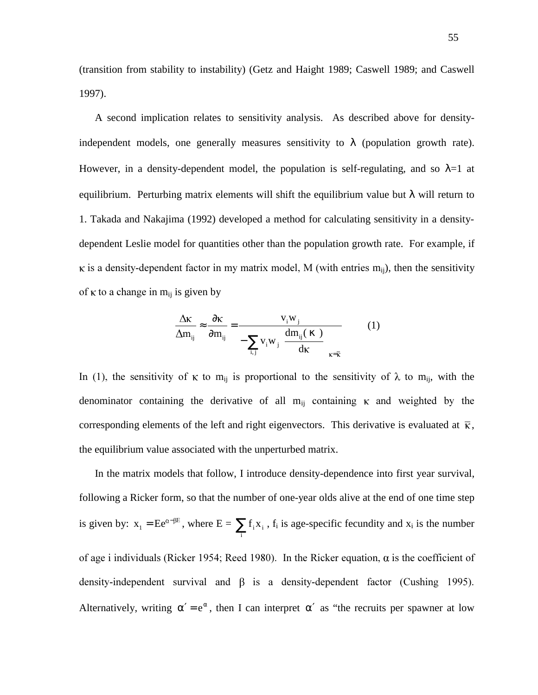(transition from stability to instability) (Getz and Haight 1989; Caswell 1989; and Caswell 1997).

A second implication relates to sensitivity analysis. As described above for densityindependent models, one generally measures sensitivity to  $\lambda$  (population growth rate). However, in a density-dependent model, the population is self-regulating, and so  $\lambda=1$  at equilibrium. Perturbing matrix elements will shift the equilibrium value but  $\lambda$  will return to 1. Takada and Nakajima (1992) developed a method for calculating sensitivity in a densitydependent Leslie model for quantities other than the population growth rate. For example, if  $\kappa$  is a density-dependent factor in my matrix model, M (with entries  $m_{ii}$ ), then the sensitivity of  $\kappa$  to a change in m<sub>ij</sub> is given by

$$
\frac{\Delta \kappa}{\Delta m_{ij}} \approx \frac{\partial \kappa}{\partial m_{ij}} = \frac{v_i w_j}{-\sum_{i,j} v_i w_j \left[\frac{dm_{ij}(\kappa)}{dk}\right]_{\kappa = \bar{\kappa}}}
$$
(1)

In (1), the sensitivity of  $\kappa$  to m<sub>ij</sub> is proportional to the sensitivity of  $\lambda$  to m<sub>ij</sub>, with the denominator containing the derivative of all  $m_{ij}$  containing  $\kappa$  and weighted by the corresponding elements of the left and right eigenvectors. This derivative is evaluated at  $\bar{\kappa}$ , the equilibrium value associated with the unperturbed matrix.

In the matrix models that follow, I introduce density-dependence into first year survival, following a Ricker form, so that the number of one-year olds alive at the end of one time step is given by:  $x_1 = Ee^{\alpha - \beta E}$ , where  $E = \sum_i$  $f_i x_i$ ,  $f_i$  is age-specific fecundity and  $x_i$  is the number of age i individuals (Ricker 1954; Reed 1980). In the Ricker equation,  $\alpha$  is the coefficient of density-independent survival and  $\beta$  is a density-dependent factor (Cushing 1995). Alternatively, writing  $\alpha' = e^{\alpha}$ , then I can interpret  $\alpha'$  as "the recruits per spawner at low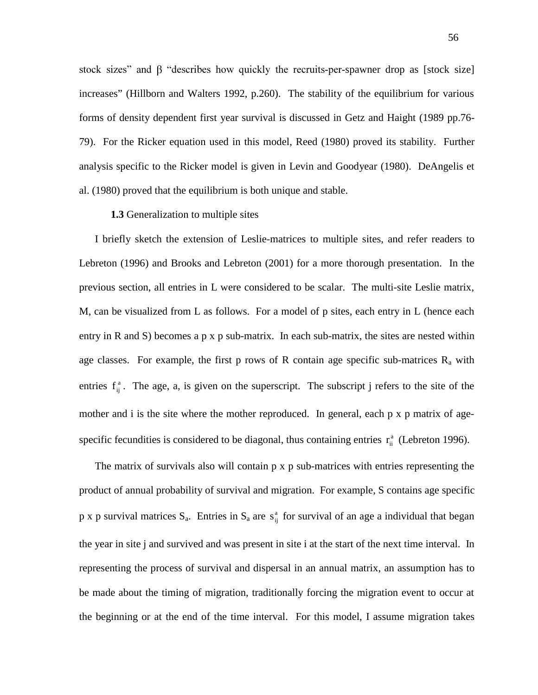stock sizes" and  $\beta$  "describes how quickly the recruits-per-spawner drop as [stock size] increases" (Hillborn and Walters 1992, p.260). The stability of the equilibrium for various forms of density dependent first year survival is discussed in Getz and Haight (1989 pp.76- 79). For the Ricker equation used in this model, Reed (1980) proved its stability. Further analysis specific to the Ricker model is given in Levin and Goodyear (1980). DeAngelis et al. (1980) proved that the equilibrium is both unique and stable.

#### **1.3** Generalization to multiple sites

I briefly sketch the extension of Leslie-matrices to multiple sites, and refer readers to Lebreton (1996) and Brooks and Lebreton (2001) for a more thorough presentation. In the previous section, all entries in L were considered to be scalar. The multi-site Leslie matrix, M, can be visualized from L as follows. For a model of p sites, each entry in L (hence each entry in R and S) becomes a p x p sub-matrix. In each sub-matrix, the sites are nested within age classes. For example, the first p rows of R contain age specific sub-matrices  $R_a$  with entries  $f_{ij}^a$ . The age, a, is given on the superscript. The subscript j refers to the site of the mother and i is the site where the mother reproduced. In general, each p x p matrix of agespecific fecundities is considered to be diagonal, thus containing entries  $r_{ii}^{a}$  (Lebreton 1996).

The matrix of survivals also will contain p x p sub-matrices with entries representing the product of annual probability of survival and migration. For example, S contains age specific p x p survival matrices  $S_a$ . Entries in  $S_a$  are  $s_{ij}^a$  for survival of an age a individual that began the year in site j and survived and was present in site i at the start of the next time interval. In representing the process of survival and dispersal in an annual matrix, an assumption has to be made about the timing of migration, traditionally forcing the migration event to occur at the beginning or at the end of the time interval. For this model, I assume migration takes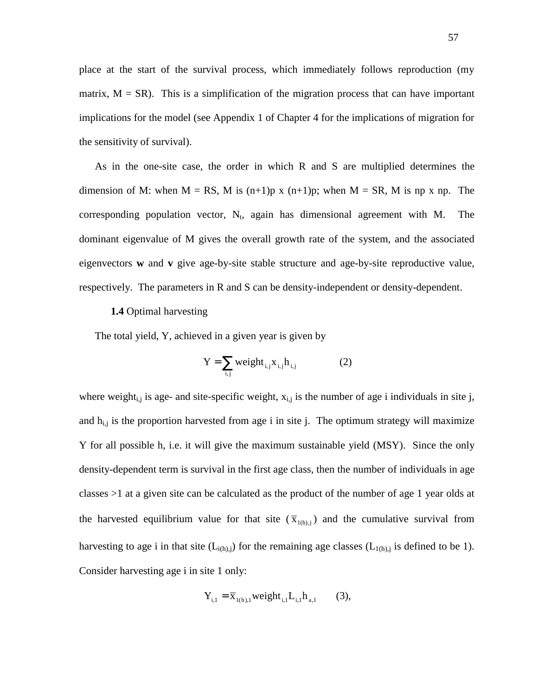place at the start of the survival process, which immediately follows reproduction (my matrix,  $M = SR$ ). This is a simplification of the migration process that can have important implications for the model (see Appendix 1 of Chapter 4 for the implications of migration for the sensitivity of survival).

As in the one-site case, the order in which R and S are multiplied determines the dimension of M: when  $M = RS$ , M is  $(n+1)p$  x  $(n+1)p$ ; when  $M = SR$ , M is np x np. The corresponding population vector,  $N_t$ , again has dimensional agreement with M. The dominant eigenvalue of M gives the overall growth rate of the system, and the associated eigenvectors **w** and **v** give age-by-site stable structure and age-by-site reproductive value, respectively. The parameters in R and S can be density-independent or density-dependent.

# **1.4** Optimal harvesting

The total yield, Y, achieved in a given year is given by

$$
Y = \sum_{i,j} weight_{i,j} x_{i,j} h_{i,j}
$$
 (2)

where weight<sub>i,j</sub> is age- and site-specific weight,  $x_{i,j}$  is the number of age i individuals in site j, and  $h_{i,j}$  is the proportion harvested from age i in site j. The optimum strategy will maximize Y for all possible h, i.e. it will give the maximum sustainable yield (MSY). Since the only density-dependent term is survival in the first age class, then the number of individuals in age classes >1 at a given site can be calculated as the product of the number of age 1 year olds at the harvested equilibrium value for that site  $(\overline{x}_{(0),i})$  and the cumulative survival from harvesting to age i in that site  $(L_{i(h),j})$  for the remaining age classes  $(L_{1(h),j})$  is defined to be 1). Consider harvesting age i in site 1 only:

$$
Y_{i,1} = \overline{X}_{1(h),1} weight_{i,1} L_{i,1} h_{a,1} \qquad (3),
$$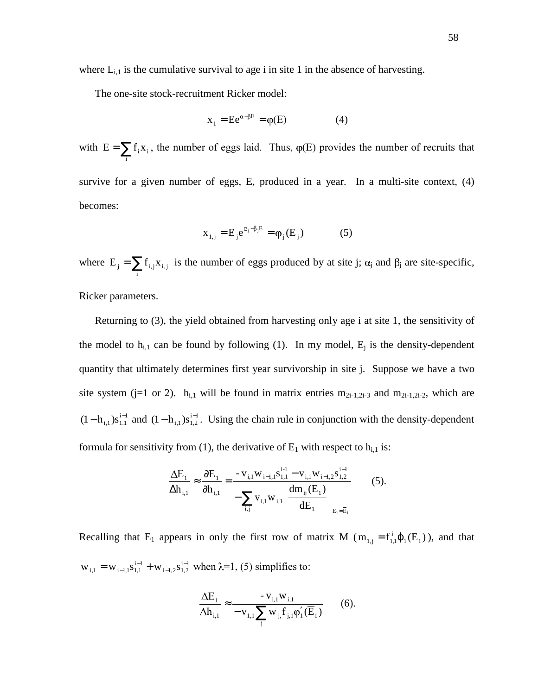where  $L_{i,1}$  is the cumulative survival to age i in site 1 in the absence of harvesting.

The one-site stock-recruitment Ricker model:

$$
x_1 = E e^{\alpha - \beta E} = \varphi(E) \tag{4}
$$

with  $E = \sum f_i x_i$  $E = \sum_i f_i x_i$ , the number of eggs laid. Thus,  $\varphi(E)$  provides the number of recruits that survive for a given number of eggs, E, produced in a year. In a multi-site context, (4) becomes:

$$
x_{1,j} = E_j e^{\alpha_j - \beta_j E} = \varphi_j(E_j)
$$
 (5)

where  $E_j = \sum_i$  $E_j = \sum f_{i,j} x_{i,j}$  is the number of eggs produced by at site j;  $\alpha_j$  and  $\beta_j$  are site-specific,

Ricker parameters.

Returning to (3), the yield obtained from harvesting only age i at site 1, the sensitivity of the model to  $h_{i,1}$  can be found by following (1). In my model,  $E_i$  is the density-dependent quantity that ultimately determines first year survivorship in site j. Suppose we have a two site system (j=1 or 2).  $h_{i,1}$  will be found in matrix entries  $m_{2i-1,2i-3}$  and  $m_{2i-1,2i-2}$ , which are  $(1-h_{i,1})s_{1,1}^{i-1}$  and  $(1-h_{i,1})s_{1,2}^{i-1}$ . Using the chain rule in conjunction with the density-dependent formula for sensitivity from (1), the derivative of  $E_1$  with respect to  $h_{i,1}$  is:

$$
\frac{\Delta E_1}{\Delta h_{i,1}} \approx \frac{\partial E_1}{\partial h_{i,1}} = \frac{-v_{i,1}w_{i-1,1}s_{1,1}^{i-1} - v_{i,1}w_{i-1,2}s_{1,2}^{i-1}}{-\sum_{i,j} v_{i,1}w_{i,1} \left[\frac{dm_{ij}(E_1)}{dE_1}\right]_{E_1 = \overline{E}_1}}
$$
(5).

Recalling that E<sub>1</sub> appears in only the first row of matrix M ( $m_{1,j} = f_{1,1}^{i} \phi_1(E_1)$ ), and that  $i - 1$  $i-1, 2$ <sup>3</sup> $1, 2$  $W_{i,1} = W_{i-1,1} S_{1,1}^{i-1} + W_{i-1,2} S_{1,2}^{i-1}$  when  $\lambda = 1$ , (5) simplifies to:

$$
\frac{\Delta E_1}{\Delta h_{i,1}} \approx \frac{-v_{i,1}w_{i,1}}{-v_{1,1}\sum_j w_{j,1}f_{j,1}\phi'_1(\overline{E}_1)}
$$
(6).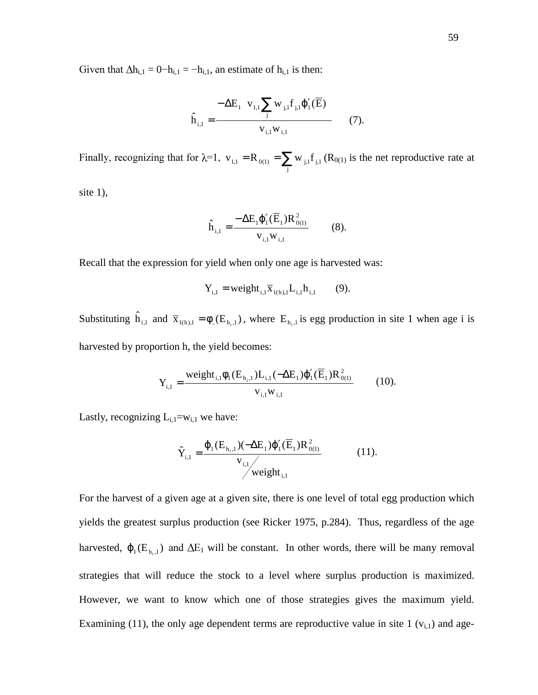Given that  $\Delta h_{i,1} = 0 - h_{i,1} = -h_{i,1}$ , an estimate of  $h_{i,1}$  is then:

$$
\hat{h}_{i,1} = \frac{-\Delta E_1 \left( v_{1,1} \sum_j w_{j,1} f_{j,1} \phi'_1(\overline{E}) \right)}{v_{i,1} w_{i,1}} \tag{7}.
$$

Finally, recognizing that for  $\lambda=1$ ,  $v_{1,1} = R_{0(1)} = \sum_j$  $v_{1,1} = R_{0(1)} = \sum w_{j,1} f_{j,1} (R_{0(1)})$  is the net reproductive rate at

site  $1$ ),

$$
\hat{h}_{i,1} = \frac{-\Delta E_1 \phi_1'(\overline{E}_1) R_{0(1)}^2}{v_{i,1} w_{i,1}} \tag{8}.
$$

Recall that the expression for yield when only one age is harvested was:

$$
Y_{i,1} = weight_{i,1} \overline{X}_{1(h),1} L_{i,1} h_{i,1} \qquad (9).
$$

Substituting  $\hat{h}_{i,1}$  and  $\overline{x}_{1(h),1} = \phi_{n}(E_{h_i,1})$ , where  $E_{h_i,1}$  is egg production in site 1 when age i is harvested by proportion h, the yield becomes:

$$
Y_{i,1} = \frac{\text{weight}_{i,1} \phi_1(E_{h_i,1}) L_{i,1}(-\Delta E_1) \phi_1'(\overline{E}_1) R_{0(1)}^2}{v_{i,1} w_{i,1}} \tag{10}.
$$

Lastly, recognizing  $L_{i,1} = w_{i,1}$  we have:

$$
\hat{Y}_{i,1} = \frac{\varphi_1(E_{h_i,1})(-\Delta E_1)\varphi_1'(\overline{E}_1)R_{0(1)}^2}{v_{i,1} / \text{weight}_{i,1}}
$$
(11).

For the harvest of a given age at a given site, there is one level of total egg production which yields the greatest surplus production (see Ricker 1975, p.284). Thus, regardless of the age harvested,  $\varphi_1(E_{h_i,1})$  and  $\Delta E_1$  will be constant. In other words, there will be many removal strategies that will reduce the stock to a level where surplus production is maximized. However, we want to know which one of those strategies gives the maximum yield. Examining (11), the only age dependent terms are reproductive value in site 1  $(v_{i,1})$  and age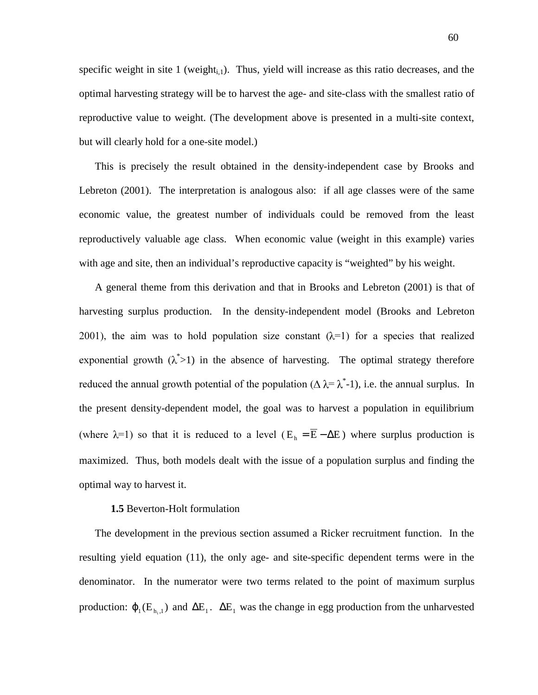specific weight in site 1 (weight<sub>i,1</sub>). Thus, yield will increase as this ratio decreases, and the optimal harvesting strategy will be to harvest the age- and site-class with the smallest ratio of reproductive value to weight. (The development above is presented in a multi-site context, but will clearly hold for a one-site model.)

This is precisely the result obtained in the density-independent case by Brooks and Lebreton (2001). The interpretation is analogous also: if all age classes were of the same economic value, the greatest number of individuals could be removed from the least reproductively valuable age class. When economic value (weight in this example) varies with age and site, then an individual's reproductive capacity is "weighted" by his weight.

A general theme from this derivation and that in Brooks and Lebreton (2001) is that of harvesting surplus production. In the density-independent model (Brooks and Lebreton 2001), the aim was to hold population size constant  $(\lambda=1)$  for a species that realized exponential growth  $(\lambda^* > 1)$  in the absence of harvesting. The optimal strategy therefore reduced the annual growth potential of the population ( $\Delta \lambda = \lambda^*$ -1), i.e. the annual surplus. In the present density-dependent model, the goal was to harvest a population in equilibrium (where  $\lambda=1$ ) so that it is reduced to a level ( $E_h = \overline{E} - \Delta E$ ) where surplus production is maximized. Thus, both models dealt with the issue of a population surplus and finding the optimal way to harvest it.

# **1.5** Beverton-Holt formulation

The development in the previous section assumed a Ricker recruitment function. In the resulting yield equation (11), the only age- and site-specific dependent terms were in the denominator. In the numerator were two terms related to the point of maximum surplus production:  $\varphi_1(E_{h,1})$  and  $\Delta E_1$ .  $\Delta E_1$  was the change in egg production from the unharvested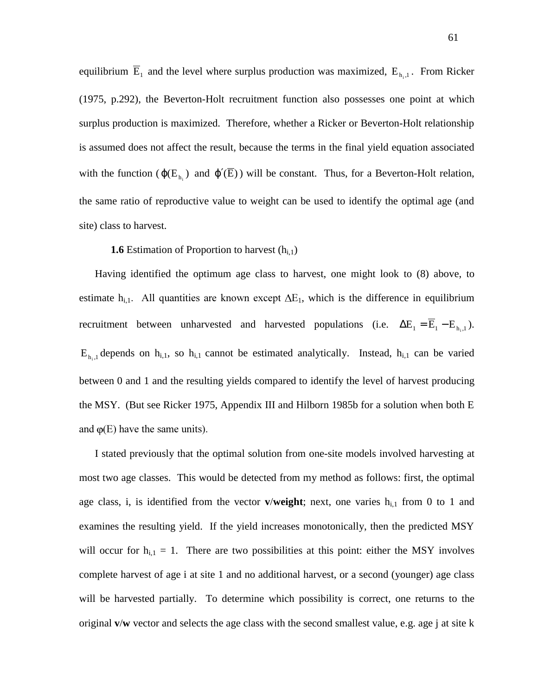equilibrium  $\overline{E}_1$  and the level where surplus production was maximized,  $E_{h,1}$ . From Ricker (1975, p.292), the Beverton-Holt recruitment function also possesses one point at which surplus production is maximized. Therefore, whether a Ricker or Beverton-Holt relationship is assumed does not affect the result, because the terms in the final yield equation associated with the function ( $\varphi(E_{h_i})$  and  $\varphi'(\overline{E})$ ) will be constant. Thus, for a Beverton-Holt relation, the same ratio of reproductive value to weight can be used to identify the optimal age (and site) class to harvest.

#### **1.6** Estimation of Proportion to harvest  $(h_{i,1})$

Having identified the optimum age class to harvest, one might look to (8) above, to estimate h<sub>i,1</sub>. All quantities are known except  $\Delta E_1$ , which is the difference in equilibrium recruitment between unharvested and harvested populations (i.e.  $\Delta E_1 = \overline{E}_1 - E_{h,1}$ ).  $E_{h_i,1}$  depends on  $h_{i,1}$ , so  $h_{i,1}$  cannot be estimated analytically. Instead,  $h_{i,1}$  can be varied between 0 and 1 and the resulting yields compared to identify the level of harvest producing the MSY. (But see Ricker 1975, Appendix III and Hilborn 1985b for a solution when both E and  $\varphi$ (E) have the same units).

I stated previously that the optimal solution from one-site models involved harvesting at most two age classes. This would be detected from my method as follows: first, the optimal age class, i, is identified from the vector  $\mathbf{v}/\mathbf{weight}$ ; next, one varies  $\mathbf{h}_{i,1}$  from 0 to 1 and examines the resulting yield. If the yield increases monotonically, then the predicted MSY will occur for  $h_{i,1} = 1$ . There are two possibilities at this point: either the MSY involves complete harvest of age i at site 1 and no additional harvest, or a second (younger) age class will be harvested partially. To determine which possibility is correct, one returns to the original **v**/**w** vector and selects the age class with the second smallest value, e.g. age j at site k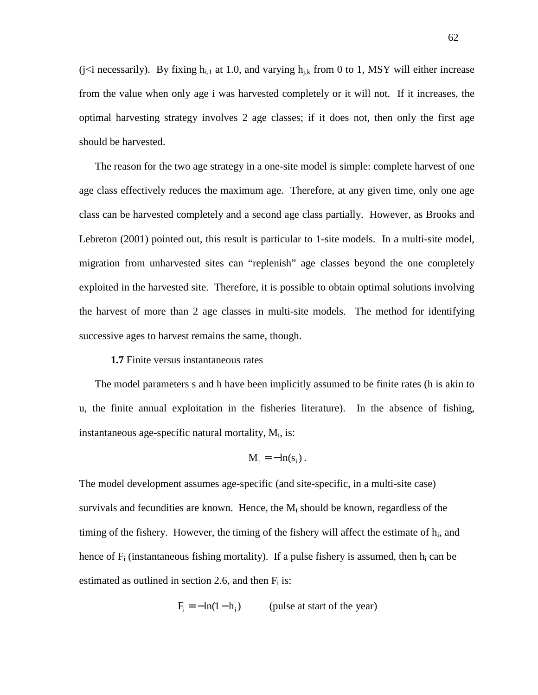(j<i necessarily). By fixing  $h_{i,1}$  at 1.0, and varying  $h_{i,k}$  from 0 to 1, MSY will either increase from the value when only age i was harvested completely or it will not. If it increases, the optimal harvesting strategy involves 2 age classes; if it does not, then only the first age should be harvested.

The reason for the two age strategy in a one-site model is simple: complete harvest of one age class effectively reduces the maximum age. Therefore, at any given time, only one age class can be harvested completely and a second age class partially. However, as Brooks and Lebreton (2001) pointed out, this result is particular to 1-site models. In a multi-site model, migration from unharvested sites can "replenish" age classes beyond the one completely exploited in the harvested site. Therefore, it is possible to obtain optimal solutions involving the harvest of more than 2 age classes in multi-site models. The method for identifying successive ages to harvest remains the same, though.

## **1.7** Finite versus instantaneous rates

The model parameters s and h have been implicitly assumed to be finite rates (h is akin to u, the finite annual exploitation in the fisheries literature). In the absence of fishing, instantaneous age-specific natural mortality,  $M_i$ , is:

$$
M_i = -\ln(s_i) .
$$

The model development assumes age-specific (and site-specific, in a multi-site case) survivals and fecundities are known. Hence, the  $M_i$  should be known, regardless of the timing of the fishery. However, the timing of the fishery will affect the estimate of  $h_i$ , and hence of  $F_i$  (instantaneous fishing mortality). If a pulse fishery is assumed, then  $h_i$  can be estimated as outlined in section 2.6, and then  $F_i$  is:

$$
F_i = -\ln(1 - h_i)
$$
 (pulse at start of the year)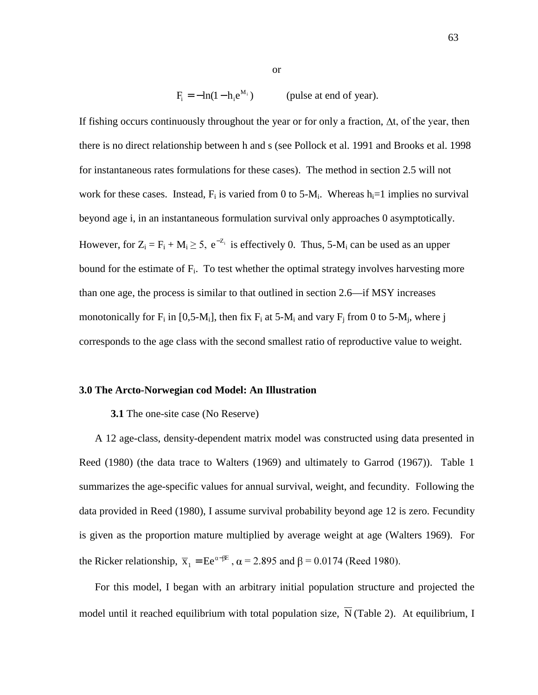$F_i = -\ln(1 - h_i e^{M_i})$ (pulse at end of year).

or

If fishing occurs continuously throughout the year or for only a fraction,  $\Delta t$ , of the year, then there is no direct relationship between h and s (see Pollock et al. 1991 and Brooks et al. 1998 for instantaneous rates formulations for these cases). The method in section 2.5 will not work for these cases. Instead,  $F_i$  is varied from 0 to 5-M<sub>i</sub>. Whereas  $h_i=1$  implies no survival beyond age i, in an instantaneous formulation survival only approaches 0 asymptotically. However, for  $Z_i = F_i + M_i \ge 5$ ,  $e^{-Z_i}$  is effectively 0. Thus, 5-M<sub>i</sub> can be used as an upper bound for the estimate of  $F_i$ . To test whether the optimal strategy involves harvesting more than one age, the process is similar to that outlined in section 2.6—if MSY increases monotonically for  $F_i$  in [0,5-M<sub>i</sub>], then fix  $F_i$  at 5-M<sub>i</sub> and vary  $F_i$  from 0 to 5-M<sub>i</sub>, where j corresponds to the age class with the second smallest ratio of reproductive value to weight.

## **3.0 The Arcto-Norwegian cod Model: An Illustration**

#### **3.1** The one-site case (No Reserve)

A 12 age-class, density-dependent matrix model was constructed using data presented in Reed (1980) (the data trace to Walters (1969) and ultimately to Garrod (1967)). Table 1 summarizes the age-specific values for annual survival, weight, and fecundity. Following the data provided in Reed (1980), I assume survival probability beyond age 12 is zero. Fecundity is given as the proportion mature multiplied by average weight at age (Walters 1969). For the Ricker relationship,  $\bar{x}_1 = Ee^{\alpha-\beta E}$ ,  $\alpha = 2.895$  and  $\beta = 0.0174$  (Reed 1980).

For this model, I began with an arbitrary initial population structure and projected the model until it reached equilibrium with total population size,  $\overline{N}$  (Table 2). At equilibrium, I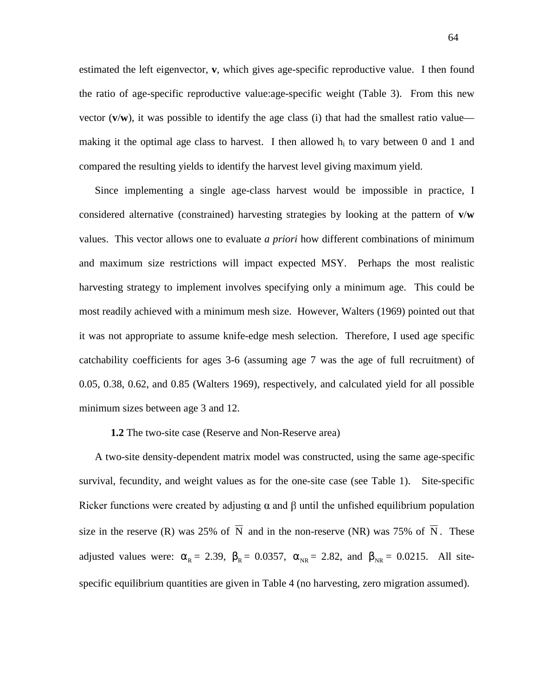estimated the left eigenvector, **v**, which gives age-specific reproductive value. I then found the ratio of age-specific reproductive value:age-specific weight (Table 3). From this new vector  $(v/w)$ , it was possible to identify the age class (i) that had the smallest ratio value making it the optimal age class to harvest. I then allowed  $h_i$  to vary between 0 and 1 and compared the resulting yields to identify the harvest level giving maximum yield.

Since implementing a single age-class harvest would be impossible in practice, I considered alternative (constrained) harvesting strategies by looking at the pattern of **v**/**w** values. This vector allows one to evaluate *a priori* how different combinations of minimum and maximum size restrictions will impact expected MSY. Perhaps the most realistic harvesting strategy to implement involves specifying only a minimum age. This could be most readily achieved with a minimum mesh size. However, Walters (1969) pointed out that it was not appropriate to assume knife-edge mesh selection. Therefore, I used age specific catchability coefficients for ages 3-6 (assuming age 7 was the age of full recruitment) of 0.05, 0.38, 0.62, and 0.85 (Walters 1969), respectively, and calculated yield for all possible minimum sizes between age 3 and 12.

## **1.2** The two-site case (Reserve and Non-Reserve area)

A two-site density-dependent matrix model was constructed, using the same age-specific survival, fecundity, and weight values as for the one-site case (see Table 1). Site-specific Ricker functions were created by adjusting  $\alpha$  and  $\beta$  until the unfished equilibrium population size in the reserve (R) was 25% of  $\overline{N}$  and in the non-reserve (NR) was 75% of  $\overline{N}$ . These adjusted values were:  $\alpha_R = 2.39$ ,  $\beta_R = 0.0357$ ,  $\alpha_{NR} = 2.82$ , and  $\beta_{NR} = 0.0215$ . All sitespecific equilibrium quantities are given in Table 4 (no harvesting, zero migration assumed).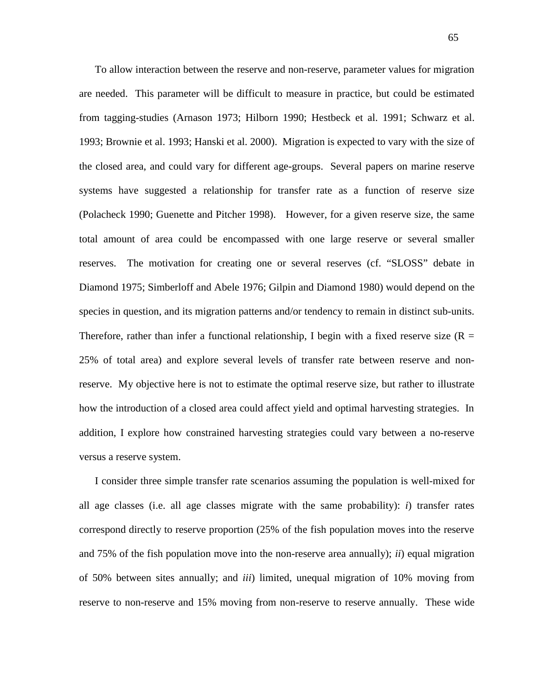To allow interaction between the reserve and non-reserve, parameter values for migration are needed. This parameter will be difficult to measure in practice, but could be estimated from tagging-studies (Arnason 1973; Hilborn 1990; Hestbeck et al. 1991; Schwarz et al. 1993; Brownie et al. 1993; Hanski et al. 2000). Migration is expected to vary with the size of the closed area, and could vary for different age-groups. Several papers on marine reserve systems have suggested a relationship for transfer rate as a function of reserve size (Polacheck 1990; Guenette and Pitcher 1998). However, for a given reserve size, the same total amount of area could be encompassed with one large reserve or several smaller reserves. The motivation for creating one or several reserves (cf. "SLOSS" debate in Diamond 1975; Simberloff and Abele 1976; Gilpin and Diamond 1980) would depend on the species in question, and its migration patterns and/or tendency to remain in distinct sub-units. Therefore, rather than infer a functional relationship, I begin with a fixed reserve size ( $R =$ 25% of total area) and explore several levels of transfer rate between reserve and nonreserve. My objective here is not to estimate the optimal reserve size, but rather to illustrate how the introduction of a closed area could affect yield and optimal harvesting strategies. In addition, I explore how constrained harvesting strategies could vary between a no-reserve versus a reserve system.

I consider three simple transfer rate scenarios assuming the population is well-mixed for all age classes (i.e. all age classes migrate with the same probability):  $i$ ) transfer rates correspond directly to reserve proportion (25% of the fish population moves into the reserve and 75% of the fish population move into the non-reserve area annually); *ii*) equal migration of 50% between sites annually; and *iii*) limited, unequal migration of 10% moving from reserve to non-reserve and 15% moving from non-reserve to reserve annually. These wide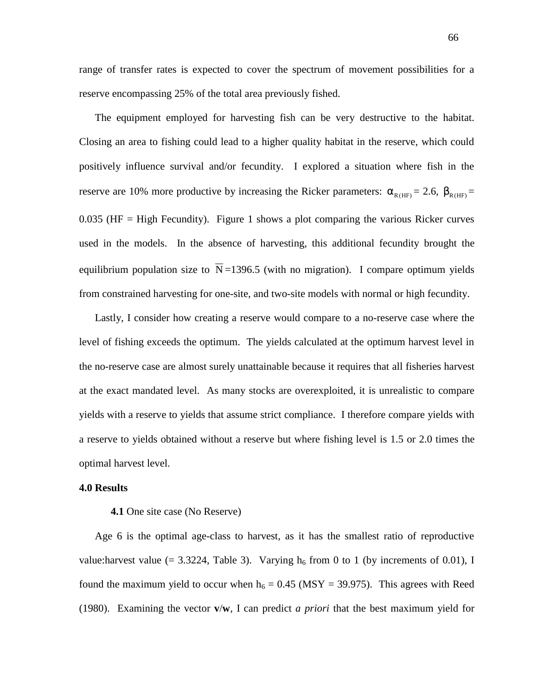range of transfer rates is expected to cover the spectrum of movement possibilities for a reserve encompassing 25% of the total area previously fished.

The equipment employed for harvesting fish can be very destructive to the habitat. Closing an area to fishing could lead to a higher quality habitat in the reserve, which could positively influence survival and/or fecundity. I explored a situation where fish in the reserve are 10% more productive by increasing the Ricker parameters:  $\alpha_{R(HF)} = 2.6$ ,  $\beta_{R(HF)} =$  $0.035$  (HF = High Fecundity). Figure 1 shows a plot comparing the various Ricker curves used in the models. In the absence of harvesting, this additional fecundity brought the equilibrium population size to  $\overline{N}$  =1396.5 (with no migration). I compare optimum yields from constrained harvesting for one-site, and two-site models with normal or high fecundity.

Lastly, I consider how creating a reserve would compare to a no-reserve case where the level of fishing exceeds the optimum. The yields calculated at the optimum harvest level in the no-reserve case are almost surely unattainable because it requires that all fisheries harvest at the exact mandated level. As many stocks are overexploited, it is unrealistic to compare yields with a reserve to yields that assume strict compliance. I therefore compare yields with a reserve to yields obtained without a reserve but where fishing level is 1.5 or 2.0 times the optimal harvest level.

# **4.0 Results**

### **4.1** One site case (No Reserve)

Age 6 is the optimal age-class to harvest, as it has the smallest ratio of reproductive value: harvest value (= 3.3224, Table 3). Varying  $h_6$  from 0 to 1 (by increments of 0.01), I found the maximum yield to occur when  $h_6 = 0.45$  (MSY = 39.975). This agrees with Reed (1980). Examining the vector **v**/**w**, I can predict *a priori* that the best maximum yield for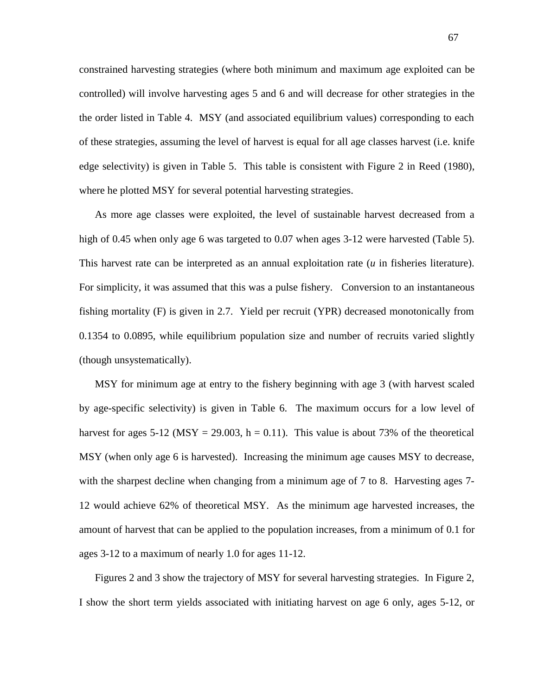constrained harvesting strategies (where both minimum and maximum age exploited can be controlled) will involve harvesting ages 5 and 6 and will decrease for other strategies in the the order listed in Table 4. MSY (and associated equilibrium values) corresponding to each of these strategies, assuming the level of harvest is equal for all age classes harvest (i.e. knife edge selectivity) is given in Table 5. This table is consistent with Figure 2 in Reed (1980), where he plotted MSY for several potential harvesting strategies.

As more age classes were exploited, the level of sustainable harvest decreased from a high of 0.45 when only age 6 was targeted to 0.07 when ages 3-12 were harvested (Table 5). This harvest rate can be interpreted as an annual exploitation rate (*u* in fisheries literature). For simplicity, it was assumed that this was a pulse fishery. Conversion to an instantaneous fishing mortality (F) is given in 2.7. Yield per recruit (YPR) decreased monotonically from 0.1354 to 0.0895, while equilibrium population size and number of recruits varied slightly (though unsystematically).

MSY for minimum age at entry to the fishery beginning with age 3 (with harvest scaled by age-specific selectivity) is given in Table 6. The maximum occurs for a low level of harvest for ages 5-12 (MSY = 29.003, h = 0.11). This value is about 73% of the theoretical MSY (when only age 6 is harvested). Increasing the minimum age causes MSY to decrease, with the sharpest decline when changing from a minimum age of 7 to 8. Harvesting ages 7-12 would achieve 62% of theoretical MSY. As the minimum age harvested increases, the amount of harvest that can be applied to the population increases, from a minimum of 0.1 for ages 3-12 to a maximum of nearly 1.0 for ages 11-12.

Figures 2 and 3 show the trajectory of MSY for several harvesting strategies. In Figure 2, I show the short term yields associated with initiating harvest on age 6 only, ages 5-12, or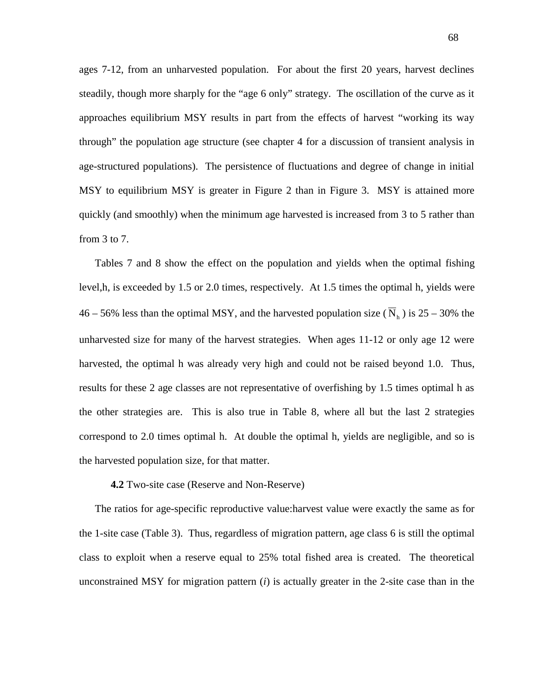ages 7-12, from an unharvested population. For about the first 20 years, harvest declines steadily, though more sharply for the "age 6 only" strategy. The oscillation of the curve as it approaches equilibrium MSY results in part from the effects of harvest "working its way through" the population age structure (see chapter 4 for a discussion of transient analysis in age-structured populations). The persistence of fluctuations and degree of change in initial MSY to equilibrium MSY is greater in Figure 2 than in Figure 3. MSY is attained more quickly (and smoothly) when the minimum age harvested is increased from 3 to 5 rather than from 3 to 7.

Tables 7 and 8 show the effect on the population and yields when the optimal fishing level,h, is exceeded by 1.5 or 2.0 times, respectively. At 1.5 times the optimal h, yields were 46 – 56% less than the optimal MSY, and the harvested population size ( $\overline{N}_h$ ) is 25 – 30% the unharvested size for many of the harvest strategies. When ages 11-12 or only age 12 were harvested, the optimal h was already very high and could not be raised beyond 1.0. Thus, results for these 2 age classes are not representative of overfishing by 1.5 times optimal h as the other strategies are. This is also true in Table 8, where all but the last 2 strategies correspond to 2.0 times optimal h. At double the optimal h, yields are negligible, and so is the harvested population size, for that matter.

# **4.2** Two-site case (Reserve and Non-Reserve)

The ratios for age-specific reproductive value:harvest value were exactly the same as for the 1-site case (Table 3). Thus, regardless of migration pattern, age class 6 is still the optimal class to exploit when a reserve equal to 25% total fished area is created. The theoretical unconstrained MSY for migration pattern (*i*) is actually greater in the 2-site case than in the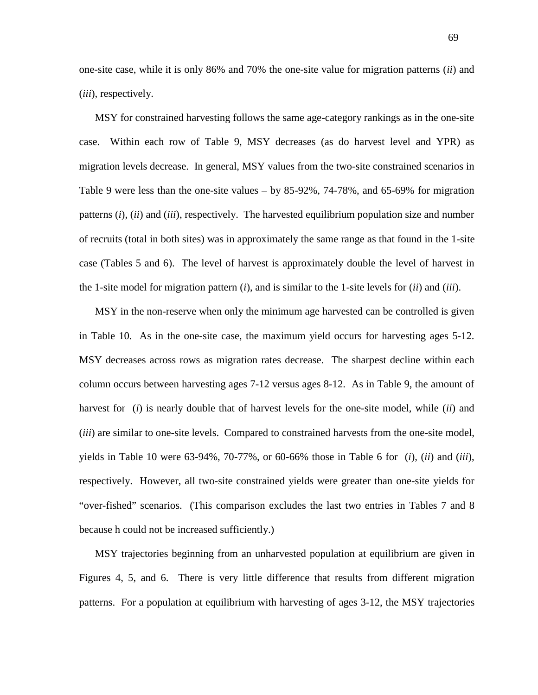one-site case, while it is only 86% and 70% the one-site value for migration patterns (*ii*) and (*iii*), respectively.

MSY for constrained harvesting follows the same age-category rankings as in the one-site case. Within each row of Table 9, MSY decreases (as do harvest level and YPR) as migration levels decrease. In general, MSY values from the two-site constrained scenarios in Table 9 were less than the one-site values – by 85-92%, 74-78%, and 65-69% for migration patterns (*i*), (*ii*) and (*iii*), respectively. The harvested equilibrium population size and number of recruits (total in both sites) was in approximately the same range as that found in the 1-site case (Tables 5 and 6). The level of harvest is approximately double the level of harvest in the 1-site model for migration pattern (*i*), and is similar to the 1-site levels for (*ii*) and (*iii*).

MSY in the non-reserve when only the minimum age harvested can be controlled is given in Table 10. As in the one-site case, the maximum yield occurs for harvesting ages 5-12. MSY decreases across rows as migration rates decrease. The sharpest decline within each column occurs between harvesting ages 7-12 versus ages 8-12. As in Table 9, the amount of harvest for (*i*) is nearly double that of harvest levels for the one-site model, while (*ii*) and (*iii*) are similar to one-site levels. Compared to constrained harvests from the one-site model, yields in Table 10 were 63-94%, 70-77%, or 60-66% those in Table 6 for (*i*), (*ii*) and (*iii*), respectively. However, all two-site constrained yields were greater than one-site yields for "over-fished" scenarios. (This comparison excludes the last two entries in Tables 7 and 8 because h could not be increased sufficiently.)

MSY trajectories beginning from an unharvested population at equilibrium are given in Figures 4, 5, and 6. There is very little difference that results from different migration patterns. For a population at equilibrium with harvesting of ages 3-12, the MSY trajectories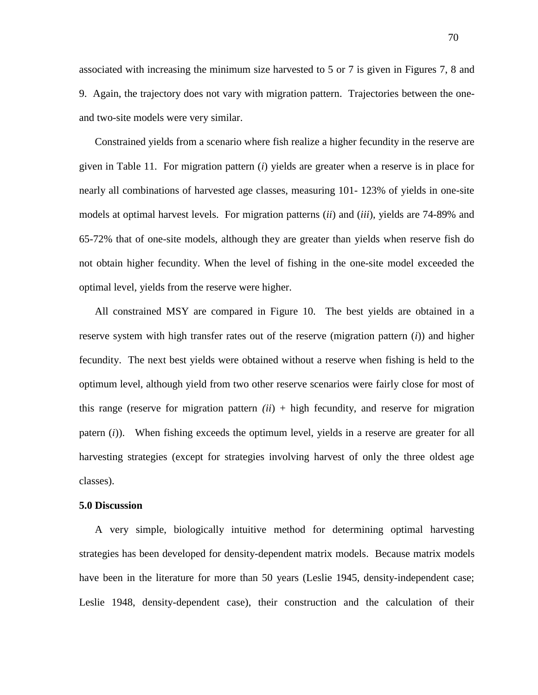associated with increasing the minimum size harvested to 5 or 7 is given in Figures 7, 8 and 9. Again, the trajectory does not vary with migration pattern. Trajectories between the oneand two-site models were very similar.

Constrained yields from a scenario where fish realize a higher fecundity in the reserve are given in Table 11. For migration pattern (*i*) yields are greater when a reserve is in place for nearly all combinations of harvested age classes, measuring 101- 123% of yields in one-site models at optimal harvest levels. For migration patterns (*ii*) and (*iii*), yields are 74-89% and 65-72% that of one-site models, although they are greater than yields when reserve fish do not obtain higher fecundity. When the level of fishing in the one-site model exceeded the optimal level, yields from the reserve were higher.

All constrained MSY are compared in Figure 10. The best yields are obtained in a reserve system with high transfer rates out of the reserve (migration pattern (*i*)) and higher fecundity. The next best yields were obtained without a reserve when fishing is held to the optimum level, although yield from two other reserve scenarios were fairly close for most of this range (reserve for migration pattern  $(ii)$  + high fecundity, and reserve for migration patern (*i*)). When fishing exceeds the optimum level, yields in a reserve are greater for all harvesting strategies (except for strategies involving harvest of only the three oldest age classes).

#### **5.0 Discussion**

A very simple, biologically intuitive method for determining optimal harvesting strategies has been developed for density-dependent matrix models. Because matrix models have been in the literature for more than 50 years (Leslie 1945, density-independent case; Leslie 1948, density-dependent case), their construction and the calculation of their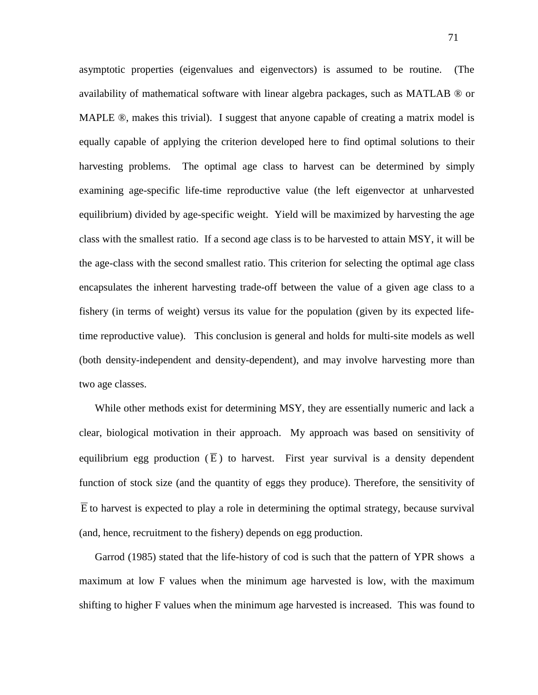asymptotic properties (eigenvalues and eigenvectors) is assumed to be routine. (The availability of mathematical software with linear algebra packages, such as MATLAB ® or MAPLE  $\mathcal{D}$ , makes this trivial). I suggest that anyone capable of creating a matrix model is equally capable of applying the criterion developed here to find optimal solutions to their harvesting problems. The optimal age class to harvest can be determined by simply examining age-specific life-time reproductive value (the left eigenvector at unharvested equilibrium) divided by age-specific weight. Yield will be maximized by harvesting the age class with the smallest ratio. If a second age class is to be harvested to attain MSY, it will be the age-class with the second smallest ratio. This criterion for selecting the optimal age class encapsulates the inherent harvesting trade-off between the value of a given age class to a fishery (in terms of weight) versus its value for the population (given by its expected lifetime reproductive value). This conclusion is general and holds for multi-site models as well (both density-independent and density-dependent), and may involve harvesting more than two age classes.

While other methods exist for determining MSY, they are essentially numeric and lack a clear, biological motivation in their approach. My approach was based on sensitivity of equilibrium egg production  $(\overline{E})$  to harvest. First year survival is a density dependent function of stock size (and the quantity of eggs they produce). Therefore, the sensitivity of  $\overline{E}$  to harvest is expected to play a role in determining the optimal strategy, because survival (and, hence, recruitment to the fishery) depends on egg production.

Garrod (1985) stated that the life-history of cod is such that the pattern of YPR shows a maximum at low F values when the minimum age harvested is low, with the maximum shifting to higher F values when the minimum age harvested is increased. This was found to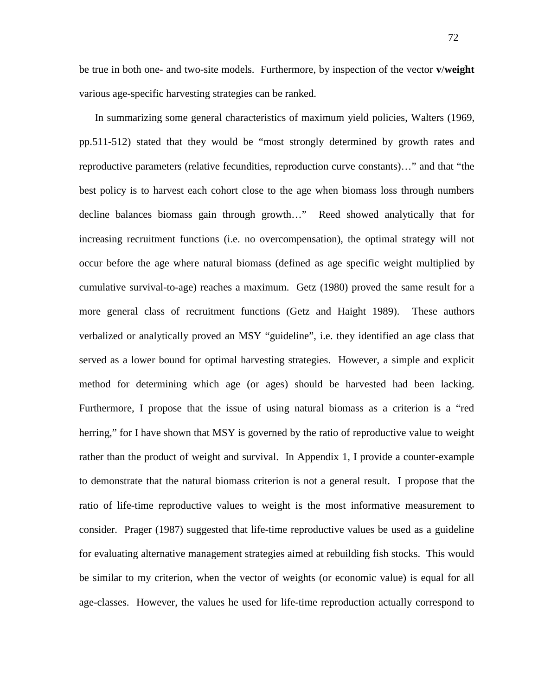be true in both one- and two-site models. Furthermore, by inspection of the vector **v**/**weight** various age-specific harvesting strategies can be ranked.

In summarizing some general characteristics of maximum yield policies, Walters (1969, pp.511-512) stated that they would be "most strongly determined by growth rates and reproductive parameters (relative fecundities, reproduction curve constants)…" and that "the best policy is to harvest each cohort close to the age when biomass loss through numbers decline balances biomass gain through growth…" Reed showed analytically that for increasing recruitment functions (i.e. no overcompensation), the optimal strategy will not occur before the age where natural biomass (defined as age specific weight multiplied by cumulative survival-to-age) reaches a maximum. Getz (1980) proved the same result for a more general class of recruitment functions (Getz and Haight 1989). These authors verbalized or analytically proved an MSY "guideline", i.e. they identified an age class that served as a lower bound for optimal harvesting strategies. However, a simple and explicit method for determining which age (or ages) should be harvested had been lacking. Furthermore, I propose that the issue of using natural biomass as a criterion is a "red herring," for I have shown that MSY is governed by the ratio of reproductive value to weight rather than the product of weight and survival. In Appendix 1, I provide a counter-example to demonstrate that the natural biomass criterion is not a general result. I propose that the ratio of life-time reproductive values to weight is the most informative measurement to consider. Prager (1987) suggested that life-time reproductive values be used as a guideline for evaluating alternative management strategies aimed at rebuilding fish stocks. This would be similar to my criterion, when the vector of weights (or economic value) is equal for all age-classes. However, the values he used for life-time reproduction actually correspond to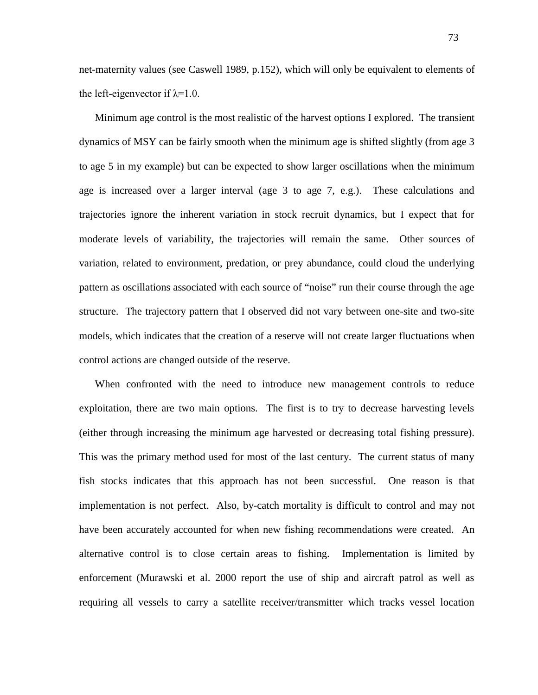net-maternity values (see Caswell 1989, p.152), which will only be equivalent to elements of the left-eigenvector if  $\lambda$ =1.0.

Minimum age control is the most realistic of the harvest options I explored. The transient dynamics of MSY can be fairly smooth when the minimum age is shifted slightly (from age 3 to age 5 in my example) but can be expected to show larger oscillations when the minimum age is increased over a larger interval (age 3 to age 7, e.g.). These calculations and trajectories ignore the inherent variation in stock recruit dynamics, but I expect that for moderate levels of variability, the trajectories will remain the same. Other sources of variation, related to environment, predation, or prey abundance, could cloud the underlying pattern as oscillations associated with each source of "noise" run their course through the age structure. The trajectory pattern that I observed did not vary between one-site and two-site models, which indicates that the creation of a reserve will not create larger fluctuations when control actions are changed outside of the reserve.

When confronted with the need to introduce new management controls to reduce exploitation, there are two main options. The first is to try to decrease harvesting levels (either through increasing the minimum age harvested or decreasing total fishing pressure). This was the primary method used for most of the last century. The current status of many fish stocks indicates that this approach has not been successful. One reason is that implementation is not perfect. Also, by-catch mortality is difficult to control and may not have been accurately accounted for when new fishing recommendations were created. An alternative control is to close certain areas to fishing. Implementation is limited by enforcement (Murawski et al. 2000 report the use of ship and aircraft patrol as well as requiring all vessels to carry a satellite receiver/transmitter which tracks vessel location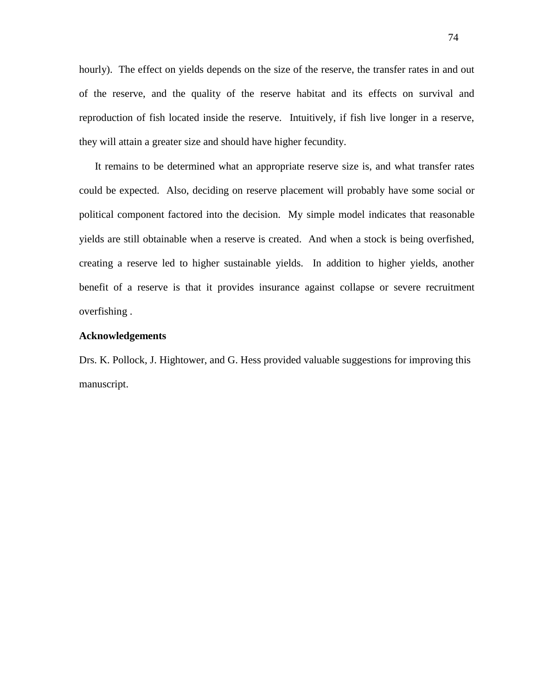hourly). The effect on yields depends on the size of the reserve, the transfer rates in and out of the reserve, and the quality of the reserve habitat and its effects on survival and reproduction of fish located inside the reserve. Intuitively, if fish live longer in a reserve, they will attain a greater size and should have higher fecundity.

It remains to be determined what an appropriate reserve size is, and what transfer rates could be expected. Also, deciding on reserve placement will probably have some social or political component factored into the decision. My simple model indicates that reasonable yields are still obtainable when a reserve is created. And when a stock is being overfished, creating a reserve led to higher sustainable yields. In addition to higher yields, another benefit of a reserve is that it provides insurance against collapse or severe recruitment overfishing .

### **Acknowledgements**

Drs. K. Pollock, J. Hightower, and G. Hess provided valuable suggestions for improving this manuscript.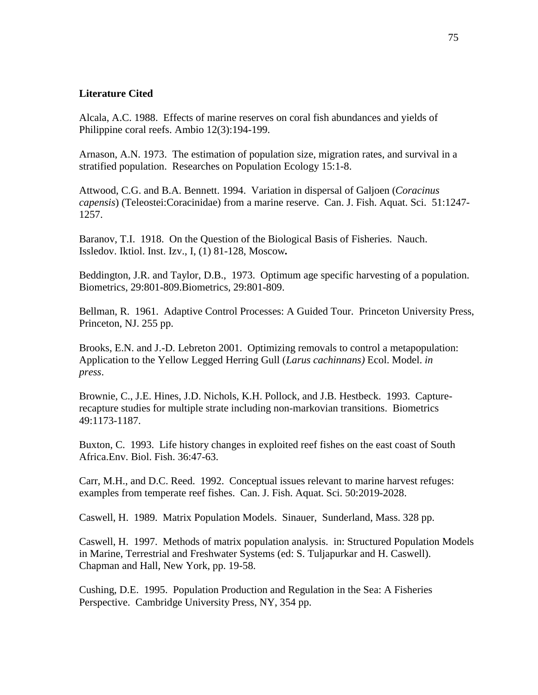# **Literature Cited**

Alcala, A.C. 1988. Effects of marine reserves on coral fish abundances and yields of Philippine coral reefs. Ambio 12(3):194-199.

Arnason, A.N. 1973. The estimation of population size, migration rates, and survival in a stratified population. Researches on Population Ecology 15:1-8.

Attwood, C.G. and B.A. Bennett. 1994. Variation in dispersal of Galjoen (*Coracinus capensis*) (Teleostei:Coracinidae) from a marine reserve. Can. J. Fish. Aquat. Sci. 51:1247- 1257.

Baranov, T.I. 1918. On the Question of the Biological Basis of Fisheries. Nauch. Issledov. Iktiol. Inst. Izv., I, (1) 81-128, Moscow*.*

Beddington, J.R. and Taylor, D.B., 1973. Optimum age specific harvesting of a population. Biometrics, 29:801-809.Biometrics, 29:801-809.

Bellman, R. 1961. Adaptive Control Processes: A Guided Tour. Princeton University Press, Princeton, NJ. 255 pp.

Brooks, E.N. and J.-D. Lebreton 2001. Optimizing removals to control a metapopulation: Application to the Yellow Legged Herring Gull (*Larus cachinnans)* Ecol. Model. *in press*.

Brownie, C., J.E. Hines, J.D. Nichols, K.H. Pollock, and J.B. Hestbeck. 1993. Capturerecapture studies for multiple strate including non-markovian transitions. Biometrics 49:1173-1187.

Buxton, C. 1993. Life history changes in exploited reef fishes on the east coast of South Africa.Env. Biol. Fish. 36:47-63.

Carr, M.H., and D.C. Reed. 1992. Conceptual issues relevant to marine harvest refuges: examples from temperate reef fishes. Can. J. Fish. Aquat. Sci. 50:2019-2028.

Caswell, H. 1989. Matrix Population Models. Sinauer, Sunderland, Mass. 328 pp.

Caswell, H. 1997. Methods of matrix population analysis. in: Structured Population Models in Marine, Terrestrial and Freshwater Systems (ed: S. Tuljapurkar and H. Caswell). Chapman and Hall, New York, pp. 19-58.

Cushing, D.E. 1995. Population Production and Regulation in the Sea: A Fisheries Perspective. Cambridge University Press, NY, 354 pp.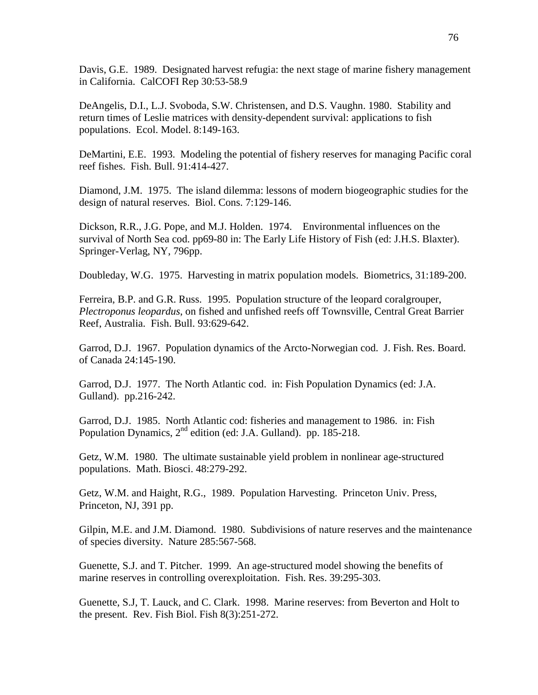Davis, G.E. 1989. Designated harvest refugia: the next stage of marine fishery management in California. CalCOFI Rep 30:53-58.9

DeAngelis, D.I., L.J. Svoboda, S.W. Christensen, and D.S. Vaughn. 1980. Stability and return times of Leslie matrices with density-dependent survival: applications to fish populations. Ecol. Model. 8:149-163.

DeMartini, E.E. 1993. Modeling the potential of fishery reserves for managing Pacific coral reef fishes. Fish. Bull. 91:414-427.

Diamond, J.M. 1975. The island dilemma: lessons of modern biogeographic studies for the design of natural reserves. Biol. Cons. 7:129-146.

Dickson, R.R., J.G. Pope, and M.J. Holden. 1974. Environmental influences on the survival of North Sea cod. pp69-80 in: The Early Life History of Fish (ed: J.H.S. Blaxter). Springer-Verlag, NY, 796pp.

Doubleday, W.G. 1975. Harvesting in matrix population models. Biometrics, 31:189-200.

Ferreira, B.P. and G.R. Russ. 1995. Population structure of the leopard coralgrouper, *Plectroponus leopardus*, on fished and unfished reefs off Townsville, Central Great Barrier Reef, Australia. Fish. Bull. 93:629-642.

Garrod, D.J. 1967. Population dynamics of the Arcto-Norwegian cod. J. Fish. Res. Board. of Canada 24:145-190.

Garrod, D.J. 1977. The North Atlantic cod. in: Fish Population Dynamics (ed: J.A. Gulland). pp.216-242.

Garrod, D.J. 1985. North Atlantic cod: fisheries and management to 1986. in: Fish Population Dynamics, 2<sup>nd</sup> edition (ed: J.A. Gulland). pp. 185-218.

Getz, W.M. 1980. The ultimate sustainable yield problem in nonlinear age-structured populations. Math. Biosci. 48:279-292.

Getz, W.M. and Haight, R.G., 1989. Population Harvesting. Princeton Univ. Press, Princeton, NJ, 391 pp.

Gilpin, M.E. and J.M. Diamond. 1980. Subdivisions of nature reserves and the maintenance of species diversity. Nature 285:567-568.

Guenette, S.J. and T. Pitcher. 1999. An age-structured model showing the benefits of marine reserves in controlling overexploitation. Fish. Res. 39:295-303.

Guenette, S.J, T. Lauck, and C. Clark. 1998. Marine reserves: from Beverton and Holt to the present. Rev. Fish Biol. Fish 8(3):251-272.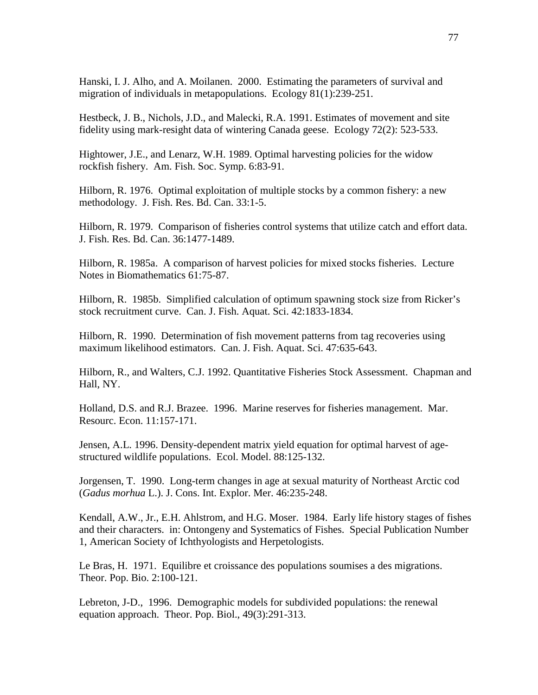Hanski, I. J. Alho, and A. Moilanen. 2000. Estimating the parameters of survival and migration of individuals in metapopulations. Ecology 81(1):239-251.

Hestbeck, J. B., Nichols, J.D., and Malecki, R.A. 1991. Estimates of movement and site fidelity using mark-resight data of wintering Canada geese. Ecology 72(2): 523-533.

Hightower, J.E., and Lenarz, W.H. 1989. Optimal harvesting policies for the widow rockfish fishery. Am. Fish. Soc. Symp. 6:83-91.

Hilborn, R. 1976. Optimal exploitation of multiple stocks by a common fishery: a new methodology. J. Fish. Res. Bd. Can. 33:1-5.

Hilborn, R. 1979. Comparison of fisheries control systems that utilize catch and effort data. J. Fish. Res. Bd. Can. 36:1477-1489.

Hilborn, R. 1985a. A comparison of harvest policies for mixed stocks fisheries. Lecture Notes in Biomathematics 61:75-87.

Hilborn, R. 1985b. Simplified calculation of optimum spawning stock size from Ricker's stock recruitment curve. Can. J. Fish. Aquat. Sci. 42:1833-1834.

Hilborn, R. 1990. Determination of fish movement patterns from tag recoveries using maximum likelihood estimators. Can. J. Fish. Aquat. Sci. 47:635-643.

Hilborn, R., and Walters, C.J. 1992. Quantitative Fisheries Stock Assessment. Chapman and Hall, NY.

Holland, D.S. and R.J. Brazee. 1996. Marine reserves for fisheries management. Mar. Resourc. Econ. 11:157-171.

Jensen, A.L. 1996. Density-dependent matrix yield equation for optimal harvest of agestructured wildlife populations. Ecol. Model. 88:125-132.

Jorgensen, T. 1990. Long-term changes in age at sexual maturity of Northeast Arctic cod (*Gadus morhua* L.). J. Cons. Int. Explor. Mer. 46:235-248.

Kendall, A.W., Jr., E.H. Ahlstrom, and H.G. Moser. 1984. Early life history stages of fishes and their characters. in: Ontongeny and Systematics of Fishes. Special Publication Number 1, American Society of Ichthyologists and Herpetologists.

Le Bras, H. 1971. Equilibre et croissance des populations soumises a des migrations. Theor. Pop. Bio. 2:100-121.

Lebreton, J-D., 1996. Demographic models for subdivided populations: the renewal equation approach. Theor. Pop. Biol., 49(3):291-313.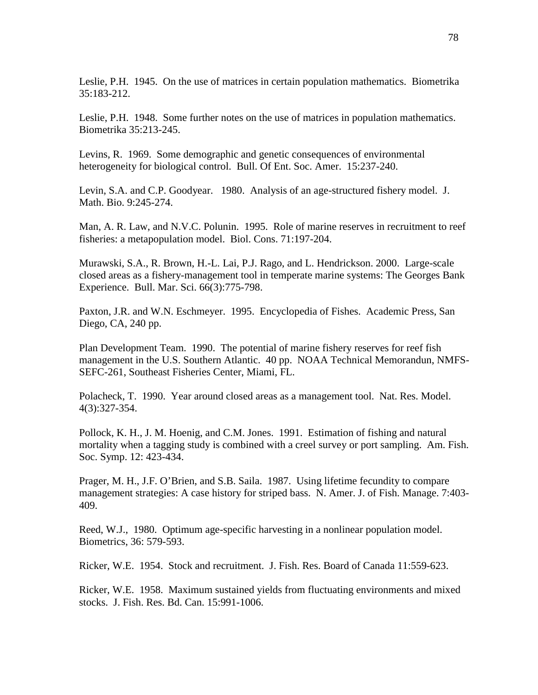Leslie, P.H. 1945. On the use of matrices in certain population mathematics. Biometrika 35:183-212.

Leslie, P.H. 1948. Some further notes on the use of matrices in population mathematics. Biometrika 35:213-245.

Levins, R. 1969. Some demographic and genetic consequences of environmental heterogeneity for biological control. Bull. Of Ent. Soc. Amer. 15:237-240.

Levin, S.A. and C.P. Goodyear. 1980. Analysis of an age-structured fishery model. J. Math. Bio. 9:245-274.

Man, A. R. Law, and N.V.C. Polunin. 1995. Role of marine reserves in recruitment to reef fisheries: a metapopulation model. Biol. Cons. 71:197-204.

Murawski, S.A., R. Brown, H.-L. Lai, P.J. Rago, and L. Hendrickson. 2000. Large-scale closed areas as a fishery-management tool in temperate marine systems: The Georges Bank Experience. Bull. Mar. Sci. 66(3):775-798.

Paxton, J.R. and W.N. Eschmeyer. 1995. Encyclopedia of Fishes. Academic Press, San Diego, CA, 240 pp.

Plan Development Team. 1990. The potential of marine fishery reserves for reef fish management in the U.S. Southern Atlantic. 40 pp. NOAA Technical Memorandun, NMFS-SEFC-261, Southeast Fisheries Center, Miami, FL.

Polacheck, T. 1990. Year around closed areas as a management tool. Nat. Res. Model. 4(3):327-354.

Pollock, K. H., J. M. Hoenig, and C.M. Jones. 1991. Estimation of fishing and natural mortality when a tagging study is combined with a creel survey or port sampling. Am. Fish. Soc. Symp. 12: 423-434.

Prager, M. H., J.F. O'Brien, and S.B. Saila. 1987. Using lifetime fecundity to compare management strategies: A case history for striped bass. N. Amer. J. of Fish. Manage. 7:403- 409.

Reed, W.J., 1980. Optimum age-specific harvesting in a nonlinear population model. Biometrics, 36: 579-593.

Ricker, W.E. 1954. Stock and recruitment. J. Fish. Res. Board of Canada 11:559-623.

Ricker, W.E. 1958. Maximum sustained yields from fluctuating environments and mixed stocks. J. Fish. Res. Bd. Can. 15:991-1006.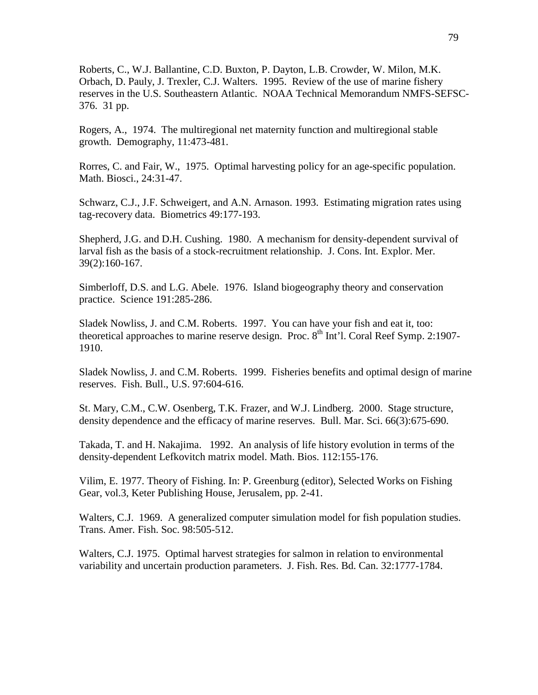Roberts, C., W.J. Ballantine, C.D. Buxton, P. Dayton, L.B. Crowder, W. Milon, M.K. Orbach, D. Pauly, J. Trexler, C.J. Walters. 1995. Review of the use of marine fishery reserves in the U.S. Southeastern Atlantic. NOAA Technical Memorandum NMFS-SEFSC-376. 31 pp.

Rogers, A., 1974. The multiregional net maternity function and multiregional stable growth. Demography, 11:473-481.

Rorres, C. and Fair, W., 1975. Optimal harvesting policy for an age-specific population. Math. Biosci., 24:31-47.

Schwarz, C.J., J.F. Schweigert, and A.N. Arnason. 1993. Estimating migration rates using tag-recovery data. Biometrics 49:177-193.

Shepherd, J.G. and D.H. Cushing. 1980. A mechanism for density-dependent survival of larval fish as the basis of a stock-recruitment relationship. J. Cons. Int. Explor. Mer. 39(2):160-167.

Simberloff, D.S. and L.G. Abele. 1976. Island biogeography theory and conservation practice. Science 191:285-286.

Sladek Nowliss, J. and C.M. Roberts. 1997. You can have your fish and eat it, too: theoretical approaches to marine reserve design. Proc.  $8<sup>th</sup>$  Int'l. Coral Reef Symp. 2:1907-1910.

Sladek Nowliss, J. and C.M. Roberts. 1999. Fisheries benefits and optimal design of marine reserves. Fish. Bull., U.S. 97:604-616.

St. Mary, C.M., C.W. Osenberg, T.K. Frazer, and W.J. Lindberg. 2000. Stage structure, density dependence and the efficacy of marine reserves. Bull. Mar. Sci. 66(3):675-690.

Takada, T. and H. Nakajima. 1992. An analysis of life history evolution in terms of the density-dependent Lefkovitch matrix model. Math. Bios. 112:155-176.

Vilim, E. 1977. Theory of Fishing. In: P. Greenburg (editor), Selected Works on Fishing Gear, vol.3, Keter Publishing House, Jerusalem, pp. 2-41.

Walters, C.J. 1969. A generalized computer simulation model for fish population studies. Trans. Amer. Fish. Soc. 98:505-512.

Walters, C.J. 1975. Optimal harvest strategies for salmon in relation to environmental variability and uncertain production parameters. J. Fish. Res. Bd. Can. 32:1777-1784.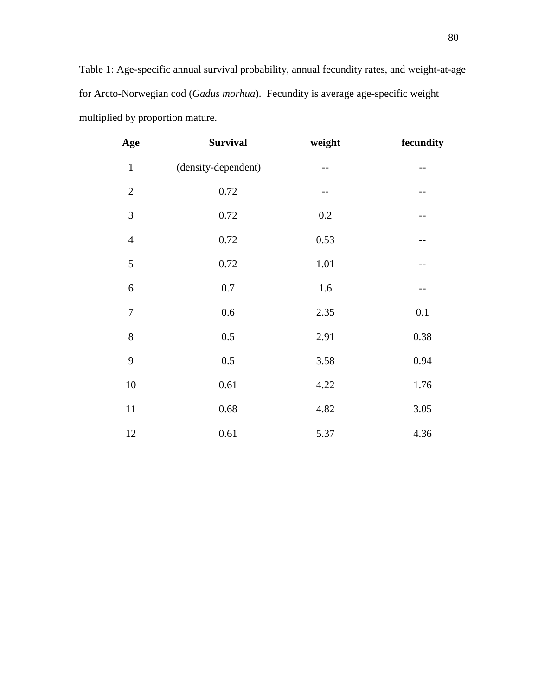Table 1: Age-specific annual survival probability, annual fecundity rates, and weight-at-age for Arcto-Norwegian cod (*Gadus morhua*). Fecundity is average age-specific weight multiplied by proportion mature.

| Age            | <b>Survival</b>     | weight  | fecundity |
|----------------|---------------------|---------|-----------|
| $\,1\,$        | (density-dependent) | $-$     | $-$       |
| $\overline{2}$ | $0.72\,$            | --      | --        |
| 3              | 0.72                | $0.2\,$ |           |
| $\overline{4}$ | 0.72                | 0.53    |           |
| 5              | 0.72                | 1.01    |           |
| 6              | 0.7                 | 1.6     |           |
| $\overline{7}$ | 0.6                 | 2.35    | 0.1       |
| 8              | 0.5                 | 2.91    | 0.38      |
| 9              | 0.5                 | 3.58    | 0.94      |
| $10\,$         | $0.61\,$            | 4.22    | 1.76      |
| $11\,$         | 0.68                | 4.82    | 3.05      |
| $12\,$         | $0.61\,$            | 5.37    | 4.36      |
|                |                     |         |           |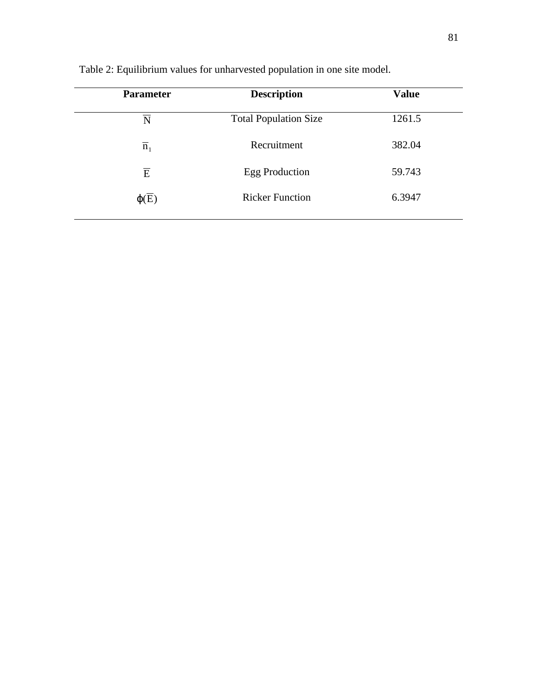| <b>Parameter</b> | <b>Description</b>           | <b>Value</b> |
|------------------|------------------------------|--------------|
| N                | <b>Total Population Size</b> | 1261.5       |
| $\overline{n}_1$ | Recruitment                  | 382.04       |
| $\overline{E}$   | <b>Egg Production</b>        | 59.743       |
| $\varphi(E)$     | <b>Ricker Function</b>       | 6.3947       |
|                  |                              |              |

Table 2: Equilibrium values for unharvested population in one site model.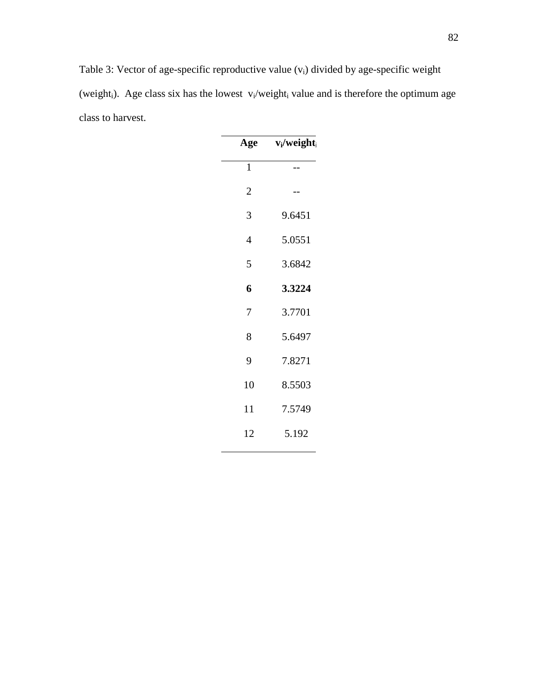Table 3: Vector of age-specific reproductive value (vi) divided by age-specific weight (weight<sub>i</sub>). Age class six has the lowest  $v_i$ /weight<sub>i</sub> value and is therefore the optimum age class to harvest.

| Age            | $v_i/w$ eight |
|----------------|---------------|
| $\mathbf{1}$   |               |
| $\overline{c}$ |               |
| 3              | 9.6451        |
| $\overline{4}$ | 5.0551        |
| 5              | 3.6842        |
| 6              | 3.3224        |
| 7              | 3.7701        |
| 8              | 5.6497        |
| 9              | 7.8271        |
| 10             | 8.5503        |
| 11             | 7.5749        |
| 12             | 5.192         |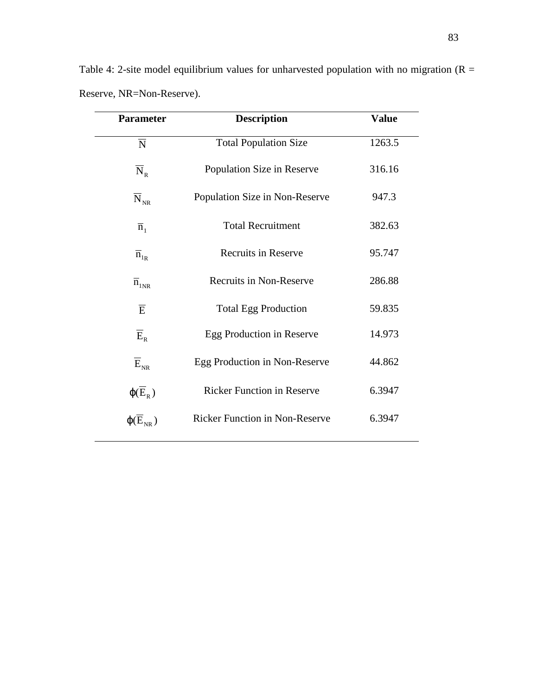| <b>Parameter</b>                        | <b>Description</b>                    | <b>Value</b> |
|-----------------------------------------|---------------------------------------|--------------|
| $\overline{\rm N}$                      | <b>Total Population Size</b>          | 1263.5       |
| $\overline{N}_R$                        | Population Size in Reserve            | 316.16       |
| $\overline{\text{N}}_{\text{\tiny NR}}$ | Population Size in Non-Reserve        | 947.3        |
| $\overline{n}_1$                        | <b>Total Recruitment</b>              | 382.63       |
| $\overline{n}_{1R}$                     | <b>Recruits in Reserve</b>            | 95.747       |
| $\overline{n}_{1NR}$                    | <b>Recruits in Non-Reserve</b>        | 286.88       |
| $\overline{E}$                          | <b>Total Egg Production</b>           | 59.835       |
| $\overline{E}_R$                        | Egg Production in Reserve             | 14.973       |
| $\overline{E}_{NR}$                     | Egg Production in Non-Reserve         | 44.862       |
| $\phi(\overline{E}_R)$                  | <b>Ricker Function in Reserve</b>     | 6.3947       |
| $\varphi(E_{NR})$                       | <b>Ricker Function in Non-Reserve</b> | 6.3947       |

Table 4: 2-site model equilibrium values for unharvested population with no migration ( $R =$ Reserve, NR=Non-Reserve).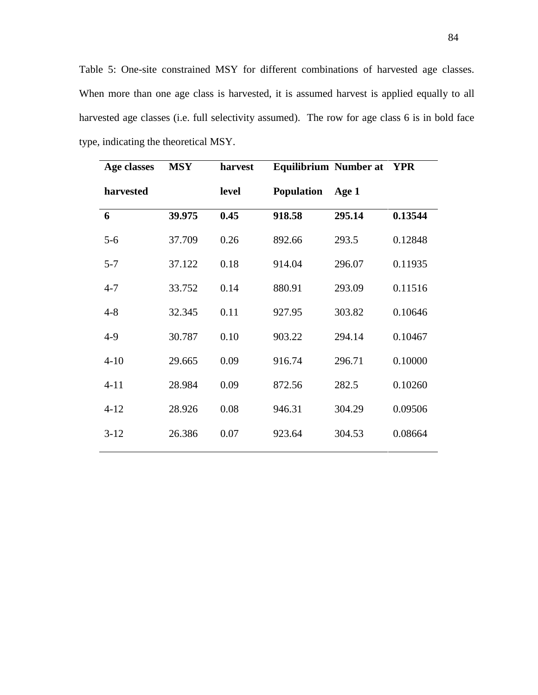Table 5: One-site constrained MSY for different combinations of harvested age classes. When more than one age class is harvested, it is assumed harvest is applied equally to all harvested age classes (i.e. full selectivity assumed). The row for age class 6 is in bold face type, indicating the theoretical MSY.

| Age classes | <b>MSY</b> | harvest | <b>Equilibrium Number at</b> |        | <b>YPR</b> |
|-------------|------------|---------|------------------------------|--------|------------|
| harvested   |            | level   | <b>Population</b>            | Age 1  |            |
| 6           | 39.975     | 0.45    | 918.58                       | 295.14 | 0.13544    |
| $5 - 6$     | 37.709     | 0.26    | 892.66                       | 293.5  | 0.12848    |
| $5 - 7$     | 37.122     | 0.18    | 914.04                       | 296.07 | 0.11935    |
| $4 - 7$     | 33.752     | 0.14    | 880.91                       | 293.09 | 0.11516    |
| $4 - 8$     | 32.345     | 0.11    | 927.95                       | 303.82 | 0.10646    |
| $4-9$       | 30.787     | 0.10    | 903.22                       | 294.14 | 0.10467    |
| $4 - 10$    | 29.665     | 0.09    | 916.74                       | 296.71 | 0.10000    |
| $4 - 11$    | 28.984     | 0.09    | 872.56                       | 282.5  | 0.10260    |
| $4 - 12$    | 28.926     | 0.08    | 946.31                       | 304.29 | 0.09506    |
| $3-12$      | 26.386     | 0.07    | 923.64                       | 304.53 | 0.08664    |
|             |            |         |                              |        |            |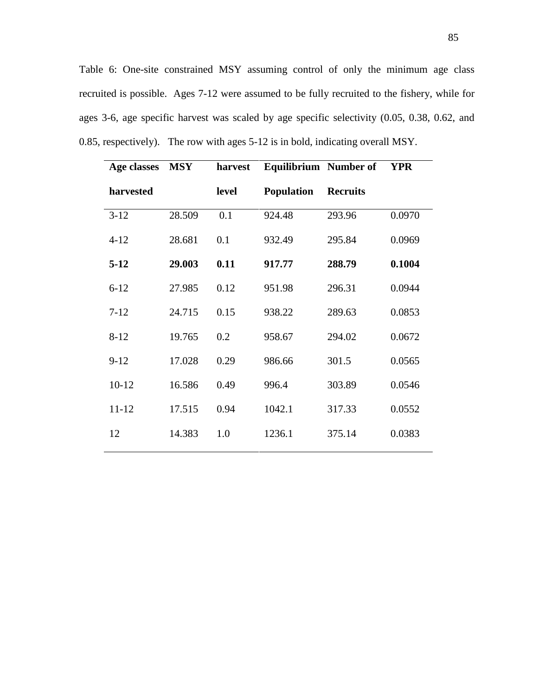Table 6: One-site constrained MSY assuming control of only the minimum age class recruited is possible. Ages 7-12 were assumed to be fully recruited to the fishery, while for ages 3-6, age specific harvest was scaled by age specific selectivity (0.05, 0.38, 0.62, and 0.85, respectively). The row with ages 5-12 is in bold, indicating overall MSY.

| Age classes | <b>MSY</b> | harvest | <b>Equilibrium</b> Number of |                 | <b>YPR</b> |
|-------------|------------|---------|------------------------------|-----------------|------------|
| harvested   |            | level   | <b>Population</b>            | <b>Recruits</b> |            |
| $3 - 12$    | 28.509     | 0.1     | 924.48                       | 293.96          | 0.0970     |
| $4 - 12$    | 28.681     | 0.1     | 932.49                       | 295.84          | 0.0969     |
| $5-12$      | 29.003     | 0.11    | 917.77                       | 288.79          | 0.1004     |
| $6 - 12$    | 27.985     | 0.12    | 951.98                       | 296.31          | 0.0944     |
| $7 - 12$    | 24.715     | 0.15    | 938.22                       | 289.63          | 0.0853     |
| $8 - 12$    | 19.765     | 0.2     | 958.67                       | 294.02          | 0.0672     |
| $9-12$      | 17.028     | 0.29    | 986.66                       | 301.5           | 0.0565     |
| $10 - 12$   | 16.586     | 0.49    | 996.4                        | 303.89          | 0.0546     |
| $11 - 12$   | 17.515     | 0.94    | 1042.1                       | 317.33          | 0.0552     |
| 12          | 14.383     | 1.0     | 1236.1                       | 375.14          | 0.0383     |
|             |            |         |                              |                 |            |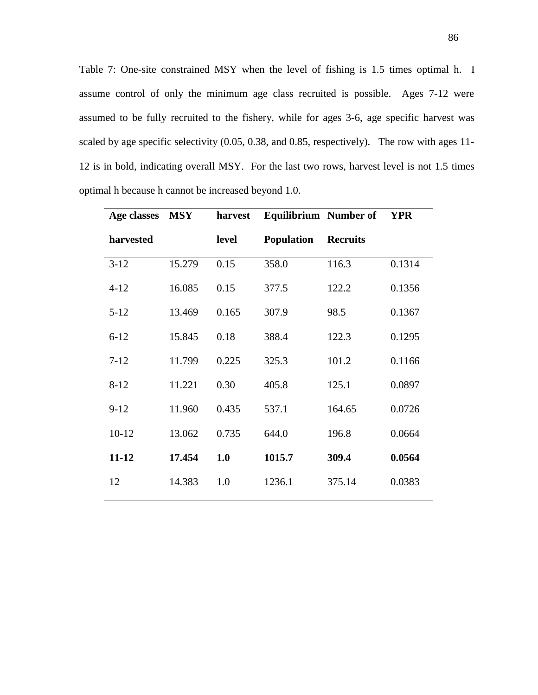Table 7: One-site constrained MSY when the level of fishing is 1.5 times optimal h. I assume control of only the minimum age class recruited is possible. Ages 7-12 were assumed to be fully recruited to the fishery, while for ages 3-6, age specific harvest was scaled by age specific selectivity (0.05, 0.38, and 0.85, respectively). The row with ages 11- 12 is in bold, indicating overall MSY. For the last two rows, harvest level is not 1.5 times optimal h because h cannot be increased beyond 1.0.

| Age classes | <b>MSY</b> | harvest | Equilibrium Number of |                 | <b>YPR</b> |
|-------------|------------|---------|-----------------------|-----------------|------------|
| harvested   |            | level   | <b>Population</b>     | <b>Recruits</b> |            |
| $3 - 12$    | 15.279     | 0.15    | 358.0                 | 116.3           | 0.1314     |
| $4 - 12$    | 16.085     | 0.15    | 377.5                 | 122.2           | 0.1356     |
| $5 - 12$    | 13.469     | 0.165   | 307.9                 | 98.5            | 0.1367     |
| $6 - 12$    | 15.845     | 0.18    | 388.4                 | 122.3           | 0.1295     |
| $7 - 12$    | 11.799     | 0.225   | 325.3                 | 101.2           | 0.1166     |
| $8 - 12$    | 11.221     | 0.30    | 405.8                 | 125.1           | 0.0897     |
| $9 - 12$    | 11.960     | 0.435   | 537.1                 | 164.65          | 0.0726     |
| $10 - 12$   | 13.062     | 0.735   | 644.0                 | 196.8           | 0.0664     |
| 11-12       | 17.454     | 1.0     | 1015.7                | 309.4           | 0.0564     |
| 12          | 14.383     | 1.0     | 1236.1                | 375.14          | 0.0383     |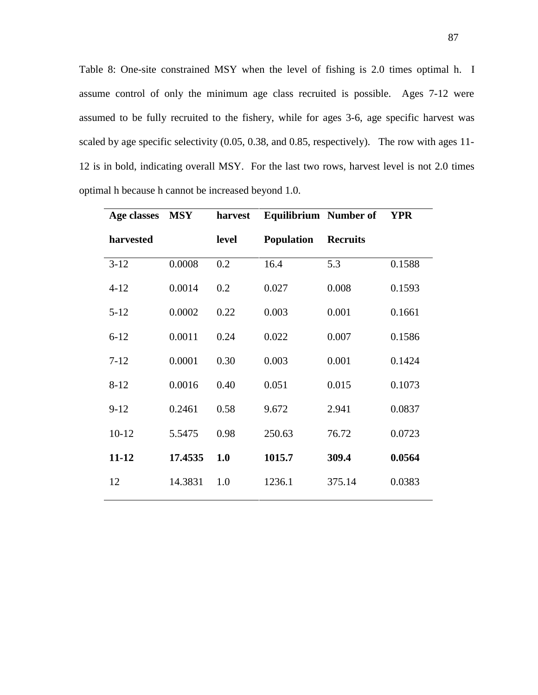Table 8: One-site constrained MSY when the level of fishing is 2.0 times optimal h. I assume control of only the minimum age class recruited is possible. Ages 7-12 were assumed to be fully recruited to the fishery, while for ages 3-6, age specific harvest was scaled by age specific selectivity (0.05, 0.38, and 0.85, respectively). The row with ages 11- 12 is in bold, indicating overall MSY. For the last two rows, harvest level is not 2.0 times optimal h because h cannot be increased beyond 1.0.

| Age classes | <b>MSY</b> | harvest | <b>Equilibrium</b> Number of |                 | <b>YPR</b> |
|-------------|------------|---------|------------------------------|-----------------|------------|
| harvested   |            | level   | <b>Population</b>            | <b>Recruits</b> |            |
| $3 - 12$    | 0.0008     | 0.2     | 16.4                         | 5.3             | 0.1588     |
| $4 - 12$    | 0.0014     | 0.2     | 0.027                        | 0.008           | 0.1593     |
| $5 - 12$    | 0.0002     | 0.22    | 0.003                        | 0.001           | 0.1661     |
| $6 - 12$    | 0.0011     | 0.24    | 0.022                        | 0.007           | 0.1586     |
| $7 - 12$    | 0.0001     | 0.30    | 0.003                        | 0.001           | 0.1424     |
| $8 - 12$    | 0.0016     | 0.40    | 0.051                        | 0.015           | 0.1073     |
| $9 - 12$    | 0.2461     | 0.58    | 9.672                        | 2.941           | 0.0837     |
| $10 - 12$   | 5.5475     | 0.98    | 250.63                       | 76.72           | 0.0723     |
| $11 - 12$   | 17.4535    | 1.0     | 1015.7                       | 309.4           | 0.0564     |
| 12          | 14.3831    | 1.0     | 1236.1                       | 375.14          | 0.0383     |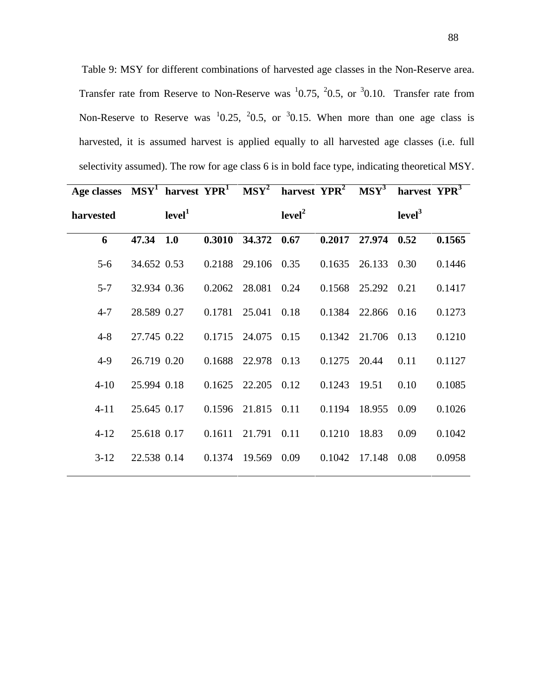Table 9: MSY for different combinations of harvested age classes in the Non-Reserve area. Transfer rate from Reserve to Non-Reserve was  $10.75, 20.5$ , or  $30.10$ . Transfer rate from Non-Reserve to Reserve was  $10.25$ ,  $20.5$ , or  $30.15$ . When more than one age class is harvested, it is assumed harvest is applied equally to all harvested age classes (i.e. full selectivity assumed). The row for age class 6 is in bold face type, indicating theoretical MSY.

| Age classes $MSY^1$ harvest $YPR^1$ $MSY^2$ harvest $YPR^2$ $MSY^3$ |             |                    |        |                        |                    |                |                    | harvest YPR <sup>3</sup> |        |
|---------------------------------------------------------------------|-------------|--------------------|--------|------------------------|--------------------|----------------|--------------------|--------------------------|--------|
| harvested                                                           |             | level <sup>1</sup> |        |                        | level <sup>2</sup> |                |                    | level <sup>3</sup>       |        |
| 6                                                                   | 47.34       | 1.0                |        | 0.3010 34.372 0.67     |                    | 0.2017         | 27.974             | 0.52                     | 0.1565 |
| $5-6$                                                               | 34.652 0.53 |                    |        | 0.2188 29.106 0.35     |                    |                | 0.1635 26.133 0.30 |                          | 0.1446 |
| $5 - 7$                                                             | 32.934 0.36 |                    |        | 0.2062 28.081 0.24     |                    |                | 0.1568 25.292 0.21 |                          | 0.1417 |
| $4 - 7$                                                             | 28.589 0.27 |                    |        | 0.1781 25.041 0.18     |                    |                | 0.1384 22.866 0.16 |                          | 0.1273 |
| $4 - 8$                                                             | 27.745 0.22 |                    |        | $0.1715$ 24.075 0.15   |                    |                | 0.1342 21.706 0.13 |                          | 0.1210 |
| $4-9$                                                               | 26.719 0.20 |                    |        | 0.1688 22.978 0.13     |                    | $0.1275$ 20.44 |                    | 0.11                     | 0.1127 |
| $4 - 10$                                                            | 25.994 0.18 |                    |        | $0.1625$ 22.205 $0.12$ |                    | 0.1243         | 19.51              | 0.10                     | 0.1085 |
| $4 - 11$                                                            | 25.645 0.17 |                    |        | 0.1596 21.815 0.11     |                    | 0.1194         | 18.955             | 0.09                     | 0.1026 |
| $4 - 12$                                                            | 25.618 0.17 |                    | 0.1611 | 21.791 0.11            |                    | 0.1210         | 18.83              | 0.09                     | 0.1042 |
| $3-12$                                                              | 22.538 0.14 |                    |        | 0.1374 19.569 0.09     |                    | 0.1042         | 17.148 0.08        |                          | 0.0958 |
|                                                                     |             |                    |        |                        |                    |                |                    |                          |        |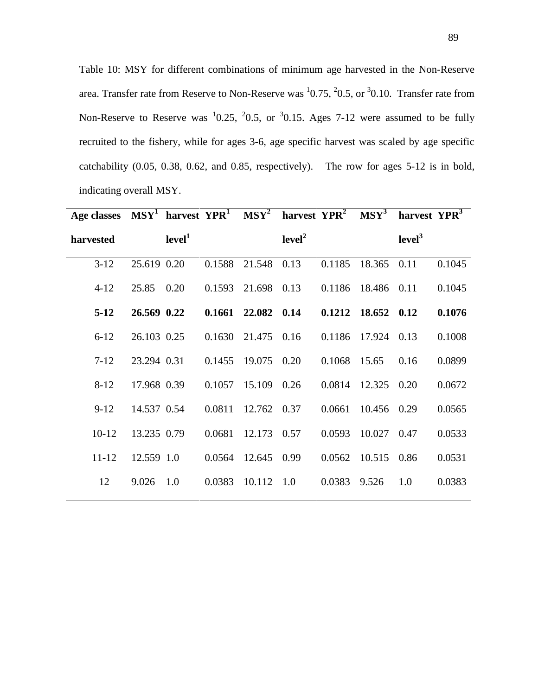Table 10: MSY for different combinations of minimum age harvested in the Non-Reserve area. Transfer rate from Reserve to Non-Reserve was  $10.75$ ,  $20.5$ , or  $30.10$ . Transfer rate from Non-Reserve to Reserve was  $\frac{10.25}{10.5}$ ,  $\frac{20.5}{10.5}$ , or  $\frac{30.15}{10.5}$ . Ages 7-12 were assumed to be fully recruited to the fishery, while for ages 3-6, age specific harvest was scaled by age specific catchability (0.05, 0.38, 0.62, and 0.85, respectively). The row for ages 5-12 is in bold, indicating overall MSY.

| Age classes $MSY^1$ harvest $YPR^1$ $MSY^2$ harvest $YPR^2$ $MSY^3$ |             |                    |                 |                    |                    |        |             | harvest YPR <sup>3</sup> |        |
|---------------------------------------------------------------------|-------------|--------------------|-----------------|--------------------|--------------------|--------|-------------|--------------------------|--------|
| harvested                                                           |             | level <sup>1</sup> |                 |                    | level <sup>2</sup> |        |             | level <sup>3</sup>       |        |
| $3-12$                                                              | 25.619 0.20 |                    | 0.1588          | 21.548 0.13        |                    | 0.1185 | 18.365      | 0.11                     | 0.1045 |
| $4 - 12$                                                            | 25.85       | 0.20               | 0.1593          | 21.698 0.13        |                    | 0.1186 | 18.486 0.11 |                          | 0.1045 |
| $5-12$                                                              | 26.569 0.22 |                    | $0.1661$ 22.082 |                    | 0.14               | 0.1212 | 18.652 0.12 |                          | 0.1076 |
| $6 - 12$                                                            | 26.103 0.25 |                    |                 | 0.1630 21.475 0.16 |                    | 0.1186 | 17.924      | 0.13                     | 0.1008 |
| $7 - 12$                                                            | 23.294 0.31 |                    |                 | 0.1455 19.075 0.20 |                    | 0.1068 | 15.65       | 0.16                     | 0.0899 |
| $8 - 12$                                                            | 17.968 0.39 |                    | 0.1057          | 15.109 0.26        |                    | 0.0814 | 12.325      | 0.20                     | 0.0672 |
| $9-12$                                                              | 14.537 0.54 |                    | 0.0811          | 12.762 0.37        |                    | 0.0661 | 10.456      | 0.29                     | 0.0565 |
| $10-12$                                                             | 13.235 0.79 |                    | 0.0681          | 12.173 0.57        |                    | 0.0593 | 10.027      | 0.47                     | 0.0533 |
| $11 - 12$                                                           | 12.559 1.0  |                    |                 | 0.0564 12.645 0.99 |                    | 0.0562 | 10.515      | 0.86                     | 0.0531 |
| 12                                                                  | 9.026       | 1.0                | 0.0383          | 10.112             | 1.0                | 0.0383 | 9.526       | 1.0                      | 0.0383 |
|                                                                     |             |                    |                 |                    |                    |        |             |                          |        |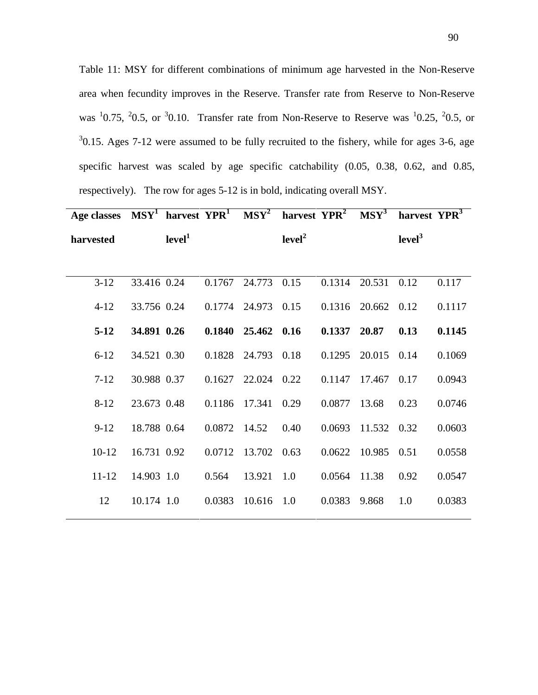Table 11: MSY for different combinations of minimum age harvested in the Non-Reserve area when fecundity improves in the Reserve. Transfer rate from Reserve to Non-Reserve was  $10.75$ ,  $20.5$ , or  $30.10$ . Transfer rate from Non-Reserve to Reserve was  $10.25$ ,  $20.5$ , or  $30.15$ . Ages 7-12 were assumed to be fully recruited to the fishery, while for ages 3-6, age specific harvest was scaled by age specific catchability (0.05, 0.38, 0.62, and 0.85, respectively). The row for ages 5-12 is in bold, indicating overall MSY.

| Age classes $MSY^1$ harvest $YPR^1$ $MSY^2$ harvest $YPR^2$ $MSY^3$ |             |                    |              |                                  |                    |              |                    | harvest YPR <sup>3</sup> |        |
|---------------------------------------------------------------------|-------------|--------------------|--------------|----------------------------------|--------------------|--------------|--------------------|--------------------------|--------|
| harvested                                                           |             | level <sup>1</sup> |              |                                  | level <sup>2</sup> |              |                    | level <sup>3</sup>       |        |
|                                                                     |             |                    |              |                                  |                    |              |                    |                          |        |
| $3-12$                                                              | 33.416 0.24 |                    |              | 0.1767 24.773 0.15               |                    | 0.1314       | 20.531             | 0.12                     | 0.117  |
| $4 - 12$                                                            | 33.756 0.24 |                    |              | 0.1774 24.973 0.15               |                    |              | 0.1316 20.662 0.12 |                          | 0.1117 |
| $5-12$                                                              | 34.891 0.26 |                    |              | $0.1840 \quad 25.462 \quad 0.16$ |                    | 0.1337 20.87 |                    | 0.13                     | 0.1145 |
| $6 - 12$                                                            | 34.521 0.30 |                    |              | 0.1828 24.793 0.18               |                    | 0.1295       | 20.015 0.14        |                          | 0.1069 |
| $7-12$                                                              | 30.988 0.37 |                    |              | $0.1627$ 22.024 0.22             |                    | 0.1147       | 17.467 0.17        |                          | 0.0943 |
| $8 - 12$                                                            | 23.673 0.48 |                    |              | 0.1186 17.341                    | 0.29               | 0.0877       | 13.68              | 0.23                     | 0.0746 |
| $9-12$                                                              | 18.788 0.64 |                    | 0.0872 14.52 |                                  | 0.40               | 0.0693       | 11.532 0.32        |                          | 0.0603 |
| $10-12$                                                             | 16.731 0.92 |                    | 0.0712       | 13.702                           | 0.63               | 0.0622       | 10.985             | 0.51                     | 0.0558 |
| $11 - 12$                                                           | 14.903 1.0  |                    | 0.564        | 13.921                           | 1.0                | 0.0564       | 11.38              | 0.92                     | 0.0547 |
| 12                                                                  | 10.174 1.0  |                    | 0.0383       | 10.616                           | 1.0                | 0.0383       | 9.868              | 1.0                      | 0.0383 |
|                                                                     |             |                    |              |                                  |                    |              |                    |                          |        |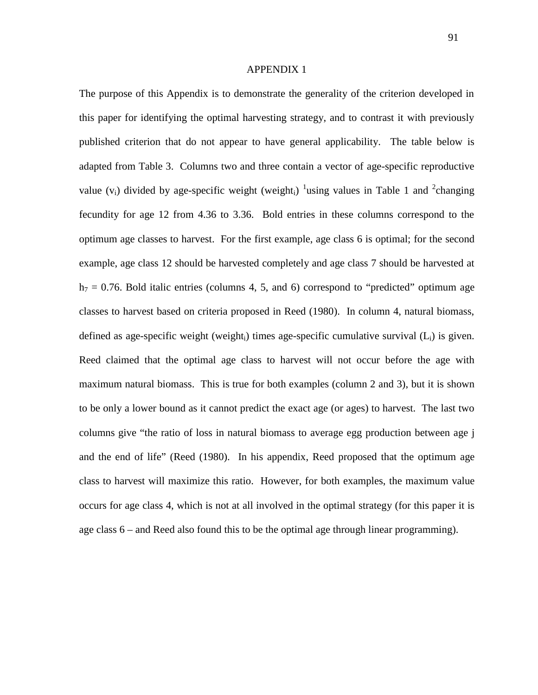#### APPENDIX 1

The purpose of this Appendix is to demonstrate the generality of the criterion developed in this paper for identifying the optimal harvesting strategy, and to contrast it with previously published criterion that do not appear to have general applicability. The table below is adapted from Table 3. Columns two and three contain a vector of age-specific reproductive value (v<sub>i</sub>) divided by age-specific weight (weight<sub>i</sub>) <sup>1</sup>using values in Table 1 and <sup>2</sup>changing fecundity for age 12 from 4.36 to 3.36. Bold entries in these columns correspond to the optimum age classes to harvest. For the first example, age class 6 is optimal; for the second example, age class 12 should be harvested completely and age class 7 should be harvested at  $h_7 = 0.76$ . Bold italic entries (columns 4, 5, and 6) correspond to "predicted" optimum age classes to harvest based on criteria proposed in Reed (1980). In column 4, natural biomass, defined as age-specific weight (weight<sub>i</sub>) times age-specific cumulative survival  $(L_i)$  is given. Reed claimed that the optimal age class to harvest will not occur before the age with maximum natural biomass. This is true for both examples (column 2 and 3), but it is shown to be only a lower bound as it cannot predict the exact age (or ages) to harvest. The last two columns give "the ratio of loss in natural biomass to average egg production between age j and the end of life" (Reed (1980). In his appendix, Reed proposed that the optimum age class to harvest will maximize this ratio. However, for both examples, the maximum value occurs for age class 4, which is not at all involved in the optimal strategy (for this paper it is age class 6 – and Reed also found this to be the optimal age through linear programming).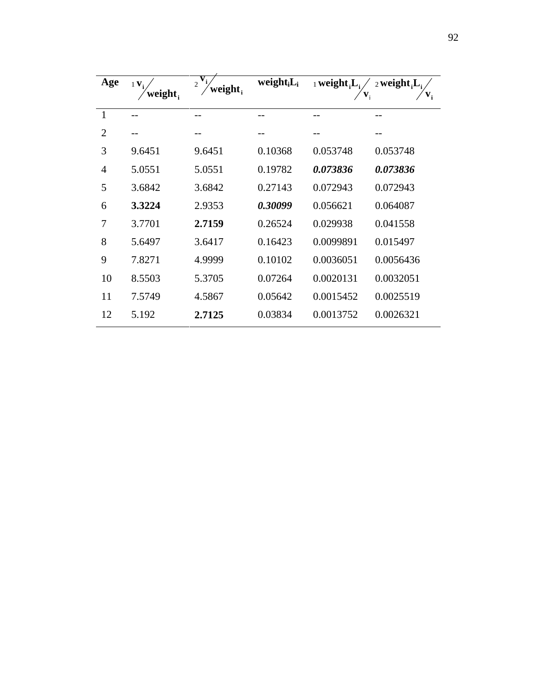| Age            | $1 \mathbf{V}_i$<br>weight, | V<br>$\overline{2}$<br>weight, | weight <sub>i</sub> $L_i$ | $_1$ weight, $L_i$<br>v, | $_2$ weight, $L_i$<br>$\mathbf{v}_{i}$ |
|----------------|-----------------------------|--------------------------------|---------------------------|--------------------------|----------------------------------------|
| $\mathbf{1}$   |                             |                                |                           |                          |                                        |
| $\overline{2}$ |                             |                                |                           |                          |                                        |
| 3              | 9.6451                      | 9.6451                         | 0.10368                   | 0.053748                 | 0.053748                               |
| $\overline{4}$ | 5.0551                      | 5.0551                         | 0.19782                   | 0.073836                 | 0.073836                               |
| 5              | 3.6842                      | 3.6842                         | 0.27143                   | 0.072943                 | 0.072943                               |
| 6              | 3.3224                      | 2.9353                         | 0.30099                   | 0.056621                 | 0.064087                               |
| 7              | 3.7701                      | 2.7159                         | 0.26524                   | 0.029938                 | 0.041558                               |
| 8              | 5.6497                      | 3.6417                         | 0.16423                   | 0.0099891                | 0.015497                               |
| 9              | 7.8271                      | 4.9999                         | 0.10102                   | 0.0036051                | 0.0056436                              |
| 10             | 8.5503                      | 5.3705                         | 0.07264                   | 0.0020131                | 0.0032051                              |
| 11             | 7.5749                      | 4.5867                         | 0.05642                   | 0.0015452                | 0.0025519                              |
| 12             | 5.192                       | 2.7125                         | 0.03834                   | 0.0013752                | 0.0026321                              |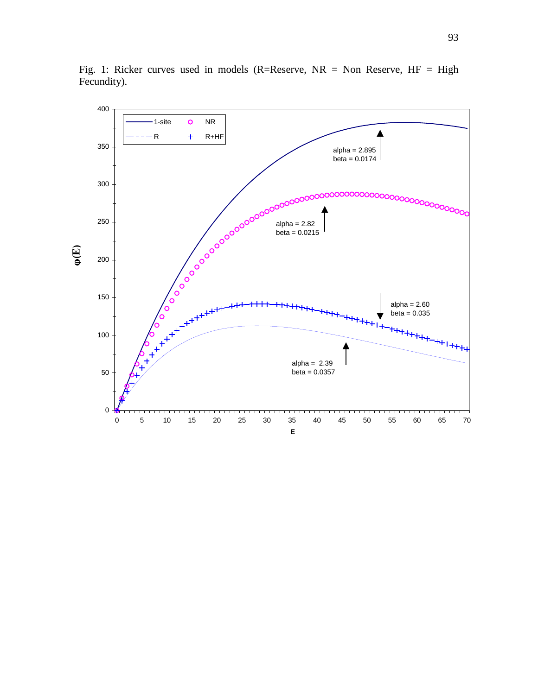

Fig. 1: Ricker curves used in models (R=Reserve, NR = Non Reserve, HF = High Fecundity).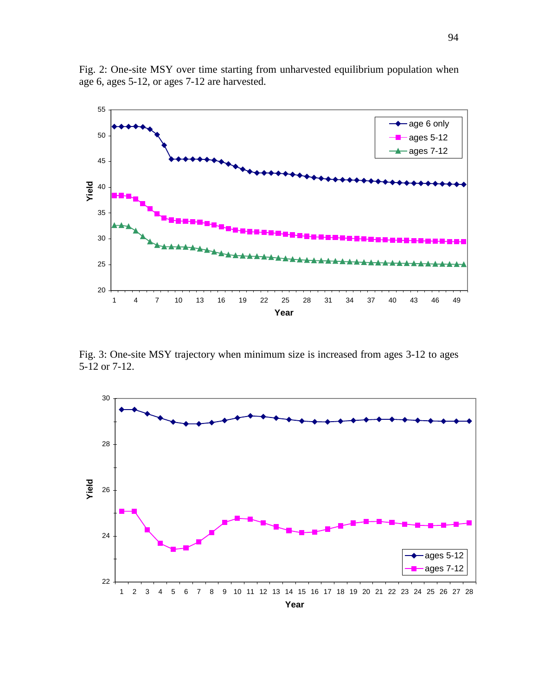

Fig. 2: One-site MSY over time starting from unharvested equilibrium population when age 6, ages 5-12, or ages 7-12 are harvested.

Fig. 3: One-site MSY trajectory when minimum size is increased from ages 3-12 to ages 5-12 or 7-12.

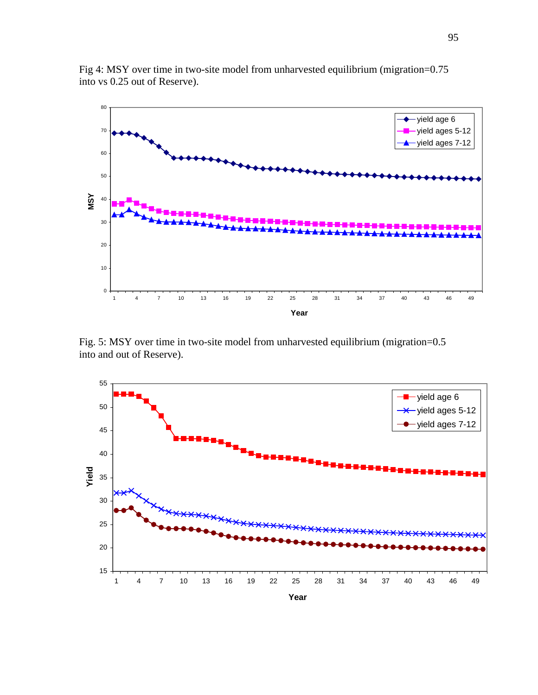

Fig 4: MSY over time in two-site model from unharvested equilibrium (migration=0.75 into vs 0.25 out of Reserve).

Fig. 5: MSY over time in two-site model from unharvested equilibrium (migration=0.5 into and out of Reserve).

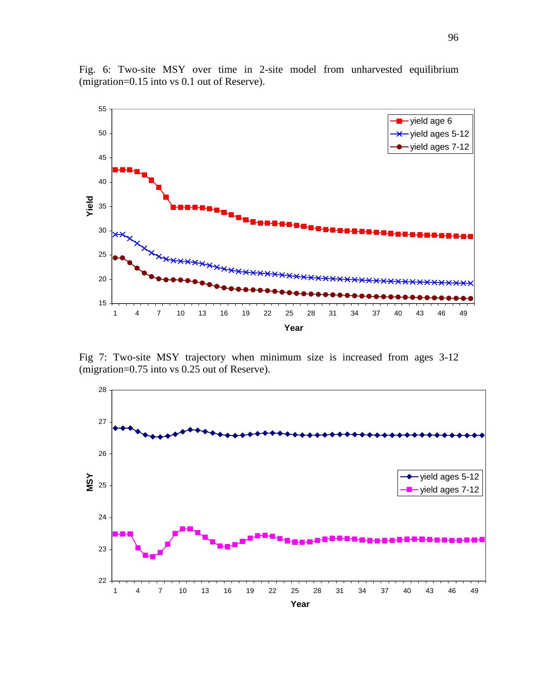



Fig 7: Two-site MSY trajectory when minimum size is increased from ages 3-12 (migration=0.75 into vs 0.25 out of Reserve).

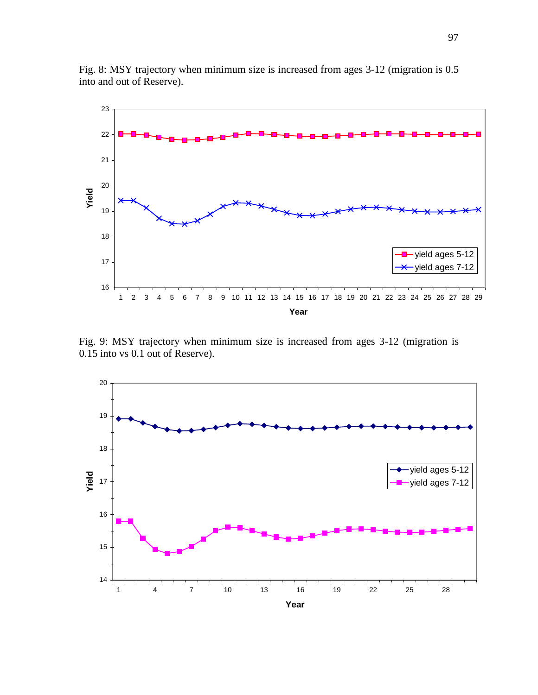

Fig. 8: MSY trajectory when minimum size is increased from ages 3-12 (migration is 0.5 into and out of Reserve).

Fig. 9: MSY trajectory when minimum size is increased from ages 3-12 (migration is 0.15 into vs 0.1 out of Reserve).

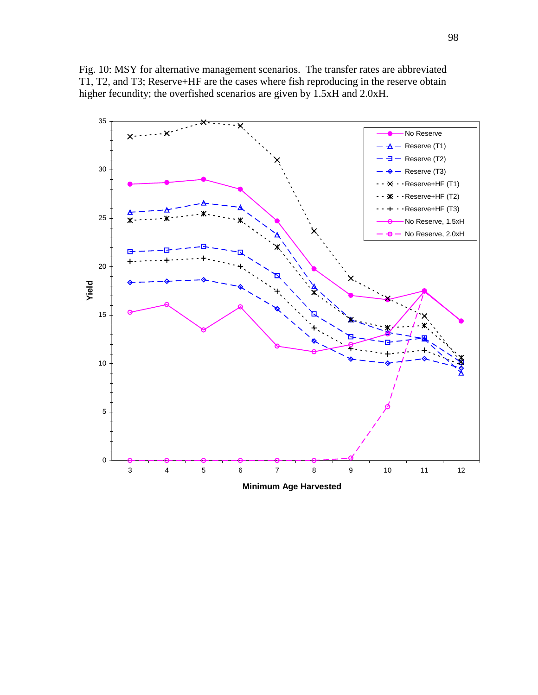

Fig. 10: MSY for alternative management scenarios. The transfer rates are abbreviated T1, T2, and T3; Reserve+HF are the cases where fish reproducing in the reserve obtain higher fecundity; the overfished scenarios are given by 1.5xH and 2.0xH.

**Minimum Age Harvested**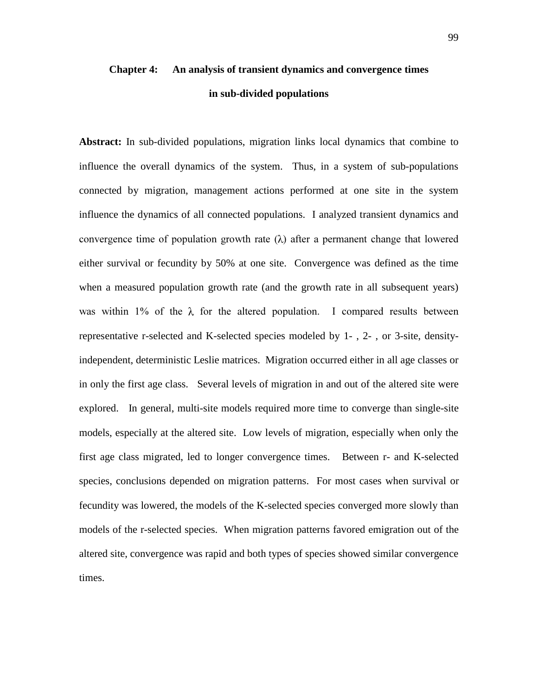# **Chapter 4: An analysis of transient dynamics and convergence times in sub-divided populations**

**Abstract:** In sub-divided populations, migration links local dynamics that combine to influence the overall dynamics of the system. Thus, in a system of sub-populations connected by migration, management actions performed at one site in the system influence the dynamics of all connected populations. I analyzed transient dynamics and convergence time of population growth rate  $(\lambda)$  after a permanent change that lowered either survival or fecundity by 50% at one site. Convergence was defined as the time when a measured population growth rate (and the growth rate in all subsequent years) was within 1% of the  $\lambda$  for the altered population. I compared results between representative r-selected and K-selected species modeled by 1- , 2- , or 3-site, densityindependent, deterministic Leslie matrices. Migration occurred either in all age classes or in only the first age class. Several levels of migration in and out of the altered site were explored. In general, multi-site models required more time to converge than single-site models, especially at the altered site. Low levels of migration, especially when only the first age class migrated, led to longer convergence times. Between r- and K-selected species, conclusions depended on migration patterns. For most cases when survival or fecundity was lowered, the models of the K-selected species converged more slowly than models of the r-selected species. When migration patterns favored emigration out of the altered site, convergence was rapid and both types of species showed similar convergence times.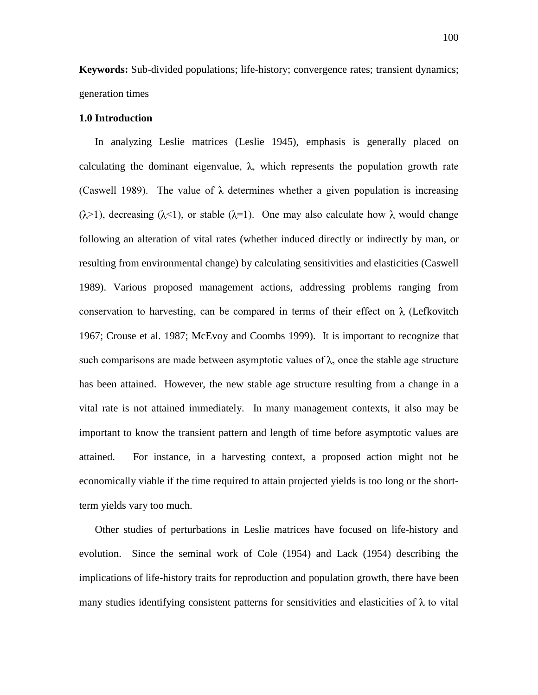**Keywords:** Sub-divided populations; life-history; convergence rates; transient dynamics; generation times

### **1.0 Introduction**

In analyzing Leslie matrices (Leslie 1945), emphasis is generally placed on calculating the dominant eigenvalue,  $\lambda$ , which represents the population growth rate (Caswell 1989). The value of  $\lambda$  determines whether a given population is increasing  $(\lambda > 1)$ , decreasing  $(\lambda < 1)$ , or stable  $(\lambda = 1)$ . One may also calculate how  $\lambda$  would change following an alteration of vital rates (whether induced directly or indirectly by man, or resulting from environmental change) by calculating sensitivities and elasticities (Caswell 1989). Various proposed management actions, addressing problems ranging from conservation to harvesting, can be compared in terms of their effect on  $\lambda$  (Lefkovitch 1967; Crouse et al. 1987; McEvoy and Coombs 1999). It is important to recognize that such comparisons are made between asymptotic values of  $\lambda$ , once the stable age structure has been attained. However, the new stable age structure resulting from a change in a vital rate is not attained immediately. In many management contexts, it also may be important to know the transient pattern and length of time before asymptotic values are attained. For instance, in a harvesting context, a proposed action might not be economically viable if the time required to attain projected yields is too long or the shortterm yields vary too much.

Other studies of perturbations in Leslie matrices have focused on life-history and evolution. Since the seminal work of Cole (1954) and Lack (1954) describing the implications of life-history traits for reproduction and population growth, there have been many studies identifying consistent patterns for sensitivities and elasticities of  $\lambda$  to vital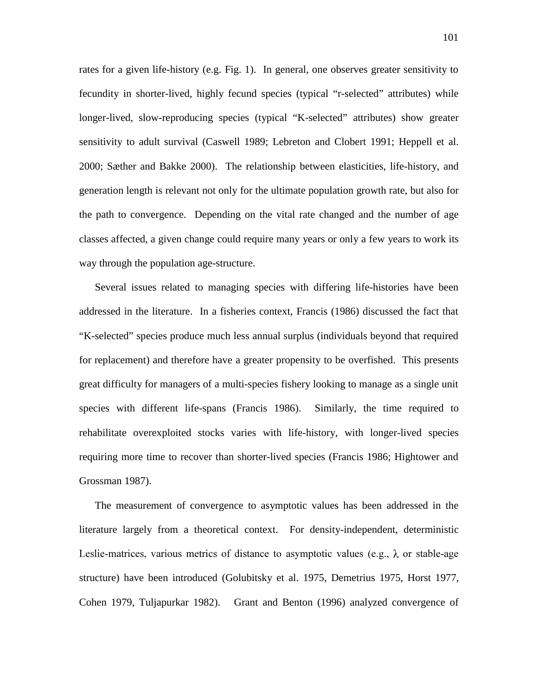rates for a given life-history (e.g. Fig. 1). In general, one observes greater sensitivity to fecundity in shorter-lived, highly fecund species (typical "r-selected" attributes) while longer-lived, slow-reproducing species (typical "K-selected" attributes) show greater sensitivity to adult survival (Caswell 1989; Lebreton and Clobert 1991; Heppell et al. 2000; Sæther and Bakke 2000). The relationship between elasticities, life-history, and generation length is relevant not only for the ultimate population growth rate, but also for the path to convergence. Depending on the vital rate changed and the number of age classes affected, a given change could require many years or only a few years to work its way through the population age-structure.

Several issues related to managing species with differing life-histories have been addressed in the literature. In a fisheries context, Francis (1986) discussed the fact that "K-selected" species produce much less annual surplus (individuals beyond that required for replacement) and therefore have a greater propensity to be overfished. This presents great difficulty for managers of a multi-species fishery looking to manage as a single unit species with different life-spans (Francis 1986). Similarly, the time required to rehabilitate overexploited stocks varies with life-history, with longer-lived species requiring more time to recover than shorter-lived species (Francis 1986; Hightower and Grossman 1987).

The measurement of convergence to asymptotic values has been addressed in the literature largely from a theoretical context. For density-independent, deterministic Leslie-matrices, various metrics of distance to asymptotic values (e.g.,  $\lambda$  or stable-age structure) have been introduced (Golubitsky et al. 1975, Demetrius 1975, Horst 1977, Cohen 1979, Tuljapurkar 1982). Grant and Benton (1996) analyzed convergence of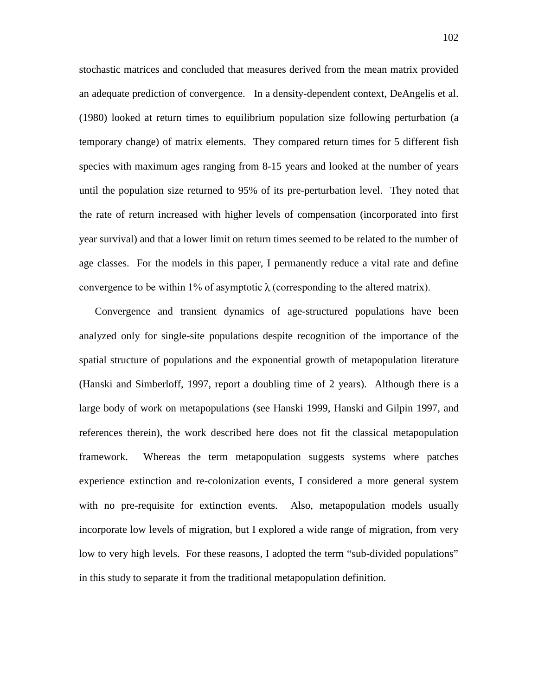stochastic matrices and concluded that measures derived from the mean matrix provided an adequate prediction of convergence. In a density-dependent context, DeAngelis et al. (1980) looked at return times to equilibrium population size following perturbation (a temporary change) of matrix elements. They compared return times for 5 different fish species with maximum ages ranging from 8-15 years and looked at the number of years until the population size returned to 95% of its pre-perturbation level. They noted that the rate of return increased with higher levels of compensation (incorporated into first year survival) and that a lower limit on return times seemed to be related to the number of age classes. For the models in this paper, I permanently reduce a vital rate and define convergence to be within 1% of asymptotic  $\lambda$  (corresponding to the altered matrix).

Convergence and transient dynamics of age-structured populations have been analyzed only for single-site populations despite recognition of the importance of the spatial structure of populations and the exponential growth of metapopulation literature (Hanski and Simberloff, 1997, report a doubling time of 2 years). Although there is a large body of work on metapopulations (see Hanski 1999, Hanski and Gilpin 1997, and references therein), the work described here does not fit the classical metapopulation framework. Whereas the term metapopulation suggests systems where patches experience extinction and re-colonization events, I considered a more general system with no pre-requisite for extinction events. Also, metapopulation models usually incorporate low levels of migration, but I explored a wide range of migration, from very low to very high levels. For these reasons, I adopted the term "sub-divided populations" in this study to separate it from the traditional metapopulation definition.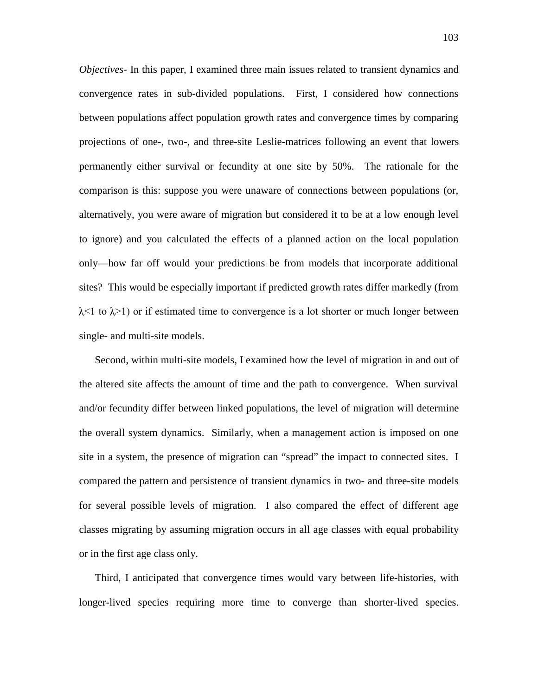*Objectives-* In this paper, I examined three main issues related to transient dynamics and convergence rates in sub-divided populations. First, I considered how connections between populations affect population growth rates and convergence times by comparing projections of one-, two-, and three-site Leslie-matrices following an event that lowers permanently either survival or fecundity at one site by 50%. The rationale for the comparison is this: suppose you were unaware of connections between populations (or, alternatively, you were aware of migration but considered it to be at a low enough level to ignore) and you calculated the effects of a planned action on the local population only—how far off would your predictions be from models that incorporate additional sites? This would be especially important if predicted growth rates differ markedly (from  $\lambda$ <1 to  $\lambda$ >1) or if estimated time to convergence is a lot shorter or much longer between single- and multi-site models.

Second, within multi-site models, I examined how the level of migration in and out of the altered site affects the amount of time and the path to convergence. When survival and/or fecundity differ between linked populations, the level of migration will determine the overall system dynamics. Similarly, when a management action is imposed on one site in a system, the presence of migration can "spread" the impact to connected sites. I compared the pattern and persistence of transient dynamics in two- and three-site models for several possible levels of migration. I also compared the effect of different age classes migrating by assuming migration occurs in all age classes with equal probability or in the first age class only.

Third, I anticipated that convergence times would vary between life-histories, with longer-lived species requiring more time to converge than shorter-lived species.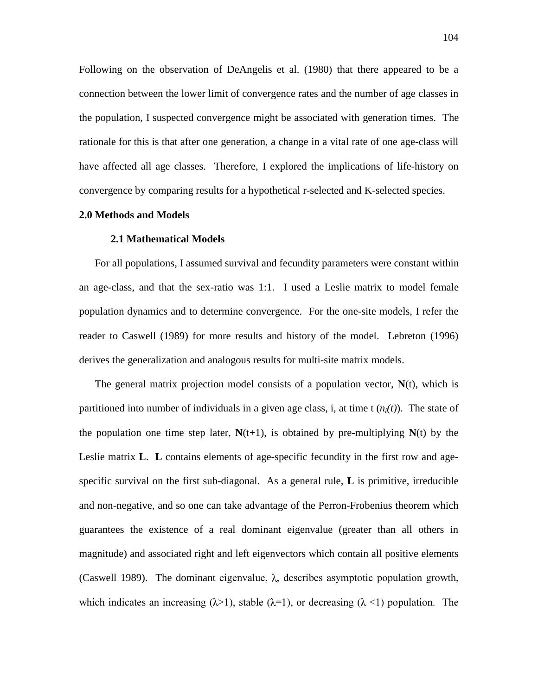Following on the observation of DeAngelis et al. (1980) that there appeared to be a connection between the lower limit of convergence rates and the number of age classes in the population, I suspected convergence might be associated with generation times. The rationale for this is that after one generation, a change in a vital rate of one age-class will have affected all age classes. Therefore, I explored the implications of life-history on convergence by comparing results for a hypothetical r-selected and K-selected species.

### **2.0 Methods and Models**

### **2.1 Mathematical Models**

For all populations, I assumed survival and fecundity parameters were constant within an age-class, and that the sex-ratio was 1:1. I used a Leslie matrix to model female population dynamics and to determine convergence. For the one-site models, I refer the reader to Caswell (1989) for more results and history of the model. Lebreton (1996) derives the generalization and analogous results for multi-site matrix models.

The general matrix projection model consists of a population vector, **N**(t), which is partitioned into number of individuals in a given age class, i, at time  $t(n<sub>i</sub>(t))$ . The state of the population one time step later,  $N(t+1)$ , is obtained by pre-multiplying  $N(t)$  by the Leslie matrix **L**. **L** contains elements of age-specific fecundity in the first row and agespecific survival on the first sub-diagonal. As a general rule, **L** is primitive, irreducible and non-negative, and so one can take advantage of the Perron-Frobenius theorem which guarantees the existence of a real dominant eigenvalue (greater than all others in magnitude) and associated right and left eigenvectors which contain all positive elements (Caswell 1989). The dominant eigenvalue,  $\lambda$ , describes asymptotic population growth, which indicates an increasing  $(\lambda > 1)$ , stable  $(\lambda = 1)$ , or decreasing  $(\lambda < 1)$  population. The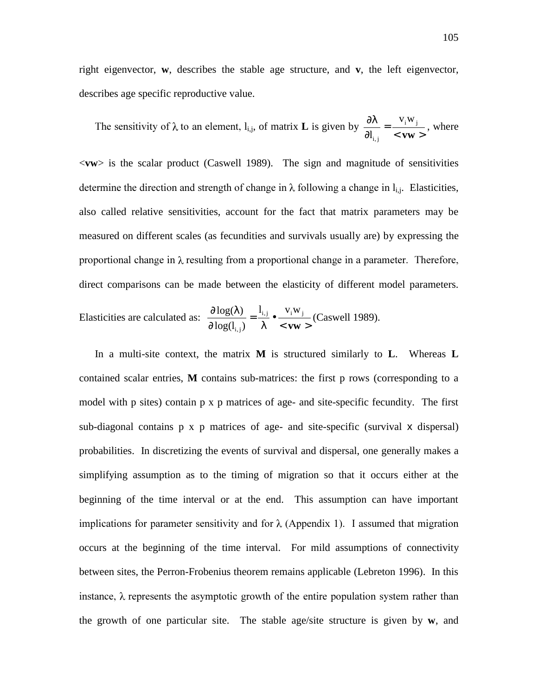right eigenvector, **w**, describes the stable age structure, and **v**, the left eigenvector, describes age specific reproductive value.

The sensitivity of  $\lambda$  to an element, l<sub>i,j</sub>, of matrix **L** is given by  $\frac{\partial \lambda}{\partial l_{i,j}} = \frac{v_i w_j}{\langle v \rangle}$ **vw** i <sup>vv</sup> j i, j  $V_i W$  $\frac{W}{\lambda_{i,j}} = \frac{W}{\langle \mathbf{v} \mathbf{w} \rangle}$ , where

<**vw**> is the scalar product (Caswell 1989). The sign and magnitude of sensitivities determine the direction and strength of change in  $\lambda$  following a change in  $l_{i,j}$ . Elasticities, also called relative sensitivities, account for the fact that matrix parameters may be measured on different scales (as fecundities and survivals usually are) by expressing the proportional change in  $\lambda$  resulting from a proportional change in a parameter. Therefore, direct comparisons can be made between the elasticity of different model parameters.

Elasticities are calculated as: 
$$
\frac{\partial \log(\lambda)}{\partial \log(l_{i,j})} = \frac{l_{i,j}}{\lambda} \bullet \frac{v_i w_j}{\langle vw \rangle} \text{ (Caswell 1989).}
$$

In a multi-site context, the matrix **M** is structured similarly to **L**. Whereas **L** contained scalar entries, **M** contains sub-matrices: the first p rows (corresponding to a model with p sites) contain p x p matrices of age- and site-specific fecundity. The first sub-diagonal contains p x p matrices of age- and site-specific (survival x dispersal) probabilities. In discretizing the events of survival and dispersal, one generally makes a simplifying assumption as to the timing of migration so that it occurs either at the beginning of the time interval or at the end. This assumption can have important implications for parameter sensitivity and for  $\lambda$  (Appendix 1). I assumed that migration occurs at the beginning of the time interval. For mild assumptions of connectivity between sites, the Perron-Frobenius theorem remains applicable (Lebreton 1996). In this instance,  $\lambda$  represents the asymptotic growth of the entire population system rather than the growth of one particular site. The stable age/site structure is given by **w**, and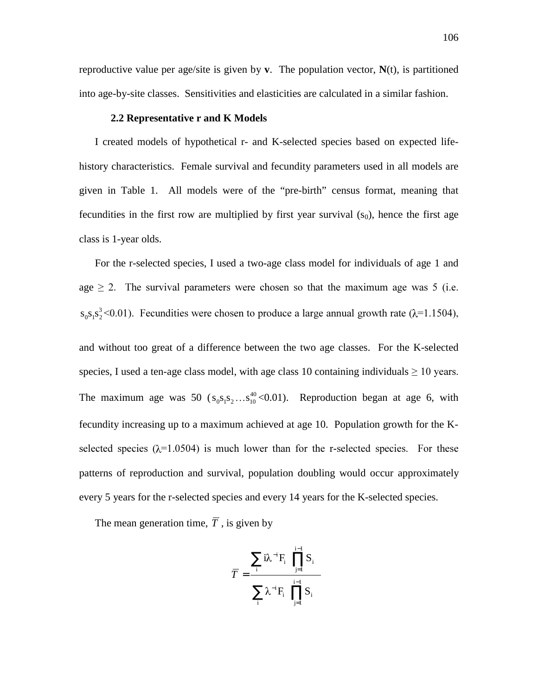reproductive value per age/site is given by **v**. The population vector,  $N(t)$ , is partitioned into age-by-site classes. Sensitivities and elasticities are calculated in a similar fashion.

### **2.2 Representative r and K Models**

I created models of hypothetical r- and K-selected species based on expected lifehistory characteristics. Female survival and fecundity parameters used in all models are given in Table 1. All models were of the "pre-birth" census format, meaning that fecundities in the first row are multiplied by first year survival  $(s_0)$ , hence the first age class is 1-year olds.

For the r-selected species, I used a two-age class model for individuals of age 1 and age  $\geq$  2. The survival parameters were chosen so that the maximum age was 5 (i.e.  $s_0 s_1 s_2^3$  < 0.01). Fecundities were chosen to produce a large annual growth rate ( $\lambda$ =1.1504),

and without too great of a difference between the two age classes. For the K-selected species, I used a ten-age class model, with age class 10 containing individuals  $\geq 10$  years. The maximum age was 50  $(s_0s_1s_2...s_1^{40} < 0.01)$ . Reproduction began at age 6, with fecundity increasing up to a maximum achieved at age 10. Population growth for the Kselected species ( $\lambda$ =1.0504) is much lower than for the r-selected species. For these patterns of reproduction and survival, population doubling would occur approximately every 5 years for the r-selected species and every 14 years for the K-selected species.

The mean generation time,  $\overline{T}$ , is given by

$$
\overline{T} = \frac{\sum_{i} i \lambda^{-i} F_{i} \left( \prod_{j=1}^{i-1} S_{i} \right)}{\sum_{i} \lambda^{-i} F_{i} \left( \prod_{j=1}^{i-1} S_{i} \right)}
$$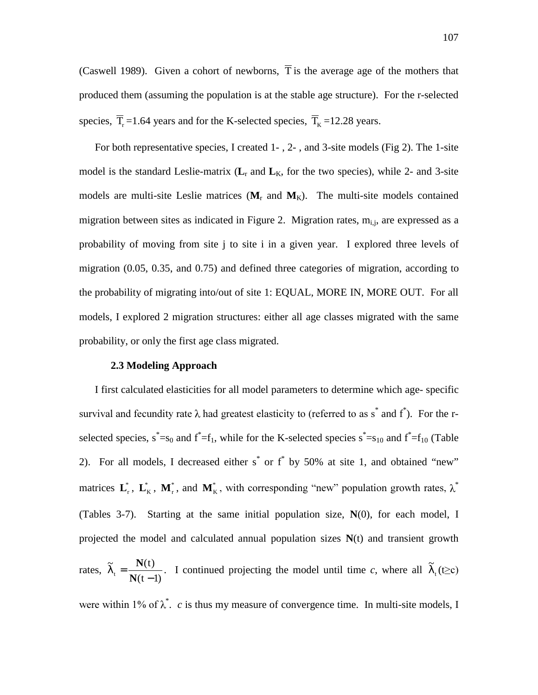(Caswell 1989). Given a cohort of newborns,  $\overline{T}$  is the average age of the mothers that produced them (assuming the population is at the stable age structure). For the r-selected species,  $\overline{T}_{\rm r}$  =1.64 years and for the K-selected species,  $\overline{T}_{\rm K}$  =12.28 years.

For both representative species, I created 1- , 2- , and 3-site models (Fig 2). The 1-site model is the standard Leslie-matrix  $(L_r$  and  $L_K$ , for the two species), while 2- and 3-site models are multi-site Leslie matrices  $(M_r$  and  $M_K$ ). The multi-site models contained migration between sites as indicated in Figure 2. Migration rates,  $m_{i,j}$ , are expressed as a probability of moving from site j to site i in a given year. I explored three levels of migration (0.05, 0.35, and 0.75) and defined three categories of migration, according to the probability of migrating into/out of site 1: EQUAL, MORE IN, MORE OUT. For all models, I explored 2 migration structures: either all age classes migrated with the same probability, or only the first age class migrated.

# **2.3 Modeling Approach**

I first calculated elasticities for all model parameters to determine which age- specific survival and fecundity rate  $\lambda$  had greatest elasticity to (referred to as s<sup>\*</sup> and f<sup>\*</sup>). For the rselected species,  $s^* = s_0$  and  $f^* = f_1$ , while for the K-selected species  $s^* = s_{10}$  and  $f^* = f_{10}$  (Table 2). For all models, I decreased either  $s^*$  or  $f^*$  by 50% at site 1, and obtained "new" matrices  $\mathbf{L}_r^*$ ,  $\mathbf{L}_K^*$ ,  $\mathbf{M}_r^*$ , and  $\mathbf{M}_K^*$ , with corresponding "new" population growth rates,  $\lambda^*$ (Tables 3-7). Starting at the same initial population size, **N**(0), for each model, I projected the model and calculated annual population sizes **N**(t) and transient growth

rates,  $\tilde{\lambda}_t = \frac{\mathbf{N}(t)}{\mathbf{N}(t-1)}$ . I continued projecting the model until time *c*, where all  $\tilde{\lambda}_t$  (t≥c)

were within 1% of  $\lambda^*$ . *c* is thus my measure of convergence time. In multi-site models, I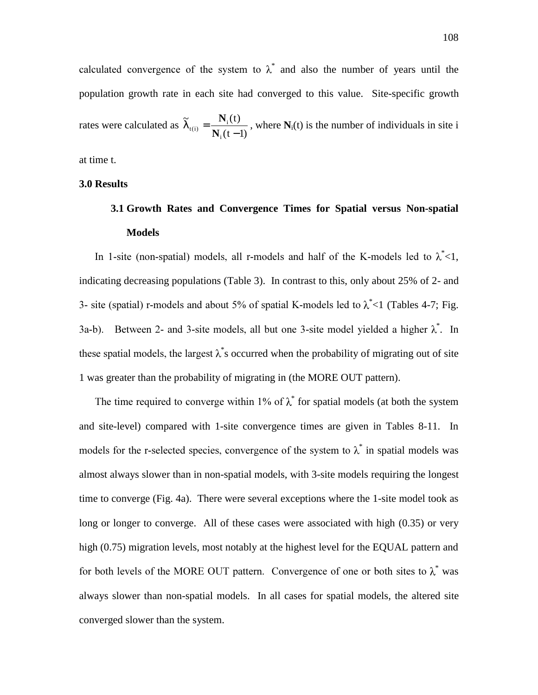calculated convergence of the system to  $\lambda^*$  and also the number of years until the population growth rate in each site had converged to this value. Site-specific growth rates were calculated as  $(t - 1)$  $\tilde{\gamma}$   $N_i(t)$ i  $\tilde{\lambda}_{t(i)} = \frac{\mathbf{N}_i(t)}{\mathbf{N}_i(t-1)}$ , where  $\mathbf{N}_i(t)$  is the number of individuals in site i

at time t.

## **3.0 Results**

# **3.1 Growth Rates and Convergence Times for Spatial versus Non-spatial Models**

In 1-site (non-spatial) models, all r-models and half of the K-models led to  $\lambda^*$  < 1, indicating decreasing populations (Table 3). In contrast to this, only about 25% of 2- and 3- site (spatial) r-models and about 5% of spatial K-models led to  $\lambda^*$  < 1 (Tables 4-7; Fig. 3a-b). Between 2- and 3-site models, all but one 3-site model yielded a higher  $\lambda^*$ . In these spatial models, the largest  $\lambda^*$ s occurred when the probability of migrating out of site 1 was greater than the probability of migrating in (the MORE OUT pattern).

The time required to converge within 1% of  $\lambda^*$  for spatial models (at both the system and site-level) compared with 1-site convergence times are given in Tables 8-11. In models for the r-selected species, convergence of the system to  $\lambda^*$  in spatial models was almost always slower than in non-spatial models, with 3-site models requiring the longest time to converge (Fig. 4a). There were several exceptions where the 1-site model took as long or longer to converge. All of these cases were associated with high (0.35) or very high (0.75) migration levels, most notably at the highest level for the EQUAL pattern and for both levels of the MORE OUT pattern. Convergence of one or both sites to  $\lambda^*$  was always slower than non-spatial models. In all cases for spatial models, the altered site converged slower than the system.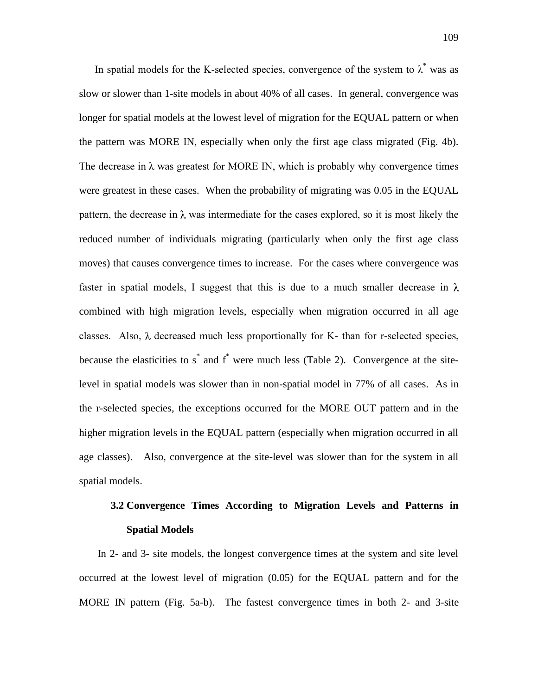In spatial models for the K-selected species, convergence of the system to  $\lambda^*$  was as slow or slower than 1-site models in about 40% of all cases. In general, convergence was longer for spatial models at the lowest level of migration for the EQUAL pattern or when the pattern was MORE IN, especially when only the first age class migrated (Fig. 4b). The decrease in  $\lambda$  was greatest for MORE IN, which is probably why convergence times were greatest in these cases. When the probability of migrating was 0.05 in the EQUAL pattern, the decrease in  $\lambda$  was intermediate for the cases explored, so it is most likely the reduced number of individuals migrating (particularly when only the first age class moves) that causes convergence times to increase. For the cases where convergence was faster in spatial models, I suggest that this is due to a much smaller decrease in  $\lambda$ combined with high migration levels, especially when migration occurred in all age classes. Also,  $\lambda$  decreased much less proportionally for K- than for r-selected species, because the elasticities to  $s^*$  and  $f^*$  were much less (Table 2). Convergence at the sitelevel in spatial models was slower than in non-spatial model in 77% of all cases. As in the r-selected species, the exceptions occurred for the MORE OUT pattern and in the higher migration levels in the EQUAL pattern (especially when migration occurred in all age classes). Also, convergence at the site-level was slower than for the system in all spatial models.

# **3.2 Convergence Times According to Migration Levels and Patterns in Spatial Models**

In 2- and 3- site models, the longest convergence times at the system and site level occurred at the lowest level of migration (0.05) for the EQUAL pattern and for the MORE IN pattern (Fig. 5a-b). The fastest convergence times in both 2- and 3-site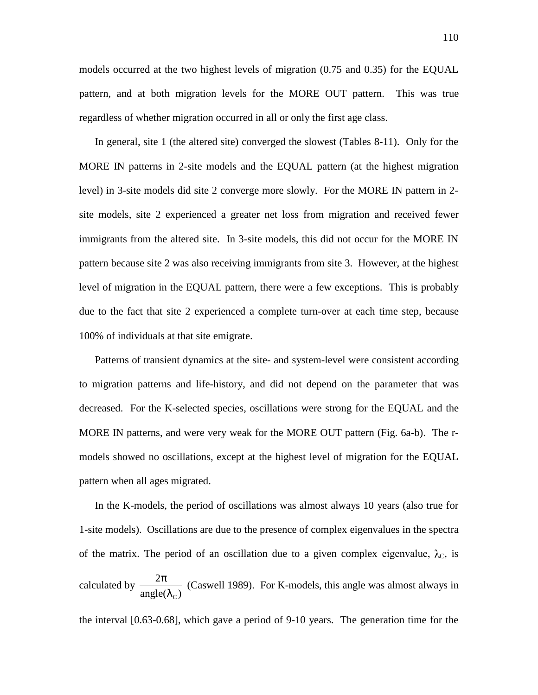models occurred at the two highest levels of migration (0.75 and 0.35) for the EQUAL pattern, and at both migration levels for the MORE OUT pattern. This was true regardless of whether migration occurred in all or only the first age class.

In general, site 1 (the altered site) converged the slowest (Tables 8-11). Only for the MORE IN patterns in 2-site models and the EQUAL pattern (at the highest migration level) in 3-site models did site 2 converge more slowly. For the MORE IN pattern in 2 site models, site 2 experienced a greater net loss from migration and received fewer immigrants from the altered site. In 3-site models, this did not occur for the MORE IN pattern because site 2 was also receiving immigrants from site 3. However, at the highest level of migration in the EQUAL pattern, there were a few exceptions. This is probably due to the fact that site 2 experienced a complete turn-over at each time step, because 100% of individuals at that site emigrate.

Patterns of transient dynamics at the site- and system-level were consistent according to migration patterns and life-history, and did not depend on the parameter that was decreased. For the K-selected species, oscillations were strong for the EQUAL and the MORE IN patterns, and were very weak for the MORE OUT pattern (Fig. 6a-b). The rmodels showed no oscillations, except at the highest level of migration for the EQUAL pattern when all ages migrated.

In the K-models, the period of oscillations was almost always 10 years (also true for 1-site models). Oscillations are due to the presence of complex eigenvalues in the spectra of the matrix. The period of an oscillation due to a given complex eigenvalue,  $\lambda_c$ , is calculated by  $\frac{2\pi}{\text{angle}(\lambda_C)}$  $\lambda_{_{\text{\tiny C}}}$  $\frac{\pi}{4}$  (Caswell 1989). For K-models, this angle was almost always in

the interval [0.63-0.68], which gave a period of 9-10 years. The generation time for the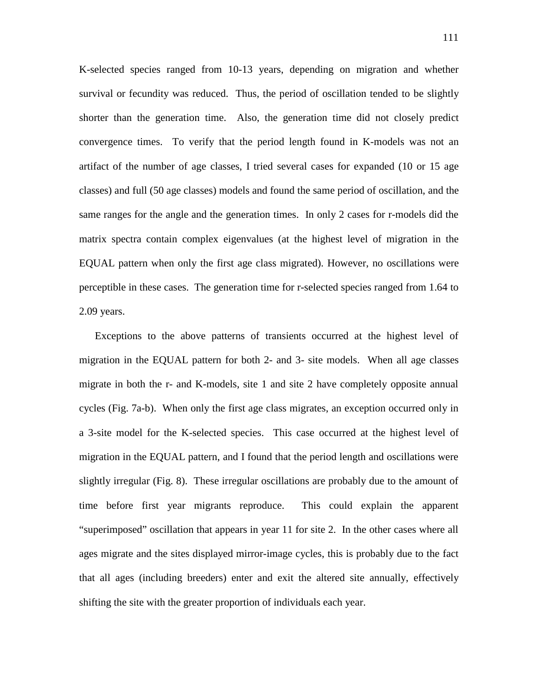K-selected species ranged from 10-13 years, depending on migration and whether survival or fecundity was reduced. Thus, the period of oscillation tended to be slightly shorter than the generation time. Also, the generation time did not closely predict convergence times. To verify that the period length found in K-models was not an artifact of the number of age classes, I tried several cases for expanded (10 or 15 age classes) and full (50 age classes) models and found the same period of oscillation, and the same ranges for the angle and the generation times. In only 2 cases for r-models did the matrix spectra contain complex eigenvalues (at the highest level of migration in the EQUAL pattern when only the first age class migrated). However, no oscillations were perceptible in these cases. The generation time for r-selected species ranged from 1.64 to 2.09 years.

Exceptions to the above patterns of transients occurred at the highest level of migration in the EQUAL pattern for both 2- and 3- site models. When all age classes migrate in both the r- and K-models, site 1 and site 2 have completely opposite annual cycles (Fig. 7a-b). When only the first age class migrates, an exception occurred only in a 3-site model for the K-selected species. This case occurred at the highest level of migration in the EQUAL pattern, and I found that the period length and oscillations were slightly irregular (Fig. 8). These irregular oscillations are probably due to the amount of time before first year migrants reproduce. This could explain the apparent "superimposed" oscillation that appears in year 11 for site 2. In the other cases where all ages migrate and the sites displayed mirror-image cycles, this is probably due to the fact that all ages (including breeders) enter and exit the altered site annually, effectively shifting the site with the greater proportion of individuals each year.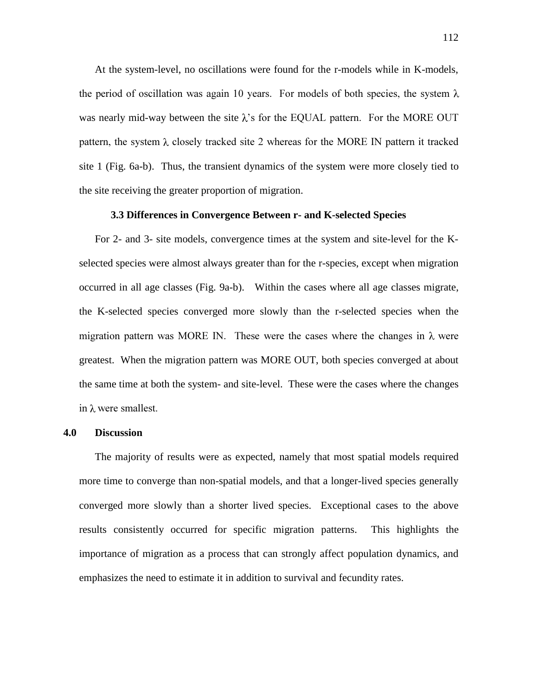At the system-level, no oscillations were found for the r-models while in K-models, the period of oscillation was again 10 years. For models of both species, the system  $\lambda$ was nearly mid-way between the site  $\lambda$ 's for the EQUAL pattern. For the MORE OUT pattern, the system  $\lambda$  closely tracked site 2 whereas for the MORE IN pattern it tracked site 1 (Fig. 6a-b). Thus, the transient dynamics of the system were more closely tied to the site receiving the greater proportion of migration.

### **3.3 Differences in Convergence Between r- and K-selected Species**

For 2- and 3- site models, convergence times at the system and site-level for the Kselected species were almost always greater than for the r-species, except when migration occurred in all age classes (Fig. 9a-b). Within the cases where all age classes migrate, the K-selected species converged more slowly than the r-selected species when the migration pattern was MORE IN. These were the cases where the changes in  $\lambda$  were greatest. When the migration pattern was MORE OUT, both species converged at about the same time at both the system- and site-level. These were the cases where the changes in  $\lambda$  were smallest.

### **4.0 Discussion**

The majority of results were as expected, namely that most spatial models required more time to converge than non-spatial models, and that a longer-lived species generally converged more slowly than a shorter lived species. Exceptional cases to the above results consistently occurred for specific migration patterns. This highlights the importance of migration as a process that can strongly affect population dynamics, and emphasizes the need to estimate it in addition to survival and fecundity rates.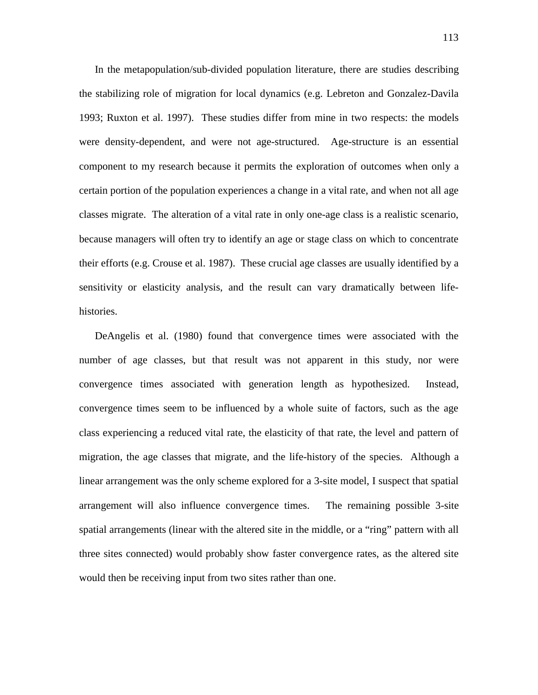In the metapopulation/sub-divided population literature, there are studies describing the stabilizing role of migration for local dynamics (e.g. Lebreton and Gonzalez-Davila 1993; Ruxton et al. 1997). These studies differ from mine in two respects: the models were density-dependent, and were not age-structured. Age-structure is an essential component to my research because it permits the exploration of outcomes when only a certain portion of the population experiences a change in a vital rate, and when not all age classes migrate. The alteration of a vital rate in only one-age class is a realistic scenario, because managers will often try to identify an age or stage class on which to concentrate their efforts (e.g. Crouse et al. 1987). These crucial age classes are usually identified by a sensitivity or elasticity analysis, and the result can vary dramatically between lifehistories.

DeAngelis et al. (1980) found that convergence times were associated with the number of age classes, but that result was not apparent in this study, nor were convergence times associated with generation length as hypothesized. Instead, convergence times seem to be influenced by a whole suite of factors, such as the age class experiencing a reduced vital rate, the elasticity of that rate, the level and pattern of migration, the age classes that migrate, and the life-history of the species. Although a linear arrangement was the only scheme explored for a 3-site model, I suspect that spatial arrangement will also influence convergence times. The remaining possible 3-site spatial arrangements (linear with the altered site in the middle, or a "ring" pattern with all three sites connected) would probably show faster convergence rates, as the altered site would then be receiving input from two sites rather than one.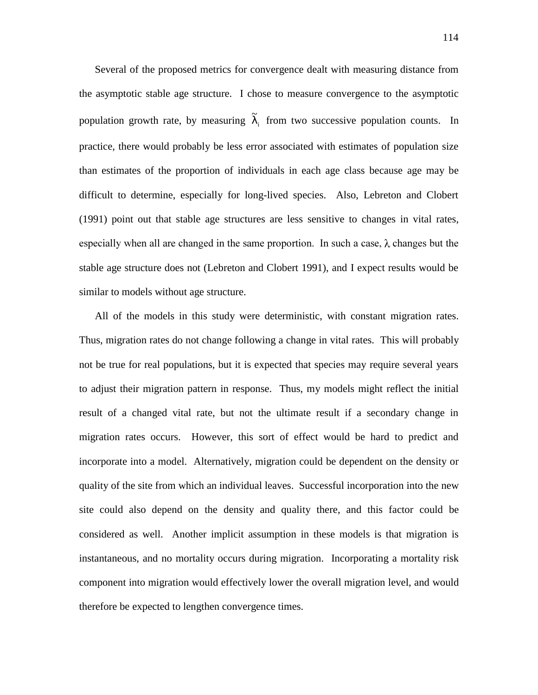Several of the proposed metrics for convergence dealt with measuring distance from the asymptotic stable age structure. I chose to measure convergence to the asymptotic population growth rate, by measuring  $\widetilde{\lambda}_i$  from two successive population counts. In practice, there would probably be less error associated with estimates of population size than estimates of the proportion of individuals in each age class because age may be difficult to determine, especially for long-lived species. Also, Lebreton and Clobert (1991) point out that stable age structures are less sensitive to changes in vital rates, especially when all are changed in the same proportion. In such a case,  $\lambda$  changes but the stable age structure does not (Lebreton and Clobert 1991), and I expect results would be similar to models without age structure.

All of the models in this study were deterministic, with constant migration rates. Thus, migration rates do not change following a change in vital rates. This will probably not be true for real populations, but it is expected that species may require several years to adjust their migration pattern in response. Thus, my models might reflect the initial result of a changed vital rate, but not the ultimate result if a secondary change in migration rates occurs. However, this sort of effect would be hard to predict and incorporate into a model. Alternatively, migration could be dependent on the density or quality of the site from which an individual leaves. Successful incorporation into the new site could also depend on the density and quality there, and this factor could be considered as well. Another implicit assumption in these models is that migration is instantaneous, and no mortality occurs during migration. Incorporating a mortality risk component into migration would effectively lower the overall migration level, and would therefore be expected to lengthen convergence times.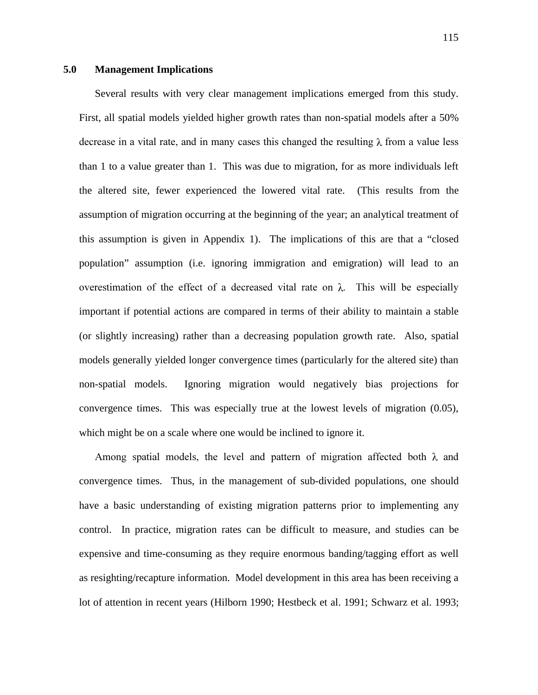## **5.0 Management Implications**

Several results with very clear management implications emerged from this study. First, all spatial models yielded higher growth rates than non-spatial models after a 50% decrease in a vital rate, and in many cases this changed the resulting  $\lambda$  from a value less than 1 to a value greater than 1. This was due to migration, for as more individuals left the altered site, fewer experienced the lowered vital rate. (This results from the assumption of migration occurring at the beginning of the year; an analytical treatment of this assumption is given in Appendix 1). The implications of this are that a "closed population" assumption (i.e. ignoring immigration and emigration) will lead to an overestimation of the effect of a decreased vital rate on  $\lambda$ . This will be especially important if potential actions are compared in terms of their ability to maintain a stable (or slightly increasing) rather than a decreasing population growth rate. Also, spatial models generally yielded longer convergence times (particularly for the altered site) than non-spatial models. Ignoring migration would negatively bias projections for convergence times. This was especially true at the lowest levels of migration (0.05), which might be on a scale where one would be inclined to ignore it.

Among spatial models, the level and pattern of migration affected both  $\lambda$  and convergence times. Thus, in the management of sub-divided populations, one should have a basic understanding of existing migration patterns prior to implementing any control. In practice, migration rates can be difficult to measure, and studies can be expensive and time-consuming as they require enormous banding/tagging effort as well as resighting/recapture information. Model development in this area has been receiving a lot of attention in recent years (Hilborn 1990; Hestbeck et al. 1991; Schwarz et al. 1993;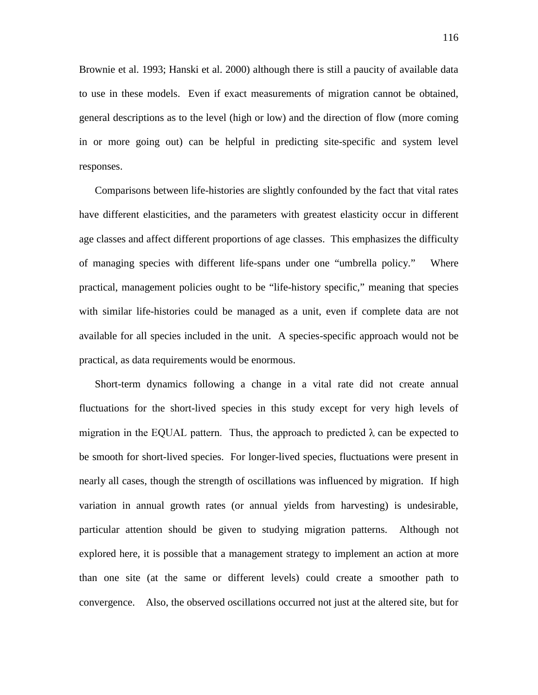Brownie et al. 1993; Hanski et al. 2000) although there is still a paucity of available data to use in these models. Even if exact measurements of migration cannot be obtained, general descriptions as to the level (high or low) and the direction of flow (more coming in or more going out) can be helpful in predicting site-specific and system level responses.

Comparisons between life-histories are slightly confounded by the fact that vital rates have different elasticities, and the parameters with greatest elasticity occur in different age classes and affect different proportions of age classes. This emphasizes the difficulty of managing species with different life-spans under one "umbrella policy." Where practical, management policies ought to be "life-history specific," meaning that species with similar life-histories could be managed as a unit, even if complete data are not available for all species included in the unit. A species-specific approach would not be practical, as data requirements would be enormous.

Short-term dynamics following a change in a vital rate did not create annual fluctuations for the short-lived species in this study except for very high levels of migration in the EQUAL pattern. Thus, the approach to predicted  $\lambda$  can be expected to be smooth for short-lived species. For longer-lived species, fluctuations were present in nearly all cases, though the strength of oscillations was influenced by migration. If high variation in annual growth rates (or annual yields from harvesting) is undesirable, particular attention should be given to studying migration patterns. Although not explored here, it is possible that a management strategy to implement an action at more than one site (at the same or different levels) could create a smoother path to convergence. Also, the observed oscillations occurred not just at the altered site, but for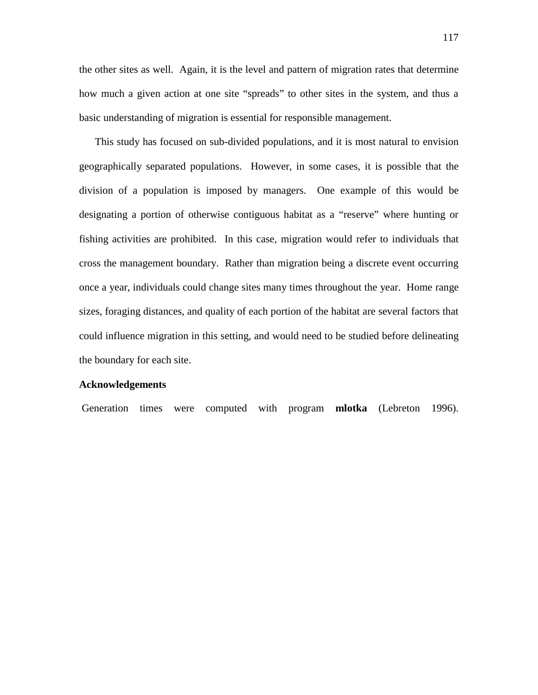the other sites as well. Again, it is the level and pattern of migration rates that determine how much a given action at one site "spreads" to other sites in the system, and thus a basic understanding of migration is essential for responsible management.

This study has focused on sub-divided populations, and it is most natural to envision geographically separated populations. However, in some cases, it is possible that the division of a population is imposed by managers. One example of this would be designating a portion of otherwise contiguous habitat as a "reserve" where hunting or fishing activities are prohibited. In this case, migration would refer to individuals that cross the management boundary. Rather than migration being a discrete event occurring once a year, individuals could change sites many times throughout the year. Home range sizes, foraging distances, and quality of each portion of the habitat are several factors that could influence migration in this setting, and would need to be studied before delineating the boundary for each site.

#### **Acknowledgements**

Generation times were computed with program **mlotka** (Lebreton 1996).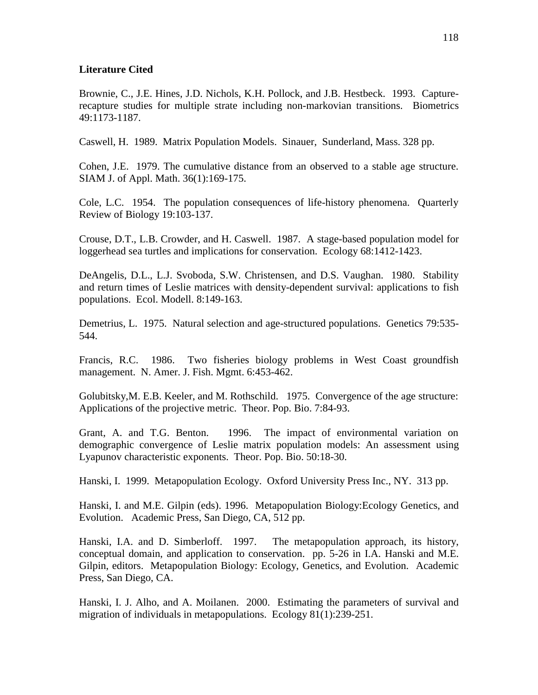## **Literature Cited**

Brownie, C., J.E. Hines, J.D. Nichols, K.H. Pollock, and J.B. Hestbeck. 1993. Capturerecapture studies for multiple strate including non-markovian transitions. Biometrics 49:1173-1187.

Caswell, H. 1989. Matrix Population Models. Sinauer, Sunderland, Mass. 328 pp.

Cohen, J.E. 1979. The cumulative distance from an observed to a stable age structure. SIAM J. of Appl. Math. 36(1):169-175.

Cole, L.C. 1954. The population consequences of life-history phenomena. Quarterly Review of Biology 19:103-137.

Crouse, D.T., L.B. Crowder, and H. Caswell. 1987. A stage-based population model for loggerhead sea turtles and implications for conservation. Ecology 68:1412-1423.

DeAngelis, D.L., L.J. Svoboda, S.W. Christensen, and D.S. Vaughan. 1980. Stability and return times of Leslie matrices with density-dependent survival: applications to fish populations. Ecol. Modell. 8:149-163.

Demetrius, L. 1975. Natural selection and age-structured populations. Genetics 79:535- 544.

Francis, R.C. 1986. Two fisheries biology problems in West Coast groundfish management. N. Amer. J. Fish. Mgmt. 6:453-462.

Golubitsky,M. E.B. Keeler, and M. Rothschild. 1975. Convergence of the age structure: Applications of the projective metric. Theor. Pop. Bio. 7:84-93.

Grant, A. and T.G. Benton. 1996. The impact of environmental variation on demographic convergence of Leslie matrix population models: An assessment using Lyapunov characteristic exponents. Theor. Pop. Bio. 50:18-30.

Hanski, I. 1999. Metapopulation Ecology. Oxford University Press Inc., NY. 313 pp.

Hanski, I. and M.E. Gilpin (eds). 1996. Metapopulation Biology:Ecology Genetics, and Evolution. Academic Press, San Diego, CA, 512 pp.

Hanski, I.A. and D. Simberloff. 1997. The metapopulation approach, its history, conceptual domain, and application to conservation. pp. 5-26 in I.A. Hanski and M.E. Gilpin, editors. Metapopulation Biology: Ecology, Genetics, and Evolution. Academic Press, San Diego, CA.

Hanski, I. J. Alho, and A. Moilanen. 2000. Estimating the parameters of survival and migration of individuals in metapopulations. Ecology 81(1):239-251.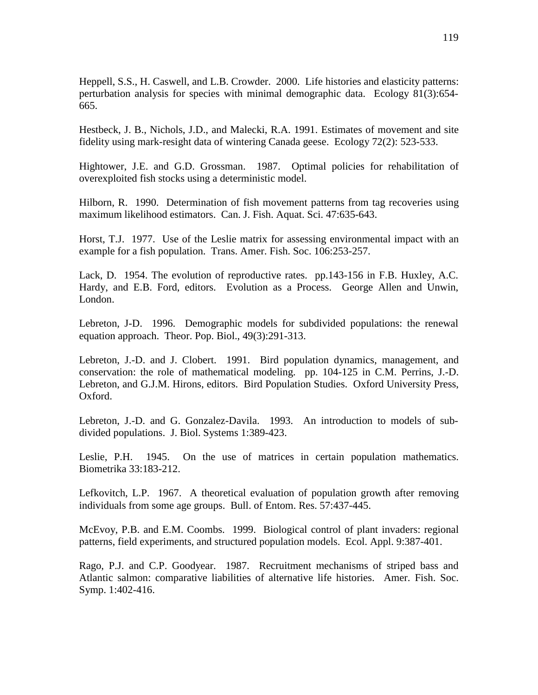Heppell, S.S., H. Caswell, and L.B. Crowder. 2000. Life histories and elasticity patterns: perturbation analysis for species with minimal demographic data. Ecology 81(3):654- 665.

Hestbeck, J. B., Nichols, J.D., and Malecki, R.A. 1991. Estimates of movement and site fidelity using mark-resight data of wintering Canada geese. Ecology 72(2): 523-533.

Hightower, J.E. and G.D. Grossman. 1987. Optimal policies for rehabilitation of overexploited fish stocks using a deterministic model.

Hilborn, R. 1990. Determination of fish movement patterns from tag recoveries using maximum likelihood estimators. Can. J. Fish. Aquat. Sci. 47:635-643.

Horst, T.J. 1977. Use of the Leslie matrix for assessing environmental impact with an example for a fish population. Trans. Amer. Fish. Soc. 106:253-257.

Lack, D. 1954. The evolution of reproductive rates. pp.143-156 in F.B. Huxley, A.C. Hardy, and E.B. Ford, editors. Evolution as a Process. George Allen and Unwin, London.

Lebreton, J-D. 1996. Demographic models for subdivided populations: the renewal equation approach. Theor. Pop. Biol., 49(3):291-313.

Lebreton, J.-D. and J. Clobert. 1991. Bird population dynamics, management, and conservation: the role of mathematical modeling. pp. 104-125 in C.M. Perrins, J.-D. Lebreton, and G.J.M. Hirons, editors. Bird Population Studies. Oxford University Press, Oxford.

Lebreton, J.-D. and G. Gonzalez-Davila. 1993. An introduction to models of subdivided populations. J. Biol. Systems 1:389-423.

Leslie, P.H. 1945. On the use of matrices in certain population mathematics. Biometrika 33:183-212.

Lefkovitch, L.P. 1967. A theoretical evaluation of population growth after removing individuals from some age groups. Bull. of Entom. Res. 57:437-445.

McEvoy, P.B. and E.M. Coombs. 1999. Biological control of plant invaders: regional patterns, field experiments, and structured population models. Ecol. Appl. 9:387-401.

Rago, P.J. and C.P. Goodyear. 1987. Recruitment mechanisms of striped bass and Atlantic salmon: comparative liabilities of alternative life histories. Amer. Fish. Soc. Symp. 1:402-416.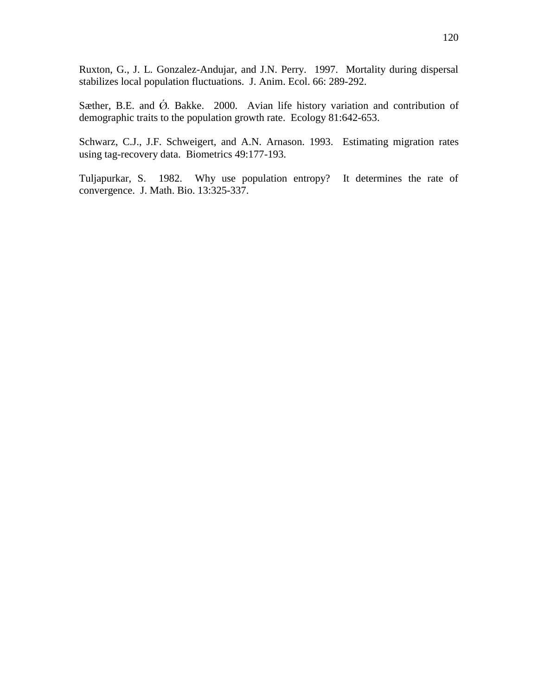Ruxton, G., J. L. Gonzalez-Andujar, and J.N. Perry. 1997. Mortality during dispersal stabilizes local population fluctuations. J. Anim. Ecol. 66: 289-292.

Sæther, B.E. and  $\acute{\Omega}$ . Bakke. 2000. Avian life history variation and contribution of demographic traits to the population growth rate. Ecology 81:642-653.

Schwarz, C.J., J.F. Schweigert, and A.N. Arnason. 1993. Estimating migration rates using tag-recovery data. Biometrics 49:177-193.

Tuljapurkar, S. 1982. Why use population entropy? It determines the rate of convergence. J. Math. Bio. 13:325-337.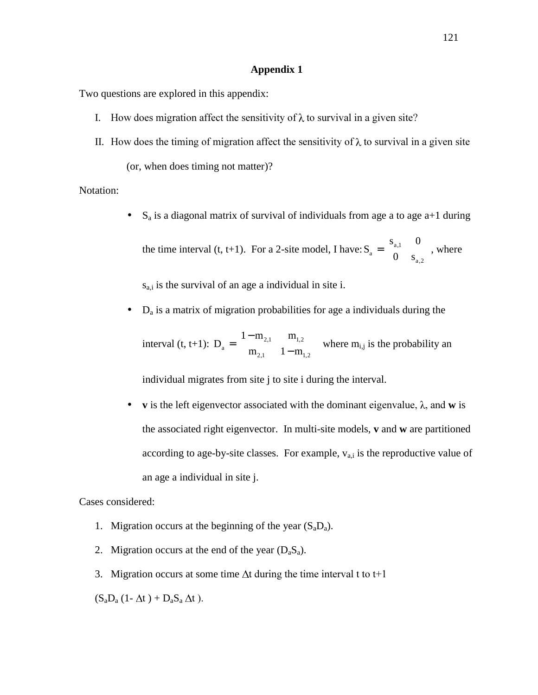### **Appendix 1**

Two questions are explored in this appendix:

- I. How does migration affect the sensitivity of  $\lambda$  to survival in a given site?
- II. How does the timing of migration affect the sensitivity of  $\lambda$  to survival in a given site

(or, when does timing not matter)?

Notation:

•  $S_a$  is a diagonal matrix of survival of individuals from age a to age  $a+1$  during  $s_{a1} = 0$ 

the time interval (t, t+1). For a 2-site model, I have: 
$$
S_a = \begin{bmatrix} s_{a,1} & 0 \\ 0 & s_{a,2} \end{bmatrix}
$$
, where

 $s_{a,i}$  is the survival of an age a individual in site i.

 $\bullet$   $D_a$  is a matrix of migration probabilities for age a individuals during the

interval (t, t+1):  $D_a = \begin{vmatrix} 2.1 & 1.2 \\ m & 1-m \end{vmatrix}$  $\overline{\phantom{a}}$  $\begin{vmatrix} 1 - m_{2,1} & m_{1,2} \\ m & 1 - m \end{vmatrix}$ L L −  $=\left| \frac{1-1}{1-1}\right|$ 2,1  $\mathbf{1} \mathbf{1} \mathbf{1} \mathbf{1} \mathbf{1}$ 2,1  $\mathbf{11}_{1,2}$  $m_{2,1}$  1-m  $1 - m_{2,1}$  m  $D_a =$   $\begin{bmatrix} 2,1 \\ 1,2 \end{bmatrix}$  where  $m_{i,j}$  is the probability and

individual migrates from site j to site i during the interval.

• **v** is the left eigenvector associated with the dominant eigenvalue,  $\lambda$ , and **w** is the associated right eigenvector. In multi-site models, **v** and **w** are partitioned according to age-by-site classes. For example,  $v_{a,i}$  is the reproductive value of an age a individual in site j.

Cases considered:

- 1. Migration occurs at the beginning of the year  $(S_a D_a)$ .
- 2. Migration occurs at the end of the year  $(D_aS_a)$ .
- 3. Migration occurs at some time  $\Delta t$  during the time interval t to t+1

 $(S_aD_a (1 - \Delta t) + D_aS_a \Delta t)$ .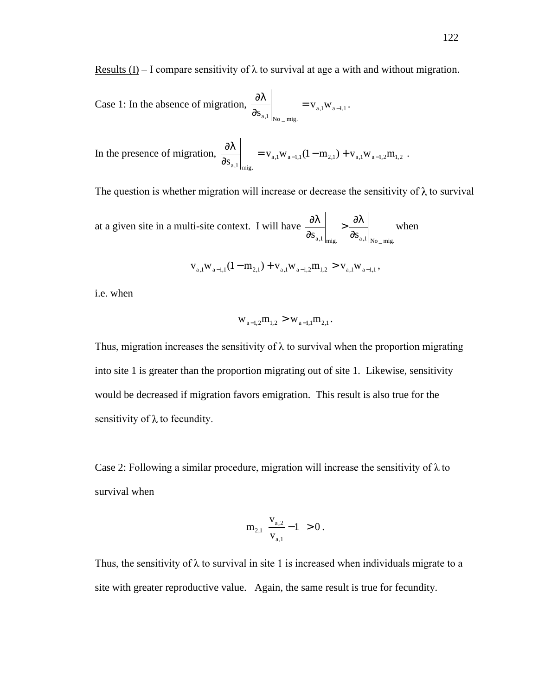Results (I) – I compare sensitivity of  $\lambda$  to survival at age a with and without migration.

Case 1: In the absence of migration,  $\frac{\partial V}{\partial a}$  =  $V_{a,1}W_{a-1,1}$  $a,1|_{\text{No}}$  mig.  $\left.\frac{\partial \lambda}{\partial s_{a,l}}\right|_{s'} = v_{a,l} w_{a-l,1}.$ 

In the presence of migration, 
$$
\frac{\partial \lambda}{\partial s_{a,1}}\Big|_{mig.} = v_{a,1}w_{a-1,1}(1-m_{2,1}) + v_{a,1}w_{a-1,2}m_{1,2}
$$
.

The question is whether migration will increase or decrease the sensitivity of  $\lambda$  to survival

at a given site in a multi-site context. I will have  $S_{a,1}\Big|_{\text{mig.}}$   $\partial S_{a,1}\Big|_{\text{No\_mig.}}$  $>\frac{3\lambda}{2}$ ∂  $\left|\frac{\partial \lambda}{\partial n}\right| \rightarrow \left|\frac{\partial \lambda}{\partial n}\right|$  when

$$
v_{a,1}w_{a-1,1}(1-m_{2,1}) + v_{a,1}w_{a-1,2}m_{1,2} > v_{a,1}w_{a-1,1},
$$

i.e. when

$$
w_{a-1,2}m_{1,2} > w_{a-1,1}m_{2,1}.
$$

Thus, migration increases the sensitivity of  $\lambda$  to survival when the proportion migrating into site 1 is greater than the proportion migrating out of site 1. Likewise, sensitivity would be decreased if migration favors emigration. This result is also true for the sensitivity of  $\lambda$  to fecundity.

Case 2: Following a similar procedure, migration will increase the sensitivity of  $\lambda$  to survival when

$$
m_{2,1}\left(\frac{v_{a,2}}{v_{a,1}}-1\right) > 0.
$$

Thus, the sensitivity of  $\lambda$  to survival in site 1 is increased when individuals migrate to a site with greater reproductive value. Again, the same result is true for fecundity.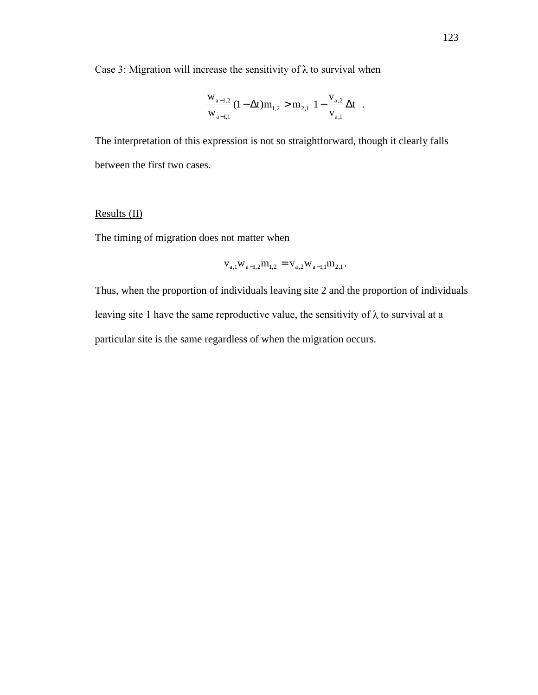Case 3: Migration will increase the sensitivity of  $\lambda$  to survival when

$$
\frac{w_{a-1,2}}{w_{a-1,1}}(1-\Delta t)m_{1,2} > m_{2,1}\left(1-\frac{v_{a,2}}{v_{a,1}}\Delta t\right).
$$

The interpretation of this expression is not so straightforward, though it clearly falls between the first two cases.

# Results (II)

The timing of migration does not matter when

$$
v_{a,1}w_{a-1,2}m_{1,2} = v_{a,2}w_{a-1,1}m_{2,1}.
$$

Thus, when the proportion of individuals leaving site 2 and the proportion of individuals leaving site 1 have the same reproductive value, the sensitivity of  $\lambda$  to survival at a particular site is the same regardless of when the migration occurs.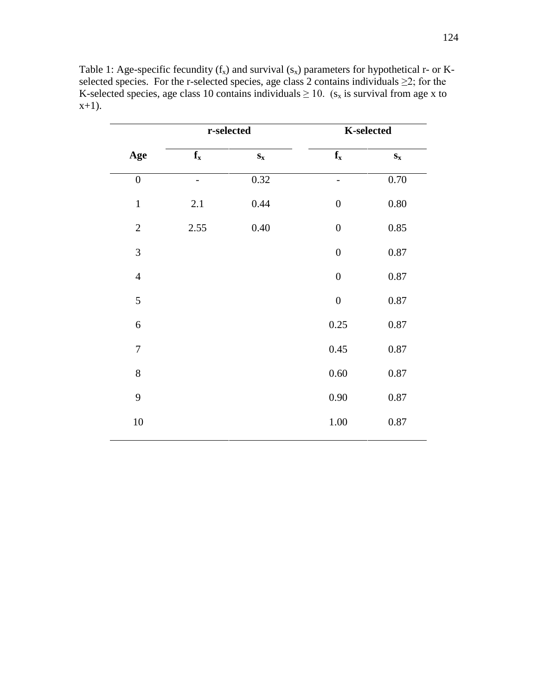|                  | r-selected              |                         | <b>K-selected</b>       |                         |
|------------------|-------------------------|-------------------------|-------------------------|-------------------------|
| Age              | $\mathbf{f}_\mathbf{x}$ | $\mathbf{S}_\mathbf{X}$ | $\mathbf{f}_\mathbf{x}$ | $\mathbf{S}_\mathbf{X}$ |
| $\boldsymbol{0}$ |                         | 0.32                    | -                       | 0.70                    |
| $\mathbf{1}$     | 2.1                     | 0.44                    | $\boldsymbol{0}$        | $0.80\,$                |
| $\sqrt{2}$       | 2.55                    | 0.40                    | $\boldsymbol{0}$        | 0.85                    |
| $\mathfrak{Z}$   |                         |                         | $\boldsymbol{0}$        | $0.87\,$                |
| $\overline{4}$   |                         |                         | $\boldsymbol{0}$        | 0.87                    |
| 5                |                         |                         | $\boldsymbol{0}$        | 0.87                    |
| $\sqrt{6}$       |                         |                         | 0.25                    | 0.87                    |
| $\boldsymbol{7}$ |                         |                         | 0.45                    | $0.87\,$                |
| 8                |                         |                         | 0.60                    | $0.87\,$                |
| 9                |                         |                         | 0.90                    | $0.87\,$                |
| 10               |                         |                         | $1.00\,$                | $0.87\,$                |

Table 1: Age-specific fecundity  $(f_x)$  and survival  $(s_x)$  parameters for hypothetical r- or Kselected species. For the r-selected species, age class 2 contains individuals  $\geq 2$ ; for the K-selected species, age class 10 contains individuals  $\geq 10$ . ( $s_x$  is survival from age x to  $x+1$ ).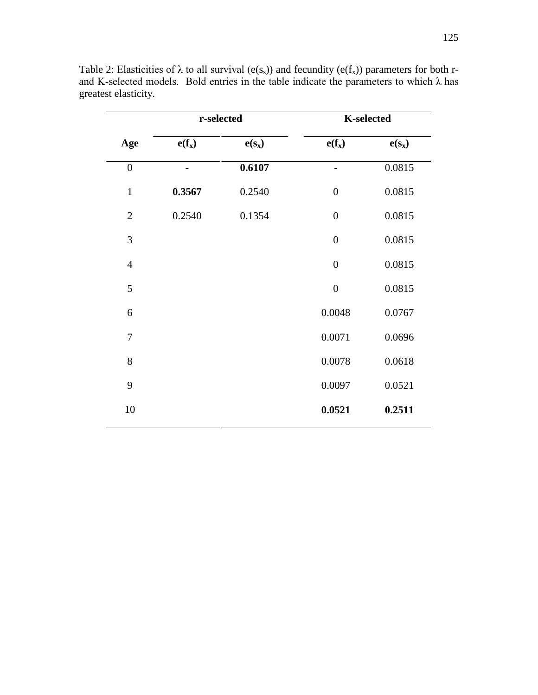|                  | r-selected |          | <b>K-selected</b>          |          |
|------------------|------------|----------|----------------------------|----------|
| Age              | $e(f_x)$   | $e(s_x)$ | $e(f_x)$                   | $e(s_x)$ |
| $\boldsymbol{0}$ |            | 0.6107   |                            | 0.0815   |
| $\mathbf{1}$     | 0.3567     | 0.2540   | $\boldsymbol{0}$           | 0.0815   |
| $\mathbf{2}$     | 0.2540     | 0.1354   | $\boldsymbol{0}$<br>0.0815 |          |
| 3                |            |          | $\boldsymbol{0}$           | 0.0815   |
| $\overline{4}$   |            |          | $\boldsymbol{0}$           | 0.0815   |
| 5                |            |          | $\boldsymbol{0}$           | 0.0815   |
| 6                |            |          | 0.0048                     | 0.0767   |
| $\tau$           |            |          | 0.0071                     | 0.0696   |
| 8                |            |          | 0.0078                     | 0.0618   |
| 9                |            |          | 0.0097                     | 0.0521   |
| 10               |            |          | 0.0521                     | 0.2511   |

Table 2: Elasticities of  $\lambda$  to all survival (e(s<sub>s</sub>)) and fecundity (e(f<sub>x</sub>)) parameters for both rand K-selected models. Bold entries in the table indicate the parameters to which  $\lambda$  has greatest elasticity.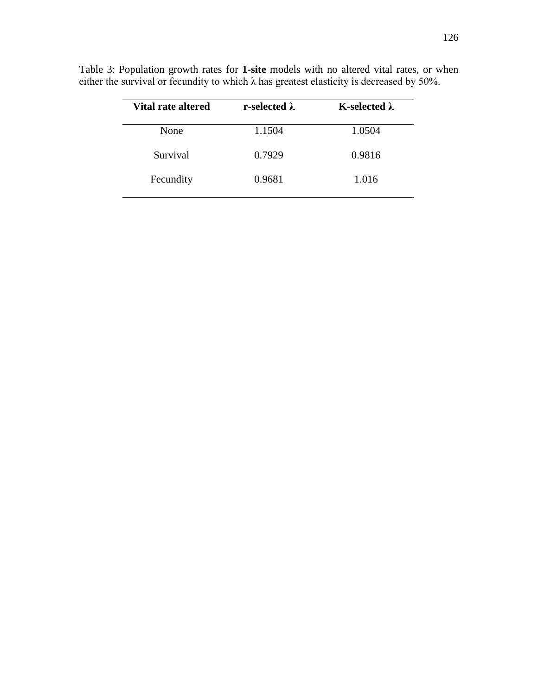| r-selected $\lambda$ | K-selected $\lambda$ |
|----------------------|----------------------|
| 1.1504               | 1.0504               |
| 0.7929               | 0.9816               |
| 0.9681               | 1.016                |
|                      |                      |

Table 3: Population growth rates for **1-site** models with no altered vital rates, or when either the survival or fecundity to which  $\lambda$  has greatest elasticity is decreased by 50%.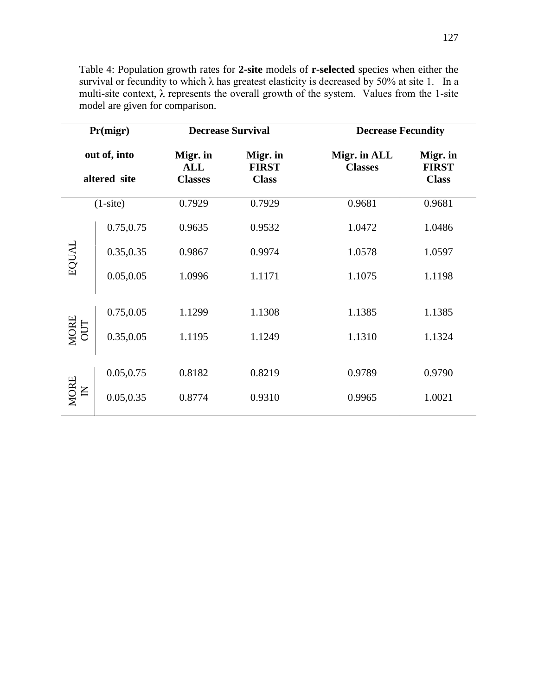| Pr(migr)<br>out of, into<br>altered site |            | <b>Decrease Survival</b>                 |                                          | <b>Decrease Fecundity</b>      |                                          |  |
|------------------------------------------|------------|------------------------------------------|------------------------------------------|--------------------------------|------------------------------------------|--|
|                                          |            | Migr. in<br><b>ALL</b><br><b>Classes</b> | Migr. in<br><b>FIRST</b><br><b>Class</b> | Migr. in ALL<br><b>Classes</b> | Migr. in<br><b>FIRST</b><br><b>Class</b> |  |
|                                          | $(1-site)$ | 0.7929                                   | 0.7929                                   | 0.9681                         | 0.9681                                   |  |
| EQUAL                                    | 0.75,0.75  | 0.9635                                   | 0.9532                                   | 1.0472                         | 1.0486                                   |  |
|                                          | 0.35,0.35  | 0.9867                                   | 0.9974                                   | 1.0578                         | 1.0597                                   |  |
|                                          | 0.05, 0.05 | 1.0996                                   | 1.1171                                   | 1.1075                         | 1.1198                                   |  |
| MORE<br>OUT                              | 0.75,0.05  | 1.1299                                   | 1.1308                                   | 1.1385                         | 1.1385                                   |  |
|                                          | 0.35,0.05  | 1.1195                                   | 1.1249                                   | 1.1310                         | 1.1324                                   |  |
| <b>MORE</b><br>$\overline{a}$            | 0.05,0.75  | 0.8182                                   | 0.8219                                   | 0.9789                         | 0.9790                                   |  |
|                                          | 0.05, 0.35 | 0.8774                                   | 0.9310                                   | 0.9965                         | 1.0021                                   |  |

Table 4: Population growth rates for **2-site** models of **r-selected** species when either the survival or fecundity to which  $\lambda$  has greatest elasticity is decreased by 50% at site 1. In a multi-site context,  $\lambda$  represents the overall growth of the system. Values from the 1-site model are given for comparison.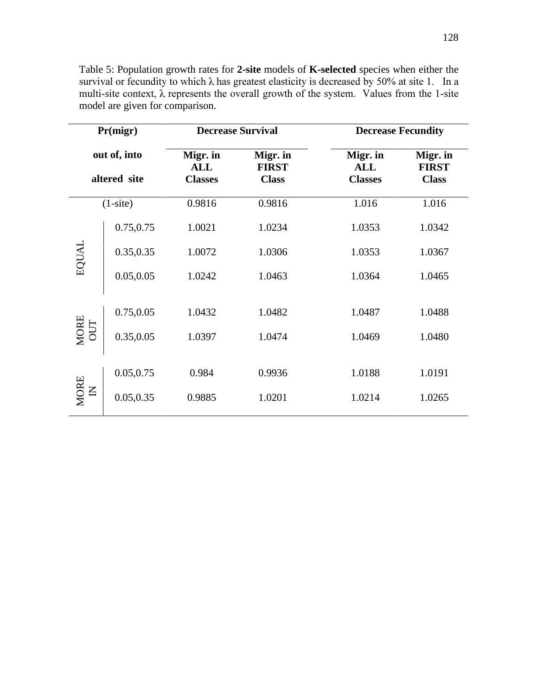| Pr(migr)<br>out of, into<br>altered site |            | <b>Decrease Survival</b>                 |                                          | <b>Decrease Fecundity</b>                |                                          |
|------------------------------------------|------------|------------------------------------------|------------------------------------------|------------------------------------------|------------------------------------------|
|                                          |            | Migr. in<br><b>ALL</b><br><b>Classes</b> | Migr. in<br><b>FIRST</b><br><b>Class</b> | Migr. in<br><b>ALL</b><br><b>Classes</b> | Migr. in<br><b>FIRST</b><br><b>Class</b> |
|                                          | $(1-site)$ | 0.9816                                   | 0.9816                                   | 1.016                                    | 1.016                                    |
| EQUAL                                    | 0.75,0.75  | 1.0021                                   | 1.0234                                   | 1.0353                                   | 1.0342                                   |
|                                          | 0.35,0.35  | 1.0072                                   | 1.0306                                   | 1.0353                                   | 1.0367                                   |
|                                          | 0.05, 0.05 | 1.0242                                   | 1.0463                                   | 1.0364                                   | 1.0465                                   |
| MORE<br>OUT                              | 0.75,0.05  | 1.0432                                   | 1.0482                                   | 1.0487                                   | 1.0488                                   |
|                                          | 0.35,0.05  | 1.0397                                   | 1.0474                                   | 1.0469                                   | 1.0480                                   |
| MORE<br>$\overline{a}$                   | 0.05,0.75  | 0.984                                    | 0.9936                                   | 1.0188                                   | 1.0191                                   |
|                                          | 0.05, 0.35 | 0.9885                                   | 1.0201                                   | 1.0214                                   | 1.0265                                   |

Table 5: Population growth rates for **2-site** models of **K-selected** species when either the survival or fecundity to which  $\lambda$  has greatest elasticity is decreased by 50% at site 1. In a multi-site context,  $\lambda$  represents the overall growth of the system. Values from the 1-site model are given for comparison.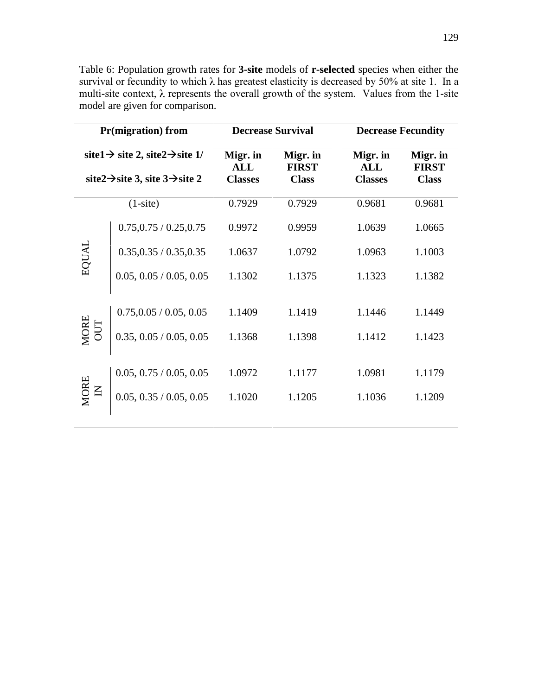Table 6: Population growth rates for **3-site** models of **r-selected** species when either the survival or fecundity to which  $\lambda$  has greatest elasticity is decreased by 50% at site 1. In a multi-site context,  $\lambda$  represents the overall growth of the system. Values from the 1-site model are given for comparison.

| <b>Pr(migration)</b> from                                                                                         |                         | <b>Decrease Survival</b>                 |                                          | <b>Decrease Fecundity</b>         |                                          |
|-------------------------------------------------------------------------------------------------------------------|-------------------------|------------------------------------------|------------------------------------------|-----------------------------------|------------------------------------------|
| site1 $\rightarrow$ site2, site2 $\rightarrow$ site1/<br>site $2 \rightarrow$ site 3, site $3 \rightarrow$ site 2 |                         | Migr. in<br><b>ALL</b><br><b>Classes</b> | Migr. in<br><b>FIRST</b><br><b>Class</b> | Migr. in<br>ALL<br><b>Classes</b> | Migr. in<br><b>FIRST</b><br><b>Class</b> |
| $(1-site)$                                                                                                        |                         | 0.7929                                   | 0.7929                                   | 0.9681                            | 0.9681                                   |
| EQUAL                                                                                                             | 0.75, 0.75 / 0.25, 0.75 | 0.9972                                   | 0.9959                                   | 1.0639                            | 1.0665                                   |
|                                                                                                                   | 0.35, 0.35 / 0.35, 0.35 | 1.0637                                   | 1.0792                                   | 1.0963                            | 1.1003                                   |
|                                                                                                                   | 0.05, 0.05 / 0.05, 0.05 | 1.1302                                   | 1.1375                                   | 1.1323                            | 1.1382                                   |
| $\begin{array}{c} \text{MORE} \\ \text{OUT} \end{array}$                                                          | 0.75, 0.05 / 0.05, 0.05 | 1.1409                                   | 1.1419                                   | 1.1446                            | 1.1449                                   |
|                                                                                                                   | 0.35, 0.05 / 0.05, 0.05 | 1.1368                                   | 1.1398                                   | 1.1412                            | 1.1423                                   |
|                                                                                                                   | 0.05, 0.75 / 0.05, 0.05 | 1.0972                                   | 1.1177                                   | 1.0981                            | 1.1179                                   |
| MORE                                                                                                              | 0.05, 0.35 / 0.05, 0.05 | 1.1020                                   | 1.1205                                   | 1.1036                            | 1.1209                                   |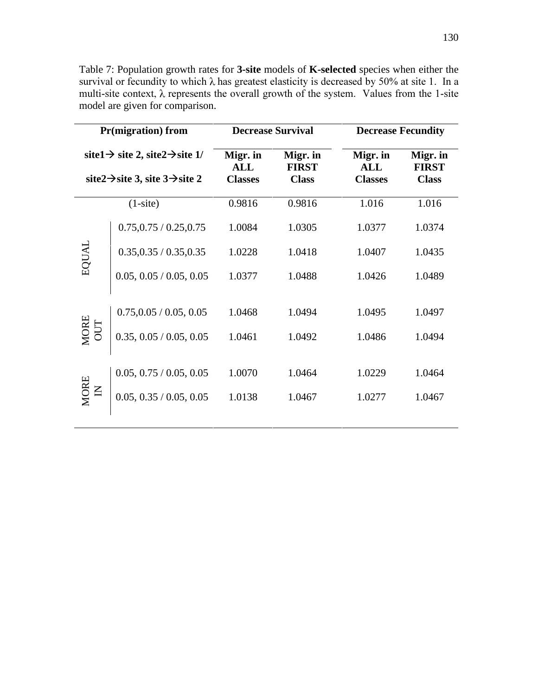Table 7: Population growth rates for **3-site** models of **K-selected** species when either the survival or fecundity to which  $\lambda$  has greatest elasticity is decreased by 50% at site 1. In a multi-site context,  $\lambda$  represents the overall growth of the system. Values from the 1-site model are given for comparison.

| <b>Pr(migration)</b> from                                                                                         |                         |                                          | <b>Decrease Survival</b>                 | <b>Decrease Fecundity</b>                |                                          |
|-------------------------------------------------------------------------------------------------------------------|-------------------------|------------------------------------------|------------------------------------------|------------------------------------------|------------------------------------------|
| site1 $\rightarrow$ site2, site2 $\rightarrow$ site1/<br>site $2 \rightarrow$ site 3, site $3 \rightarrow$ site 2 |                         | Migr. in<br><b>ALL</b><br><b>Classes</b> | Migr. in<br><b>FIRST</b><br><b>Class</b> | Migr. in<br><b>ALL</b><br><b>Classes</b> | Migr. in<br><b>FIRST</b><br><b>Class</b> |
| $(1-site)$                                                                                                        |                         | 0.9816                                   | 0.9816                                   | 1.016                                    | 1.016                                    |
| EQUAL                                                                                                             | 0.75, 0.75 / 0.25, 0.75 | 1.0084                                   | 1.0305                                   | 1.0377                                   | 1.0374                                   |
|                                                                                                                   | 0.35, 0.35 / 0.35, 0.35 | 1.0228                                   | 1.0418                                   | 1.0407                                   | 1.0435                                   |
|                                                                                                                   | 0.05, 0.05 / 0.05, 0.05 | 1.0377                                   | 1.0488                                   | 1.0426                                   | 1.0489                                   |
| $\begin{array}{c} \text{MORE} \\ \text{OUT} \end{array}$                                                          | 0.75, 0.05 / 0.05, 0.05 | 1.0468                                   | 1.0494                                   | 1.0495                                   | 1.0497                                   |
|                                                                                                                   | 0.35, 0.05 / 0.05, 0.05 | 1.0461                                   | 1.0492                                   | 1.0486                                   | 1.0494                                   |
|                                                                                                                   | 0.05, 0.75 / 0.05, 0.05 | 1.0070                                   | 1.0464                                   | 1.0229                                   | 1.0464                                   |
| MORE<br>$\overline{z}$                                                                                            | 0.05, 0.35 / 0.05, 0.05 | 1.0138                                   | 1.0467                                   | 1.0277                                   | 1.0467                                   |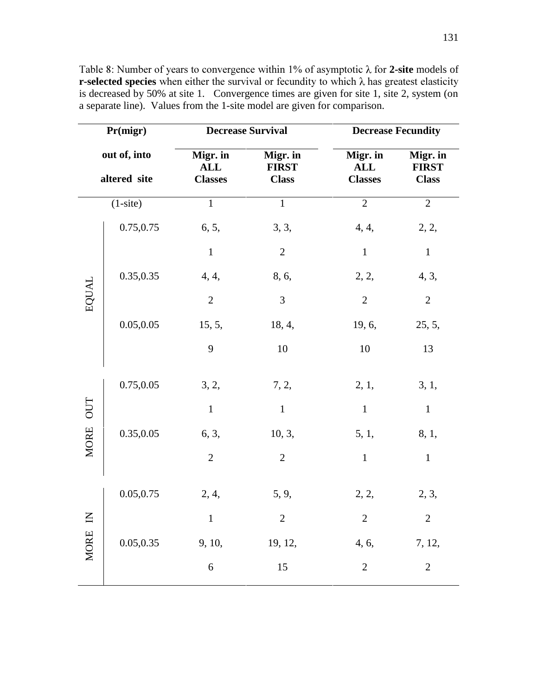| Pr(migr)<br>out of, into<br>altered site |            |                                          | <b>Decrease Survival</b>                 |                | <b>Decrease Fecundity</b>                |  |
|------------------------------------------|------------|------------------------------------------|------------------------------------------|----------------|------------------------------------------|--|
|                                          |            | Migr. in<br><b>ALL</b><br><b>Classes</b> | Migr. in<br><b>FIRST</b><br><b>Class</b> |                | Migr. in<br><b>FIRST</b><br><b>Class</b> |  |
| $(1-site)$                               |            | $\mathbf 1$                              | $\mathbf 1$                              | $\overline{2}$ | $\overline{2}$                           |  |
| EQUAL                                    | 0.75,0.75  | 6, 5,                                    | 3, 3,                                    | 4, 4,          | 2, 2,                                    |  |
|                                          |            | $\mathbf{1}$                             | $\mathfrak{2}$                           | $\mathbf{1}$   | $\mathbf{1}$                             |  |
|                                          | 0.35,0.35  | 4, 4,                                    | 8, 6,                                    | 2, 2,          | 4, 3,                                    |  |
|                                          |            | $\overline{2}$                           | 3                                        | $\overline{2}$ | $\overline{2}$                           |  |
|                                          | 0.05,0.05  | 15, 5,                                   | 18, 4,                                   | 19, 6,         | 25, 5,                                   |  |
|                                          |            | 9                                        | 10                                       | 10             | 13                                       |  |
| MORE OUT                                 | 0.75,0.05  | 3, 2,                                    | 7, 2,                                    | 2, 1,          | 3, 1,                                    |  |
|                                          |            | $\mathbf{1}$                             | $\mathbf{1}$                             | $\mathbf{1}$   | $\mathbf{1}$                             |  |
|                                          | 0.35,0.05  | 6, 3,                                    | 10, 3,                                   | 5, 1,          | 8, 1,                                    |  |
|                                          |            | $\mathbf{2}$                             | $\mathbf{2}$                             | $\mathbf{1}$   | $\mathbf{1}$                             |  |
| MORE IN                                  | 0.05,0.75  | 2, 4,                                    | 5, 9,                                    | 2, 2,          | 2, 3,                                    |  |
|                                          |            | $\mathbf{1}$                             | $\sqrt{2}$                               | $\sqrt{2}$     | $\sqrt{2}$                               |  |
|                                          | 0.05, 0.35 | 9, 10,                                   | 19, 12,                                  | 4, 6,          | 7, 12,                                   |  |
|                                          |            | $\sqrt{6}$                               | 15                                       | $\sqrt{2}$     | $\overline{2}$                           |  |

Table 8: Number of years to convergence within 1% of asymptotic  $\lambda$  for 2-site models of **r-selected species** when either the survival or fecundity to which  $\lambda$  has greatest elasticity is decreased by 50% at site 1. Convergence times are given for site 1, site 2, system (on a separate line). Values from the 1-site model are given for comparison.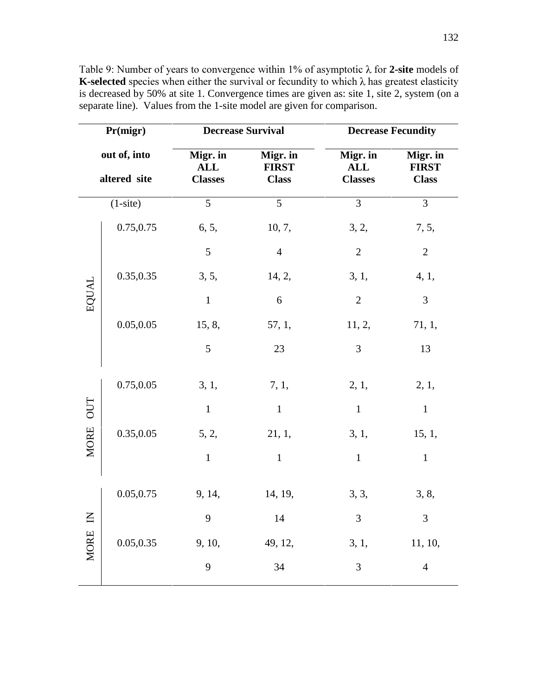| Pr(migr)<br>out of, into<br>altered site |            | <b>Decrease Survival</b>                 |                                          | <b>Decrease Fecundity</b>                |                                          |
|------------------------------------------|------------|------------------------------------------|------------------------------------------|------------------------------------------|------------------------------------------|
|                                          |            | Migr. in<br><b>ALL</b><br><b>Classes</b> | Migr. in<br><b>FIRST</b><br><b>Class</b> | Migr. in<br><b>ALL</b><br><b>Classes</b> | Migr. in<br><b>FIRST</b><br><b>Class</b> |
| $(1-site)$                               |            | 5                                        | 5                                        | $\overline{3}$                           | 3                                        |
| EQUAL                                    | 0.75,0.75  | 6, 5,                                    | 10, 7,                                   | 3, 2,                                    | 7, 5,                                    |
|                                          |            | 5                                        | $\overline{4}$                           | $\sqrt{2}$                               | $\mathbf{2}$                             |
|                                          | 0.35,0.35  | 3, 5,                                    | 14, 2,                                   | 3, 1,                                    | 4, 1,                                    |
|                                          |            | $\mathbf{1}$                             | $6\,$                                    | $\overline{2}$                           | $\mathfrak{Z}$                           |
|                                          | 0.05, 0.05 | 15, 8,                                   | 57, 1,                                   | 11, 2,                                   | 71, 1,                                   |
|                                          |            | 5                                        | 23                                       | 3                                        | 13                                       |
| MORE OUT                                 | 0.75,0.05  | 3, 1,                                    | 7, 1,                                    | 2, 1,                                    | 2, 1,                                    |
|                                          |            | $\mathbf 1$                              | $\mathbf{1}$                             | $\mathbf{1}$                             | $\mathbf 1$                              |
|                                          | 0.35,0.05  | 5, 2,                                    | 21, 1,                                   | 3, 1,                                    | 15, 1,                                   |
|                                          |            | $\mathbf{1}$                             | $\mathbf{1}$                             | $\mathbf{1}$                             | $\mathbf{1}$                             |
| $\mathbf{z}$<br><b>MORE</b>              | 0.05, 0.75 | 9, 14,                                   | 14, 19,                                  | 3, 3,                                    | 3, 8,                                    |
|                                          |            | 9                                        | 14                                       | 3                                        | $\mathfrak{Z}$                           |
|                                          | 0.05, 0.35 | 9, 10,                                   | 49, 12,                                  | 3, 1,                                    | 11, 10,                                  |
|                                          |            | 9                                        | 34                                       | 3                                        | $\overline{4}$                           |

Table 9: Number of years to convergence within 1% of asymptotic  $\lambda$  for 2-site models of **K-selected** species when either the survival or fecundity to which  $\lambda$  has greatest elasticity is decreased by 50% at site 1. Convergence times are given as: site 1, site 2, system (on a separate line). Values from the 1-site model are given for comparison.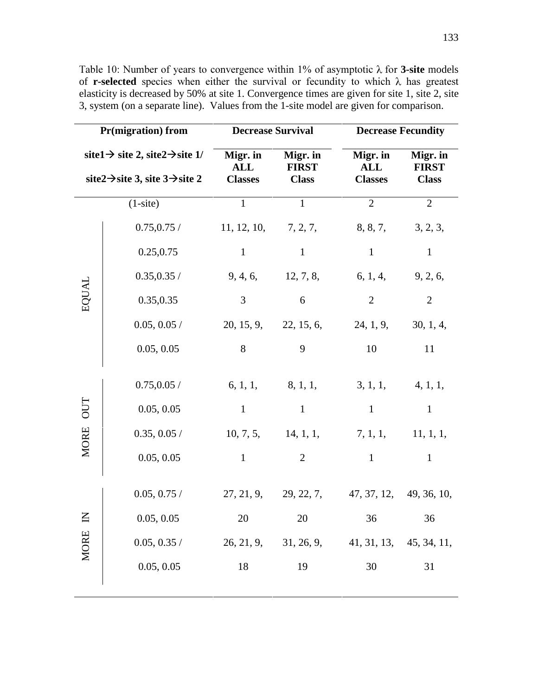| Pr(migration) from                                                                                                |             |                                          | <b>Decrease Survival</b><br><b>Decrease Fecundity</b> |                                                 |                                          |
|-------------------------------------------------------------------------------------------------------------------|-------------|------------------------------------------|-------------------------------------------------------|-------------------------------------------------|------------------------------------------|
| site1 $\rightarrow$ site2, site2 $\rightarrow$ site1/<br>site $2 \rightarrow$ site 3, site $3 \rightarrow$ site 2 |             | Migr. in<br><b>ALL</b><br><b>Classes</b> | Migr. in<br><b>FIRST</b><br><b>Class</b>              | Migr. in<br><b>ALL</b><br><b>Classes</b>        | Migr. in<br><b>FIRST</b><br><b>Class</b> |
| $(1-site)$                                                                                                        |             | $\mathbf{1}$                             | $\overline{1}$                                        | $\overline{2}$                                  | $\overline{2}$                           |
| EQUAL                                                                                                             | 0.75, 0.75/ |                                          | 11, 12, 10, 7, 2, 7,                                  | 8, 8, 7,                                        | 3, 2, 3,                                 |
|                                                                                                                   | 0.25, 0.75  | $\mathbf{1}$                             | $\mathbf{1}$                                          | $\mathbf{1}$                                    | $\mathbf{1}$                             |
|                                                                                                                   | 0.35, 0.35/ |                                          | 9, 4, 6, 12, 7, 8,                                    | 6, 1, 4, 9, 2, 6,                               |                                          |
|                                                                                                                   | 0.35,0.35   | 3                                        | 6                                                     | $\overline{2}$                                  | $\overline{2}$                           |
|                                                                                                                   | 0.05, 0.05/ |                                          | 20, 15, 9, 22, 15, 6,                                 | 24, 1, 9,                                       | 30, 1, 4,                                |
|                                                                                                                   | 0.05, 0.05  | 8                                        | 9                                                     | 10                                              | 11                                       |
| 0U<br><b>MORE</b>                                                                                                 | 0.75, 0.05/ |                                          | $6, 1, 1,$ $8, 1, 1,$                                 | $3, 1, 1,$ 4, 1, 1,                             |                                          |
|                                                                                                                   | 0.05, 0.05  | $\mathbf{1}$                             | $\mathbf{1}$                                          | $\mathbf{1}$                                    | $\mathbf{1}$                             |
|                                                                                                                   | 0.35, 0.05/ |                                          | 10, 7, 5, 14, 1, 1,                                   | $7, 1, 1,$ $11, 1, 1,$                          |                                          |
|                                                                                                                   | 0.05, 0.05  | $\mathbf{1}$                             | $\overline{2}$                                        | $\mathbf{1}$                                    | $\mathbf{1}$                             |
| MORE IN                                                                                                           | 0.05, 0.75/ |                                          |                                                       | $27, 21, 9, 29, 22, 7, 47, 37, 12, 49, 36, 10,$ |                                          |
|                                                                                                                   | 0.05, 0.05  | 20                                       | 20                                                    | 36                                              | 36                                       |
|                                                                                                                   | 0.05, 0.35/ | 26, 21, 9,                               | 31, 26, 9,                                            | 41, 31, 13,                                     | 45, 34, 11,                              |
|                                                                                                                   | 0.05, 0.05  | 18                                       | 19                                                    | 30                                              | 31                                       |

Table 10: Number of years to convergence within 1% of asymptotic  $\lambda$  for **3-site** models of **r-selected** species when either the survival or fecundity to which  $\lambda$  has greatest elasticity is decreased by 50% at site 1. Convergence times are given for site 1, site 2, site 3, system (on a separate line). Values from the 1-site model are given for comparison.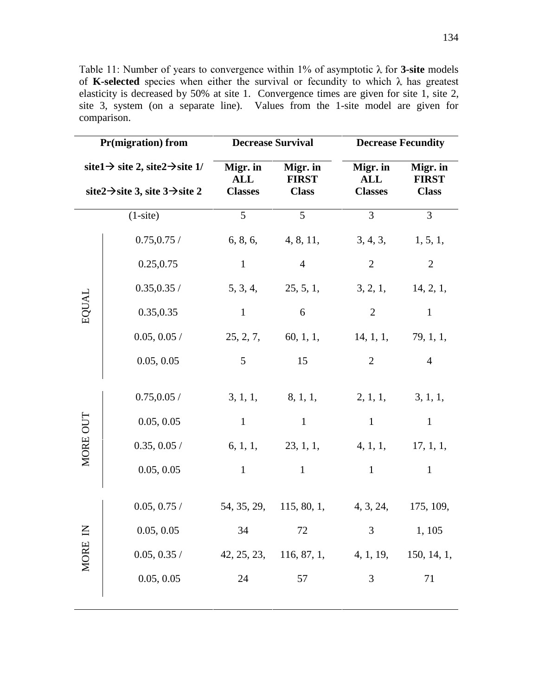Table 11: Number of years to convergence within 1% of asymptotic  $\lambda$  for **3-site** models of **K-selected** species when either the survival or fecundity to which  $\lambda$  has greatest elasticity is decreased by 50% at site 1. Convergence times are given for site 1, site 2, site 3, system (on a separate line). Values from the 1-site model are given for comparison.

| <b>Pr(migration)</b> from                                                                                         |                | <b>Decrease Survival</b>                 |                                          | <b>Decrease Fecundity</b>                   |                                          |
|-------------------------------------------------------------------------------------------------------------------|----------------|------------------------------------------|------------------------------------------|---------------------------------------------|------------------------------------------|
| site1 $\rightarrow$ site2, site2 $\rightarrow$ site1/<br>site $2 \rightarrow$ site 3, site $3 \rightarrow$ site 2 |                | Migr. in<br><b>ALL</b><br><b>Classes</b> | Migr. in<br><b>FIRST</b><br><b>Class</b> | Migr. in<br><b>ALL</b><br><b>Classes</b>    | Migr. in<br><b>FIRST</b><br><b>Class</b> |
| $(1-site)$                                                                                                        |                | 5 <sup>5</sup>                           | $5\overline{)}$                          | $\overline{3}$                              | $\mathfrak{Z}$                           |
| EQUAL                                                                                                             | 0.75, 0.75/    |                                          | 6, 8, 6, 4, 8, 11,                       | 3, 4, 3,                                    | 1, 5, 1,                                 |
|                                                                                                                   | 0.25,0.75      | $\mathbf{1}$                             | $\overline{4}$                           | $\mathbf{2}$                                | $\overline{2}$                           |
|                                                                                                                   | 0.35, 0.35 /   |                                          | 5, 3, 4, 25, 5, 1,                       |                                             | $3, 2, 1,$ 14, 2, 1,                     |
|                                                                                                                   | 0.35,0.35      | $\mathbf{1}$                             | 6                                        | $\overline{2}$                              | $\mathbf{1}$                             |
|                                                                                                                   | 0.05, 0.05/    |                                          |                                          | $25, 2, 7, 60, 1, 1, 14, 1, 1, 79, 1, 1,$   |                                          |
|                                                                                                                   | 0.05, 0.05     | 5 <sup>5</sup>                           | 15                                       | $\overline{2}$                              | $\overline{4}$                           |
| MORE OUT                                                                                                          | 0.75, 0.05/    |                                          | $3, 1, 1,$ $8, 1, 1,$                    | 2, 1, 1,                                    | 3, 1, 1,                                 |
|                                                                                                                   | 0.05, 0.05     | $\mathbf{1}$                             | $\mathbf{1}$                             | $\mathbf{1}$                                | $\mathbf{1}$                             |
|                                                                                                                   | 0.35, 0.05/    |                                          |                                          | 6, 1, 1, 23, 1, 1, 4, 1, 1, 17, 1, 1,       |                                          |
|                                                                                                                   | 0.05, 0.05     | $\mathbf{1}$                             | $\mathbf{1}$                             | $\mathbf{1}$                                | $\mathbf{1}$                             |
| MORE IN                                                                                                           | $0.05, 0.75$ / |                                          |                                          | 54, 35, 29, 115, 80, 1, 4, 3, 24, 175, 109, |                                          |
|                                                                                                                   | 0.05, 0.05     | 34 72                                    |                                          | $\overline{3}$                              | 1, 105                                   |
|                                                                                                                   | 0.05, 0.35/    | 42, 25, 23,                              | 116, 87, 1,                              | 4, 1, 19,                                   | 150, 14, 1,                              |
|                                                                                                                   | 0.05, 0.05     | 24                                       | 57                                       | 3                                           | 71                                       |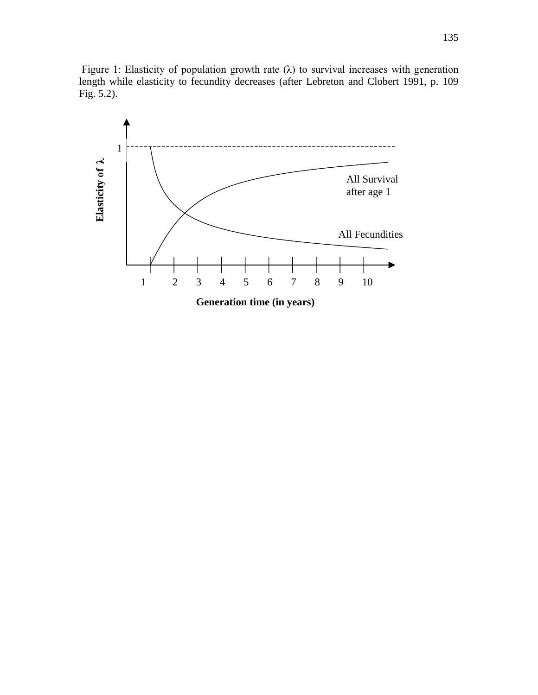Figure 1: Elasticity of population growth rate  $(\lambda)$  to survival increases with generation length while elasticity to fecundity decreases (after Lebreton and Clobert 1991, p. 109 Fig. 5.2).

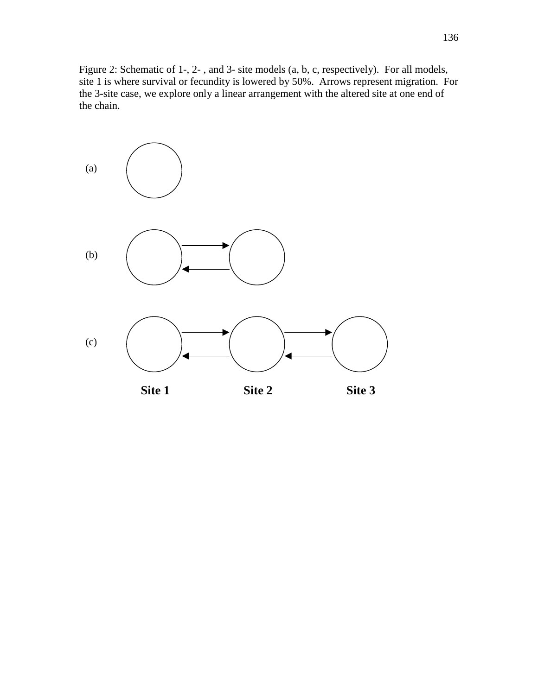Figure 2: Schematic of 1-, 2- , and 3- site models (a, b, c, respectively). For all models, site 1 is where survival or fecundity is lowered by 50%. Arrows represent migration. For the 3-site case, we explore only a linear arrangement with the altered site at one end of the chain.

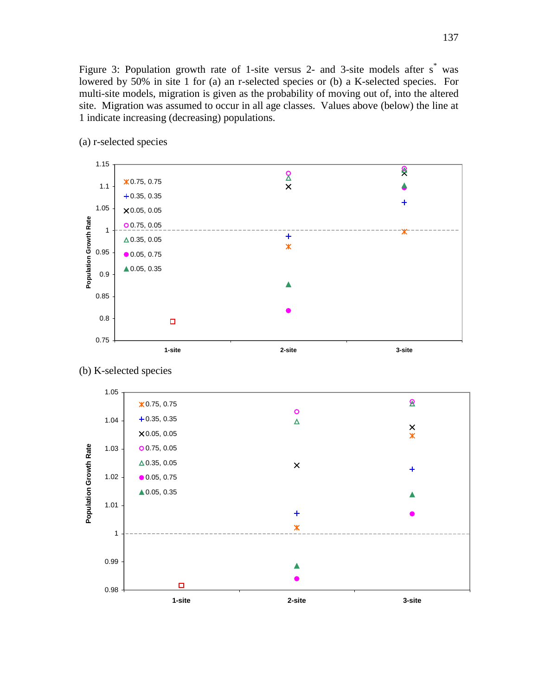Figure 3: Population growth rate of 1-site versus 2- and 3-site models after s<sup>\*</sup> was lowered by 50% in site 1 for (a) an r-selected species or (b) a K-selected species. For multi-site models, migration is given as the probability of moving out of, into the altered site. Migration was assumed to occur in all age classes. Values above (below) the line at 1 indicate increasing (decreasing) populations.



(a) r-selected species

## (b) K-selected species

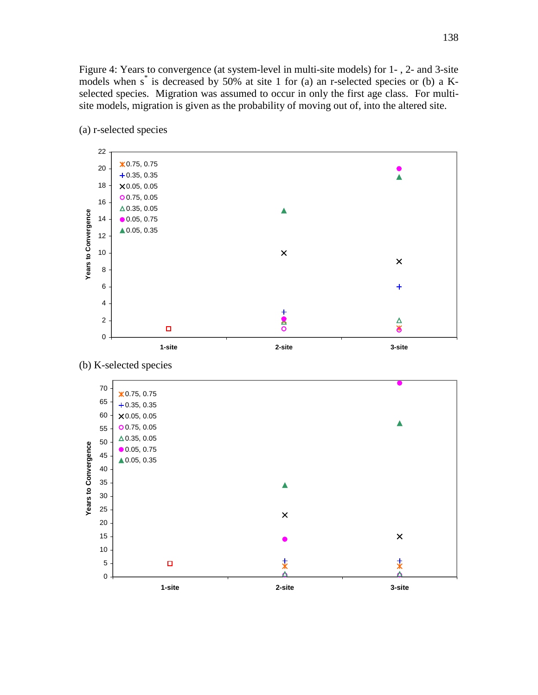Figure 4: Years to convergence (at system-level in multi-site models) for 1- , 2- and 3-site models when s\* is decreased by 50% at site 1 for (a) an r-selected species or (b) a Kselected species. Migration was assumed to occur in only the first age class. For multisite models, migration is given as the probability of moving out of, into the altered site.



(a) r-selected species



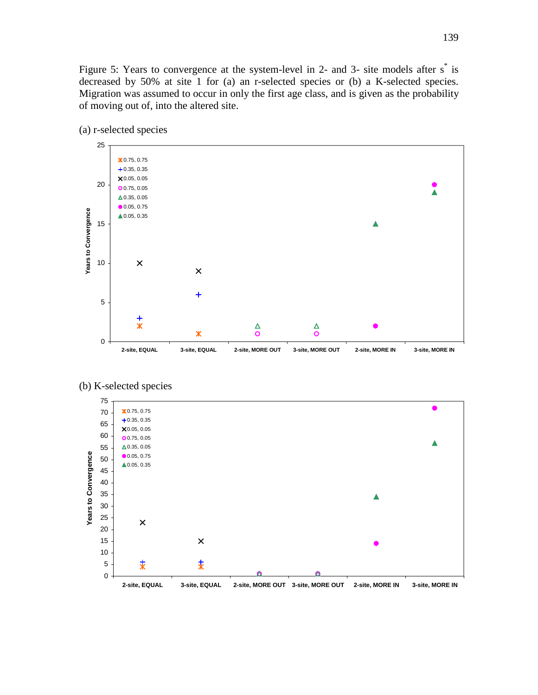Figure 5: Years to convergence at the system-level in 2- and 3- site models after s<sup>\*</sup> is decreased by 50% at site 1 for (a) an r-selected species or (b) a K-selected species. Migration was assumed to occur in only the first age class, and is given as the probability of moving out of, into the altered site.







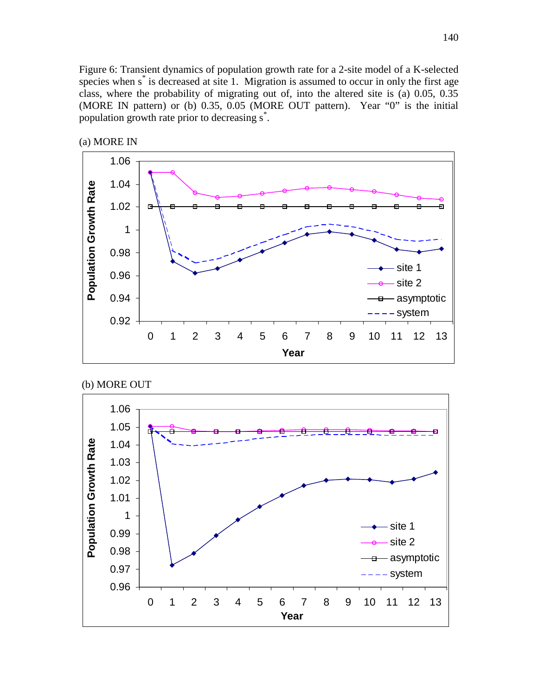Figure 6: Transient dynamics of population growth rate for a 2-site model of a K-selected species when s<sup>\*</sup> is decreased at site 1. Migration is assumed to occur in only the first age class, where the probability of migrating out of, into the altered site is (a) 0.05, 0.35 (MORE IN pattern) or (b) 0.35, 0.05 (MORE OUT pattern). Year "0" is the initial population growth rate prior to decreasing s\* .







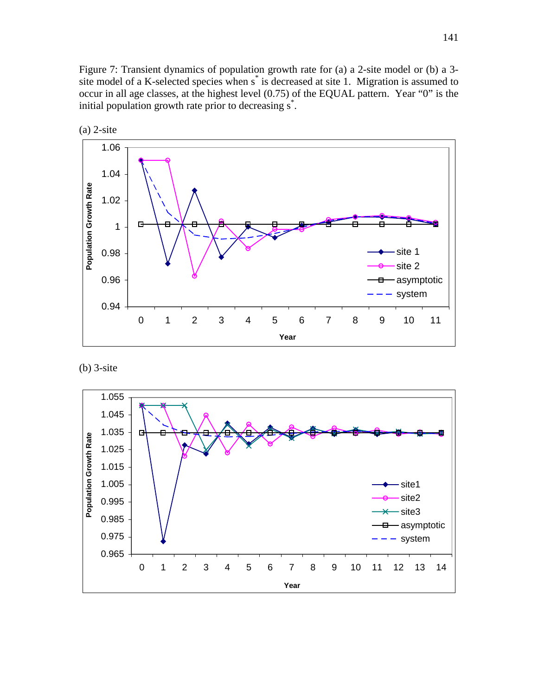Figure 7: Transient dynamics of population growth rate for (a) a 2-site model or (b) a 3 site model of a K-selected species when s<sup>\*</sup> is decreased at site 1. Migration is assumed to occur in all age classes, at the highest level (0.75) of the EQUAL pattern. Year "0" is the initial population growth rate prior to decreasing s<sup>\*</sup>.





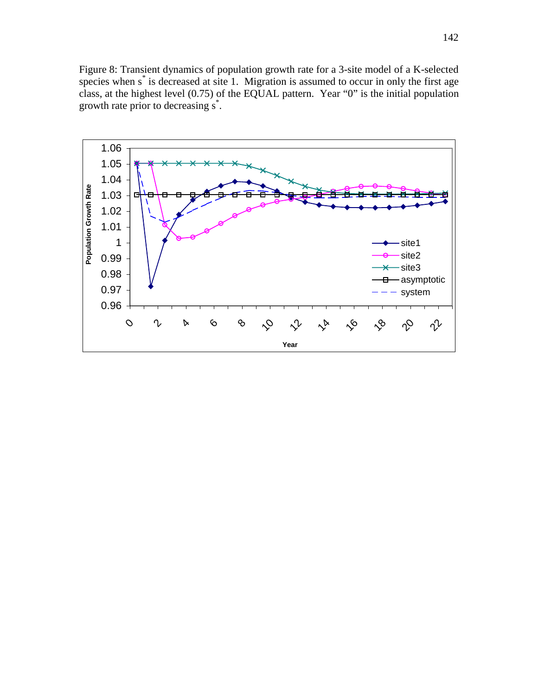Figure 8: Transient dynamics of population growth rate for a 3-site model of a K-selected species when s<sup>\*</sup> is decreased at site 1. Migration is assumed to occur in only the first age class, at the highest level (0.75) of the EQUAL pattern. Year "0" is the initial population growth rate prior to decreasing s\* .

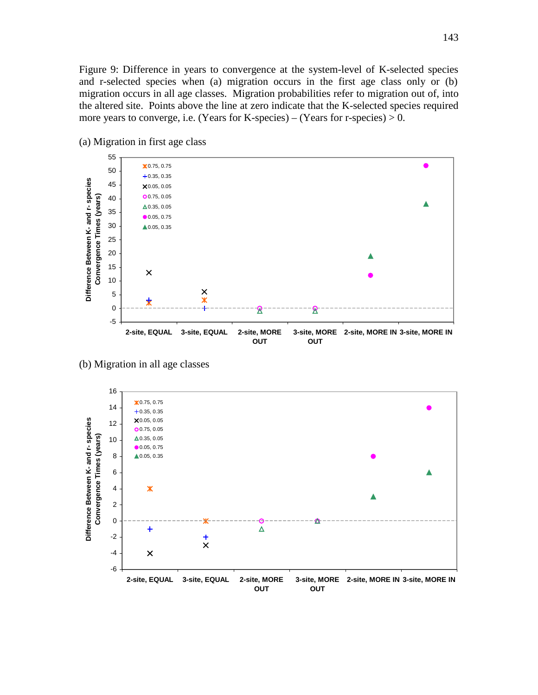Figure 9: Difference in years to convergence at the system-level of K-selected species and r-selected species when (a) migration occurs in the first age class only or (b) migration occurs in all age classes. Migration probabilities refer to migration out of, into the altered site. Points above the line at zero indicate that the K-selected species required more years to converge, i.e. (Years for K-species) – (Years for r-species)  $> 0$ .



(a) Migration in first age class

(b) Migration in all age classes

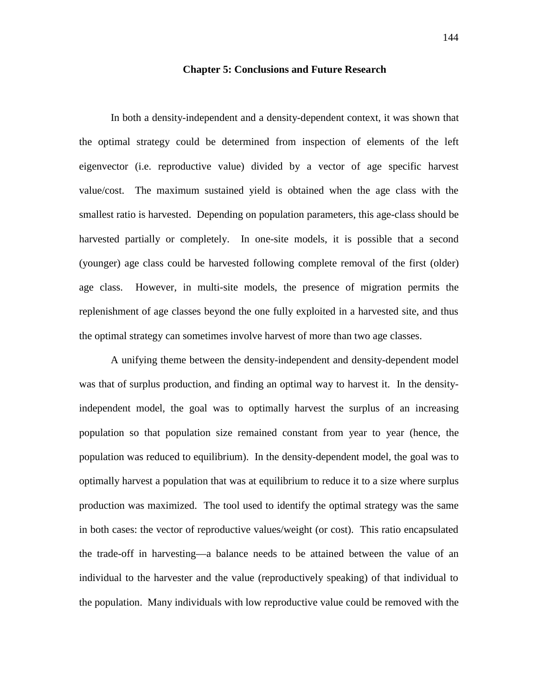## **Chapter 5: Conclusions and Future Research**

In both a density-independent and a density-dependent context, it was shown that the optimal strategy could be determined from inspection of elements of the left eigenvector (i.e. reproductive value) divided by a vector of age specific harvest value/cost. The maximum sustained yield is obtained when the age class with the smallest ratio is harvested. Depending on population parameters, this age-class should be harvested partially or completely. In one-site models, it is possible that a second (younger) age class could be harvested following complete removal of the first (older) age class. However, in multi-site models, the presence of migration permits the replenishment of age classes beyond the one fully exploited in a harvested site, and thus the optimal strategy can sometimes involve harvest of more than two age classes.

A unifying theme between the density-independent and density-dependent model was that of surplus production, and finding an optimal way to harvest it. In the densityindependent model, the goal was to optimally harvest the surplus of an increasing population so that population size remained constant from year to year (hence, the population was reduced to equilibrium). In the density-dependent model, the goal was to optimally harvest a population that was at equilibrium to reduce it to a size where surplus production was maximized. The tool used to identify the optimal strategy was the same in both cases: the vector of reproductive values/weight (or cost). This ratio encapsulated the trade-off in harvesting—a balance needs to be attained between the value of an individual to the harvester and the value (reproductively speaking) of that individual to the population. Many individuals with low reproductive value could be removed with the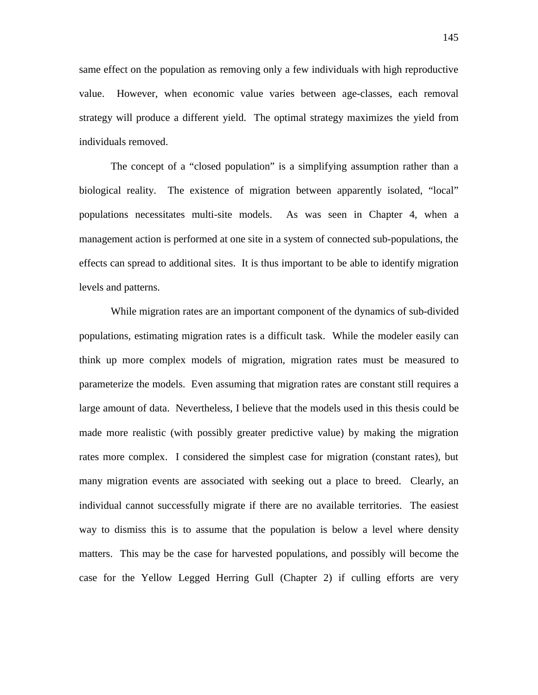same effect on the population as removing only a few individuals with high reproductive value. However, when economic value varies between age-classes, each removal strategy will produce a different yield. The optimal strategy maximizes the yield from individuals removed.

The concept of a "closed population" is a simplifying assumption rather than a biological reality. The existence of migration between apparently isolated, "local" populations necessitates multi-site models. As was seen in Chapter 4, when a management action is performed at one site in a system of connected sub-populations, the effects can spread to additional sites. It is thus important to be able to identify migration levels and patterns.

While migration rates are an important component of the dynamics of sub-divided populations, estimating migration rates is a difficult task. While the modeler easily can think up more complex models of migration, migration rates must be measured to parameterize the models. Even assuming that migration rates are constant still requires a large amount of data. Nevertheless, I believe that the models used in this thesis could be made more realistic (with possibly greater predictive value) by making the migration rates more complex. I considered the simplest case for migration (constant rates), but many migration events are associated with seeking out a place to breed. Clearly, an individual cannot successfully migrate if there are no available territories. The easiest way to dismiss this is to assume that the population is below a level where density matters. This may be the case for harvested populations, and possibly will become the case for the Yellow Legged Herring Gull (Chapter 2) if culling efforts are very